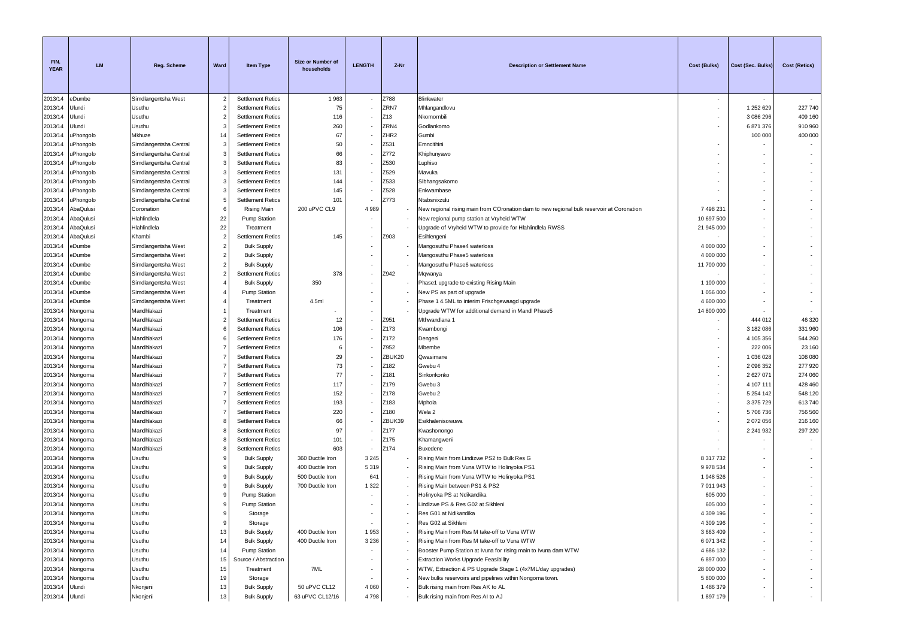| FIN.<br><b>YEAR</b> | <b>LM</b>              | Reg. Scheme                | Ward           | <b>Item Type</b>                          | Size or Number of<br>households      | <b>LENGTH</b>            | Z-Nr             | <b>Description or Settlement Name</b>                                                               | <b>Cost (Bulks)</b>     | Cost (Sec. Bulks) | <b>Cost (Retics)</b>     |
|---------------------|------------------------|----------------------------|----------------|-------------------------------------------|--------------------------------------|--------------------------|------------------|-----------------------------------------------------------------------------------------------------|-------------------------|-------------------|--------------------------|
| 2013/14             | eDumbe                 | Simdlangentsha West        | $\overline{2}$ | <b>Settlement Retics</b>                  | 1963                                 | $\sim$                   | Z788             | Blinkwater                                                                                          | $\sim$                  |                   |                          |
| 2013/14             | Jlundi                 | Usuthu                     | $\overline{2}$ | <b>Settlement Retics</b>                  | 75                                   |                          | ZRN7             | Mhlangandlovu                                                                                       |                         | 1 252 629         | 227 740                  |
| 2013/14             | Jlundi                 | Usuthu                     | $\overline{2}$ | <b>Settlement Retics</b>                  | 116                                  |                          | Z13              | Nkomombili                                                                                          |                         | 3 086 296         | 409 160                  |
| 2013/14             | Jlundi                 | Usuthu                     | 3              | <b>Settlement Retics</b>                  | 260                                  |                          | ZRN4             | Godlankomo                                                                                          |                         | 6871376           | 910 960                  |
| 2013/14             | uPhongolo              | Mkhuze                     | 14             | <b>Settlement Retics</b>                  | 67                                   |                          | ZHR <sub>2</sub> | Gumbi                                                                                               |                         | 100 000           | 400 000                  |
| 2013/14             | <b>JPhongolo</b>       | Simdlangentsha Central     | 3              | <b>Settlement Retics</b>                  | 50                                   |                          | Z531             | Emncithini                                                                                          |                         |                   |                          |
| 2013/14             | uPhongolo              | Simdlangentsha Central     | 3              | <b>Settlement Retics</b>                  | 66                                   |                          | Z772             | Khiphunyawo                                                                                         |                         |                   |                          |
| 2013/14             | <b>JPhongolo</b>       | Simdlangentsha Central     | 3              | <b>Settlement Retics</b>                  | 83                                   |                          | Z530             | Luphiso                                                                                             |                         |                   |                          |
| 2013/14             | <b>JPhongolo</b>       | Simdlangentsha Central     | 3              | <b>Settlement Retics</b>                  | 131                                  |                          | Z529             | Mavuka                                                                                              |                         |                   |                          |
| 2013/14             | <b>JPhongolo</b>       | Simdlangentsha Central     | 3              | <b>Settlement Retics</b>                  | 144                                  |                          | Z533             | Sibhangsakomo                                                                                       |                         |                   |                          |
| 2013/14             | uPhongolo              | Simdlangentsha Central     | 3              | <b>Settlement Retics</b>                  | 145                                  |                          | Z528             | Enkwambase                                                                                          |                         |                   |                          |
| 2013/14             | uPhongolo              | Simdlangentsha Central     | 5<br>6         | <b>Settlement Retics</b>                  | 101                                  |                          | Z773             | Ntabsnixzulu                                                                                        |                         |                   |                          |
| 2013/14<br>2013/14  | AbaQulusi<br>AbaQulusi | Coronation<br>Hlahlindlela | 22             | Rising Main                               | 200 uPVC CL9                         | 4 9 8 9                  |                  | New regional rising main from COronation dam to new regional bulk reservoir at Coronation           | 7 498 231<br>10 697 500 |                   |                          |
| 2013/14             | AbaQulusi              | Hlahlindlela               | 22             | <b>Pump Station</b><br>Treatment          |                                      |                          |                  | New regional pump station at Vryheid WTW<br>Upgrade of Vryheid WTW to provide for Hlahlindlela RWSS | 21 945 000              |                   |                          |
| 2013/14             | AbaQulusi              | Khambi                     | $\overline{2}$ | <b>Settlement Retics</b>                  | 145                                  |                          | Z903             | Esihlengeni                                                                                         |                         |                   |                          |
| 2013/14             | eDumbe                 | Simdlangentsha West        | $\overline{2}$ | <b>Bulk Supply</b>                        |                                      |                          |                  | Mangosuthu Phase4 waterloss                                                                         | 4 000 000               |                   |                          |
| 2013/14             | eDumbe                 | Simdlangentsha West        | $\overline{2}$ | <b>Bulk Supply</b>                        |                                      |                          |                  | Mangosuthu Phase5 waterloss                                                                         | 4 000 000               |                   |                          |
| 2013/14             | eDumbe                 | Simdlangentsha West        | $\overline{2}$ | <b>Bulk Supply</b>                        |                                      |                          |                  | Mangosuthu Phase6 waterloss                                                                         | 11 700 000              |                   |                          |
| 2013/14             | eDumbe                 | Simdlangentsha West        | $\overline{2}$ | <b>Settlement Retics</b>                  | 378                                  |                          | Z942             | Mqwanya                                                                                             |                         |                   |                          |
| 2013/14             | eDumbe                 | Simdlangentsha West        | $\overline{4}$ | <b>Bulk Supply</b>                        | 350                                  |                          |                  | Phase1 upgrade to existing Rising Main                                                              | 1 100 000               |                   |                          |
| 2013/14             | eDumbe                 | Simdlangentsha West        | $\overline{4}$ | Pump Station                              |                                      |                          |                  | New PS as part of upgrade                                                                           | 1 056 000               |                   |                          |
| 2013/14             | eDumbe                 | Simdlangentsha West        | $\overline{4}$ | Treatment                                 | 4.5ml                                |                          |                  | Phase 1 4.5ML to interim Frischgewaagd upgrade                                                      | 4 600 000               |                   |                          |
| 2013/14             | Nongoma                | Mandhlakazi                | $\overline{1}$ | Treatment                                 |                                      |                          |                  | Upgrade WTW for additional demand in Mandl Phase5                                                   | 14 800 000              |                   |                          |
| 2013/14             | Nongoma                | Mandhlakazi                | $\overline{2}$ | <b>Settlement Retics</b>                  | 12                                   |                          | Z951             | Mthwandlana 1                                                                                       |                         | 444 012           | 46 320                   |
| 2013/14             | Nongoma                | Mandhlakazi                | 6              | <b>Settlement Retics</b>                  | 106                                  |                          | Z173             | Kwambongi                                                                                           |                         | 3 182 086         | 331 960                  |
| 2013/14             | Nongoma                | Mandhlakazi                | 6              | <b>Settlement Retics</b>                  | 176                                  |                          | Z172             | Dengeni                                                                                             |                         | 4 105 356         | 544 260                  |
| 2013/14             | Nongoma                | Mandhlakazi                | -7             | <b>Settlement Retics</b>                  | 6                                    |                          | Z952             | Mbembe                                                                                              | $\sim$                  | 222 006           | 23 160                   |
| 2013/14             | Nongoma                | Mandhlakazi                | 7              | <b>Settlement Retics</b>                  | 29                                   |                          | ZBUK20           | Qwasimane                                                                                           |                         | 1 036 028         | 108 080                  |
| 2013/14             | Nongoma                | Mandhlakazi                | 7              | <b>Settlement Retics</b>                  | 73                                   |                          | Z182             | Gwebu 4                                                                                             |                         | 2 0 9 6 3 5 2     | 277 920                  |
| 2013/14             | Vongoma                | Mandhlakazi                | $\overline{7}$ | <b>Settlement Retics</b>                  | 77                                   |                          | Z181             | Sinkonkonko                                                                                         |                         | 2627071           | 274 060                  |
| 2013/14             | Nongoma                | Mandhlakazi                | $\overline{7}$ | <b>Settlement Retics</b>                  | 117                                  |                          | Z179             | Gwebu 3                                                                                             |                         | 4 107 111         | 428 460                  |
| 2013/14             | Nongoma                | Mandhlakazi                | 7              | <b>Settlement Retics</b>                  | 152                                  |                          | Z178             | Gwebu 2                                                                                             |                         | 5 2 5 4 1 4 2     | 548 120                  |
| 2013/14             | Nongoma                | Mandhlakazi                | $\overline{7}$ | <b>Settlement Retics</b>                  | 193                                  |                          | Z183             | Mphola                                                                                              |                         | 3 3 7 5 7 2 9     | 613740                   |
| 2013/14             | Nongoma                | Mandhlakazi                | 7              | <b>Settlement Retics</b>                  | 220                                  |                          | Z180             | Wela 2                                                                                              |                         | 5706736           | 756 560                  |
| 2013/14             | Nongoma                | Mandhlakazi                | 8              | <b>Settlement Retics</b>                  | 66                                   |                          | ZBUK39           | Esikhalenisowuwa                                                                                    |                         | 2072056           | 216 160                  |
| 2013/14             | Nongoma                | Mandhlakazi                | -8             | <b>Settlement Retics</b>                  | 97                                   |                          | Z177             | Kwashonongo                                                                                         |                         | 2 2 4 1 9 3 2     | 297 220                  |
| 2013/14             | Nongoma                | Mandhlakazi                | 8              | <b>Settlement Retics</b>                  | 101                                  |                          | Z175             | Khamangweni                                                                                         |                         |                   |                          |
| 2013/14             | Nongoma                | Mandhlakazi                | 8              | <b>Settlement Retics</b>                  | 603                                  | $\overline{\phantom{a}}$ | Z174             | Buxedene                                                                                            |                         |                   |                          |
| 2013/14             | Nongoma                | Usuthu                     | 9              | <b>Bulk Supply</b>                        | 360 Ductile Iron<br>400 Ductile Iron | 3 2 4 5                  |                  | Rising Main from Lindizwe PS2 to Bulk Res G                                                         | 8 317 732               |                   |                          |
| 2013/14             | Nongoma                | Usuthu                     | 9<br>9         | <b>Bulk Supply</b>                        | 500 Ductile Iron                     | 5319                     |                  | Rising Main from Vuna WTW to Holinyoka PS1                                                          | 9 978 534               |                   |                          |
| 2013/14             | Nongoma                | Usuthu                     | 9              | <b>Bulk Supply</b>                        | 700 Ductile Iron                     | 641<br>1 3 2 2           |                  | Rising Main from Vuna WTW to Holinyoka PS1<br>Rising Main between PS1 & PS2                         | 1 948 526<br>7 011 943  |                   |                          |
| 2013/14             | Nongoma                | Usuthu<br>Usuthu           | 9              | <b>Bulk Supply</b><br><b>Pump Station</b> |                                      |                          |                  | Holinyoka PS at Ndikandika                                                                          | 605 000                 |                   |                          |
| 2013/14<br>2013/14  | Nongoma                | Usuthu                     | 9              | Pump Station                              |                                      |                          |                  | Lindizwe PS & Res G02 at Sikhleni                                                                   | 605 000                 |                   |                          |
| 2013/14             | Nongoma<br>Nongoma     | Usuthu                     | 9              | Storage                                   |                                      |                          |                  | Res G01 at Ndikandika                                                                               | 4 309 196               |                   |                          |
| 2013/14             | Nongoma                | Usuthu                     | 9              | Storage                                   |                                      |                          |                  | Res G02 at Sikhleni                                                                                 | 4 309 196               |                   |                          |
| 2013/14             | Nongoma                | Usuthu                     | 13             | <b>Bulk Supply</b>                        | 400 Ductile Iron                     | 1953                     |                  | Rising Main from Res M take-off to Vuna WTW                                                         | 3 663 409               |                   |                          |
| 2013/14             | Nongoma                | Usuthu                     | 14             | <b>Bulk Supply</b>                        | 400 Ductile Iron                     | 3 2 3 6                  |                  | Rising Main from Res M take-off to Vuna WTW                                                         | 6 071 342               |                   |                          |
| 2013/14             | Nongoma                | Usuthu                     | 14             | Pump Station                              |                                      |                          |                  | Booster Pump Station at Ivuna for rising main to Ivuna dam WTW                                      | 4 686 132               |                   |                          |
| 2013/14             | Nongoma                | Usuthu                     | 15             | Source / Abstraction                      |                                      |                          |                  | Extraction Works Upgrade Feasibility                                                                | 6 897 000               |                   |                          |
| 2013/14             | Nongoma                | Usuthu                     | 15             | Treatment                                 | 7ML                                  |                          |                  | WTW, Extraction & PS Upgrade Stage 1 (4x7ML/day upgrades)                                           | 28 000 000              |                   |                          |
| 2013/14             | Nongoma                | Usuthu                     | 19             | Storage                                   |                                      |                          |                  | New bulks reservoirs and pipelines within Nongoma town.                                             | 5 800 000               |                   | $\overline{\phantom{a}}$ |
| 2013/14             | Ulundi                 | Nkonjeni                   | 13             | <b>Bulk Supply</b>                        | 50 uPVC CL12                         | 4 0 6 0                  |                  | Bulk rising main from Res AK to AL                                                                  | 1 486 379               |                   | $\sim$                   |
| 2013/14 Ulundi      |                        | Nkonjeni                   | 13             | <b>Bulk Supply</b>                        | 63 uPVC CL12/16                      | 4798                     |                  | Bulk rising main from Res AI to AJ                                                                  | 1897179                 |                   | ÷.                       |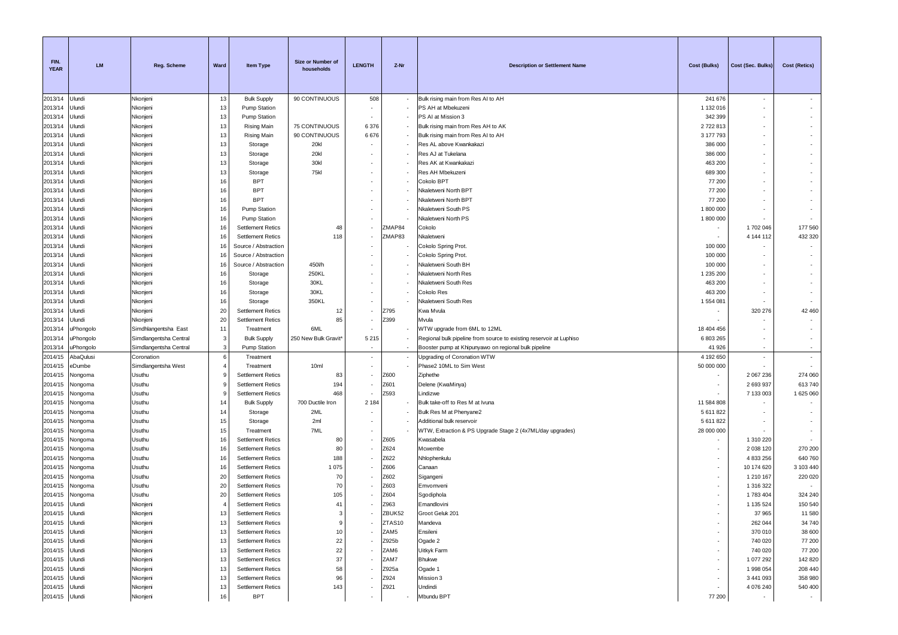| FIN.<br><b>YEAR</b> | <b>LM</b>          | <b>Reg. Scheme</b>     | Ward           | Item Type                                            | Size or Number of<br>households | <b>LENGTH</b>            | Z-Nr                     | <b>Description or Settlement Name</b>                               | Cost (Bulks)     | Cost (Sec. Bulks)       | <b>Cost (Retics)</b> |
|---------------------|--------------------|------------------------|----------------|------------------------------------------------------|---------------------------------|--------------------------|--------------------------|---------------------------------------------------------------------|------------------|-------------------------|----------------------|
| 2013/14             | Ulundi             | Nkonjeni               | 13             | <b>Bulk Supply</b>                                   | 90 CONTINUOUS                   | 508                      |                          | Bulk rising main from Res AI to AH                                  | 241 676          | $\sim$                  |                      |
| 2013/14             | Jlundi             | Nkonjeni               | 13             | Pump Station                                         |                                 |                          |                          | PS AH at Mbekuzeni                                                  | 1 132 016        |                         |                      |
| 2013/14             | Ulundi             | Nkonjeni               | 13             | <b>Pump Station</b>                                  |                                 |                          |                          | PS AI at Mission 3                                                  | 342 399          |                         |                      |
| 2013/14             | Ulundi             | Nkonjeni               | 13             | Rising Main                                          | 75 CONTINUOUS                   | 6 3 7 6                  |                          | Bulk rising main from Res AH to AK                                  | 2722813          |                         |                      |
| 2013/14             | Ulundi             | Nkonjeni               | 13             | <b>Rising Main</b>                                   | 90 CONTINUOUS                   | 6676                     | $\overline{\phantom{a}}$ | Bulk rising main from Res AI to AH                                  | 3 177 793        |                         |                      |
| 2013/14             | Ulundi             | Nkonjeni               | 13             | Storage                                              | 20kl                            |                          |                          | Res AL above Kwankakazi                                             | 386 000          |                         |                      |
| 2013/14             | Ulundi             | Nkonjeni               | 13             | Storage                                              | 20kl                            |                          |                          | Res AJ at Tukelana                                                  | 386 000          |                         |                      |
| 2013/14             | Jlundi             | Nkonjeni               | 13             | Storage                                              | 30kl                            |                          |                          | Res AK at Kwankakazi                                                | 463 200          |                         |                      |
| 2013/14             | Jlundi             | Nkonjeni               | 13             | Storage                                              | <b>75kl</b>                     |                          |                          | Res AH Mbekuzeni                                                    | 689 300          |                         |                      |
| 2013/14             | Jlundi             | Nkonjeni               | 16             | <b>BPT</b>                                           |                                 |                          |                          | Cokolo BPT                                                          | 77 200           |                         |                      |
| 2013/14             | Jlundi             | Nkonjeni               | 16             | <b>BPT</b>                                           |                                 |                          |                          | Nkaletweni North BPT                                                | 77 200           |                         |                      |
| 2013/14             | Ulundi             | Nkonjeni               | 16             | <b>BPT</b>                                           |                                 |                          |                          | Nkaletweni North BPT                                                | 77 200           |                         |                      |
| 2013/14             | Jlundi             | Nkonjeni               | 16             | Pump Station                                         |                                 |                          |                          | Nkaletweni South PS                                                 | 1800000          |                         |                      |
| 2013/14             | Jlundi             | Nkonjeni               | 16<br>16       | Pump Station                                         |                                 |                          | ZMAP84                   | Nkaletweni North PS                                                 | 1800000          |                         | 177 560              |
| 2013/14<br>2013/14  | Jlundi             | Nkonjeni               | 16             | <b>Settlement Retics</b>                             | 48<br>118                       |                          | ZMAP83                   | Cokolo<br>Nkaletweni                                                | $\sim$           | 1702 046<br>4 144 112   | 432 320              |
| 2013/14             | Jlundi<br>Jlundi   | Nkonjeni<br>Nkonjeni   | 16             | <b>Settlement Retics</b><br>Source / Abstraction     |                                 |                          |                          | Cokolo Spring Prot.                                                 | 100 000          |                         |                      |
| 2013/14             | Jlundi             | Nkonjeni               | 16             | Source / Abstraction                                 |                                 |                          |                          | Cokolo Spring Prot.                                                 | 100 000          |                         |                      |
| 2013/14             | Ulundi             | Nkonjeni               | 16             | Source / Abstraction                                 | 450Vh                           |                          |                          | Nkaletweni South BH                                                 | 100 000          |                         |                      |
| 2013/14             | Ulundi             | Nkonjeni               | 16             | Storage                                              | 250KL                           |                          |                          | Nkaletweni North Res                                                | 1 235 200        |                         |                      |
| 2013/14             | Ulundi             | Nkonjeni               | 16             | Storage                                              | 30KL                            |                          |                          | Nkaletweni South Res                                                | 463 200          |                         |                      |
| 2013/14             | Jlundi             | Nkonjeni               | 16             | Storage                                              | 30KL                            |                          |                          | Cokolo Res                                                          | 463 200          |                         |                      |
| 2013/14             | Ulundi             | Nkonjeni               | 16             | Storage                                              | 350KL                           | $\overline{\phantom{a}}$ |                          | Nkaletweni South Res                                                | 1 554 081        |                         |                      |
| 2013/14             | Jlundi             | Nkonjeni               | 20             | <b>Settlement Retics</b>                             | 12                              |                          | Z795                     | Kwa Mvula                                                           |                  | 320 276                 | 42 460               |
| 2013/14             | Ulundi             | Nkonjeni               | 20             | <b>Settlement Retics</b>                             | 85                              |                          | Z399                     | Mvula                                                               |                  |                         |                      |
| 2013/14             | uPhongolo          | Simdhlangentsha East   | 11             | Treatment                                            | 6ML                             |                          |                          | WTW upgrade from 6ML to 12ML                                        | 18 404 456       |                         |                      |
| 2013/14             | uPhongolo          | Simdlangentsha Central | 3              | <b>Bulk Supply</b>                                   | 250 New Bulk Gravit*            | 5 2 1 5                  |                          | Regional bulk pipeline from source to existing reservoir at Luphiso | 6 803 265        |                         |                      |
| 2013/14             | uPhongolo          | Simdlangentsha Central | 3              | Pump Station                                         |                                 | $\overline{\phantom{a}}$ |                          | Booster pump at Khipunyawo on regional bulk pipeline                | 41 926           | $\sim$                  | $\sim$               |
| 2014/15             | AbaQulusi          | Coronation             | 6              | Treatment                                            |                                 | $\overline{\phantom{a}}$ |                          | Upgrading of Coronation WTW                                         | 4 192 650        | $\sim$                  | $\sim$               |
| 2014/15             | eDumbe             | Simdlangentsha West    | $\overline{4}$ | Treatment                                            | 10ml                            | $\overline{\phantom{a}}$ |                          | Phase2 10ML to Sim West                                             | 50 000 000       |                         |                      |
| 2014/15             | Vongoma            | Usuthu                 | 9              | <b>Settlement Retics</b>                             | 83                              |                          | Z600                     | Ziphethe                                                            |                  | 2 067 236               | 274 060              |
| 2014/15             | Vongoma            | Usuthu                 | 9              | <b>Settlement Retics</b>                             | 194                             |                          | Z601                     | Delene (KwaMinya)                                                   |                  | 2 693 937               | 613740               |
| 2014/15             | Nongoma            | Usuthu                 | 9              | <b>Settlement Retics</b>                             | 468                             |                          | Z593                     | Lindizwe                                                            |                  | 7 133 003               | 1 625 060            |
| 2014/15             | Vongoma            | Usuthu                 | 14             | <b>Bulk Supply</b>                                   | 700 Ductile Iron                | 2 1 8 4                  |                          | Bulk take-off to Res M at Ivuna                                     | 11 584 808       |                         |                      |
| 2014/15             | Vongoma            | Usuthu                 | 14             | Storage                                              | 2ML                             |                          |                          | Bulk Res M at Phenyane2                                             | 5 611 822        |                         |                      |
| 2014/15             | Nongoma            | Usuthu                 | 15             | Storage                                              | 2ml                             |                          |                          | Additional bulk reservoir                                           | 5 611 822        |                         |                      |
| 2014/15             | Nongoma            | Usuthu                 | 15             | Treatment                                            | 7ML                             |                          |                          | WTW, Extraction & PS Upgrade Stage 2 (4x7ML/day upgrades)           | 28 000 000       |                         |                      |
| 2014/15             | Nongoma            | Usuthu                 | 16             | <b>Settlement Retics</b>                             | 80                              |                          | Z605                     | Kwasabela                                                           |                  | 1 310 220               |                      |
| 2014/15             | Nongoma            | Usuthu                 | 16             | <b>Settlement Retics</b>                             | 80                              |                          | Z624                     | Mcwembe                                                             |                  | 2 038 120               | 270 200              |
| 2014/15             | Nongoma            | Usuthu                 | 16             | <b>Settlement Retics</b>                             | 188                             |                          | Z622                     | Nhlophenkulu                                                        | $\sim$<br>$\sim$ | 4 833 256               | 640 760              |
| 2014/15<br>2014/15  | Nongoma<br>Nongoma | Usuthu<br>Usuthu       | 16<br>20       | <b>Settlement Retics</b>                             | 1075<br>70                      |                          | Z606<br>Z602             | Canaan                                                              | ۰.               | 10 174 620<br>1 210 167 | 3 103 440<br>220 020 |
| 2014/15             | Vongoma            | Usuthu                 | 20             | <b>Settlement Retics</b><br><b>Settlement Retics</b> | 70                              |                          | Z603                     | Sigangeni<br>Emvomveni                                              |                  | 1 316 322               |                      |
| 2014/15             | Nongoma            | Usuthu                 | 20             | <b>Settlement Retics</b>                             | 105                             |                          | Z604                     |                                                                     |                  | 1783404                 | 324 240              |
| 2014/15             | Ulundi             | Nkonjeni               | $\overline{4}$ | <b>Settlement Retics</b>                             | 41                              |                          | Z963                     | Sgodiphola<br>Emandlovini                                           |                  | 1 135 524               | 150 540              |
| 2014/15             | Ulundi             | Nkonjeni               | 13             | <b>Settlement Retics</b>                             | $\mathcal{R}$                   |                          | ZBUK52                   | Groot Geluk 201                                                     |                  | 37 965                  | 11 580               |
| 2014/15             | Ulundi             | Nkonjeni               | 13             | <b>Settlement Retics</b>                             | 9                               |                          | ZTAS10                   | Mandeva                                                             |                  | 262 044                 | 34 740               |
| 2014/15             | Ulundi             | Nkonjeni               | 13             | <b>Settlement Retics</b>                             | 10                              |                          | ZAM5                     | Ensileni                                                            | $\sim$           | 370 010                 | 38 600               |
| 2014/15             | Ulundi             | Nkonjeni               | 13             | <b>Settlement Retics</b>                             | $22\,$                          |                          | Z925b                    | Ogade 2                                                             |                  | 740 020                 | 77 200               |
| 2014/15             | Ulundi             | Nkonjeni               | 13             | <b>Settlement Retics</b>                             | 22                              |                          | ZAM6                     | Uitkyk Farm                                                         | $\sim$           | 740 020                 | 77 200               |
| 2014/15             | Ulundi             | Nkonjeni               | 13             | <b>Settlement Retics</b>                             | 37                              |                          | ZAM7                     | <b>Bhukwe</b>                                                       | $\sim$           | 1 077 292               | 142 820              |
| 2014/15             | Ulundi             | Nkonjeni               | 13             | <b>Settlement Retics</b>                             | 58                              |                          | Z925a                    | Ogade 1                                                             |                  | 1 998 054               | 208 440              |
| 2014/15             | Ulundi             | Nkonjeni               | 13             | <b>Settlement Retics</b>                             | 96                              |                          | Z924                     | Mission 3                                                           | $\sim$           | 3 441 093               | 358 980              |
| 2014/15             | Ulundi             | Nkonjeni               | 13             | <b>Settlement Retics</b>                             | 143                             |                          | Z921                     | Undindi                                                             | $\sim$           | 4 076 240               | 540 400              |
| 2014/15 Ulundi      |                    | Nkonjeni               | 16             | <b>BPT</b>                                           |                                 | ٠                        |                          | Mbundu BPT                                                          | 77 200           |                         | $\sim$               |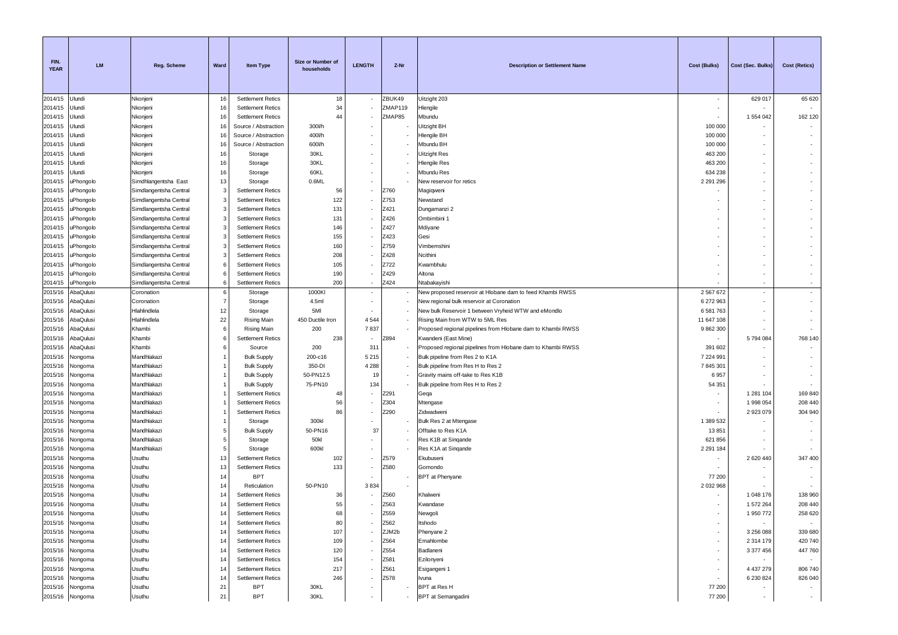| FIN.<br><b>YEAR</b> | <b>LM</b>              | Reg. Scheme                                    | Ward           | <b>Item Type</b>                                     | Size or Number of<br>households | <b>LENGTH</b>            | Z-Nr          | <b>Description or Settlement Name</b>                                  | <b>Cost (Bulks)</b> | Cost (Sec. Bulks)          | <b>Cost (Retics)</b>     |
|---------------------|------------------------|------------------------------------------------|----------------|------------------------------------------------------|---------------------------------|--------------------------|---------------|------------------------------------------------------------------------|---------------------|----------------------------|--------------------------|
| 2014/15             | Ulundi                 | Nkonjeni                                       | 16             | <b>Settlement Retics</b>                             | 18                              |                          | ZBUK49        | Uitzight 203                                                           | $\sim$              | 629 017                    | 65 620                   |
| 2014/15             | Jlundi                 | Nkonjeni                                       | 16             | <b>Settlement Retics</b>                             | 34                              |                          | ZMAP119       | Hlengile                                                               |                     |                            |                          |
| 2014/15             | Jlundi                 | Nkonjeni                                       | 16             | <b>Settlement Retics</b>                             | 44                              |                          | ZMAP85        | Mbundu                                                                 |                     | 1 554 042                  | 162 120                  |
| 2014/15             | Jlundi                 | Nkonjeni                                       | 16             | Source / Abstraction                                 | 300Vh                           |                          |               | Jitzight BH                                                            | 100 000             |                            |                          |
| 2014/15             | Jlundi                 | Nkonjeni                                       | 16             | Source / Abstraction                                 | 400Vh                           |                          |               | Hengile BH                                                             | 100 000             |                            |                          |
| 2014/15             | Jlundi                 | Nkonjeni                                       | 16             | Source / Abstraction                                 | 600l/h                          |                          |               | Mbundu BH                                                              | 100 000             |                            |                          |
| 2014/15             | Jlundi                 | Nkonjeni                                       | 16             | Storage                                              | 30KL                            |                          |               | Jitzight Res                                                           | 463 200             |                            |                          |
| 2014/15             | Jlundi                 | Nkonjeni                                       | 16             | Storage                                              | 30KL                            |                          |               | Hlengile Res                                                           | 463 200             |                            |                          |
| 2014/15             | Jlundi                 | Nkonjeni                                       | 16             | Storage                                              | 60KL                            |                          |               | Mbundu Res<br>New reservoir for retics                                 | 634 238             |                            |                          |
| 2014/15<br>2014/15  | JPhongolo<br>uPhongolo | Simdhlangentsha East<br>Simdlangentsha Central | 13<br>3        | Storage<br><b>Settlement Retics</b>                  | 0.6ML<br>56                     |                          | Z760          |                                                                        | 2 291 296           |                            |                          |
| 2014/15             | uPhongolo              | Simdlangentsha Central                         | 3              | <b>Settlement Retics</b>                             | 122                             |                          | Z753          | Magiqweni<br>Newstand                                                  |                     |                            |                          |
| 2014/15             | uPhongolo              | Simdlangentsha Central                         | 3              | <b>Settlement Retics</b>                             | 131                             |                          | Z421          | Dungamanzi 2                                                           |                     |                            |                          |
| 2014/15             | uPhongolo              | Simdlangentsha Central                         | 3              | <b>Settlement Retics</b>                             | 131                             |                          | Z426          | Ombimbini 1                                                            |                     |                            |                          |
| 2014/15             | uPhongolo              | Simdlangentsha Central                         | 3              | <b>Settlement Retics</b>                             | 146                             |                          | Z427          | Mdiyane                                                                |                     |                            |                          |
| 2014/15             | uPhongolo              | Simdlangentsha Central                         | 3              | <b>Settlement Retics</b>                             | 155                             |                          | Z423          | Gesi                                                                   |                     |                            |                          |
| 2014/15             | uPhongolo              | Simdlangentsha Central                         | 3              | <b>Settlement Retics</b>                             | 160                             |                          | Z759          | Vimbemshini                                                            |                     |                            |                          |
| 2014/15             | JPhongolo              | Simdlangentsha Central                         | 3              | <b>Settlement Retics</b>                             | 208                             |                          | Z428          | Ncithini                                                               |                     |                            |                          |
| 2014/15             | uPhongolo              | Simdlangentsha Central                         | 6              | <b>Settlement Retics</b>                             | 105                             |                          | Z722          | Kwambhulu                                                              |                     |                            |                          |
| 2014/15             | uPhongolo              | Simdlangentsha Central                         | 6              | <b>Settlement Retics</b>                             | 190                             |                          | Z429          | Altona                                                                 |                     |                            |                          |
| 2014/15             | uPhongolo              | Simdlangentsha Central                         | 6              | <b>Settlement Retics</b>                             | 200                             |                          | Z424          | Ntabakayishi                                                           |                     |                            |                          |
| 2015/16             | AbaQulusi              | Coronation                                     | 6              | Storage                                              | 1000KI                          |                          |               | New proposed reservoir at Hlobane dam to feed Khambi RWSS              | 2 567 672           | ÷.                         | $\overline{\phantom{a}}$ |
| 2015/16             | AbaQulusi              | Coronation                                     | $\overline{7}$ | Storage                                              | 4.5ml                           |                          |               | New regional bulk reservoir at Coronation                              | 6 272 963           |                            |                          |
| 2015/16             | AbaQulusi              | Hlahlindlela                                   | 12             | Storage                                              | 5MI                             |                          |               | New bulk Reservoir 1 between Vryheid WTW and eMondlo                   | 6 581 763           |                            |                          |
| 2015/16             | AbaQulusi              | Hlahlindlela                                   | 22             | <b>Rising Main</b>                                   | 450 Ductile Iron                | 4 5 4 4                  |               | Rising Main from WTW to 5ML Res                                        | 11 647 108          |                            |                          |
| 2015/16             | AbaQulusi              | Khambi                                         | 6              | <b>Rising Main</b>                                   | 200                             | 7837                     |               | Proposed regional pipelines from Hlobane dam to Khambi RWSS            | 9 862 300           |                            |                          |
| 2015/16             | <b>\baQulusi</b>       | Khambi                                         | 6              | <b>Settlement Retics</b>                             | 238                             |                          | Z894          | Kwandeni (East Mine)                                                   |                     | 5794084                    | 768 140                  |
| 2015/16             | AbaQulusi              | Khambi                                         | 6              | Source                                               | 200                             | 311                      |               | Proposed regional pipelines from Hlobane dam to Khambi RWSS            | 391 602             |                            |                          |
| 2015/16             | Vongoma                | Mandhlakazi                                    |                | <b>Bulk Supply</b>                                   | 200-c16                         | 5 2 1 5                  |               | Bulk pipeline from Res 2 to K1A                                        | 7 224 991           |                            |                          |
| 2015/16<br>2015/16  | Nongoma<br>Vongoma     | Mandhlakazi<br>Mandhlakazi                     |                | <b>Bulk Supply</b><br><b>Bulk Supply</b>             | 350-DI<br>50-PN12.5             | 4 2 8 8<br>19            |               | Bulk pipeline from Res H to Res 2<br>Gravity mains off-take to Res K1B | 7 845 301<br>6957   |                            |                          |
| 2015/16             | Vongoma                | Mandhlakazi                                    |                | <b>Bulk Supply</b>                                   | 75-PN10                         | 134                      |               | Bulk pipeline from Res H to Res 2                                      | 54 351              |                            |                          |
| 2015/16             | vongoma                | Mandhlakazi                                    |                | <b>Settlement Retics</b>                             | 48                              |                          | Z291          | Geqa                                                                   |                     | 1 281 104                  | 169 840                  |
| 2015/16             | vongoma                | Mandhlakazi                                    |                | <b>Settlement Retics</b>                             | 56                              |                          | Z304          | Mtengase                                                               |                     | 1 998 054                  | 208 440                  |
| 2015/16             | Vongoma                | Mandhlakazi                                    |                | <b>Settlement Retics</b>                             | 86                              |                          | Z290          | Zidwadweni                                                             |                     | 2 923 079                  | 304 940                  |
| 2015/16             | Vongoma                | Mandhlakazi                                    |                | Storage                                              | 300kl                           |                          |               | Bulk Res 2 at Mtengase                                                 | 1 389 532           |                            |                          |
| 2015/16             | Nongoma                | Mandhlakazi                                    | 5              | <b>Bulk Supply</b>                                   | 50-PN16                         | 37                       |               | Offtake to Res K1A                                                     | 13851               |                            |                          |
| 2015/16             | Nongoma                | Mandhlakazi                                    | 5              | Storage                                              | 50kl                            |                          |               | Res K1B at Singande                                                    | 621 856             |                            |                          |
| 2015/16             | Nongoma                | Mandhlakazi                                    | 5              | Storage                                              | 600kl                           | $\overline{\phantom{a}}$ |               | Res K1A at Singande                                                    | 2 2 9 1 1 8 4       |                            |                          |
| 2015/16             | Vongoma                | Usuthu                                         | 13             | <b>Settlement Retics</b>                             | 102                             |                          | Z579          | Ekubuseni                                                              |                     | 2 620 440                  | 347 400                  |
| 2015/16             | vongoma                | Usuthu                                         | 13             | <b>Settlement Retics</b>                             | 133                             |                          | Z580          | Gomondo                                                                |                     |                            |                          |
| 2015/16             | vongoma                | Usuthu                                         | 14             | <b>BPT</b>                                           |                                 |                          |               | <b>BPT</b> at Phenyane                                                 | 77 200              |                            |                          |
| 2015/16             | vongoma                | Usuthu                                         | 14             | Reticulation                                         | 50-PN10                         | 3834                     |               |                                                                        | 2 032 968           |                            |                          |
| 2015/16             | Vongoma                | Usuthu                                         | 14             | <b>Settlement Retics</b>                             | 36                              |                          | Z560          | Khalweni                                                               |                     | 1 048 176                  | 138 960                  |
| 2015/16             | Nongoma                | Usuthu                                         | 14             | <b>Settlement Retics</b>                             | 55                              |                          | Z563          | Kwandase                                                               |                     | 1572264                    | 208 440                  |
| 2015/16             | Nongoma                | Usuthu                                         | 14             | <b>Settlement Retics</b>                             | 68                              |                          | Z559          | Newgoli                                                                |                     | 1 950 772                  | 258 620                  |
| 2015/16             | Nongoma                | Usuthu                                         | 14<br>14       | <b>Settlement Retics</b>                             | 80                              | $\overline{\phantom{a}}$ | Z562<br>ZJM2b | Itshodo                                                                |                     | $\sim$                     | ٠                        |
| 2015/16<br>2015/16  | Nongoma                | Usuthu<br>Usuthu                               | 14             | <b>Settlement Retics</b>                             | 107<br>109                      |                          | Z564          | Phenyane 2<br>Emahlombe                                                | $\sim$<br>$\sim$    | 3 256 088<br>2 3 1 4 1 7 9 | 339 680<br>420 740       |
| 2015/16             | Nongoma<br>Nongoma     | Usuthu                                         | 14             | <b>Settlement Retics</b><br><b>Settlement Retics</b> | 120                             |                          | Z554          | Badlaneni                                                              | $\sim$              | 3 377 456                  | 447 760                  |
| 2015/16             | Nongoma                | Usuthu                                         | 14             | <b>Settlement Retics</b>                             | 154                             |                          | Z581          | Ezilonyeni                                                             | $\sim$              |                            | $\sim$                   |
| 2015/16             | Nongoma                | Usuthu                                         | 14             | <b>Settlement Retics</b>                             | 217                             |                          | Z561          | Esigangeni 1                                                           | $\sim$              | 4 4 3 7 2 7 9              | 806 740                  |
| 2015/16             | Nongoma                | Usuthu                                         | 14             | <b>Settlement Retics</b>                             | 246                             | ٠                        | Z578          | Ivuna                                                                  | $\sim$              | 6 230 824                  | 826 040                  |
| 2015/16             | Nongoma                | Usuthu                                         | 21             | <b>BPT</b>                                           | 30KL                            |                          |               | BPT at Res H                                                           | 77 200              |                            |                          |
|                     | 2015/16 Nongoma        | Usuthu                                         | 21             | <b>BPT</b>                                           | 30KL                            | $\sim$                   |               | <b>BPT</b> at Semangadini                                              | 77 200              | $\sim$                     | $\sim$ 1                 |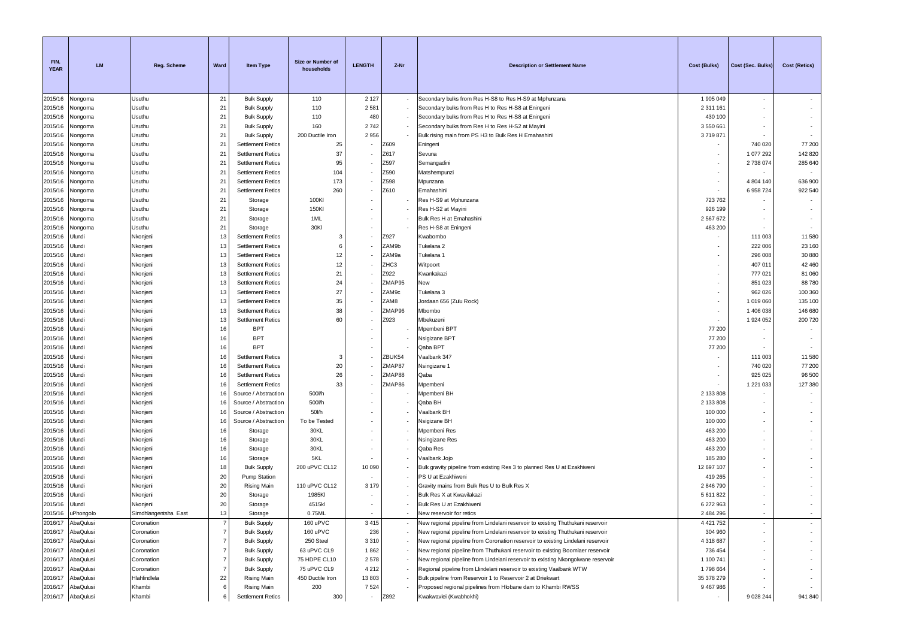| FIN.<br><b>YEAR</b> | LM                     | Reg. Scheme              | Ward                             | <b>Item Type</b>                         | Size or Number of<br>households | <b>LENGTH</b>            | Z-Nr   | <b>Description or Settlement Name</b>                                                                                                                              | <b>Cost (Bulks)</b>  | Cost (Sec. Bulks)        | Cost (Retics) |
|---------------------|------------------------|--------------------------|----------------------------------|------------------------------------------|---------------------------------|--------------------------|--------|--------------------------------------------------------------------------------------------------------------------------------------------------------------------|----------------------|--------------------------|---------------|
| 2015/16             | Vongoma                | Usuthu                   | 21                               | <b>Bulk Supply</b>                       | 110                             | 2 1 2 7                  |        | Secondary bulks from Res H-S8 to Res H-S9 at Mphunzana                                                                                                             | 1905049              | $\sim$                   |               |
| 2015/16             | longoma                | Usuthu                   | 21                               | <b>Bulk Supply</b>                       | 110                             | 2 5 8 1                  |        | Secondary bulks from Res H to Res H-S8 at Eningeni                                                                                                                 | 2 3 1 1 1 6 1        | $\sim$                   |               |
| 2015/16             | Nongoma                | Usuthu                   | 21                               | <b>Bulk Supply</b>                       | 110                             | 480                      |        | Secondary bulks from Res H to Res H-S8 at Eningeni                                                                                                                 | 430 100              |                          |               |
| 2015/16             | Nongoma                | Usuthu                   | 21                               | <b>Bulk Supply</b>                       | 160                             | 2742                     |        | Secondary bulks from Res H to Res H-S2 at Mayini                                                                                                                   | 3550661              |                          |               |
| 2015/16             | Vongoma                | Usuthu                   | 21                               | <b>Bulk Supply</b>                       | 200 Ductile Iron                | 2956                     |        | Bulk rising main from PS H3 to Bulk Res H Emahashini                                                                                                               | 371987               |                          |               |
| 2015/16             | Vongoma                | Usuthu                   | 21                               | <b>Settlement Retics</b>                 | 25                              |                          | Z609   | Eningeni                                                                                                                                                           |                      | 740 020                  | 77 200        |
| 2015/16             | Vongoma                | Usuthu                   | 21                               | <b>Settlement Retics</b>                 | 37                              |                          | Z617   | Sevuna                                                                                                                                                             |                      | 1 077 292                | 142 820       |
| 2015/16             | Vongoma                | Usuthu                   | 21                               | <b>Settlement Retics</b>                 | 95                              |                          | Z597   | Semangadini                                                                                                                                                        |                      | 2738074                  | 285 640       |
| 2015/16             | longoma                | Usuthu                   | 21                               | <b>Settlement Retics</b>                 | 104                             |                          | Z590   | Matshempunzi                                                                                                                                                       |                      |                          |               |
| 2015/16             | longoma                | Usuthu                   | 21                               | <b>Settlement Retics</b>                 | 173                             |                          | Z598   | Mpunzana                                                                                                                                                           |                      | 4 804 140                | 636 900       |
| 2015/16             | Vongoma                | Usuthu                   | 21                               | <b>Settlement Retics</b>                 | 260                             |                          | Z610   | Emahashini                                                                                                                                                         |                      | 6 958 724                | 922 540       |
| 2015/16             | Nongoma                | Usuthu                   | 21                               | Storage                                  | 100KI                           |                          |        | Res H-S9 at Mphunzana                                                                                                                                              | 723762               |                          |               |
| 2015/16             | Vongoma                | Usuthu                   | 21                               | Storage                                  | 150KI                           |                          |        | Res H-S2 at Mayini                                                                                                                                                 | 926 199              |                          |               |
| 2015/16             | longoma                | Usuthu                   | 21                               | Storage                                  | 1ML                             |                          |        | Bulk Res H at Emahashini                                                                                                                                           | 2 567 672            |                          |               |
| 2015/16             | Vongoma                | Usuthu                   | 21                               | Storage                                  | 30KI                            |                          |        | Res H-S8 at Eningeni                                                                                                                                               | 463 200              |                          |               |
| 2015/16             | Jlundi                 | Nkonjeni                 | 13                               | <b>Settlement Retics</b>                 | -3                              |                          | Z927   | Kwabombo                                                                                                                                                           |                      | 111 003                  | 11 580        |
| 2015/16             | Jlundi                 | Nkonjeni                 | 13                               | <b>Settlement Retics</b>                 | 6                               |                          | ZAM9b  | Tukelana 2                                                                                                                                                         |                      | 222 006                  | 23 160        |
| 2015/16             | Jlundi                 | Nkonjeni                 | 13                               | <b>Settlement Retics</b>                 | 12                              |                          | ZAM9a  | Tukelana 1                                                                                                                                                         |                      | 296 008                  | 30 880        |
| 2015/16             | Jlundi                 | Nkonjeni                 | 13                               | <b>Settlement Retics</b>                 | 12                              |                          | ZHC3   | Witpoort                                                                                                                                                           |                      | 407 011                  | 42 460        |
| 2015/16             | Jlundi                 | Nkonjeni                 | 13                               | <b>Settlement Retics</b>                 | 21                              |                          | Z922   | Kwankakazi                                                                                                                                                         |                      | 777 021                  | 81 060        |
| 2015/16             | Jlundi                 | Nkonjeni                 | 13                               | <b>Settlement Retics</b>                 | 24                              |                          | ZMAP95 | New                                                                                                                                                                |                      | 851 023                  | 88780         |
| 2015/16             | Jlundi                 | Nkonjeni                 | 13                               | <b>Settlement Retics</b>                 | 27                              |                          | ZAM9c  | Tukelana 3                                                                                                                                                         |                      | 962 026                  | 100 360       |
| 2015/16             | Jlundi                 | Nkonjeni                 | 13                               | <b>Settlement Retics</b>                 | 35                              |                          | ZAM8   | Jordaan 656 (Zulu Rock)                                                                                                                                            |                      | 1019060                  | 135 100       |
| 2015/16             | Jlundi                 | Nkonjeni                 | 13                               | <b>Settlement Retics</b>                 | 38                              |                          | ZMAP96 | Mbombo                                                                                                                                                             |                      | 1 406 038                | 146 680       |
| 2015/16             | Jlundi                 | Nkonjeni                 | 13                               | <b>Settlement Retics</b>                 | 60                              |                          | Z923   | Mbekuzeni                                                                                                                                                          | ٠                    | 1 924 052                | 200 720       |
| 2015/16             | Jlundi                 | Nkonjeni                 | 16                               | <b>BPT</b><br><b>BPT</b>                 |                                 |                          |        | Mpembeni BPT                                                                                                                                                       | 77 200               |                          | $\sim$        |
| 2015/16<br>2015/16  | Jlundi<br>Jlundi       | Nkonjeni<br>Nkonjeni     | 16<br>16                         | <b>BPT</b>                               |                                 |                          |        | Nsigizane BPT<br>Qaba BPT                                                                                                                                          | 77 200<br>77 200     |                          | $\sim$        |
| 2015/16             | Jlundi                 | Nkonjeni                 | 16                               | <b>Settlement Retics</b>                 | 3                               |                          | ZBUK54 | Vaalbank 347                                                                                                                                                       |                      | 111 003                  | 11 580        |
| 2015/16             | Jlundi                 | Nkonjeni                 | 16                               | <b>Settlement Retics</b>                 | 20                              |                          | ZMAP87 | Nsingizane 1                                                                                                                                                       |                      | 740 020                  | 77 200        |
| 2015/16             | Jlundi                 | Nkonjeni                 | 16                               | <b>Settlement Retics</b>                 | 26                              |                          | ZMAP88 | Qaba                                                                                                                                                               |                      | 925 025                  | 96 500        |
| 2015/16             | Jlundi                 | Nkonjeni                 | 16                               | <b>Settlement Retics</b>                 | 33                              |                          | ZMAP86 | Mpembeni                                                                                                                                                           |                      | 1 2 2 1 0 3 3            | 127 380       |
| 2015/16             | Jlundi                 | Nkonjeni                 | 16                               | Source / Abstraction                     | 500l/h                          |                          |        | Mpembeni BH                                                                                                                                                        | 2 133 808            |                          |               |
| 2015/16             | Jlundi                 | Nkonjeni                 | 16                               | Source / Abstraction                     | 500l/h                          |                          |        | Qaba BH                                                                                                                                                            | 2 133 808            |                          |               |
| 2015/16             | Jlundi                 | Nkonjeni                 | 16                               | Source / Abstraction                     | 50l/h                           |                          |        | Vaalbank BH                                                                                                                                                        | 100 000              |                          |               |
| 2015/16             | Jlundi                 | Nkonjeni                 | 16                               | Source / Abstraction                     | To be Tested                    |                          |        | Nsigizane BH                                                                                                                                                       | 100 000              |                          |               |
| 2015/16             | Jlundi                 | Nkonjeni                 | 16                               | Storage                                  | 30KL                            |                          |        | Mpembeni Res                                                                                                                                                       | 463 200              |                          |               |
| 2015/16             | Jlundi                 | Nkonjeni                 | 16                               | Storage                                  | 30KL                            |                          |        | Nsingizane Res                                                                                                                                                     | 463 200              |                          |               |
| 2015/16             | Jlundi                 | Nkonjeni                 | 16                               | Storage                                  | 30KL                            |                          |        | Qaba Res                                                                                                                                                           | 463 200              |                          |               |
| 2015/16             | Jlundi                 | Nkonjeni                 | 16                               | Storage                                  | 5KL                             |                          |        | Vaalbank Jojo                                                                                                                                                      | 185 280              |                          |               |
| 2015/16             | Jlundi                 | Nkonjeni                 | 18                               | <b>Bulk Supply</b>                       | 200 uPVC CL12                   | 10 090                   |        | Bulk gravity pipeline from existing Res 3 to planned Res U at Ezakhiweni                                                                                           | 12 697 107           |                          |               |
| 2015/16             | Jlundi                 | Nkonjeni                 | 20                               | Pump Station                             |                                 |                          |        | PS U at Ezakhiweni                                                                                                                                                 | 419 265              |                          |               |
| 2015/16             | Jlundi                 | Nkonjeni                 | 20                               | <b>Rising Main</b>                       | 110 uPVC CL12                   | 3 1 7 9                  |        | Gravity mains from Bulk Res U to Bulk Res X                                                                                                                        | 2 846 790            |                          |               |
| 2015/16             | Jlundi                 | Nkonjeni                 | 20                               | Storage                                  | 1985KI                          |                          |        | Bulk Res X at Kwavilakazi                                                                                                                                          | 5 611 822            |                          |               |
| 2015/16             | Jlundi                 | Nkonjeni                 | 20                               | Storage                                  | 4515kl                          |                          |        | Bulk Res U at Ezakhiweni                                                                                                                                           | 6 272 963            | $\sim$                   |               |
| 2015/16             | uPhongolo              | Simdhlangentsha East     | 13                               | Storage                                  | 0.75ML                          |                          |        | New reservoir for retics                                                                                                                                           | 2 484 296            |                          |               |
| 2016/17             | AbaQulusi              | Coronation               | -7                               | <b>Bulk Supply</b>                       | 160 uPVC                        | 3 4 1 5                  |        | New regional pipeline from Lindelani reservoir to existing Thuthukani reservoir                                                                                    | 4 4 21 7 5 2         | $\overline{\phantom{a}}$ |               |
| 2016/17             | AbaQulusi              | Coronation               | $\overline{7}$                   | <b>Bulk Supply</b>                       | 160 uPVC                        | 236                      |        | New regional pipeline from Lindelani reservoir to existing Thuthukani reservoir                                                                                    | 304 960              |                          |               |
| 2016/17             | AbaQulusi              | Coronation               | $\overline{7}$                   | <b>Bulk Supply</b>                       | 250 Steel                       | 3310                     |        | New regional pipeline from Coronation reservoir to existing Lindelani reservoir                                                                                    | 4 318 687            |                          |               |
| 2016/17<br>2016/17  | AbaQulusi<br>AbaQulusi | Coronation<br>Coronation | $\overline{7}$<br>$\overline{7}$ | <b>Bulk Supply</b>                       | 63 uPVC CL9<br>75 HDPE CL10     | 1862<br>2578             |        | New regional pipeline from Thuthukani reservoir to existing Boomlaer reservoir<br>New regional pipeline from Lindelani reservoir to existing Nkongolwane reservoir | 736 454<br>1 100 741 |                          |               |
| 2016/17             | AbaQulusi              | Coronation               | $\overline{7}$                   | <b>Bulk Supply</b><br><b>Bulk Supply</b> | 75 uPVC CL9                     | 4 2 1 2                  |        | Regional pipeline from Llindelani reservoir to existing Vaalbank WTW                                                                                               | 1798664              |                          |               |
| 2016/17             | AbaQulusi              | Hlahlindlela             | 22                               | <b>Rising Main</b>                       | 450 Ductile Iron                | 13803                    |        | Bulk pipeline from Reservoir 1 to Reservoir 2 at Driekwart                                                                                                         | 35 378 279           |                          | $\sim$        |
| 2016/17             | AbaQulusi              | Khambi                   | 6                                | Rising Main                              | 200                             | 7524                     |        | Proposed regional pipelines from Hlobane dam to Khambi RWSS                                                                                                        | 9 467 986            |                          |               |
| 2016/17             | AbaQulusi              | Khambi                   |                                  | <b>Settlement Retics</b>                 | 300                             | $\overline{\phantom{a}}$ | Z892   | Kwakwavlei (Kwabhokhi)                                                                                                                                             | ٠                    | 9 0 28 244               | 941 840       |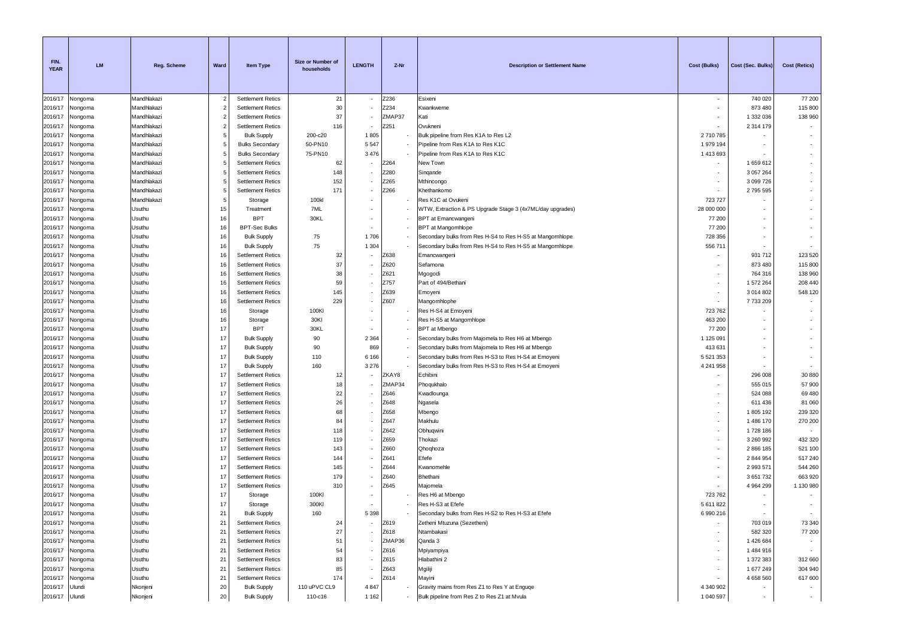| FIN.<br><b>YEAR</b> | <b>LM</b>          | <b>Reg. Scheme</b> | Ward           | <b>Item Type</b>                                     | Size or Number of<br>households | <b>LENGTH</b> | Z-Nr         | <b>Description or Settlement Name</b>                     | <b>Cost (Bulks)</b> | Cost (Sec. Bulks)        | <b>Cost (Retics)</b> |
|---------------------|--------------------|--------------------|----------------|------------------------------------------------------|---------------------------------|---------------|--------------|-----------------------------------------------------------|---------------------|--------------------------|----------------------|
| 2016/17             | Nongoma            | Mandhlakazi        | $\overline{2}$ | <b>Settlement Retics</b>                             | 21                              |               | Z236         | Esixeni                                                   | $\sim$              | 740 020                  | 77 200               |
| 2016/17             | Nongoma            | Mandhlakazi        | $\overline{2}$ | <b>Settlement Retics</b>                             | 30                              |               | Z234         | Kwankweme                                                 |                     | 873 480                  | 115 800              |
| 2016/17             | Nongoma            | Mandhlakazi        | $\overline{2}$ | <b>Settlement Retics</b>                             | 37                              |               | ZMAP37       | Kati                                                      |                     | 1 332 036                | 138 960              |
| 2016/17             | Nongoma            | Mandhlakazi        | $\overline{2}$ | <b>Settlement Retics</b>                             | 116                             |               | Z251         | Ovukneni                                                  |                     | 2 3 1 4 1 7 9            |                      |
| 2016/17             | Nongoma            | Mandhlakazi        | 5              | <b>Bulk Supply</b>                                   | 200-c20                         | 1805          |              | Bulk pipeline from Res K1A to Res L2                      | 2710785             |                          |                      |
| 2016/17             | Nongoma            | Mandhlakazi        | 5              | <b>Bulks Secondary</b>                               | 50-PN10                         | 5 5 4 7       |              | Pipeline from Res K1A to Res K1C                          | 1 979 194           |                          |                      |
| 2016/17             | Vongoma            | Mandhlakazi        | 5              | <b>Bulks Secondary</b>                               | 75-PN10                         | 3 4 7 6       |              | Pipeline from Res K1A to Res K1C                          | 1 413 693           |                          |                      |
| 2016/17             | Nongoma            | Mandhlakazi        | 5              | <b>Settlement Retics</b>                             | 62                              |               | Z264         | New Town                                                  |                     | 1659612                  |                      |
| 2016/17             | Nongoma            | Mandhlakazi        | 5              | <b>Settlement Retics</b>                             | 148                             |               | Z280         | Singande                                                  |                     | 3 0 5 7 2 6 4            |                      |
| 2016/17             | Vongoma            | Mandhlakazi        | 5              | <b>Settlement Retics</b>                             | 152                             |               | Z265         | Mthincongo                                                |                     | 3 099 726                |                      |
| 2016/17             | Nongoma            | Mandhlakazi        | 5              | <b>Settlement Retics</b>                             | 171                             |               | Z266         | Khethankomo                                               |                     | 2795595                  |                      |
| 2016/17             | Nongoma            | Mandhlakazi        | 5              | Storage                                              | 100kl                           |               |              | Res K1C at Ovukeni                                        | 723 727             |                          |                      |
| 2016/17             | Nongoma            | Usuthu             | 15             | Treatment                                            | 7ML                             |               |              | WTW, Extraction & PS Upgrade Stage 3 (4x7ML/day upgrades) | 28 000 000          |                          |                      |
| 2016/17             | Nongoma            | Usuthu             | 16             | <b>BPT</b>                                           | 30KL                            |               |              | BPT at Emancwangeni                                       | 77 200              |                          |                      |
| 2016/17             | Nongoma            | Usuthu             | 16             | <b>BPT-Sec Bulks</b>                                 |                                 |               |              | BPT at Mangomhlope                                        | 77 200              |                          |                      |
| 2016/17             | Nongoma            | Usuthu             | 16             | <b>Bulk Supply</b>                                   | 75                              | 1706          |              | Secondary bulks from Res H-S4 to Res H-S5 at Mangomhlope  | 728 356             |                          |                      |
| 2016/17             | Nongoma            | Usuthu             | 16             | <b>Bulk Supply</b>                                   | 75                              | 1 3 0 4       |              | Secondary bulks from Res H-S4 to Res H-S5 at Mangomhlope  | 556 711             |                          |                      |
| 2016/17             | Vongoma            | Usuthu             | 16             | <b>Settlement Retics</b>                             | 32                              |               | Z638         | Emancwangeni                                              |                     | 931 712                  | 123 520              |
| 2016/17             | Nongoma            | Usuthu             | 16             | <b>Settlement Retics</b>                             | 37                              |               | Z620         | Sefamona                                                  |                     | 873 480                  | 115 800              |
| 2016/17             | Nongoma            | Usuthu             | 16             | <b>Settlement Retics</b>                             | 38                              |               | Z621         | Mgogodi                                                   | $\sim$              | 764 316                  | 138 960              |
| 2016/17             | Nongoma            | Usuthu             | 16             | <b>Settlement Retics</b>                             | 59                              |               | Z757         | Part of 494/Bethani                                       | $\sim$              | 1572264                  | 208 440              |
| 2016/17             | Nongoma            | Usuthu             | 16             | <b>Settlement Retics</b>                             | 145                             |               | Z639         | Emoyeni                                                   |                     | 3 0 1 4 8 0 2            | 548 120              |
| 2016/17             | Nongoma            | Usuthu             | 16             | <b>Settlement Retics</b>                             | 229                             |               | Z607         | Mangomhlophe                                              | $\sim$              | 7733209                  |                      |
| 2016/17             | Nongoma            | Usuthu             | 16             | Storage                                              | 100KI                           |               |              | Res H-S4 at Emoyeni                                       | 723 762             |                          |                      |
| 2016/17             | Nongoma            | Usuthu             | 16             | Storage                                              | 30KI                            |               |              | Res H-S5 at Mangomhlope                                   | 463 200             |                          |                      |
| 2016/17             | Nongoma            | Usuthu             | 17             | <b>BPT</b>                                           | 30KL                            |               |              | BPT at Mbengo                                             | 77 200              |                          |                      |
| 2016/17             | Vongoma            | Usuthu             | 17             | <b>Bulk Supply</b>                                   | 90                              | 2 3 6 4       |              | Secondary bulks from Majomela to Res H6 at Mbengo         | 1 125 091           |                          |                      |
| 2016/17             | Nongoma            | Usuthu             | 17             | <b>Bulk Supply</b>                                   | 90                              | 869           |              | Secondary bulks from Majomela to Res H6 at Mbengo         | 413 631             |                          |                      |
| 2016/17             | Nongoma            | Usuthu             | 17             | <b>Bulk Supply</b>                                   | 110                             | 6 1 6 6       |              | Secondary bulks from Res H-S3 to Res H-S4 at Emoyeni      | 5 521 353           |                          |                      |
| 2016/17             | Nongoma            | Usuthu             | 17             | <b>Bulk Supply</b>                                   | 160                             | 3 2 7 6       |              | Secondary bulks from Res H-S3 to Res H-S4 at Emoyeni      | 4 241 958           |                          |                      |
| 2016/17             | Nongoma            | Usuthu             | 17             | <b>Settlement Retics</b>                             | 12                              |               | ZKAY8        | Echibini                                                  |                     | 296 008                  | 30 880               |
| 2016/17             | Vongoma            | Usuthu             | 17             | <b>Settlement Retics</b>                             | 18                              |               | ZMAP34       | Phoqukhalo                                                |                     | 555 015                  | 57 900               |
| 2016/17             | Nongoma            | Usuthu             | 17<br>17       | <b>Settlement Retics</b>                             | 22<br>26                        |               | Z646         | Kwadlounga                                                |                     | 524 088                  | 69 480               |
| 2016/17             | Vongoma            | Usuthu<br>Usuthu   | 17             | <b>Settlement Retics</b><br><b>Settlement Retics</b> | 68                              |               | Z648<br>Z658 | Ngasela                                                   |                     | 611 436<br>1805 192      | 81 060               |
| 2016/17             | Nongoma            | Usuthu             | 17             | <b>Settlement Retics</b>                             | 84                              |               | Z647         | Mbengo<br>Makhulu                                         |                     | 1 486 170                | 239 320<br>270 200   |
| 2016/17<br>2016/17  | Nongoma            | Usuthu             | 17             | <b>Settlement Retics</b>                             | 118                             |               | Z642         | Obhuqwini                                                 | $\sim$              | 1728 186                 |                      |
| 2016/17             | Nongoma<br>Nongoma | Usuthu             | 17             | <b>Settlement Retics</b>                             | 119                             |               | Z659         | Thokazi                                                   | ۰.                  | 3 260 992                | 432 320              |
| 2016/17             | Nongoma            | Usuthu             | 17             | <b>Settlement Retics</b>                             | 143                             |               | Z660         | Qhoqhoza                                                  | $\sim$              | 2 866 185                | 521 100              |
| 2016/17             | Nongoma            | Usuthu             | 17             | <b>Settlement Retics</b>                             | 144                             |               | Z641         | Efefe                                                     |                     | 2 844 954                | 517 240              |
| 2016/17             | Nongoma            | Usuthu             | 17             | <b>Settlement Retics</b>                             | 145                             |               | Z644         | Kwanomehle                                                |                     | 2 993 571                | 544 260              |
| 2016/17             | Nongoma            | Usuthu             | 17             | <b>Settlement Retics</b>                             | 179                             |               | Z640         | Bhethani                                                  |                     | 3651732                  | 663 920              |
| 2016/17             | Nongoma            | Usuthu             | 17             | <b>Settlement Retics</b>                             | 310                             |               | Z645         | Majomela                                                  |                     | 4 964 299                | 1 130 980            |
| 2016/17             | Nongoma            | Usuthu             | 17             | Storage                                              | 100KI                           |               |              | Res H6 at Mbengo                                          | 723762              |                          |                      |
| 2016/17             | Nongoma            | Usuthu             | 17             | Storage                                              | 300KI                           |               |              | Res H-S3 at Efefe                                         | 5 611 822           |                          |                      |
|                     | 2016/17 Nongoma    | Usuthu             | 21             | <b>Bulk Supply</b>                                   | 160                             | 5 3 9 8       |              | Secondary bulks from Res H-S2 to Res H-S3 at Efefe        | 6 990 216           |                          |                      |
| 2016/17             | Nongoma            | Usuthu             | 21             | <b>Settlement Retics</b>                             | 24                              |               | Z619         | Zetheni Mtuzuna (Sezetheni)                               |                     | 703 019                  | 73 340               |
| 2016/17             | Nongoma            | Usuthu             | 21             | <b>Settlement Retics</b>                             | 27                              |               | Z618         | Ntambakasi                                                | $\sim$              | 582 320                  | 77 200               |
| 2016/17             | Nongoma            | Usuthu             | 21             | <b>Settlement Retics</b>                             | 51                              |               | ZMAP36       | Qanda 3                                                   | $\sim$              | 1 426 684                |                      |
| 2016/17             | Nongoma            | Usuthu             | 21             | <b>Settlement Retics</b>                             | 54                              |               | Z616         | Mpiyampiya                                                | $\sim$              | 1 484 916                | $\sim$               |
| 2016/17             | Nongoma            | Usuthu             | 21             | <b>Settlement Retics</b>                             | 83                              |               | Z615         | Hlabathini 2                                              | $\sim$              | 1 372 383                | 312 660              |
| 2016/17             | Nongoma            | Usuthu             | 21             | <b>Settlement Retics</b>                             | 85                              |               | Z643         | Mgiliji                                                   |                     | 1 677 249                | 304 940              |
| 2016/17             | Nongoma            | Usuthu             | 21             | <b>Settlement Retics</b>                             | 174                             |               | Z614         | Mayini                                                    |                     | 4 658 560                | 617 600              |
| 2016/17             | Ulundi             | Nkonjeni           | 20             | <b>Bulk Supply</b>                                   | 110 uPVC CL9                    | 4847          |              | Gravity mains from Res Z1 to Res Y at Enguge              | 4 340 902           |                          |                      |
| 2016/17 Ulundi      |                    | Nkonjeni           | 20             | <b>Bulk Supply</b>                                   | 110-c16                         | 1 1 6 2       |              | Bulk pipeline from Res Z to Res Z1 at Mvula               | 1 040 597           | $\overline{\phantom{a}}$ | $\sim$               |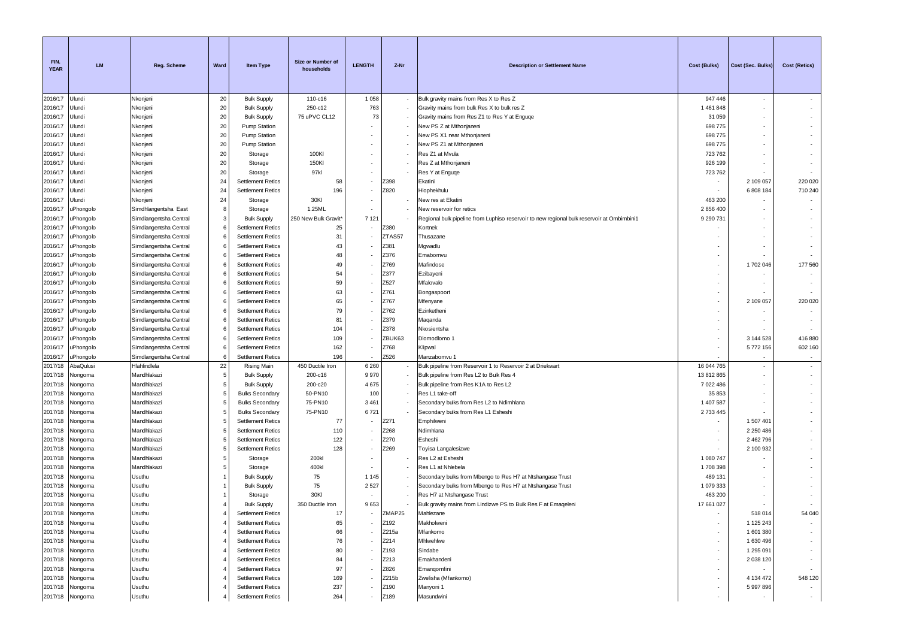| FIN.<br><b>YEAR</b> | <b>LM</b>          | Reg. Scheme                | Ward           | Item Type                                            | Size or Number of<br>households | <b>LENGTH</b> | Z-Nr         | <b>Description or Settlement Name</b>                                                      | <b>Cost (Bulks)</b> | Cost (Sec. Bulks)      | <b>Cost (Retics)</b>     |
|---------------------|--------------------|----------------------------|----------------|------------------------------------------------------|---------------------------------|---------------|--------------|--------------------------------------------------------------------------------------------|---------------------|------------------------|--------------------------|
| 2016/17             | Ulundi             | Nkonjeni                   | 20             | <b>Bulk Supply</b>                                   | 110-c16                         | 1 0 5 8       |              | Bulk gravity mains from Res X to Res Z                                                     | 947 446             | $\sim$                 |                          |
| 2016/17             | Ulundi             | Nkonjeni                   | 20             | <b>Bulk Supply</b>                                   | 250-c12                         | 763           |              | Gravity mains from bulk Res X to bulk res Z                                                | 1461848             |                        |                          |
| 2016/17             | Ulundi             | Nkonjeni                   | 20             | <b>Bulk Supply</b>                                   | 75 uPVC CL12                    | 73            |              | Gravity mains from Res Z1 to Res Y at Enguqe                                               | 31 059              |                        | ÷.                       |
| 2016/17             | Ulundi             | Nkonjeni                   | 20             | <b>Pump Station</b>                                  |                                 |               |              | New PS Z at Mthonjaneni                                                                    | 698775              |                        |                          |
| 2016/17             | Ulundi             | Nkonjeni                   | 20             | Pump Station                                         |                                 |               |              | New PS X1 near Mthonjaneni                                                                 | 698775              |                        | ٠                        |
| 2016/17             | Jlundi             | Nkonjeni                   | 20             | Pump Station                                         |                                 |               |              | New PS Z1 at Mthonjaneni                                                                   | 698775              |                        |                          |
| 2016/17             | Jlundi             | Nkonjeni                   | 20             | Storage                                              | 100KI                           |               |              | Res Z1 at Mvula                                                                            | 723762              |                        | ٠                        |
| 2016/17             | Jlundi             | Nkonjeni                   | 20             | Storage                                              | 150KI                           |               |              | Res Z at Mthonjaneni                                                                       | 926 199             |                        | $\sim$                   |
| 2016/17             | Jlundi             | Nkonjeni                   | 20             | Storage                                              | 97kl                            |               |              | Res Y at Enguge                                                                            | 723762              |                        | $\sim$                   |
| 2016/17             | Jlundi             | Nkonjeni                   | 24<br>24       | <b>Settlement Retics</b>                             | 58<br>196                       |               | Z398<br>Z820 | Ekatini                                                                                    |                     | 2 109 057              | 220 020<br>710 240       |
| 2016/17<br>2016/17  | Jlundi<br>Ulundi   | Nkonjeni<br>Nkonjeni       | 24             | <b>Settlement Retics</b><br>Storage                  | 30KI                            |               |              | Hlophekhulu<br>New res at Ekatini                                                          | 463 200             | 6 808 184              |                          |
| 2016/17             | uPhongolo          | Simdhlangentsha East       | 8              | Storage                                              | 1.25ML                          |               |              | New reservoir for retics                                                                   | 2 856 400           |                        | $\sim$                   |
| 2016/17             | uPhongolo          | Simdlangentsha Central     | 3              | <b>Bulk Supply</b>                                   | 250 New Bulk Gravit*            | 7 1 2 1       |              | Regional bulk pipeline from Luphiso reservoir to new regional bulk reservoir at Ombimbini1 | 9 290 731           |                        |                          |
| 2016/17             | <b>JPhongolo</b>   | Simdlangentsha Central     | 6              | <b>Settlement Retics</b>                             | 25                              |               | Z380         | Kortnek                                                                                    |                     |                        | ٠                        |
| 2016/17             | uPhongolo          | Simdlangentsha Central     | 6              | <b>Settlement Retics</b>                             | 31                              |               | ZTAS57       | Thusazane                                                                                  |                     |                        | $\sim$                   |
| 2016/17             | <b>JPhongolo</b>   | Simdlangentsha Central     | 6              | <b>Settlement Retics</b>                             | 43                              |               | Z381         | Mgwadlu                                                                                    |                     |                        | $\sim$                   |
| 2016/17             | <b>JPhongolo</b>   | Simdlangentsha Central     | 6              | <b>Settlement Retics</b>                             | 48                              |               | Z376         | Emabomvu                                                                                   |                     |                        |                          |
| 2016/17             | uPhongolo          | Simdlangentsha Central     | 6              | <b>Settlement Retics</b>                             | 49                              |               | Z769         | Mafindose                                                                                  |                     | 1702 046               | 177 560                  |
| 2016/17             | uPhongolo          | Simdlangentsha Central     | 6              | <b>Settlement Retics</b>                             | 54                              |               | Z377         | Ezibayeni                                                                                  |                     |                        | $\overline{\phantom{a}}$ |
| 2016/17             | uPhongolo          | Simdlangentsha Central     | -6             | <b>Settlement Retics</b>                             | 59                              |               | Z527         | Mfalovalo                                                                                  |                     |                        | $\sim$                   |
| 2016/17             | uPhongolo          | Simdlangentsha Central     | 6              | <b>Settlement Retics</b>                             | 63                              |               | Z761         | Bongaspoort                                                                                |                     |                        |                          |
| 2016/17             | uPhongolo          | Simdlangentsha Central     | 6              | <b>Settlement Retics</b>                             | 65                              |               | Z767         | Mfenyane                                                                                   |                     | 2 109 057              | 220 020                  |
| 2016/17             | <b>JPhongolo</b>   | Simdlangentsha Central     | 6              | <b>Settlement Retics</b>                             | 79                              |               | Z762         | Ezinketheni                                                                                |                     |                        | $\sim$                   |
| 2016/17             | uPhongolo          | Simdlangentsha Central     | 6              | <b>Settlement Retics</b>                             | 81                              |               | Z379         | Maqanda                                                                                    |                     |                        | $\overline{\phantom{a}}$ |
| 2016/17             | <b>JPhongolo</b>   | Simdlangentsha Central     | 6              | <b>Settlement Retics</b>                             | 104                             |               | Z378         | Nkosientsha                                                                                |                     |                        |                          |
| 2016/17             | <b>JPhongolo</b>   | Simdlangentsha Central     | 6              | <b>Settlement Retics</b>                             | 109                             |               | ZBUK63       | Dlomodlomo 1                                                                               |                     | 3 144 528              | 416 880                  |
| 2016/17             | uPhongolo          | Simdlangentsha Central     | 6              | <b>Settlement Retics</b>                             | 162                             |               | Z768         | Klipwal                                                                                    |                     | 5772156                | 602 160                  |
| 2016/17             | uPhongolo          | Simdlangentsha Central     |                | <b>Settlement Retics</b>                             | 196                             |               | Z526         | Manzabomvu 1                                                                               |                     |                        |                          |
| 2017/18             | AbaQulusi          | Hlahlindlela               | 22             | <b>Rising Main</b>                                   | 450 Ductile Iron                | 6 2 6 0       |              | Bulk pipeline from Reservoir 1 to Reservoir 2 at Driekwart                                 | 16 044 765          | $\sim$                 | $\sim$                   |
| 2017/18             | Nongoma            | Mandhlakazi                | 5              | <b>Bulk Supply</b>                                   | 200-c16                         | 9970          |              | Bulk pipeline from Res L2 to Bulk Res 4                                                    | 13 812 865          |                        | $\sim$                   |
| 2017/18             | Nongoma            | Mandhlakazi                | 5              | <b>Bulk Supply</b>                                   | 200-c20                         | 4675          |              | Bulk pipeline from Res K1A to Res L2                                                       | 7 022 486           |                        | $\sim$                   |
| 2017/18             | Nongoma            | Mandhlakazi                | 5              | <b>Bulks Secondary</b>                               | 50-PN10                         | 100           |              | Res L1 take-off                                                                            | 35 853              |                        | $\overline{\phantom{a}}$ |
| 2017/18             | Nongoma            | Mandhlakazi                | 5              | <b>Bulks Secondary</b>                               | 75-PN10                         | 3 4 6 1       |              | Secondary bulks from Res L2 to Ndimhlana                                                   | 1 407 587           |                        |                          |
| 2017/18             | Vongoma            | Mandhlakazi                | 5<br>5         | <b>Bulks Secondary</b>                               | 75-PN10                         | 6721          |              | Secondary bulks from Res L1 Esheshi                                                        | 2 733 445           |                        | $\overline{\phantom{a}}$ |
| 2017/18<br>2017/18  | Nongoma            | Mandhlakazi<br>Mandhlakazi | 5              | <b>Settlement Retics</b><br><b>Settlement Retics</b> | 77<br>110                       |               | Z271<br>Z268 | Emphilweni<br>Ndimhlana                                                                    |                     | 1 507 401<br>2 250 486 | $\overline{\phantom{a}}$ |
| 2017/18             | Nongoma<br>Nongoma | Mandhlakazi                | 5              | <b>Settlement Retics</b>                             | 122                             |               | Z270         | Esheshi                                                                                    |                     | 2 462 796              |                          |
| 2017/18             | Nongoma            | Mandhlakazi                | 5              | <b>Settlement Retics</b>                             | 128                             |               | Z269         | Toyisa Langalesizwe                                                                        |                     | 2 100 932              |                          |
| 2017/18             | Nongoma            | Mandhlakazi                | 5              | Storage                                              | 200kl                           |               |              | Res L2 at Esheshi                                                                          | 1 080 747           |                        |                          |
| 2017/18             | Nongoma            | Mandhlakazi                | 5              | Storage                                              | 400kl                           |               |              | Res L1 at Nhlebela                                                                         | 1708398             |                        |                          |
| 2017/18             | Nongoma            | Usuthu                     | $\overline{1}$ | <b>Bulk Supply</b>                                   | 75                              | 1 1 4 5       |              | Secondary bulks from Mbengo to Res H7 at Ntshangase Trust                                  | 489 131             |                        |                          |
| 2017/18             | Nongoma            | Usuthu                     | $\overline{1}$ | <b>Bulk Supply</b>                                   | 75                              | 2527          |              | Secondary bulks from Mbengo to Res H7 at Ntshangase Trust                                  | 1 079 333           |                        |                          |
| 2017/18             | Nongoma            | Usuthu                     |                | Storage                                              | 30KI                            |               |              | Res H7 at Ntshangase Trust                                                                 | 463 200             |                        | $\overline{\phantom{a}}$ |
| 2017/18             | Nongoma            | Usuthu                     | $\overline{4}$ | <b>Bulk Supply</b>                                   | 350 Ductile Iron                | 9653          |              | Bulk gravity mains from Lindizwe PS to Bulk Res F at Emageleni                             | 17 661 027          |                        |                          |
| 2017/18             | Nongoma            | Usuthu                     |                | <b>Settlement Retics</b>                             | 17                              |               | ZMAP25       | Mahlezane                                                                                  |                     | 518 014                | 54 040                   |
| 2017/18             | Nongoma            | Usuthu                     |                | <b>Settlement Retics</b>                             | 65                              |               | Z192         | Makholweni                                                                                 |                     | 1 125 243              | $\sim$                   |
| 2017/18             | Nongoma            | Usuthu                     |                | <b>Settlement Retics</b>                             | 66                              |               | Z215a        | Mfankomo                                                                                   | ٠                   | 1 601 380              | $\sim$                   |
| 2017/18             | Nongoma            | Usuthu                     |                | <b>Settlement Retics</b>                             | 76                              |               | Z214         | Mhlwehlwe                                                                                  | ٠                   | 1 630 496              | $\sim$                   |
| 2017/18             | Nongoma            | Usuthu                     |                | <b>Settlement Retics</b>                             | 80                              |               | Z193         | Sindabe                                                                                    | $\sim$              | 1 295 091              | $\sim$                   |
| 2017/18             | Nongoma            | Usuthu                     |                | <b>Settlement Retics</b>                             | 84                              |               | Z213         | Emakhandeni                                                                                | ٠                   | 2 038 120              | $\sim$                   |
| 2017/18             | Nongoma            | Usuthu                     |                | <b>Settlement Retics</b>                             | 97                              |               | Z826         | Emangomfini                                                                                |                     |                        |                          |
| 2017/18             | Nongoma            | Usuthu                     |                | <b>Settlement Retics</b>                             | 169                             |               | Z215b        | Zwelisha (Mfankomo)                                                                        | ٠                   | 4 134 472              | 548 120                  |
| 2017/18             | Nongoma            | Usuthu                     |                | <b>Settlement Retics</b>                             | 237                             |               | Z190         | Manyoni 1                                                                                  | ٠                   | 5 997 896              | $\sim$                   |
|                     | 2017/18 Nongoma    | Usuthu                     |                | <b>Settlement Retics</b>                             | 264                             | ٠             | Z189         | Masundwini                                                                                 |                     | $\sim$                 | $\sim$                   |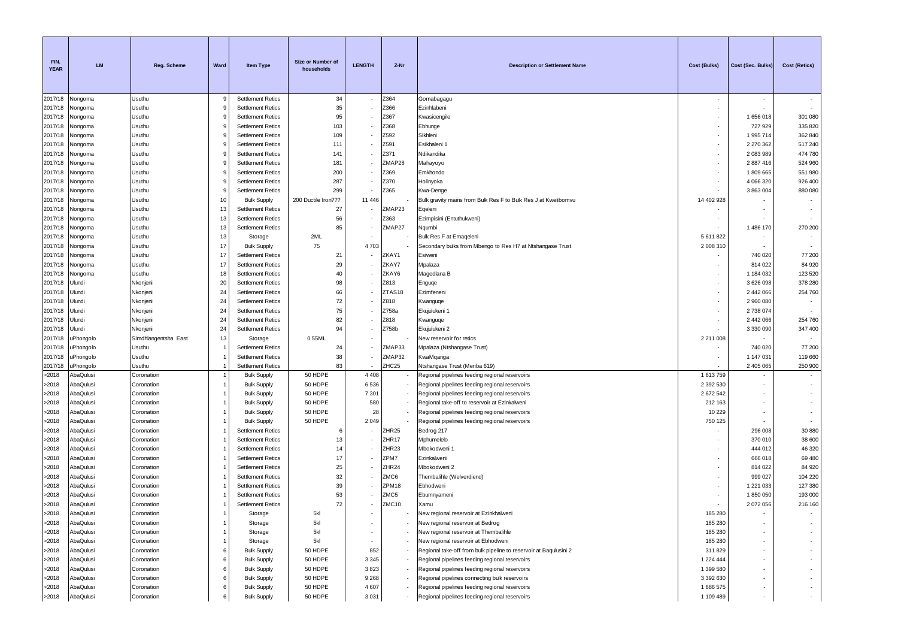| FIN.<br><b>YEAR</b> | <b>LM</b>              | Reg. Scheme              | Ward                 | <b>Item Type</b>                                     | Size or Number of<br>households | <b>LENGTH</b> | Z-Nr              | <b>Description or Settlement Name</b>                                      | Cost (Bulks)       | Cost (Sec. Bulks)    | <b>Cost (Retics)</b>     |
|---------------------|------------------------|--------------------------|----------------------|------------------------------------------------------|---------------------------------|---------------|-------------------|----------------------------------------------------------------------------|--------------------|----------------------|--------------------------|
| 2017/18             | Nongoma                | Usuthu                   | 9                    | <b>Settlement Retics</b>                             | 34                              |               | Z364              | Gomabagagu                                                                 |                    |                      |                          |
| 2017/18             | Nongoma                | Usuthu                   | 9                    | <b>Settlement Retics</b>                             | 35                              |               | Z366              | Ezinhlabeni                                                                |                    |                      |                          |
| 2017/18             | Nongoma                | Usuthu                   | 9                    | <b>Settlement Retics</b>                             | 95                              |               | Z367              | Kwasicengile                                                               | $\sim$             | 1656018              | 301 080                  |
| 2017/18             | Nongoma                | Usuthu                   | 9                    | <b>Settlement Retics</b>                             | 103                             |               | Z368              | Ebhunge                                                                    |                    | 727 929              | 335 820                  |
| 2017/18             | Nongoma                | Usuthu                   | 9                    | <b>Settlement Retics</b>                             | 109                             |               | Z592              | Sikhleni                                                                   | $\sim$             | 1 995 714            | 362 840                  |
| 2017/18             | Nongoma                | Usuthu                   | 9                    | <b>Settlement Retics</b>                             | 111                             |               | Z591              | Esikhaleni 1                                                               |                    | 2 270 362            | 517 240                  |
| 2017/18             | Nongoma                | Usuthu                   | 9                    | <b>Settlement Retics</b>                             | 141                             |               | Z371              | Ndikandika                                                                 |                    | 2083989              | 474 780                  |
| 2017/18<br>2017/18  | Nongoma                | Usuthu<br>Usuthu         | 9<br>9               | <b>Settlement Retics</b>                             | 181<br>200                      |               | ZMAP28<br>Z369    | Mahayoyo<br>Emkhondo                                                       |                    | 2887416<br>1809665   | 524 960<br>551 980       |
| 2017/18             | Vongoma<br>Nongoma     | Usuthu                   | 9                    | <b>Settlement Retics</b><br><b>Settlement Retics</b> | 287                             |               | Z370              | Holinyoka                                                                  |                    | 4 066 320            | 926 400                  |
| 2017/18             | Nongoma                | Usuthu                   | 9                    | <b>Settlement Retics</b>                             | 299                             |               | Z365              | Kwa-Denge                                                                  |                    | 3 863 004            | 880 080                  |
| 2017/18             | Nongoma                | Usuthu                   | 10                   | <b>Bulk Supply</b>                                   | 200 Ductile Iron???             | 11 446        |                   | Bulk gravity mains from Bulk Res F to Bulk Res J at Kwelibomvu             | 14 402 928         |                      |                          |
| 2017/18             | Nongoma                | Usuthu                   | 13                   | <b>Settlement Retics</b>                             | 27                              |               | ZMAP23            | Eqeleni                                                                    |                    |                      |                          |
| 2017/18             | Vongoma                | Usuthu                   | 13                   | <b>Settlement Retics</b>                             | 56                              |               | Z363              | Ezimpisini (Entuthukweni)                                                  |                    |                      |                          |
| 2017/18             | Nongoma                | Usuthu                   | 13                   | <b>Settlement Retics</b>                             | 85                              |               | ZMAP27            | Nqumbi                                                                     |                    | 1 486 170            | 270 200                  |
| 2017/18             | Nongoma                | Usuthu                   | 13                   | Storage                                              | 2ML                             |               |                   | Bulk Res F at Emageleni                                                    | 5 611 822          |                      |                          |
| 2017/18             | Vongoma                | Usuthu                   | 17                   | <b>Bulk Supply</b>                                   | 75                              | 4 7 0 3       |                   | Secondary bulks from Mbengo to Res H7 at Ntshangase Trust                  | 2 008 310          |                      |                          |
| 2017/18             | Nongoma                | Usuthu                   | 17                   | <b>Settlement Retics</b>                             | 21                              |               | ZKAY1             | Esiweni                                                                    |                    | 740 020              | 77 200                   |
| 2017/18             | Nongoma                | Usuthu                   | 17                   | <b>Settlement Retics</b>                             | 29                              |               | ZKAY7             | Mpalaza                                                                    |                    | 814 022              | 84 920                   |
| 2017/18             | Nongoma                | Usuthu                   | 18                   | <b>Settlement Retics</b>                             | 40                              |               | ZKAY6             | Magedlana B                                                                |                    | 1 184 032            | 123 520                  |
| 2017/18             | Ulundi                 | Nkonjeni                 | 20                   | <b>Settlement Retics</b>                             | 98                              |               | Z813              | Enguqe                                                                     | $\sim$             | 3 626 098            | 378 280                  |
| 2017/18             | Jlundi                 | Nkonjeni                 | 24                   | <b>Settlement Retics</b>                             | 66                              |               | ZTAS18            | Ezimfeneni                                                                 |                    | 2 442 066            | 254 760                  |
| 2017/18             | Ulundi                 | Nkonjeni                 | 24                   | <b>Settlement Retics</b>                             | $72\,$                          |               | Z818              | Kwanguqe                                                                   |                    | 2 960 080            |                          |
| 2017/18             | Jlundi                 | Nkonjeni                 | 24                   | <b>Settlement Retics</b>                             | 75                              |               | Z758a             | Ekujulukeni 1                                                              |                    | 2738074              |                          |
| 2017/18             | Jlundi                 | Nkonjeni                 | 24                   | <b>Settlement Retics</b>                             | 82                              |               | Z818              | Kwanguqe                                                                   |                    | 2 442 066            | 254 760                  |
| 2017/18             | Jlundi                 | Nkonjeni                 | 24                   | <b>Settlement Retics</b>                             | 94                              |               | Z758b             | Ekujulukeni 2                                                              |                    | 3 3 3 0 0 9 0        | 347 400                  |
| 2017/18             | <b>JPhongolo</b>       | Simdhlangentsha East     | 13                   | Storage                                              | 0.55ML                          |               |                   | New reservoir for retics                                                   | 2 211 008          |                      |                          |
| 2017/18             | uPhongolo              | Usuthu                   | -1<br>$\overline{1}$ | <b>Settlement Retics</b><br><b>Settlement Retics</b> | 24<br>38                        |               | ZMAP33<br>ZMAP32  | Mpalaza (Ntshangase Trust)                                                 |                    | 740 020<br>1 147 031 | 77 200<br>119 660        |
| 2017/18<br>2017/18  | uPhongolo<br>uPhongolo | Usuthu<br>Usuthu         | $\overline{1}$       | <b>Settlement Retics</b>                             | 83                              |               | ZHC25             | KwaMqanga<br>Ntshangase Trust (Meriba 619)                                 |                    | 2 405 065            | 250 900                  |
| >2018               | AbaQulusi              | Coronation               | $\overline{1}$       | <b>Bulk Supply</b>                                   | 50 HDPE                         | 4 4 0 8       |                   | Regional pipelines feeding regional reservoirs                             | 1 613 759          |                      |                          |
| >2018               | AbaQulusi              | Coronation               | -1                   | <b>Bulk Supply</b>                                   | 50 HDPE                         | 6536          |                   | Regional pipelines feeding regional reservoirs                             | 2 392 530          |                      |                          |
| >2018               | AbaQulusi              | Coronation               | $\overline{1}$       | <b>Bulk Supply</b>                                   | 50 HDPE                         | 7 3 0 1       |                   | Regional pipelines feeding regional reservoirs                             | 2 672 542          |                      |                          |
| >2018               | AbaQulusi              | Coronation               | $\overline{1}$       | <b>Bulk Supply</b>                                   | 50 HDPE                         | 580           |                   | Regional take-off to reservoir at Ezinkalweni                              | 212 163            |                      |                          |
| >2018               | AbaQulusi              | Coronation               | $\mathbf{1}$         | <b>Bulk Supply</b>                                   | 50 HDPE                         | 28            |                   | Regional pipelines feeding regional reservoirs                             | 10 2 29            |                      |                          |
| >2018               | AbaQulusi              | Coronation               | -1                   | <b>Bulk Supply</b>                                   | 50 HDPE                         | 2 0 4 9       |                   | Regional pipelines feeding regional reservoirs                             | 750 125            |                      |                          |
| >2018               | AbaQulusi              | Coronation               | -1                   | <b>Settlement Retics</b>                             |                                 |               | ZHR <sub>25</sub> | Bedrog 217                                                                 |                    | 296 008              | 30 880                   |
| >2018               | AbaQulusi              | Coronation               |                      | <b>Settlement Retics</b>                             | 13                              |               | ZHR <sub>17</sub> | Mphumelelo                                                                 |                    | 370 010              | 38 600                   |
| >2018               | AbaQulusi              | Coronation               |                      | <b>Settlement Retics</b>                             | 14                              |               | ZHR <sub>23</sub> | Mbokodweni 1                                                               |                    | 444 012              | 46 320                   |
| >2018               | AbaQulusi              | Coronation               |                      | <b>Settlement Retics</b>                             | $17\,$                          |               | ZPM7              | Ezinkalweni                                                                |                    | 666 018              | 69 480                   |
| >2018               | AbaQulusi              | Coronation               |                      | <b>Settlement Retics</b>                             | 25                              |               | ZHR <sub>24</sub> | Mbokodweni 2                                                               |                    | 814 022              | 84 920                   |
| >2018               | AbaQulusi              | Coronation               |                      | <b>Settlement Retics</b>                             | 32                              |               | ZMC6              | Thembalihle (Welverdiend)                                                  |                    | 999 027              | 104 220                  |
| >2018               | AbaQulusi              | Coronation               |                      | <b>Settlement Retics</b>                             | 39                              |               | ZPM18             | Ebhodweni                                                                  |                    | 1 221 033            | 127 380                  |
| >2018               | AbaQulusi              | Coronation               |                      | <b>Settlement Retics</b>                             | 53                              |               | ZMC5              | Ebumnyameni                                                                |                    | 1850050              | 193 000                  |
| >2018               | AbaQulusi              | Coronation               | -1                   | <b>Settlement Retics</b>                             | 72                              |               | ZMC10             | Xamu                                                                       |                    | 2 072 056            | 216 160                  |
| >2018               | AbaQulusi<br>AbaQulusi | Coronation<br>Coronation | $\overline{1}$       | Storage                                              | 5kl<br>5kl                      |               |                   | New regional reservoir at Ezinkhalweni<br>New regional reservoir at Bedrog | 185 280<br>185 280 |                      |                          |
| >2018<br>>2018      | AbaQulusi              | Coronation               | $\mathbf{1}$         | Storage<br>Storage                                   | 5kl                             |               |                   | New regional reservoir at Thembalihle                                      | 185 280            |                      |                          |
| >2018               | AbaQulusi              | Coronation               | $\mathbf{1}$         | Storage                                              | 5kl                             |               |                   | New regional reservoir at Ebhodweni                                        | 185 280            |                      |                          |
| >2018               | AbaQulusi              | Coronation               | 6                    | <b>Bulk Supply</b>                                   | 50 HDPE                         | 852           |                   | Regional take-off from bulk pipeline to reservoir at Baqulusini 2          | 311829             |                      |                          |
| >2018               | AbaQulusi              | Coronation               | 6                    | <b>Bulk Supply</b>                                   | 50 HDPE                         | 3 3 4 5       |                   | Regional pipelines feeding regional reservoirs                             | 1 224 444          |                      |                          |
| >2018               | AbaQulusi              | Coronation               | 6                    | <b>Bulk Supply</b>                                   | 50 HDPE                         | 3823          |                   | Regional pipelines feeding regional reservoirs                             | 1 399 580          |                      |                          |
| >2018               | AbaQulusi              | Coronation               | 6                    | <b>Bulk Supply</b>                                   | 50 HDPE                         | 9 2 6 8       |                   | Regional pipelines connecting bulk reservoirs                              | 3 392 630          |                      | $\overline{\phantom{a}}$ |
| >2018               | AbaQulusi              | Coronation               | 6                    | <b>Bulk Supply</b>                                   | 50 HDPE                         | 4607          |                   | Regional pipelines feeding regional reservoirs                             | 1 686 575          |                      | ٠.                       |
| >2018               | AbaQulusi              | Coronation               |                      | <b>Bulk Supply</b>                                   | 50 HDPE                         | 3 0 3 1       |                   | Regional pipelines feeding regional reservoirs                             | 1 109 489          |                      | ÷.                       |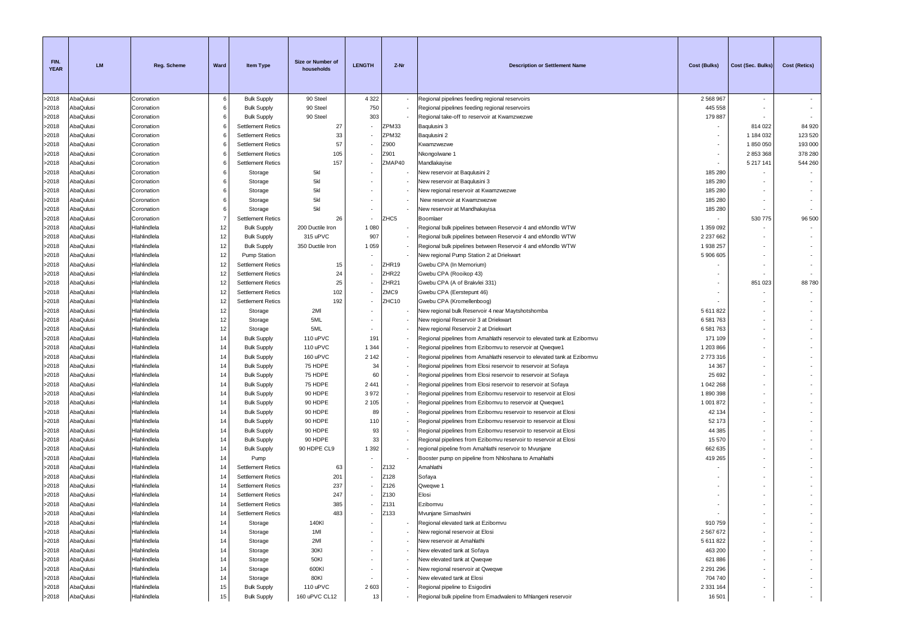| FIN.<br><b>YEAR</b> | <b>LM</b>              | <b>Reg. Scheme</b>           | Ward           | <b>Item Type</b>         | Size or Number of<br>households | <b>LENGTH</b> | Z-Nr              | <b>Description or Settlement Name</b>                                                      | <b>Cost (Bulks)</b> | Cost (Sec. Bulks)        | <b>Cost (Retics)</b>     |
|---------------------|------------------------|------------------------------|----------------|--------------------------|---------------------------------|---------------|-------------------|--------------------------------------------------------------------------------------------|---------------------|--------------------------|--------------------------|
| >2018               | AbaQulusi              | Coronation                   | 6              | <b>Bulk Supply</b>       | 90 Steel                        | 4 3 2 2       |                   | Regional pipelines feeding regional reservoirs                                             | 2 5 6 8 9 6 7       | $\overline{\phantom{a}}$ |                          |
| >2018               | AbaQulusi              | Coronation                   | 6              | <b>Bulk Supply</b>       | 90 Steel                        | 750           |                   | Regional pipelines feeding regional reservoirs                                             | 445 558             | $\sim$                   |                          |
| >2018               | AbaQulusi              | Coronation                   | 6              | <b>Bulk Supply</b>       | 90 Steel                        | 303           |                   | Regional take-off to reservoir at Kwamzwezwe                                               | 179 887             |                          |                          |
| >2018               | AbaQulusi              | Coronation                   | 6              | <b>Settlement Retics</b> | 27                              |               | ZPM33             | Baqulusini 3                                                                               |                     | 814 022                  | 84 920                   |
| >2018               | AbaQulusi              | Coronation                   | 6              | <b>Settlement Retics</b> | 33                              |               | ZPM32             | Baqulusini 2                                                                               | ٠.                  | 1 184 032                | 123 520                  |
| >2018               | AbaQulusi              | Coronation                   |                | <b>Settlement Retics</b> | 57                              |               | Z900              | Kwamzwezwe                                                                                 |                     | 1850050                  | 193 000                  |
| >2018               | AbaQulusi              | Coronation                   | 6              | <b>Settlement Retics</b> | 105                             |               | Z901              | Nkongolwane 1                                                                              |                     | 2853368                  | 378 280                  |
| >2018               | AbaQulusi              | Coronation                   | 6              | <b>Settlement Retics</b> | 157                             |               | ZMAP40            | Mandlakayise                                                                               |                     | 5 217 141                | 544 260                  |
| >2018               | AbaQulusi              | Coronation                   | 6              | Storage                  | 5kl                             |               |                   | New reservoir at Baqulusini 2                                                              | 185 280             |                          |                          |
| >2018               | AbaQulusi              | Coronation                   | 6              | Storage                  | 5kl                             |               |                   | New reservoir at Baqulusini 3                                                              | 185 280             |                          |                          |
| >2018               | AbaQulusi              | Coronation                   | 6              | Storage                  | 5kl                             |               |                   | New regional reservoir at Kwamzwezwe                                                       | 185 280             |                          |                          |
| >2018               | AbaQulusi              | Coronation                   | 6              | Storage                  | 5kl                             |               |                   | New reservoir at Kwamzwezwe                                                                | 185 280             |                          |                          |
| >2018               | AbaQulusi              | Coronation                   | 6              | Storage                  | 5kl                             |               |                   | New reservoir at Mandhakayisa                                                              | 185 280             |                          |                          |
| >2018               | AbaQulusi              | Coronation                   | $\overline{7}$ | <b>Settlement Retics</b> | 26                              |               | ZHC5              | Boomlaer                                                                                   |                     | 530 775                  | 96 500                   |
| >2018               | AbaQulusi              | Hlahlindlela                 | 12             | <b>Bulk Supply</b>       | 200 Ductile Iron                | 1 0 8 0       |                   | Regional bulk pipelines between Reservoir 4 and eMondlo WTW                                | 1 359 092           |                          |                          |
| >2018               | AbaQulusi              | Hlahlindlela                 | 12             | <b>Bulk Supply</b>       | 315 uPVC                        | 907           |                   | Regional bulk pipelines between Reservoir 4 and eMondlo WTW                                | 2 2 3 7 6 6 2       |                          |                          |
| >2018               | AbaQulusi              | Hlahlindlela                 | 12             | <b>Bulk Supply</b>       | 350 Ductile Iron                | 1 0 5 9       |                   | Regional bulk pipelines between Reservoir 4 and eMondlo WTW                                | 1 938 257           |                          |                          |
| >2018               | AbaQulusi              | Hlahlindlela                 | 12             | Pump Station             |                                 |               |                   | New regional Pump Station 2 at Driekwart                                                   | 5 906 605           |                          |                          |
| >2018               | AbaQulusi<br>AbaQulusi | Hlahlindlela                 | 12             | <b>Settlement Retics</b> | 15                              |               | ZHR19             | Gwebu CPA (In Memorium)                                                                    |                     |                          |                          |
| >2018               |                        | Hlahlindlela                 | 12             | <b>Settlement Retics</b> | 24                              |               | ZHR22             | Gwebu CPA (Rooikop 43)                                                                     |                     |                          |                          |
| >2018               | AbaQulusi              | Hlahlindlela                 | 12             | <b>Settlement Retics</b> | 25<br>102                       |               | ZHR <sub>21</sub> | Gwebu CPA (A of Brakvlei 331)                                                              |                     | 851 023                  | 88780                    |
| >2018               | AbaQulusi<br>AbaQulusi | Hlahlindlela                 | 12<br>12       | <b>Settlement Retics</b> | 192                             |               | ZMC9<br>ZHC10     | Gwebu CPA (Eerstepunt 46)                                                                  |                     |                          |                          |
| >2018<br>>2018      | AbaQulusi              | Hlahlindlela<br>Hlahlindlela | 12             | <b>Settlement Retics</b> | 2MI                             |               |                   | Gwebu CPA (Kromellenboog)                                                                  | 5 611 822           |                          |                          |
| >2018               | AbaQulusi              | Hlahlindlela                 | 12             | Storage<br>Storage       | 5ML                             |               |                   | New regional bulk Reservoir 4 near Maytshotshomba<br>New regional Reservoir 3 at Driekwart | 6 581 763           |                          |                          |
| >2018               | AbaQulusi              | Hlahlindlela                 | 12             | Storage                  | 5ML                             |               |                   | New regional Reservoir 2 at Driekwart                                                      | 6 581 763           |                          |                          |
| >2018               | AbaQulusi              | Hlahlindlela                 | 14             | <b>Bulk Supply</b>       | 110 uPVC                        | 191           |                   | Regional pipelines from Amahlathi reservoir to elevated tank at Ezibomvu                   | 171 109             |                          |                          |
| >2018               | AbaQulusi              | Hlahlindlela                 | 14             | <b>Bulk Supply</b>       | 110 uPVC                        | 1 3 4 4       |                   | Regional pipelines from Ezibomvu to reservoir at Qweqwe1                                   | 1 203 866           |                          |                          |
| >2018               | AbaQulusi              | Hlahlindlela                 | 14             | <b>Bulk Supply</b>       | 160 uPVC                        | 2 1 4 2       |                   | Regional pipelines from Amahlathi reservoir to elevated tank at Ezibomvu                   | 2773316             |                          |                          |
| >2018               | AbaQulusi              | Hlahlindlela                 | 14             | <b>Bulk Supply</b>       | 75 HDPE                         | 34            |                   | Regional pipelines from Elosi reservoir to reservoir at Sofaya                             | 14 3 67             |                          |                          |
| >2018               | AbaQulusi              | Hlahlindlela                 | 14             | <b>Bulk Supply</b>       | 75 HDPE                         | 60            |                   | Regional pipelines from Elosi reservoir to reservoir at Sofaya                             | 25 6 9 2            |                          |                          |
| >2018               | AbaQulusi              | Hlahlindlela                 | 14             | <b>Bulk Supply</b>       | 75 HDPE                         | 2 4 4 1       |                   | Regional pipelines from Elosi reservoir to reservoir at Sofaya                             | 1 042 268           |                          |                          |
| >2018               | AbaQulusi              | Hlahlindlela                 | 14             | <b>Bulk Supply</b>       | 90 HDPE                         | 3972          |                   | Regional pipelines from Ezibomvu reservoir to reservoir at Elosi                           | 1890398             |                          |                          |
| >2018               | AbaQulusi              | Hlahlindlela                 | 14             | <b>Bulk Supply</b>       | 90 HDPE                         | 2 1 0 5       |                   | Regional pipelines from Ezibomvu to reservoir at Qweqwe1                                   | 1 001 872           |                          |                          |
| >2018               | AbaQulusi              | Hlahlindlela                 | 14             | <b>Bulk Supply</b>       | 90 HDPE                         | 89            |                   | Regional pipelines from Ezibomvu reservoir to reservoir at Elosi                           | 42 134              |                          |                          |
| >2018               | AbaQulusi              | Hlahlindlela                 | 14             | <b>Bulk Supply</b>       | 90 HDPE                         | 110           |                   | Regional pipelines from Ezibomvu reservoir to reservoir at Elosi                           | 52 173              |                          |                          |
| >2018               | AbaQulusi              | Hlahlindlela                 | 14             | <b>Bulk Supply</b>       | 90 HDPE                         | 93            |                   | Regional pipelines from Ezibomvu reservoir to reservoir at Elosi                           | 44 385              |                          |                          |
| >2018               | AbaQulusi              | Hlahlindlela                 | 14             | <b>Bulk Supply</b>       | 90 HDPE                         | 33            |                   | Regional pipelines from Ezibomvu reservoir to reservoir at Elosi                           | 15 570              |                          |                          |
| >2018               | AbaQulusi              | Hlahlindlela                 | 14             | <b>Bulk Supply</b>       | 90 HDPE CL9                     | 1 3 9 2       |                   | regional pipeline from Amahlathi reservoir to Mvunjane                                     | 662 635             |                          |                          |
| >2018               | AbaQulusi              | Hlahlindlela                 | 14             | Pump                     |                                 |               |                   | Booster pump on pipeline from Nhloshana to Amahlathi                                       | 419 265             |                          |                          |
| >2018               | AbaQulusi              | Hlahlindlela                 | 14             | <b>Settlement Retics</b> | 63                              |               | Z132              | Amahlathi                                                                                  |                     |                          |                          |
| >2018               | AbaQulusi              | Hlahlindlela                 | 14             | <b>Settlement Retics</b> | 201                             |               | Z128              | Sofaya                                                                                     |                     |                          |                          |
| >2018               | AbaQulusi              | Hlahlindlela                 | 14             | <b>Settlement Retics</b> | 237                             |               | Z126              | Qweqwe 1                                                                                   |                     |                          |                          |
| >2018               | AbaQulusi              | Hlahlindlela                 | 14             | <b>Settlement Retics</b> | 247                             |               | Z130              | Elosi                                                                                      |                     |                          |                          |
| >2018               | AbaQulusi              | Hlahlindlela                 | 14             | <b>Settlement Retics</b> | 385                             |               | Z131              | Ezibomvu                                                                                   |                     |                          |                          |
| >2018               | AbaQulusi              | Hlahlindlela                 | 14             | Settlement Retics        | 483                             |               | Z133              | Mvunjane Simashwini                                                                        |                     |                          |                          |
| >2018               | AbaQulusi              | Hlahlindlela                 | 14             | Storage                  | 140KI                           |               |                   | Regional elevated tank at Ezibomvu                                                         | 910 759             |                          |                          |
| >2018               | AbaQulusi              | Hlahlindlela                 | 14             | Storage                  | 1MI                             |               |                   | New regional reservoir at Elosi                                                            | 2 567 672           |                          | $\sim$                   |
| >2018               | AbaQulusi              | Hlahlindlela                 | 14             | Storage                  | 2MI                             |               |                   | New reservoir at Amahlathi                                                                 | 5 611 822           |                          |                          |
| >2018               | AbaQulusi              | Hlahlindlela                 | 14             | Storage                  | 30KI                            |               |                   | New elevated tank at Sofaya                                                                | 463 200             |                          |                          |
| >2018               | AbaQulusi              | Hlahlindlela                 | 14             | Storage                  | 50KI                            |               |                   | New elevated tank at Qweqwe                                                                | 621 886             |                          |                          |
| >2018               | AbaQulusi              | Hlahlindlela                 | 14             | Storage                  | 600KI                           |               |                   | New regional reservoir at Qweqwe                                                           | 2 2 9 1 2 9 6       |                          | $\sim$                   |
| >2018               | AbaQulusi              | Hlahlindlela                 | 14             | Storage                  | 80KI                            |               |                   | New elevated tank at Elosi                                                                 | 704 740             |                          | $\overline{\phantom{a}}$ |
| >2018               | AbaQulusi              | Hlahlindlela                 | 15             | <b>Bulk Supply</b>       | 110 uPVC                        | 2603          |                   | Regional pipeline to Esigodini                                                             | 2 3 3 1 1 6 4       | $\sim$                   | $\sim$                   |
| >2018               | AbaQulusi              | Hlahlindlela                 | 15             | <b>Bulk Supply</b>       | 160 uPVC CL12                   | 13            |                   | Regional bulk pipeline from Emadwaleni to Mhlangeni reservoir                              | 16 501              |                          | $\sim$                   |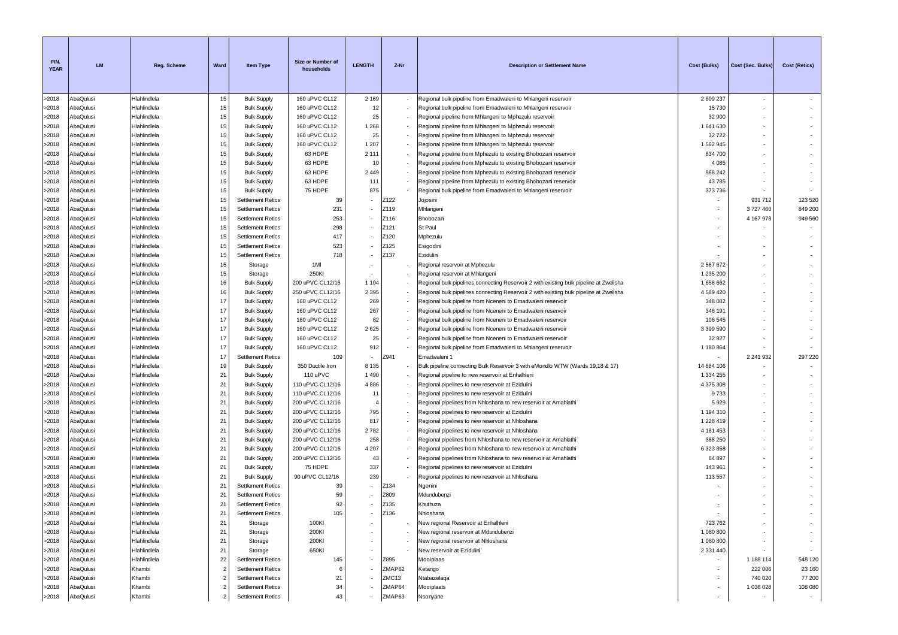| FIN.<br><b>YEAR</b> | <b>LM</b>              | <b>Reg. Scheme</b>           | Ward           | <b>Item Type</b>                         | Size or Number of<br>households      | <b>LENGTH</b> | Z-Nr   | <b>Description or Settlement Name</b>                                                                                              | Cost (Bulks)         | Cost (Sec. Bulks) | <b>Cost (Retics)</b>     |
|---------------------|------------------------|------------------------------|----------------|------------------------------------------|--------------------------------------|---------------|--------|------------------------------------------------------------------------------------------------------------------------------------|----------------------|-------------------|--------------------------|
| >2018               | AbaQulusi              | Hlahlindlela                 | 15             | <b>Bulk Supply</b>                       | 160 uPVC CL12                        | 2 1 6 9       |        | Regional bulk pipeline from Emadwaleni to Mhlangeni reservoir                                                                      | 2809237              | $\sim$            |                          |
| >2018               | AbaQulusi              | Hlahlindlela                 | 15             | <b>Bulk Supply</b>                       | 160 uPVC CL12                        | 12            |        | Regional bulk pipeline from Emadwaleni to Mhlangeni reservoir                                                                      | 15730                | $\sim$            | $\sim$                   |
| >2018               | AbaQulusi              | Hlahlindlela                 | 15             | <b>Bulk Supply</b>                       | 160 uPVC CL12                        | 25            |        | Regional pipeline from Mhlangeni to Mphezulu reservoir                                                                             | 32 900               |                   |                          |
| >2018               | AbaQulusi              | Hlahlindlela                 | 15             | <b>Bulk Supply</b>                       | 160 uPVC CL12                        | 1 2 6 8       |        | Regional pipeline from Mhlangeni to Mphezulu reservoir                                                                             | 1641630              | ٠                 |                          |
| >2018               | AbaQulusi              | Hlahlindlela                 | 15             | <b>Bulk Supply</b>                       | 160 uPVC CL12                        | 25            |        | Regional pipeline from Mhlangeni to Mphezulu reservoir                                                                             | 32722                |                   |                          |
| >2018               | AbaQulusi              | Hlahlindlela                 | 15             | <b>Bulk Supply</b>                       | 160 uPVC CL12                        | 1 2 0 7       |        | Regional pipeline from Mhlangeni to Mphezulu reservoir                                                                             | 1 562 945            | $\sim$            | ٠                        |
| >2018               | AbaQulusi              | Hlahlindlela                 | 15             | <b>Bulk Supply</b>                       | 63 HDPE                              | 2 1 1 1       |        | Regional pipeline from Mphezulu to existing Bhobozani reservoir                                                                    | 834 700              | $\sim$            |                          |
| >2018               | AbaQulusi              | Hlahlindlela                 | 15             | <b>Bulk Supply</b>                       | 63 HDPE                              | 10            |        | Regional pipeline from Mphezulu to existing Bhobozani reservoir                                                                    | 4 0 8 5              |                   |                          |
| >2018               | AbaQulusi              | Hlahlindlela                 | 15             | <b>Bulk Supply</b>                       | 63 HDPE                              | 2 4 4 9       |        | Regional pipeline from Mphezulu to existing Bhobozani reservoir                                                                    | 968 242              |                   |                          |
| >2018               | AbaQulusi              | Hlahlindlela                 | 15             | <b>Bulk Supply</b>                       | 63 HDPE                              | 111           |        | Regional pipeline from Mphezulu to existing Bhobozani reservoir                                                                    | 43785                |                   | $\overline{\phantom{a}}$ |
| >2018               | AbaQulusi              | Hlahlindlela                 | 15             | <b>Bulk Supply</b>                       | 75 HDPE                              | 875           |        | Regional bulk pipeline from Emadwaleni to Mhlangeni reservoir                                                                      | 373736               |                   |                          |
| >2018               | AbaQulusi              | Hlahlindlela                 | 15             | <b>Settlement Retics</b>                 | 39                                   |               | Z122   | Jojosini                                                                                                                           |                      | 931 712           | 123 520                  |
| >2018               | AbaQulusi              | Hlahlindlela                 | 15             | <b>Settlement Retics</b>                 | 231                                  |               | Z119   | Mhlangeni                                                                                                                          |                      | 3727460           | 849 200                  |
| >2018               | AbaQulusi              | Hlahlindlela                 | 15             | <b>Settlement Retics</b>                 | 253                                  |               | Z116   | Bhobozani                                                                                                                          | ٠                    | 4 167 978         | 949 560                  |
| >2018               | AbaQulusi              | Hlahlindlela                 | 15             | <b>Settlement Retics</b>                 | 298                                  |               | Z121   | St Paul                                                                                                                            |                      |                   | $\sim$                   |
| >2018               | AbaQulusi              | Hlahlindlela                 | 15             | <b>Settlement Retics</b>                 | 417                                  |               | Z120   | Mphezulu                                                                                                                           |                      |                   |                          |
| >2018               | AbaQulusi              | Hlahlindlela                 | 15             | <b>Settlement Retics</b>                 | 523                                  |               | Z125   | Esigodini                                                                                                                          |                      |                   |                          |
| >2018               | AbaQulusi              | Hlahlindlela                 | 15             | <b>Settlement Retics</b>                 | 718                                  |               | Z137   | Ezidulini                                                                                                                          |                      |                   |                          |
| >2018               | AbaQulusi              | Hlahlindlela                 | 15             | Storage                                  | 1MI                                  |               |        | Regional reservoir at Mphezulu                                                                                                     | 2 567 672            |                   | $\overline{\phantom{a}}$ |
| >2018               | AbaQulusi              | Hlahlindlela                 | 15             | Storage                                  | 250KI                                |               |        | Regional reservoir at Mhlangeni                                                                                                    | 1 235 200            | $\sim$            | $\sim$                   |
| >2018               | AbaQulusi              | Hlahlindlela                 | 16             | <b>Bulk Supply</b>                       | 200 uPVC CL12/16                     | 1 1 0 4       |        | Regional bulk pipelines connecting Reservoir 2 with existing bulk pipeline at Zwelisha                                             | 1 658 662            |                   |                          |
| >2018               | AbaQulusi              | Hlahlindlela                 | 16             | <b>Bulk Supply</b>                       | 250 uPVC CL12/16                     | 2 3 9 5       |        | Regional bulk pipelines connecting Reservoir 2 with existing bulk pipeline at Zwelisha                                             | 4 589 420            |                   |                          |
| >2018               | AbaQulusi              | Hlahlindlela                 | 17             | <b>Bulk Supply</b>                       | 160 uPVC CL12                        | 269           |        | Regional bulk pipeline from Nceneni to Emadwaleni reservoir                                                                        | 348 082              | ٠                 | ٠                        |
| >2018               | AbaQulusi              | Hlahlindlela                 | 17             | <b>Bulk Supply</b>                       | 160 uPVC CL12                        | 267           |        | Regional bulk pipeline from Nceneni to Emadwaleni reservoir                                                                        | 346 191              | $\sim$            | $\overline{\phantom{a}}$ |
| >2018               | AbaQulusi              | Hlahlindlela                 | 17             | <b>Bulk Supply</b>                       | 160 uPVC CL12                        | 82            |        | Regional bulk pipeline from Nceneni to Emadwaleni reservoir                                                                        | 106 545              |                   |                          |
| >2018               | AbaQulusi              | Hlahlindlela                 | 17             | <b>Bulk Supply</b>                       | 160 uPVC CL12                        | 2625          |        | Regional bulk pipeline from Nceneni to Emadwaleni reservoir                                                                        | 3 399 590            |                   |                          |
| >2018               | AbaQulusi              | Hlahlindlela                 | 17             | <b>Bulk Supply</b>                       | 160 uPVC CL12                        | 25            |        | Regional bulk pipeline from Nceneni to Emadwaleni reservoir                                                                        | 32 927               |                   |                          |
| >2018               | AbaQulusi              | Hlahlindlela                 | 17             | <b>Bulk Supply</b>                       | 160 uPVC CL12                        | 912           |        | Regional bulk pipeline from Emadwaleni to Mhlangeni reservoir                                                                      | 1 180 864            |                   |                          |
| >2018               | AbaQulusi              | Hlahlindlela                 | 17             | <b>Settlement Retics</b>                 | 109                                  |               | Z941   | Emadwaleni 1                                                                                                                       |                      | 2 241 932         | 297 220                  |
| >2018               | AbaQulusi              | Hlahlindlela                 | 19             | <b>Bulk Supply</b>                       | 350 Ductile Iron                     | 8 1 3 5       |        | Bulk pipeline connecting Bulk Reservoir 3 with eMondlo WTW (Wards 19,18 & 17)                                                      | 14 884 106           | ٠                 |                          |
| >2018               | AbaQulusi              | Hlahlindlela                 | 21             | <b>Bulk Supply</b>                       | 110 uPVC                             | 1 4 9 0       |        | Regional pipeline to new reservoir at Enhalhleni                                                                                   | 1 334 255            |                   | ٠                        |
| >2018               | AbaQulusi              | Hlahlindlela                 | 21             | <b>Bulk Supply</b>                       | 110 uPVC CL12/16                     | 4886          |        | Regional pipelines to new reservoir at Ezidulini                                                                                   | 4 375 308            | $\sim$            | $\sim$                   |
| >2018               | AbaQulusi              | Hlahlindlela                 | 21             | <b>Bulk Supply</b>                       | 110 uPVC CL12/16                     | 11            |        | Regional pipelines to new reservoir at Ezidulini                                                                                   | 9733                 | $\sim$            |                          |
| >2018               | AbaQulusi              | Hlahlindlela                 | 21             | <b>Bulk Supply</b>                       | 200 uPVC CL12/16                     |               |        | Regional pipelines from Nhloshana to new reservoir at Amahlathi                                                                    | 5929                 |                   |                          |
| >2018               | AbaQulusi              | Hlahlindlela                 | 21             | <b>Bulk Supply</b>                       | 200 uPVC CL12/16                     | 795           |        | Regional pipelines to new reservoir at Ezidulini                                                                                   | 1 194 310            |                   |                          |
| >2018               | AbaQulusi              | Hlahlindlela                 | 21             | <b>Bulk Supply</b>                       | 200 uPVC CL12/16                     | 817           |        | Regional pipelines to new reservoir at Nhloshana                                                                                   | 1 228 419            | $\sim$            |                          |
| >2018               | AbaQulusi<br>AbaQulusi | Hlahlindlela<br>Hlahlindlela | 21<br>21       | <b>Bulk Supply</b>                       | 200 uPVC CL12/16<br>200 uPVC CL12/16 | 2782<br>258   |        | Regional pipelines to new reservoir at Nhloshana                                                                                   | 4 181 453            |                   | ٠                        |
| >2018<br>>2018      | AbaQulusi              | Hlahlindlela                 | 21             | <b>Bulk Supply</b>                       | 200 uPVC CL12/16                     | 4 2 0 7       |        | Regional pipelines from Nhloshana to new reservoir at Amahlathi<br>Regional pipelines from Nhloshana to new reservoir at Amahlathi | 388 250<br>6 323 858 | ٠                 | ٠                        |
| >2018               | AbaQulusi              | Hlahlindlela                 | 21             | <b>Bulk Supply</b><br><b>Bulk Supply</b> | 200 uPVC CL12/16                     | 43            |        | Regional pipelines from Nhloshana to new reservoir at Amahlathi                                                                    | 64 897               | $\sim$            |                          |
| >2018               | AbaQulusi              | Hlahlindlela                 | 21             | <b>Bulk Supply</b>                       | 75 HDPE                              | 337           |        | Regional pipelines to new reservoir at Ezidulini                                                                                   | 143 961              | $\sim$            |                          |
| >2018               | AbaQulusi              | Hlahlindlela                 | 21             | <b>Bulk Supply</b>                       | 90 uPVC CL12/16                      | 239           |        | Regional pipelines to new reservoir at Nhloshana                                                                                   | 113 557              |                   |                          |
| >2018               | AbaQulusi              | Hlahlindlela                 | 21             | <b>Settlement Retics</b>                 | 39                                   |               | Z134   | Ngonini                                                                                                                            |                      |                   |                          |
| >2018               | AbaQulusi              | Hlahlindlela                 | 21             | <b>Settlement Retics</b>                 | 59                                   |               | Z809   | Mdundubenzi                                                                                                                        |                      |                   |                          |
| >2018               | AbaQulusi              | Hlahlindlela                 | 21             | <b>Settlement Retics</b>                 | 92                                   |               | Z135   | Khuthuza                                                                                                                           |                      |                   |                          |
| >2018               | AbaQulusi              | Hlahlindlela                 | 21             | <b>Settlement Retics</b>                 | 105                                  |               | Z136   | Nhloshana                                                                                                                          |                      |                   |                          |
| >2018               | AbaQulusi              | Hlahlindlela                 | 21             | Storage                                  | 100KI                                |               |        | New regional Reservoir at Enhalhleni                                                                                               | 723 762              |                   |                          |
| >2018               | AbaQulusi              | Hlahlindlela                 | 21             | Storage                                  | 200KI                                |               |        | New regional reservoir at Mdundubenzi                                                                                              | 1 080 800            |                   | $\sim$                   |
| >2018               | AbaQulusi              | Hlahlindlela                 | 21             | Storage                                  | 200KI                                |               |        | New regional reservoir at Nhloshana                                                                                                | 1 080 800            |                   | $\sim$                   |
| >2018               | AbaQulusi              | Hlahlindlela                 | 21             | Storage                                  | 650KI                                |               |        | New reservoir at Ezidulini                                                                                                         | 2 3 3 1 4 4 0        |                   | $\sim$                   |
| >2018               | AbaQulusi              | Hlahlindlela                 | 22             | <b>Settlement Retics</b>                 | 145                                  |               | Z895   | Mooiplaas                                                                                                                          |                      | 1 188 114         | 548 120                  |
| >2018               | AbaQulusi              | Khambi                       |                | <b>Settlement Retics</b>                 | -6                                   |               | ZMAP62 | Ketango                                                                                                                            |                      | 222 006           | 23 160                   |
| >2018               | AbaQulusi              | Khambi                       | $\overline{2}$ | <b>Settlement Retics</b>                 | 21                                   |               | ZMC13  | Ntabazelaqa                                                                                                                        |                      | 740 020           | 77 200                   |
| >2018               | AbaQulusi              | Khambi                       | $\overline{2}$ | <b>Settlement Retics</b>                 | 34                                   |               | ZMAP64 | Mooiplaats                                                                                                                         |                      | 1 036 028         | 108 080                  |
| >2018               | AbaQulusi              | Khambi                       |                | <b>Settlement Retics</b>                 | 43                                   |               | ZMAP63 | Nsonyane                                                                                                                           |                      |                   | $\sim$                   |
|                     |                        |                              |                |                                          |                                      |               |        |                                                                                                                                    |                      |                   |                          |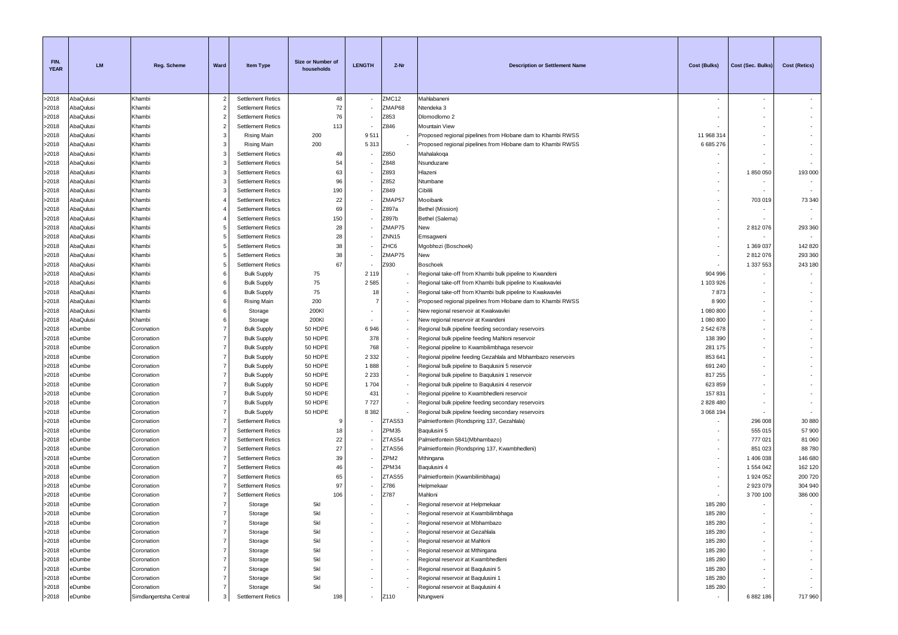| FIN.<br><b>YEAR</b> | <b>LM</b>        | <b>Reg. Scheme</b>       | Ward                             | <b>Item Type</b>                         | Size or Number of<br>households | <b>LENGTH</b>            | Z-Nr              | <b>Description or Settlement Name</b>                                                                            | <b>Cost (Bulks)</b> | Cost (Sec. Bulks) | Cost (Retics)            |
|---------------------|------------------|--------------------------|----------------------------------|------------------------------------------|---------------------------------|--------------------------|-------------------|------------------------------------------------------------------------------------------------------------------|---------------------|-------------------|--------------------------|
| >2018               | AbaQulusi        | Khambi                   | $\overline{2}$                   | <b>Settlement Retics</b>                 | 48                              |                          | ZMC12             | Mahlabaneni                                                                                                      |                     | $\sim$            |                          |
| >2018               | AbaQulusi        | Khambi                   | $\overline{2}$                   | <b>Settlement Retics</b>                 | 72                              |                          | ZMAP68            | Ntendeka 3                                                                                                       |                     |                   |                          |
| >2018               | AbaQulusi        | Khambi                   | 2                                | <b>Settlement Retics</b>                 | 76                              |                          | Z853              | Dlomodlomo 2                                                                                                     |                     |                   | ÷.                       |
| >2018               | AbaQulusi        | Khambi                   | $\overline{2}$                   | <b>Settlement Retics</b>                 | 113                             |                          | Z846              | Mountain View                                                                                                    |                     |                   |                          |
| >2018               | AbaQulusi        | Khambi                   | 3                                | <b>Rising Main</b>                       | 200                             | 9511                     |                   | Proposed regional pipelines from Hlobane dam to Khambi RWSS                                                      | 11 968 314          |                   | ٠                        |
| >2018               | AbaQulusi        | Khambi                   | 3                                | Rising Main                              | 200                             | 5313                     |                   | Proposed regional pipelines from Hlobane dam to Khambi RWSS                                                      | 6 685 276           |                   |                          |
| >2018               | AbaQulusi        | Khambi                   | 3                                | <b>Settlement Retics</b>                 | 49                              |                          | Z850              | Mahalakoqa                                                                                                       |                     |                   | ٠                        |
| >2018               | AbaQulusi        | Khambi                   | 3                                | <b>Settlement Retics</b>                 | 54                              |                          | Z848              | Nsunduzane                                                                                                       |                     |                   | $\sim$                   |
| >2018               | AbaQulusi        | Khambi                   | 3                                | <b>Settlement Retics</b>                 | 63                              |                          | Z893              | Hlazeni                                                                                                          |                     | 1850050           | 193 000                  |
| >2018               | AbaQulusi        | Khambi                   | 3                                | <b>Settlement Retics</b>                 | 96                              |                          | Z852              | Ntumbane                                                                                                         |                     |                   |                          |
| >2018               | AbaQulusi        | Khambi                   | 3                                | <b>Settlement Retics</b>                 | 190                             |                          | Z849              | Cibilili                                                                                                         |                     |                   |                          |
| >2018               | AbaQulusi        | Khambi                   |                                  | <b>Settlement Retics</b>                 | 22                              |                          | ZMAP57            | Mooibank                                                                                                         |                     | 703 019           | 73 340                   |
| >2018               | AbaQulusi        | Khambi                   |                                  | <b>Settlement Retics</b>                 | 69                              |                          | Z897a             | Bethel (Mission)                                                                                                 |                     |                   | $\sim$                   |
| >2018               | AbaQulusi        | Khambi                   |                                  | <b>Settlement Retics</b>                 | 150                             |                          | Z897b             | Bethel (Salema)                                                                                                  |                     |                   | $\overline{\phantom{a}}$ |
| >2018               | AbaQulusi        | Khambi                   |                                  | <b>Settlement Retics</b>                 | 28                              |                          | ZMAP75            | New                                                                                                              |                     | 2812076           | 293 360                  |
| >2018               | AbaQulusi        | Khambi                   | 5                                | <b>Settlement Retics</b>                 | 28                              |                          | ZNN <sub>15</sub> | Emsagweni                                                                                                        |                     |                   | $\overline{\phantom{a}}$ |
| >2018               | AbaQulusi        | Khambi                   | 5                                | <b>Settlement Retics</b>                 | 38                              |                          | ZHC6              | Mgobhozi (Boschoek)                                                                                              |                     | 1 369 037         | 142 820                  |
| >2018               | AbaQulusi        | Khambi                   | 5                                | <b>Settlement Retics</b>                 | 38                              |                          | ZMAP75            | New                                                                                                              |                     | 2812076           | 293 360                  |
| >2018               | AbaQulusi        | Khambi                   | 5                                | <b>Settlement Retics</b>                 | 67                              |                          | Z930              | <b>Boschoek</b>                                                                                                  |                     | 1 337 553         | 243 180                  |
| >2018               | AbaQulusi        | Khambi                   | 6                                | <b>Bulk Supply</b>                       | 75                              | 2 1 1 9                  |                   | Regional take-off from Khambi bulk pipeline to Kwandeni                                                          | 904 996             |                   | $\sim$                   |
| >2018               | AbaQulusi        | Khambi                   | 6                                | <b>Bulk Supply</b>                       | 75                              | 2585                     |                   | Regional take-off from Khambi bulk pipeline to Kwakwavlei                                                        | 1 103 926           |                   | $\sim$                   |
| >2018               | AbaQulusi        | Khambi                   | 6                                | <b>Bulk Supply</b>                       | 75                              | 18                       |                   | Regional take-off from Khambi bulk pipeline to Kwakwavlei                                                        | 7873                |                   | $\sim$                   |
| >2018               | AbaQulusi        | Khambi                   | 6                                | <b>Rising Main</b>                       | 200                             | -7                       |                   | Proposed regional pipelines from Hlobane dam to Khambi RWSS                                                      | 8900                |                   |                          |
| >2018               | AbaQulusi        | Khambi                   | 6                                | Storage                                  | 200KI                           |                          |                   | New regional reservoir at Kwakwavlei                                                                             | 1 080 800           | ÷.                | ٠                        |
| >2018               | AbaQulusi        | Khambi                   | 6                                | Storage                                  | 200KI                           |                          |                   | New regional reservoir at Kwandeni                                                                               | 1 080 800           |                   |                          |
| >2018               | eDumbe           | Coronation               | $\overline{7}$                   | <b>Bulk Supply</b>                       | 50 HDPE                         | 6946                     |                   | Regional bulk pipeline feeding secondary reservoirs                                                              | 2 542 678           |                   |                          |
| >2018               | eDumbe           | Coronation               | $\overline{7}$<br>$\overline{7}$ | <b>Bulk Supply</b>                       | 50 HDPE                         | 378<br>768               |                   | Regional bulk pipeline feeding Mahloni reservoir                                                                 | 138 390             |                   |                          |
| >2018<br>>2018      | eDumbe           | Coronation               | $\overline{7}$                   | <b>Bulk Supply</b>                       | 50 HDPE<br>50 HDPE              | 2 3 3 2                  |                   | Regional pipeline to Kwambilimbhaga reservoir                                                                    | 281 175<br>853 641  | $\sim$            |                          |
| >2018               | eDumbe<br>eDumbe | Coronation<br>Coronation | $\overline{7}$                   | <b>Bulk Supply</b><br><b>Bulk Supply</b> | 50 HDPE                         | 1888                     |                   | Regional pipeline feeding Gezahlala and Mbhambazo reservoirs<br>Regional bulk pipeline to Baqulusini 5 reservoir | 691 240             |                   | ٠                        |
| >2018               | <b>Dumbe</b>     | Coronation               | $\overline{7}$                   | <b>Bulk Supply</b>                       | 50 HDPE                         | 2 2 3 3                  |                   | Regional bulk pipeline to Baqulusini 1 reservoir                                                                 | 817 255             |                   |                          |
| >2018               | eDumbe           | Coronation               | $\overline{7}$                   | <b>Bulk Supply</b>                       | 50 HDPE                         | 1 704                    |                   | Regional bulk pipeline to Baqulusini 4 reservoir                                                                 | 623 859             |                   | ٠                        |
| >2018               | eDumbe           | Coronation               | $\overline{7}$                   | <b>Bulk Supply</b>                       | 50 HDPE                         | 431                      |                   | Regional pipeline to Kwambhedleni reservoir                                                                      | 157831              |                   | $\sim$                   |
| >2018               | eDumbe           | Coronation               | $\overline{7}$                   | <b>Bulk Supply</b>                       | 50 HDPE                         | 7727                     |                   | Regional bulk pipeline feeding secondary reservoirs                                                              | 2 828 480           |                   | $\sim$                   |
| >2018               | eDumbe           | Coronation               | $\overline{7}$                   | <b>Bulk Supply</b>                       | 50 HDPE                         | 8 3 8 2                  |                   | Regional bulk pipeline feeding secondary reservoirs                                                              | 3 068 194           |                   |                          |
| >2018               | eDumbe           | Coronation               | $\overline{7}$                   | <b>Settlement Retics</b>                 |                                 |                          | ZTAS53            | Palmietfontein (Rondspring 137, Gezahlala)                                                                       |                     | 296 008           | 30 880                   |
| >2018               | eDumbe           | Coronation               | 7                                | <b>Settlement Retics</b>                 | 18                              |                          | ZPM35             | Baqulusini 5                                                                                                     |                     | 555 015           | 57 900                   |
| >2018               | eDumbe           | Coronation               |                                  | <b>Settlement Retics</b>                 | 22                              |                          | ZTAS54            | Palmietfontein 5841 (Mbhambazo)                                                                                  |                     | 777 021           | 81 060                   |
| >2018               | eDumbe           | Coronation               |                                  | <b>Settlement Retics</b>                 | 27                              |                          | ZTAS56            | Palmietfontein (Rondspring 137, Kwambhedleni)                                                                    |                     | 851 023           | 88780                    |
| >2018               | eDumbe           | Coronation               |                                  | <b>Settlement Retics</b>                 | 39                              |                          | ZPM <sub>2</sub>  | Mthingana                                                                                                        |                     | 1 406 038         | 146 680                  |
| >2018               | eDumbe           | Coronation               | 7                                | <b>Settlement Retics</b>                 | 46                              |                          | ZPM34             | Baqulusini 4                                                                                                     | ٠                   | 1 554 042         | 162 120                  |
| >2018               | eDumbe           | Coronation               | 7                                | <b>Settlement Retics</b>                 | 65                              |                          | ZTAS55            | Palmietfontein (Kwambilimbhaga)                                                                                  |                     | 1 924 052         | 200 720                  |
| >2018               | eDumbe           | Coronation               | $\overline{7}$                   | <b>Settlement Retics</b>                 | 97                              |                          | Z786              | Helpmekaar                                                                                                       |                     | 2923079           | 304 940                  |
| >2018               | eDumbe           | Coronation               | $\overline{7}$                   | <b>Settlement Retics</b>                 | 106                             |                          | Z787              | Mahloni                                                                                                          |                     | 3700100           | 386 000                  |
| >2018               | eDumbe           | Coronation               | $\overline{7}$                   | Storage                                  | 5kl                             |                          |                   | Regional reservoir at Helpmekaar                                                                                 | 185 280             |                   |                          |
| >2018               | eDumbe           | Coronation               |                                  | Storage                                  | 5k                              |                          |                   | Regional reservoir at Kwambilimbhaga                                                                             | 185 280             |                   |                          |
| >2018               | eDumbe           | Coronation               | 7                                | Storage                                  | 5kl                             |                          |                   | Regional reservoir at Mbhambazo                                                                                  | 185 280             |                   | ۰.                       |
| >2018               | eDumbe           | Coronation               | $\overline{7}$                   | Storage                                  | 5kl                             | $\overline{\phantom{a}}$ |                   | Regional reservoir at Gezahlala                                                                                  | 185 280             |                   | $\overline{\phantom{a}}$ |
| >2018               | eDumbe           | Coronation               | $\overline{7}$                   | Storage                                  | 5kl                             |                          |                   | Regional reservoir at Mahloni                                                                                    | 185 280             |                   | $\overline{\phantom{a}}$ |
| >2018               | eDumbe           | Coronation               | 7                                | Storage                                  | 5kl                             |                          |                   | Regional reservoir at Mthingana                                                                                  | 185 280             |                   | $\overline{\phantom{a}}$ |
| >2018               | eDumbe           | Coronation               | $\overline{7}$                   | Storage                                  | 5kl                             |                          |                   | Regional reservoir at Kwambhedleni                                                                               | 185 280             |                   |                          |
| >2018               | eDumbe           | Coronation               | $\overline{7}$                   | Storage                                  | 5kl                             |                          |                   | Regional reservoir at Baqulusini 5                                                                               | 185 280             |                   |                          |
| >2018               | eDumbe           | Coronation               | 7                                | Storage                                  | 5kl                             |                          |                   | Regional reservoir at Baqulusini 1                                                                               | 185 280             |                   | ٠                        |
| >2018               | eDumbe           | Coronation               | 7                                | Storage                                  | 5kl                             |                          |                   | Regional reservoir at Baqulusini 4                                                                               | 185 280             |                   | $\sim$                   |
| >2018               | eDumbe           | Simdlangentsha Central   | 3                                | <b>Settlement Retics</b>                 | 198                             | ٠                        | Z110              | Ntungweni                                                                                                        | ٠.                  | 6 882 186         | 717 960                  |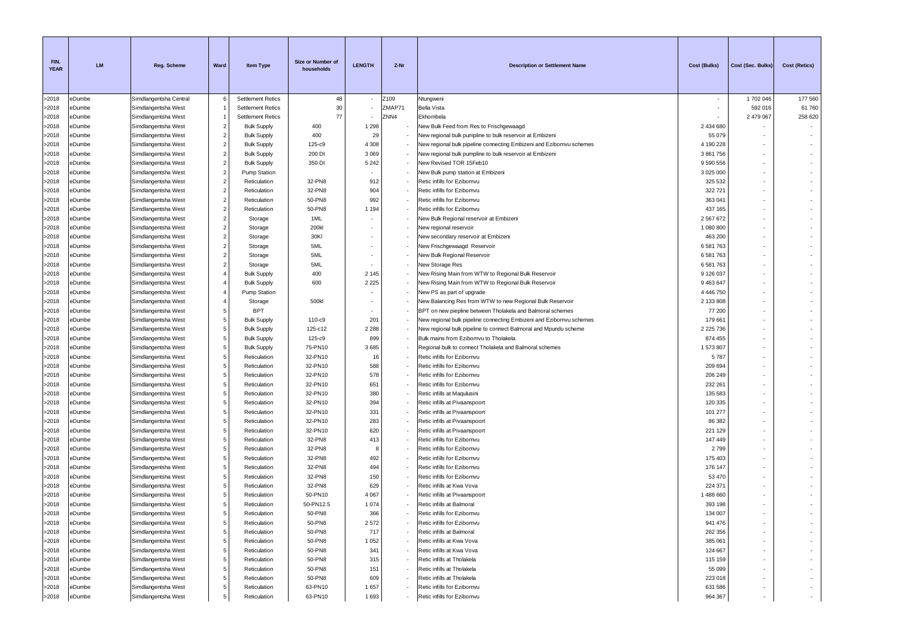| FIN.<br><b>YEAR</b> | <b>LM</b>     | <b>Reg. Scheme</b>     | Ward                    | <b>Item Type</b>         | Size or Number of<br>households | <b>LENGTH</b> | Z-Nr   | <b>Description or Settlement Name</b>                               | <b>Cost (Bulks)</b> | Cost (Sec. Bulks) | <b>Cost (Retics)</b> |
|---------------------|---------------|------------------------|-------------------------|--------------------------|---------------------------------|---------------|--------|---------------------------------------------------------------------|---------------------|-------------------|----------------------|
| >2018               | eDumbe        | Simdlangentsha Central | 6                       | <b>Settlement Retics</b> | 48                              |               | Z109   | Ntungweni                                                           |                     | 1702046           | 177 560              |
| >2018               | eDumbe        | Simdlangentsha West    | 1                       | <b>Settlement Retics</b> | 30                              |               | ZMAP71 | <b>Bella Vista</b>                                                  |                     | 592 016           | 61760                |
| >2018               | eDumbe        | Simdlangentsha West    | 1                       | <b>Settlement Retics</b> | 77                              |               | ZNN4   | Ekhombela                                                           |                     | 2 479 067         | 258 620              |
| >2018               | eDumbe        | Simdlangentsha West    | $\overline{2}$          | <b>Bulk Supply</b>       | 400                             | 1 2 9 8       |        | New Bulk Feed from Res to Frischgewaagd                             | 2 434 680           |                   |                      |
| >2018               | eDumbe        | Simdlangentsha West    | $\overline{2}$          | <b>Bulk Supply</b>       | 400                             | 29            |        | New regional bulk pumpline to bulk reservoir at Embizeni            | 55 079              |                   |                      |
| >2018               | eDumbe        | Simdlangentsha West    | $\overline{2}$          | <b>Bulk Supply</b>       | 125-c9                          | 4 3 0 8       |        | New regional bulk pipeline connecting Embizeni and Ezibomvu schemes | 4 190 228           |                   |                      |
| >2018               | eDumbe        | Simdlangentsha West    | $\overline{2}$          | <b>Bulk Supply</b>       | 200 DI                          | 3 0 6 9       |        | New regional bulk pumpline to bulk reservoir at Embizeni            | 3861756             |                   |                      |
| >2018               | eDumbe        | Simdlangentsha West    | $\overline{2}$          | <b>Bulk Supply</b>       | 350 DI                          | 5 2 4 2       |        | New Revised TOR 15Feb10                                             | 9 590 556           |                   |                      |
| >2018               | eDumbe        | Simdlangentsha West    | $\overline{2}$          | <b>Pump Station</b>      |                                 |               |        | New Bulk pump station at Embizeni                                   | 3 0 25 0 00         |                   |                      |
| >2018               | eDumbe        | Simdlangentsha West    | $\overline{2}$          | Reticulation             | 32-PN8                          | 912           |        | Retic infills for Ezibomvu                                          | 325 532             |                   |                      |
| >2018               | eDumbe        | Simdlangentsha West    | $\overline{2}$          | Reticulation             | 32-PN8                          | 904           |        | Retic infills for Ezibomvu                                          | 322721              |                   |                      |
| >2018               | eDumbe        | Simdlangentsha West    | $\overline{2}$          | Reticulation             | 50-PN8                          | 992           |        | Retic infills for Ezibomvu                                          | 363 041             |                   |                      |
| >2018               | <b>Dumbe</b>  | Simdlangentsha West    | $\overline{2}$          | Reticulation             | 50-PN8                          | 1 1 9 4       |        | Retic infills for Ezibomvu                                          | 437 165             |                   |                      |
| >2018               | eDumbe        | Simdlangentsha West    | $\overline{2}$          | Storage                  | 1ML                             |               |        | New Bulk Regional reservoir at Embizeni                             | 2 567 672           |                   |                      |
| >2018               | <b>BDumbe</b> | Simdlangentsha West    | $\overline{2}$          | Storage                  | 200kl                           |               |        | New regional reservoir                                              | 1 080 800           |                   |                      |
| >2018               | eDumbe        | Simdlangentsha West    | $\overline{2}$          | Storage                  | 30KI                            |               |        | New secondary reservoir at Embizeni                                 | 463 200             |                   |                      |
| >2018               | eDumbe        | Simdlangentsha West    | $\overline{\mathbf{c}}$ | Storage                  | 5ML                             |               |        | New Frischgewaagd Reservoir                                         | 6 581 763           |                   |                      |
| >2018               | eDumbe        | Simdlangentsha West    | $\overline{2}$          | Storage                  | 5ML                             |               |        | New Bulk Regional Reservoir                                         | 6 581 763           |                   |                      |
| >2018               | eDumbe        | Simdlangentsha West    | $\overline{2}$          | Storage                  | 5ML                             |               |        | New Storage Res                                                     | 6 581 763           |                   |                      |
| >2018               | eDumbe        | Simdlangentsha West    | $\overline{4}$          | <b>Bulk Supply</b>       | 400                             | 2 1 4 5       |        | New Rising Main from WTW to Regional Bulk Reservoir                 | 9 126 037           |                   |                      |
| >2018               | eDumbe        | Simdlangentsha West    | $\overline{4}$          | <b>Bulk Supply</b>       | 600                             | 2 2 2 5       |        | New Rising Main from WTW to Regional Bulk Reservoir                 | 9 463 647           |                   |                      |
| >2018               | <b>Dumbe</b>  | Simdlangentsha West    | 4                       | Pump Station             |                                 |               |        | New PS as part of upgrade                                           | 4 4 4 6 7 5 0       |                   |                      |
| >2018               | eDumbe        | Simdlangentsha West    | 4                       | Storage                  | 500kl                           |               |        | New Balancing Res from WTW to new Regional Bulk Reservoir           | 2 133 808           |                   |                      |
| >2018               | eDumbe        | Simdlangentsha West    | 5                       | <b>BPT</b>               |                                 |               |        | BPT on new piepline between Tholakela and Balmoral schemes          | 77 200              |                   |                      |
| >2018               | eDumbe        | Simdlangentsha West    | 5                       | <b>Bulk Supply</b>       | 110-c9                          | 201           |        | New regional bulk pipeline connecting Embizeni and Ezibomvu schemes | 179 661             |                   |                      |
| >2018               | eDumbe        | Simdlangentsha West    | 5                       | <b>Bulk Supply</b>       | 125-c12                         | 2 2 8 8       |        | New regional bulk pipeline to connect Balmoral and Mpundu scheme    | 2 2 2 5 7 3 6       |                   |                      |
| >2018               | eDumbe        | Simdlangentsha West    | 5                       | <b>Bulk Supply</b>       | 125-c9                          | 899           |        | Bulk mains from Ezibomvu to Tholakela                               | 874 455             |                   |                      |
| >2018               | eDumbe        | Simdlangentsha West    | 5                       | <b>Bulk Supply</b>       | 75-PN10                         | 3685          |        | Regional bulk to connect Tholakela and Balmoral schemes             | 1573807             |                   |                      |
| >2018               | eDumbe        | Simdlangentsha West    | 5                       | Reticulation             | 32-PN10                         | 16            |        | Retic infills for Ezibomvu                                          | 5787                |                   |                      |
| >2018               | eDumbe        | Simdlangentsha West    | 5                       | Reticulation             | 32-PN10                         | 588           |        | Retic infills for Ezibomvu                                          | 209 694             |                   |                      |
| >2018               | eDumbe        | Simdlangentsha West    | 5                       | Reticulation             | 32-PN10                         | 578           |        | Retic infills for Ezibomvu                                          | 206 249             |                   |                      |
| >2018               | eDumbe        | Simdlangentsha West    | 5                       | Reticulation             | 32-PN10                         | 651           |        | Retic infills for Ezibomvu                                          | 232 261             |                   |                      |
| >2018               | eDumbe        | Simdlangentsha West    | 5                       | Reticulation             | 32-PN10                         | 380           |        | Retic infills at Maqulusini                                         | 135 583             |                   |                      |
| >2018               | eDumbe        | Simdlangentsha West    | 5                       | Reticulation             | 32-PN10                         | 394           |        | Retic infills at Pivaanspoort                                       | 120 335             |                   |                      |
| >2018               | eDumbe        | Simdlangentsha West    | 5                       | Reticulation             | 32-PN10                         | 331           |        | Retic infills at Pivaanspoort                                       | 101 277             |                   |                      |
| >2018               | eDumbe        | Simdlangentsha West    | 5                       | Reticulation             | 32-PN10                         | 283           |        | Retic infills at Pivaanspoort                                       | 86 382              |                   |                      |
| >2018               | eDumbe        | Simdlangentsha West    | 5                       | Reticulation             | 32-PN10                         | 620           |        | Retic infills at Pivaanspoort                                       | 221 129             |                   |                      |
| >2018               | <b>Dumbe</b>  | Simdlangentsha West    | 5                       | Reticulation             | 32-PN8                          | 413           |        | Retic infills for Ezibomvu                                          | 147 449             |                   |                      |
| >2018               | eDumbe        | Simdlangentsha West    | 5                       | Reticulation             | 32-PN8                          | -8            |        | Retic infills for Ezibomvu                                          | 2799                |                   |                      |
| >2018               | eDumbe        | Simdlangentsha West    | 5                       | Reticulation             | 32-PN8                          | 492           |        | Retic infills for Ezibomvu                                          | 175 403             |                   |                      |
| >2018               | eDumbe        | Simdlangentsha West    | 5                       | Reticulation             | 32-PN8                          | 494           |        | Retic infills for Ezibomvu                                          | 176 147             |                   |                      |
| >2018               | eDumbe        | Simdlangentsha West    | 5                       | Reticulation             | 32-PN8                          | 150           |        | Retic infills for Ezibomvu                                          | 53 470              |                   |                      |
| >2018               | eDumbe        | Simdlangentsha West    | 5                       | Reticulation             | 32-PN8                          | 629           |        | Retic infills at Kwa Vova                                           | 224 371             |                   |                      |
| >2018               | eDumbe        | Simdlangentsha West    | 5                       | Reticulation             | 50-PN10                         | 4 0 6 7       |        | Retic infills at Pivaanspoort                                       | 1 488 660           |                   |                      |
| >2018               | eDumbe        | Simdlangentsha West    | 5                       | Reticulation             | 50-PN12.5                       | 1074          |        | Retic infills at Balmoral                                           | 393 198             |                   |                      |
| >2018               | eDumbe        | Simdlangentsha West    | 5                       | Reticulation             | 50-PN8                          | 366           |        | Retic infills for Ezibomvu                                          | 134 007             |                   |                      |
| >2018               | eDumbe        | Simdlangentsha West    | 5                       | Reticulation             | 50-PN8                          | 2572          |        | Retic infills for Ezibomvu                                          | 941 476             |                   |                      |
| >2018               | eDumbe        | Simdlangentsha West    | 5                       | Reticulation             | 50-PN8                          | 717           |        | Retic infills at Balmoral                                           | 262 356             |                   |                      |
| >2018               | eDumbe        | Simdlangentsha West    | 5                       | Reticulation             | 50-PN8                          | 1 0 5 2       |        | Retic infills at Kwa Vova                                           | 385 061             |                   |                      |
| >2018               | eDumbe        | Simdlangentsha West    | 5                       | Reticulation             | 50-PN8                          | 341           |        | Retic infills at Kwa Vova                                           | 124 667             |                   |                      |
| >2018               | eDumbe        | Simdlangentsha West    | 5                       | Reticulation             | 50-PN8                          | 315           |        | Retic infills at Tholakela                                          | 115 159             |                   |                      |
| >2018               | eDumbe        | Simdlangentsha West    | 5                       | Reticulation             | 50-PN8                          | 151           |        | Retic infills at Tholakela                                          | 55 099              |                   |                      |
| >2018               | eDumbe        | Simdlangentsha West    | 5                       | Reticulation             | 50-PN8                          | 609           |        | Retic infills at Tholakela                                          | 223 018             |                   |                      |
| >2018               | eDumbe        | Simdlangentsha West    | 5                       | Reticulation             | 63-PN10                         | 1657          |        | Retic infills for Ezibomvu                                          | 631 586             |                   |                      |
| >2018               | eDumbe        | Simdlangentsha West    | 5                       | Reticulation             | 63-PN10                         | 1693          | $\sim$ | Retic infills for Ezibomvu                                          | 964 367             |                   | $\sim$               |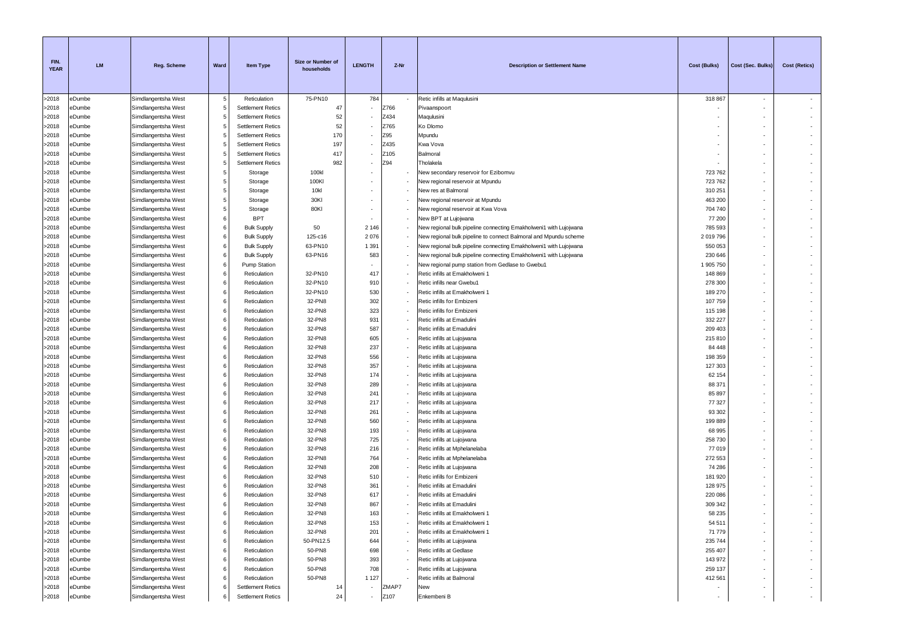| FIN.<br><b>YEAR</b> | <b>LM</b>        | <b>Reg. Scheme</b>                         | Ward   | Item Type                          | Size or Number of<br>households | <b>LENGTH</b>            | Z-Nr  | <b>Description or Settlement Name</b>                                                                                                 | Cost (Bulks)         | Cost (Sec. Bulks         | <b>Cost (Retics)</b>     |
|---------------------|------------------|--------------------------------------------|--------|------------------------------------|---------------------------------|--------------------------|-------|---------------------------------------------------------------------------------------------------------------------------------------|----------------------|--------------------------|--------------------------|
| >2018               | eDumbe           | Simdlangentsha West                        | 5      | Reticulation                       | 75-PN10                         | 784                      |       | Retic infills at Maqulusini                                                                                                           | 318 867              | $\sim$                   |                          |
| >2018               | eDumbe           | Simdlangentsha West                        | 5      | <b>Settlement Retics</b>           | 47                              |                          | Z766  | Pivaanspoort                                                                                                                          |                      |                          |                          |
| >2018               | eDumbe           | Simdlangentsha West                        | 5      | <b>Settlement Retics</b>           | 52                              |                          | Z434  | Maqulusini                                                                                                                            |                      |                          |                          |
| >2018               | eDumbe           | Simdlangentsha West                        | 5      | <b>Settlement Retics</b>           | 52                              |                          | Z765  | Ko Dlomo                                                                                                                              |                      |                          |                          |
| >2018               | eDumbe           | Simdlangentsha West                        | 5      | <b>Settlement Retics</b>           | 170                             |                          | Z95   | Mpundu                                                                                                                                |                      |                          |                          |
| >2018               | eDumbe           | Simdlangentsha West                        | 5      | <b>Settlement Retics</b>           | 197                             |                          | Z435  | Kwa Vova                                                                                                                              |                      |                          |                          |
| >2018               | eDumbe           | Simdlangentsha West                        | 5      | <b>Settlement Retics</b>           | 417                             |                          | Z105  | Balmoral                                                                                                                              |                      |                          |                          |
| >2018               | eDumbe           | Simdlangentsha West                        | 5      | <b>Settlement Retics</b>           | 982                             |                          | Z94   | Tholakela                                                                                                                             |                      |                          |                          |
| >2018               | eDumbe           | Simdlangentsha West                        | 5      | Storage                            | 100kl                           |                          |       | New secondary reservoir for Ezibomvu                                                                                                  | 723762               |                          |                          |
| >2018               | eDumbe           | Simdlangentsha West                        | 5      | Storage                            | 100KI                           |                          |       | New regional reservoir at Mpundu                                                                                                      | 723762               |                          |                          |
| >2018               | eDumbe           | Simdlangentsha West                        | 5      | Storage                            | 10kl                            |                          |       | New res at Balmoral                                                                                                                   | 310 251              | $\sim$                   |                          |
| >2018               | eDumbe           | Simdlangentsha West                        | 5      | Storage                            | 30KI                            |                          |       | New regional reservoir at Mpundu                                                                                                      | 463 200              |                          |                          |
| >2018               | <b>Dumbe</b>     | Simdlangentsha West                        | 5      | Storage                            | 80KI                            |                          |       | New regional reservoir at Kwa Vova                                                                                                    | 704 740              |                          |                          |
| >2018               | eDumbe           | Simdlangentsha West                        | 6<br>6 | <b>BPT</b>                         |                                 |                          |       | New BPT at Lujojwana                                                                                                                  | 77 200               | $\overline{\phantom{a}}$ |                          |
| >2018               | eDumbe           | Simdlangentsha West                        |        | <b>Bulk Supply</b>                 | 50                              | 2 1 4 6                  |       | New regional bulk pipeline connecting Emakholweni1 with Lujojwana                                                                     | 785 593              | $\sim$                   |                          |
| >2018<br>>2018      | eDumbe<br>eDumbe | Simdlangentsha West                        | 6<br>6 | <b>Bulk Supply</b>                 | 125-c16<br>63-PN10              | 2076<br>1 3 9 1          |       | New regional bulk pipeline to connect Balmoral and Mpundu scheme<br>New regional bulk pipeline connecting Emakholweni1 with Lujojwana | 2 019 796<br>550 053 |                          |                          |
| >2018               | eDumbe           | Simdlangentsha West<br>Simdlangentsha West | 6      | <b>Bulk Supply</b>                 | 63-PN16                         | 583                      |       |                                                                                                                                       | 230 646              |                          |                          |
| >2018               | eDumbe           | Simdlangentsha West                        | 6      | <b>Bulk Supply</b><br>Pump Station |                                 |                          |       | New regional bulk pipeline connecting Emakholweni1 with Lujojwana<br>New regional pump station from Gedlase to Gwebu1                 | 1 905 750            |                          |                          |
| >2018               | eDumbe           | Simdlangentsha West                        | 6      | Reticulation                       | 32-PN10                         | 417                      |       | Retic infills at Emakholweni 1                                                                                                        | 148 869              |                          |                          |
| >2018               | eDumbe           | Simdlangentsha West                        | 6      | Reticulation                       | 32-PN10                         | 910                      |       | Retic infills near Gwebu1                                                                                                             | 278 300              |                          |                          |
| >2018               | <b>Dumbe</b>     | Simdlangentsha West                        | 6      | Reticulation                       | 32-PN10                         | 530                      |       | Retic infills at Emakholweni 1                                                                                                        | 189 270              |                          |                          |
| >2018               | eDumbe           | Simdlangentsha West                        | 6      | Reticulation                       | 32-PN8                          | 302                      |       | Retic infills for Embizeni                                                                                                            | 107 759              |                          |                          |
| >2018               | eDumbe           | Simdlangentsha West                        | 6      | Reticulation                       | 32-PN8                          | 323                      |       | Retic infills for Embizeni                                                                                                            | 115 198              |                          |                          |
| >2018               | eDumbe           | Simdlangentsha West                        | 6      | Reticulation                       | 32-PN8                          | 931                      |       | Retic infills at Emadulini                                                                                                            | 332 227              |                          |                          |
| >2018               | eDumbe           | Simdlangentsha West                        | 6      | Reticulation                       | 32-PN8                          | 587                      |       | Retic infills at Emadulini                                                                                                            | 209 403              |                          |                          |
| >2018               | eDumbe           | Simdlangentsha West                        | 6      | Reticulation                       | 32-PN8                          | 605                      |       | Retic infills at Lujojwana                                                                                                            | 215810               |                          |                          |
| >2018               | eDumbe           | Simdlangentsha West                        | 6      | Reticulation                       | 32-PN8                          | 237                      |       | Retic infills at Lujojwana                                                                                                            | 84 448               |                          |                          |
| >2018               | eDumbe           | Simdlangentsha West                        | 6      | Reticulation                       | 32-PN8                          | 556                      |       | Retic infills at Lujojwana                                                                                                            | 198 359              |                          |                          |
| >2018               | eDumbe           | Simdlangentsha West                        | 6      | Reticulation                       | 32-PN8                          | 357                      |       | Retic infills at Lujojwana                                                                                                            | 127 303              |                          |                          |
| >2018               | eDumbe           | Simdlangentsha West                        | 6      | Reticulation                       | 32-PN8                          | 174                      |       | Retic infills at Lujojwana                                                                                                            | 62 154               |                          |                          |
| >2018               | eDumbe           | Simdlangentsha West                        | 6      | Reticulation                       | 32-PN8                          | 289                      |       | Retic infills at Lujojwana                                                                                                            | 88 371               | $\sim$                   |                          |
| >2018               | eDumbe           | Simdlangentsha West                        | 6      | Reticulation                       | 32-PN8                          | 241                      |       | Retic infills at Lujojwana                                                                                                            | 85 897               |                          |                          |
| >2018               | eDumbe           | Simdlangentsha West                        | 6      | Reticulation                       | 32-PN8                          | 217                      |       | Retic infills at Lujojwana                                                                                                            | 77 327               |                          |                          |
| >2018               | eDumbe           | Simdlangentsha West                        | 6      | Reticulation                       | 32-PN8                          | 261                      |       | Retic infills at Lujojwana                                                                                                            | 93 302               |                          |                          |
| >2018               | eDumbe           | Simdlangentsha West                        | 6      | Reticulation                       | 32-PN8                          | 560                      |       | Retic infills at Lujojwana                                                                                                            | 199889               | $\sim$                   |                          |
| >2018               | eDumbe           | Simdlangentsha West                        | 6      | Reticulation                       | 32-PN8                          | 193                      |       | Retic infills at Lujojwana                                                                                                            | 68 995               |                          |                          |
| >2018               | <b>Dumbe</b>     | Simdlangentsha West                        | 6      | Reticulation                       | 32-PN8                          | 725                      |       | Retic infills at Lujojwana                                                                                                            | 258 730              |                          |                          |
| >2018               | eDumbe           | Simdlangentsha West                        | 6      | Reticulation                       | 32-PN8                          | 216                      |       | Retic infills at Mphelanelaba                                                                                                         | 77 019               |                          |                          |
| >2018               | eDumbe           | Simdlangentsha West                        | 6      | Reticulation                       | 32-PN8                          | 764                      |       | Retic infills at Mphelanelaba                                                                                                         | 272 553              |                          |                          |
| >2018               | eDumbe           | Simdlangentsha West                        | 6      | Reticulation                       | 32-PN8                          | 208                      |       | Retic infills at Lujojwana                                                                                                            | 74 286               |                          |                          |
| >2018               | eDumbe           | Simdlangentsha West                        | 6      | Reticulation                       | 32-PN8                          | 510                      |       | Retic infills for Embizeni                                                                                                            | 181 920              |                          |                          |
| >2018               | eDumbe           | Simdlangentsha West                        | 6      | Reticulation                       | 32-PN8                          | 361                      |       | Retic infills at Emadulini                                                                                                            | 128 975              |                          |                          |
| >2018               | eDumbe           | Simdlangentsha West                        | 6      | Reticulation                       | 32-PN8                          | 617                      |       | Retic infills at Emadulini                                                                                                            | 220 086              |                          |                          |
| >2018               | eDumbe           | Simdlangentsha West                        | 6      | Reticulation                       | 32-PN8                          | 867                      |       | Retic infills at Emadulini                                                                                                            | 309 342              | $\sim$                   |                          |
| >2018               | eDumbe           | Simdlangentsha West                        | 6      | Reticulation                       | 32-PN8                          | 163                      |       | Retic infills at Emakholweni 1                                                                                                        | 58 235               |                          |                          |
| >2018               | eDumbe           | Simdlangentsha West                        | 6      | Reticulation                       | 32-PN8                          | 153                      |       | Retic infills at Emakholweni 1                                                                                                        | 54 511               |                          |                          |
| >2018               | eDumbe           | Simdlangentsha West                        | 6      | Reticulation                       | 32-PN8                          | 201                      |       | Retic infills at Emakholweni 1                                                                                                        | 71 779               |                          |                          |
| >2018               | eDumbe           | Simdlangentsha West                        | 6      | Reticulation                       | 50-PN12.5                       | 644                      |       | Retic infills at Lujojwana                                                                                                            | 235 744              |                          |                          |
| >2018               | eDumbe           | Simdlangentsha West                        | 6      | Reticulation                       | 50-PN8                          | 698                      |       | Retic infills at Gedlase                                                                                                              | 255 407              |                          |                          |
| >2018               | eDumbe           | Simdlangentsha West                        | 6      | Reticulation                       | 50-PN8                          | 393                      |       | Retic infills at Lujojwana                                                                                                            | 143 972              |                          |                          |
| >2018               | eDumbe           | Simdlangentsha West                        | 6      | Reticulation                       | 50-PN8                          | 708                      |       | Retic infills at Lujojwana                                                                                                            | 259 137              |                          |                          |
| >2018               | eDumbe           | Simdlangentsha West                        | 6      | Reticulation                       | 50-PN8                          | 1 1 2 7                  |       | Retic infills at Balmoral                                                                                                             | 412 561              |                          | $\overline{\phantom{a}}$ |
| >2018               | eDumbe           | Simdlangentsha West                        | 6      | <b>Settlement Retics</b>           | 14                              |                          | ZMAP7 | New                                                                                                                                   |                      |                          |                          |
| >2018               | eDumbe           | Simdlangentsha West                        |        | <b>Settlement Retics</b>           | 24                              | $\overline{\phantom{a}}$ | Z107  | Enkembeni B                                                                                                                           |                      |                          | $\sim$                   |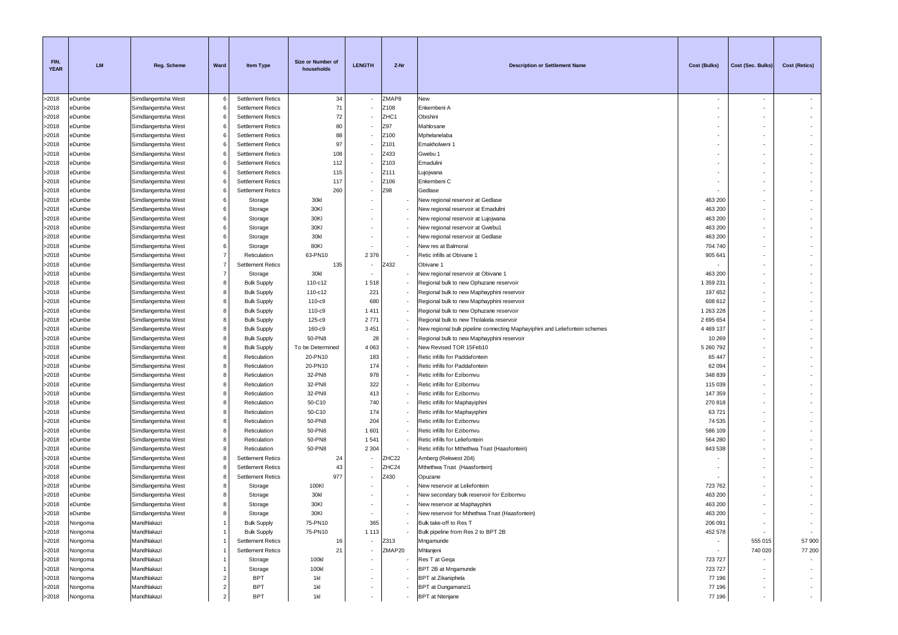| FIN.<br><b>YEAR</b> | <b>LM</b>          | Reg. Scheme                                | Ward           | <b>Item Type</b>                                     | Size or Number of<br>households | <b>LENGTH</b>            | Z-Nr        | <b>Description or Settlement Name</b>                                       | <b>Cost (Bulks)</b> | Cost (Sec. Bulks)        | Cost (Retics) |
|---------------------|--------------------|--------------------------------------------|----------------|------------------------------------------------------|---------------------------------|--------------------------|-------------|-----------------------------------------------------------------------------|---------------------|--------------------------|---------------|
| >2018               | eDumbe             | Simdlangentsha West                        | 6              | <b>Settlement Retics</b>                             | 34                              |                          | ZMAP8       | New                                                                         |                     | $\overline{\phantom{a}}$ |               |
| >2018               | eDumbe             | Simdlangentsha West                        | 6              | <b>Settlement Retics</b>                             | 71                              |                          | Z108        | Enkembeni A                                                                 |                     |                          |               |
| >2018               | eDumbe             | Simdlangentsha West                        |                | <b>Settlement Retics</b>                             | 72                              |                          | ZHC1        | Obishini                                                                    |                     |                          |               |
| >2018               | eDumbe             | Simdlangentsha West                        | 6              | <b>Settlement Retics</b>                             | 80                              |                          | Z97         | Mahlosane                                                                   |                     |                          |               |
| >2018               | eDumbe             | Simdlangentsha West                        | 6              | <b>Settlement Retics</b>                             | 88                              |                          | Z100        | Mphelanelaba                                                                |                     |                          |               |
| >2018               | eDumbe             | Simdlangentsha West                        | 6              | <b>Settlement Retics</b>                             | 97                              |                          | Z101        | Emakholweni 1                                                               |                     |                          |               |
| >2018               | eDumbe             | Simdlangentsha West                        |                | <b>Settlement Retics</b>                             | 108                             |                          | Z433        | Gwebu 1                                                                     |                     |                          |               |
| >2018               | eDumbe             | Simdlangentsha West                        | 6              | <b>Settlement Retics</b>                             | 112                             |                          | Z103        | Emadulini                                                                   |                     |                          |               |
| >2018               | eDumbe             | Simdlangentsha West                        | 6              | <b>Settlement Retics</b>                             | 115                             |                          | Z111        | Lujojwana                                                                   |                     |                          |               |
| >2018<br>>2018      | eDumbe<br>eDumbe   | Simdlangentsha West                        | 6<br>6         | <b>Settlement Retics</b><br><b>Settlement Retics</b> | 117<br>260                      |                          | Z106<br>Z98 | Enkembeni C<br>Gedlase                                                      |                     |                          |               |
| >2018               | eDumbe             | Simdlangentsha West<br>Simdlangentsha West | 6              | Storage                                              | 30kl                            |                          |             | New regional reservoir at Gedlase                                           | 463 200             |                          |               |
| >2018               | eDumbe             | Simdlangentsha West                        | 6              | Storage                                              | 30KI                            |                          |             | New regional reservoir at Emadulini                                         | 463 200             |                          |               |
| >2018               | eDumbe             | Simdlangentsha West                        | 6              | Storage                                              | 30KI                            |                          |             | New regional reservoir at Lujojwana                                         | 463 200             |                          |               |
| >2018               | eDumbe             | Simdlangentsha West                        | 6              | Storage                                              | 30KI                            |                          |             | New regional reservoir at Gwebu1                                            | 463 200             |                          |               |
| >2018               | eDumbe             | Simdlangentsha West                        | 6              | Storage                                              | 30kl                            |                          |             | New regional reservoir at Gedlase                                           | 463 200             |                          |               |
| >2018               | eDumbe             | Simdlangentsha West                        | 6              | Storage                                              | 80KI                            |                          |             | New res at Balmoral                                                         | 704 740             |                          |               |
| >2018               | eDumbe             | Simdlangentsha West                        | $\overline{7}$ | Reticulation                                         | 63-PN10                         | 2 3 7 6                  |             | Retic infills at Obivane 1                                                  | 905 641             |                          |               |
| >2018               | eDumbe             | Simdlangentsha West                        | 7              | <b>Settlement Retics</b>                             | 135                             |                          | Z432        | Obivane 1                                                                   |                     |                          |               |
| >2018               | eDumbe             | Simdlangentsha West                        | $\overline{7}$ | Storage                                              | 30kl                            |                          |             | New regional reservoir at Obivane '                                         | 463 200             |                          |               |
| >2018               | eDumbe             | Simdlangentsha West                        | 8              | <b>Bulk Supply</b>                                   | 110-c12                         | 1518                     |             | Regional bulk to new Ophuzane reservoir                                     | 1 359 231           |                          |               |
| >2018               | eDumbe             | Simdlangentsha West                        | 8              | <b>Bulk Supply</b>                                   | 110-c12                         | 221                      |             | Regional bulk to new Maphayphini reservoir                                  | 197 652             |                          |               |
| >2018               | eDumbe             | Simdlangentsha West                        | 8              | <b>Bulk Supply</b>                                   | 110-c9                          | 680                      |             | Regional bulk to new Maphayphini reservoir                                  | 608 612             |                          |               |
| >2018               | eDumbe             | Simdlangentsha West                        | 8              | <b>Bulk Supply</b>                                   | 110-c9                          | 1411                     |             | Regional bulk to new Ophuzane reservoir                                     | 1 263 228           |                          |               |
| >2018               | eDumbe             | Simdlangentsha West                        | 8              | <b>Bulk Supply</b>                                   | 125-c9                          | 2 7 7 1                  |             | Regional bulk to new Tholakela reservoir                                    | 2 695 654           |                          |               |
| >2018               | eDumbe             | Simdlangentsha West                        | 8              | <b>Bulk Supply</b>                                   | 160-c9                          | 3 4 5 1                  |             | New regional bulk pipeline connecting Maphayiphini and Leliefontein schemes | 4 4 69 1 37         |                          |               |
| >2018               | eDumbe             | Simdlangentsha West                        | 8              | <b>Bulk Supply</b>                                   | 50-PN8                          | 28                       |             | Regional bulk to new Maphayphini reservoir                                  | 10 269              |                          |               |
| >2018               | eDumbe             | Simdlangentsha West                        | 8              | <b>Bulk Supply</b>                                   | To be Determined                | 4 0 6 3                  |             | New Revised TOR 15Feb10                                                     | 5 260 792           |                          |               |
| >2018               | eDumbe             | Simdlangentsha West                        | 8              | Reticulation                                         | 20-PN10                         | 183                      |             | Retic infills for Paddafontein                                              | 65 447              |                          |               |
| >2018               | eDumbe             | Simdlangentsha West                        | 8              | Reticulation                                         | 20-PN10                         | 174                      |             | Retic infills for Paddafontein                                              | 62 094              |                          |               |
| >2018               | eDumbe             | Simdlangentsha West                        | 8<br>8         | Reticulation                                         | 32-PN8                          | 978<br>322               |             | Retic infills for Ezibomvu                                                  | 348 839             |                          |               |
| >2018<br>>2018      | eDumbe<br>eDumbe   | Simdlangentsha West                        | 8              | Reticulation                                         | 32-PN8<br>32-PN8                | 413                      |             | Retic infills for Ezibomvu<br>Retic infills for Ezibomvu                    | 115 039<br>147 359  |                          |               |
| >2018               | eDumbe             | Simdlangentsha West<br>Simdlangentsha West | 8              | Reticulation<br>Reticulation                         | 50-C10                          | 740                      |             | Retic infills for Maphayiphini                                              | 270 818             |                          |               |
| >2018               | eDumbe             | Simdlangentsha West                        | 8              | Reticulation                                         | 50-C10                          | 174                      |             | Retic infills for Maphayiphini                                              | 63721               |                          |               |
| >2018               | eDumbe             | Simdlangentsha West                        | 8              | Reticulation                                         | 50-PN8                          | 204                      |             | Retic infills for Ezibomvu                                                  | 74 535              |                          |               |
| >2018               | eDumbe             | Simdlangentsha West                        | 8              | Reticulation                                         | 50-PN8                          | 1 601                    |             | Retic infills for Ezibomvu                                                  | 586 109             |                          |               |
| >2018               | eDumbe             | Simdlangentsha West                        | 8              | Reticulation                                         | 50-PN8                          | 1 5 4 1                  |             | Retic infills for Leliefontein                                              | 564 280             |                          |               |
| >2018               | eDumbe             | Simdlangentsha West                        | 8              | Reticulation                                         | 50-PN8                          | 2 3 0 4                  |             | Retic infills for Mthethwa Trust (Haasfontein)                              | 843 538             |                          |               |
| >2018               | eDumbe             | Simdlangentsha West                        | 8              | <b>Settlement Retics</b>                             | 24                              |                          | ZHC22       | Amberg (Rekwest 204)                                                        |                     |                          |               |
| >2018               | eDumbe             | Simdlangentsha West                        | 8              | <b>Settlement Retics</b>                             | 43                              |                          | ZHC24       | Mthethwa Trust (Haasfontein)                                                |                     |                          |               |
| >2018               | eDumbe             | Simdlangentsha West                        | 8              | <b>Settlement Retics</b>                             | 977                             |                          | Z430        | Opuzane                                                                     |                     |                          |               |
| >2018               | eDumbe             | Simdlangentsha West                        | 8              | Storage                                              | 100KI                           |                          |             | New reservoir at Leliefontein                                               | 723 762             |                          |               |
| >2018               | eDumbe             | Simdlangentsha West                        | 8              | Storage                                              | 30kl                            |                          |             | New secondary bulk reservoir for Ezibomvu                                   | 463 200             |                          |               |
| >2018               | eDumbe             | Simdlangentsha West                        | 8              | Storage                                              | 30KI                            |                          |             | New reservoir at Maphayphini                                                | 463 200             |                          |               |
| >2018               | eDumbe             | Simdlangentsha West                        |                | Storage                                              | 30KI                            |                          |             | New reservoir for Mthethwa Trust (Haasfontein)                              | 463 200             |                          |               |
| >2018               | Nongoma            | Mandhlakazi                                |                | <b>Bulk Supply</b>                                   | 75-PN10                         | 365                      |             | Bulk take-off to Res T                                                      | 206 091             |                          | $\sim$        |
| >2018               | Nongoma            | Mandhlakazi                                |                | <b>Bulk Supply</b>                                   | 75-PN10                         | 1 1 1 3                  |             | Bulk pipeline from Res 2 to BPT 2B                                          | 452 578             | $\sim$                   | $\sim$        |
| >2018               | Nongoma            | Mandhlakazi                                |                | <b>Settlement Retics</b>                             | 16                              | ٠                        | Z313        | Mngamunde                                                                   | $\sim$              | 555 015                  | 57 900        |
| >2018<br>>2018      | Nongoma<br>Nongoma | Mandhlakazi<br>Mandhlakazi                 |                | <b>Settlement Retics</b><br>Storage                  | 21<br>100kl                     |                          | ZMAP20      | Mhlanjeni<br>Res T at Gega                                                  | 723 727             | 740 020                  | 77 200        |
| >2018               | Nongoma            | Mandhlakazi                                |                | Storage                                              | 100kl                           |                          |             | BPT 2B at Mngamunde                                                         | 723 727             |                          |               |
| >2018               | Nongoma            | Mandhlakazi                                | $\overline{2}$ | <b>BPT</b>                                           | 1kl                             |                          |             | <b>BPT</b> at Zikaniphela                                                   | 77 196              |                          | $\sim$        |
| >2018               | Nongoma            | Mandhlakazi                                | $\overline{2}$ | <b>BPT</b>                                           | 1kl                             |                          |             | BPT at Dungamanzi1                                                          | 77 196              | $\sim$                   | $\sim$        |
| >2018               | Nongoma            | Mandhlakazi                                | $\overline{2}$ | <b>BPT</b>                                           | 1kl                             | $\overline{\phantom{a}}$ |             | <b>BPT</b> at Ntenjane                                                      | 77 196              | $\sim$                   | $\sim$        |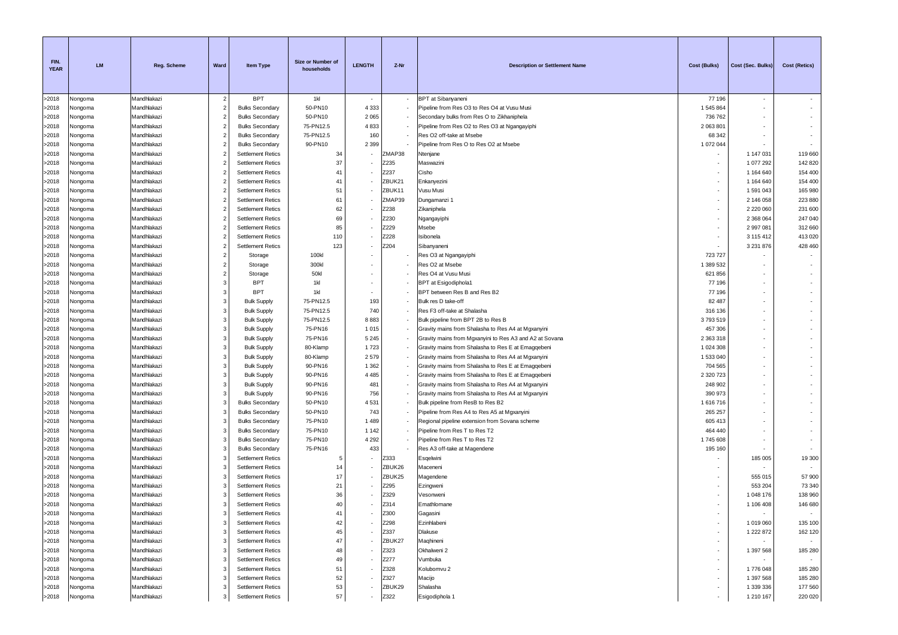| FIN.<br><b>YEAR</b> | <b>LM</b>          | <b>Reg. Scheme</b>         | Ward                             | <b>Item Type</b>                                     | Size or Number of<br>households | <b>LENGTH</b>            | Z-Nr         | <b>Description or Settlement Name</b>                   | Cost (Bulks)  | Cost (Sec. Bulks)      | <b>Cost (Retics)</b> |
|---------------------|--------------------|----------------------------|----------------------------------|------------------------------------------------------|---------------------------------|--------------------------|--------------|---------------------------------------------------------|---------------|------------------------|----------------------|
| >2018               | Nongoma            | Mandhlakazi                | $\overline{2}$                   | <b>BPT</b>                                           | 1kl                             | $\sim$                   |              | <b>BPT</b> at Sibanyaneni                               | 77 196        | $\sim$                 |                      |
| >2018               | Nongoma            | Mandhlakazi                | $\overline{2}$                   | <b>Bulks Secondary</b>                               | 50-PN10                         | 4 3 3 3                  |              | Pipeline from Res O3 to Res O4 at Vusu Musi             | 1545864       | $\sim$                 |                      |
| >2018               | Nongoma            | Mandhlakazi                | $\overline{2}$                   | <b>Bulks Secondary</b>                               | 50-PN10                         | 2 0 6 5                  |              | Secondary bulks from Res O to Zikhaniphela              | 736 762       |                        |                      |
| >2018               | Nongoma            | Mandhlakazi                | $\overline{2}$                   | <b>Bulks Secondary</b>                               | 75-PN12.5                       | 4833                     |              | Pipeline from Res O2 to Res O3 at Ngangayiphi           | 2 063 801     |                        |                      |
| >2018               | Nongoma            | Mandhlakazi                | $\overline{2}$                   | <b>Bulks Secondary</b>                               | 75-PN12.5                       | 160                      |              | Res O2 off-take at Msebe                                | 68 342        |                        |                      |
| >2018               | Nongoma            | Mandhlakazi                | $\overline{2}$                   | <b>Bulks Secondary</b>                               | 90-PN10                         | 2 3 9 9                  |              | Pipeline from Res O to Res O2 at Msebe                  | 1 072 044     |                        |                      |
| >2018               | Nongoma            | Mandhlakazi                | $\overline{2}$                   | <b>Settlement Retics</b>                             | 34                              |                          | ZMAP38       | Ntenjane                                                |               | 1 147 031              | 119 660              |
| >2018               | Nongoma            | Mandhlakazi                | $\overline{2}$                   | <b>Settlement Retics</b>                             | 37                              |                          | Z235         | Maswazini                                               |               | 1 077 292              | 142 820              |
| >2018               | Vongoma            | Mandhlakazi                | $\overline{2}$                   | <b>Settlement Retics</b>                             | 41                              |                          | Z237         | Cisho                                                   |               | 1 164 640              | 154 400              |
| >2018               | Nongoma            | Mandhlakazi                | 2                                | <b>Settlement Retics</b>                             | 41                              |                          | ZBUK21       | Enkanyezini                                             |               | 1 164 640              | 154 400              |
| >2018               | Nongoma            | Mandhlakazi                | $\overline{2}$                   | <b>Settlement Retics</b>                             | 51                              |                          | ZBUK11       | Vusu Musi                                               |               | 1591043                | 165 980              |
| >2018               | Nongoma            | Mandhlakazi                | $\overline{2}$                   | <b>Settlement Retics</b>                             | 61                              |                          | ZMAP39       | Dungamanzi 1                                            |               | 2 146 058              | 223 880              |
| >2018               | Nongoma            | Mandhlakazi                | $\overline{2}$                   | <b>Settlement Retics</b>                             | 62                              |                          | Z238         | Zikaniphela                                             |               | 2 2 2 0 6 0            | 231 600              |
| >2018<br>>2018      | Nongoma            | Mandhlakazi                | $\overline{2}$<br>$\overline{2}$ | <b>Settlement Retics</b>                             | 69<br>85                        |                          | Z230<br>Z229 | Ngangayiphi                                             |               | 2 368 064              | 247 040<br>312 660   |
|                     | Nongoma            | Mandhlakazi<br>Mandhlakazi | $\overline{2}$                   | <b>Settlement Retics</b><br><b>Settlement Retics</b> | 110                             |                          | Z228         | Msebe<br>Isibonela                                      |               | 2 997 081<br>3 115 412 | 413 020              |
| >2018<br>>2018      | Nongoma<br>Vongoma | Mandhlakazi                | $\overline{2}$                   | <b>Settlement Retics</b>                             | 123                             |                          | Z204         | Sibanyaneni                                             |               | 3 2 3 1 8 7 6          | 428 460              |
| >2018               | Nongoma            | Mandhlakazi                | $\overline{2}$                   | Storage                                              | 100kl                           |                          |              | Res O3 at Ngangayiphi                                   | 723 727       |                        |                      |
| >2018               | Nongoma            | Mandhlakazi                | $\overline{2}$                   | Storage                                              | 300kl                           |                          |              | Res O2 at Msebe                                         | 1 389 532     |                        |                      |
| >2018               | Nongoma            | Mandhlakazi                | $\overline{2}$                   | Storage                                              | 50 <sub>kl</sub>                |                          |              | Res O4 at Vusu Musi                                     | 621 856       |                        |                      |
| >2018               | Nongoma            | Mandhlakazi                | 3                                | <b>BPT</b>                                           | 1kl                             |                          |              | <b>BPT</b> at Esigodiphola1                             | 77 196        |                        |                      |
| >2018               | Nongoma            | Mandhlakazi                | 3                                | <b>BPT</b>                                           | 1kl                             |                          |              | BPT between Res B and Res B2                            | 77 196        |                        |                      |
| >2018               | Vongoma            | Mandhlakazi                | 3                                | <b>Bulk Supply</b>                                   | 75-PN12.5                       | 193                      |              | Bulk res D take-off                                     | 82 487        |                        |                      |
| >2018               | Nongoma            | Mandhlakazi                | 3                                | <b>Bulk Supply</b>                                   | 75-PN12.5                       | 740                      |              | Res F3 off-take at Shalasha                             | 316 136       |                        |                      |
| >2018               | Nongoma            | Mandhlakazi                | 3                                | <b>Bulk Supply</b>                                   | 75-PN12.5                       | 8883                     |              | Bulk pipeline from BPT 2B to Res B                      | 3793519       |                        |                      |
| >2018               | Nongoma            | Mandhlakazi                | 3                                | <b>Bulk Supply</b>                                   | 75-PN16                         | 1015                     |              | Gravity mains from Shalasha to Res A4 at Mgxanyini      | 457 306       |                        |                      |
| >2018               | Nongoma            | Mandhlakazi                | 3                                | <b>Bulk Supply</b>                                   | 75-PN16                         | 5 2 4 5                  |              | Gravity mains from Mgxanyini to Res A3 and A2 at Sovana | 2 363 318     |                        |                      |
| >2018               | Nongoma            | Mandhlakazi                | 3                                | <b>Bulk Supply</b>                                   | 80-Klamp                        | 1723                     |              | Gravity mains from Shalasha to Res E at Emaggebeni      | 1 0 24 3 08   |                        |                      |
| >2018               | Nongoma            | Mandhlakazi                | 3                                | <b>Bulk Supply</b>                                   | 80-Klamp                        | 2579                     |              | Gravity mains from Shalasha to Res A4 at Mgxanyini      | 1 533 040     |                        |                      |
| >2018               | Nongoma            | Mandhlakazi                | 3                                | <b>Bulk Supply</b>                                   | 90-PN16                         | 1 3 6 2                  |              | Gravity mains from Shalasha to Res E at Emagqebeni      | 704 565       |                        |                      |
| >2018               | Vongoma            | Mandhlakazi                | 3                                | <b>Bulk Supply</b>                                   | 90-PN16                         | 4 4 8 5                  |              | Gravity mains from Shalasha to Res E at Emagqebeni      | 2 3 2 0 7 2 3 |                        |                      |
| >2018               | Nongoma            | Mandhlakazi                | 3                                | <b>Bulk Supply</b>                                   | 90-PN16                         | 481                      |              | Gravity mains from Shalasha to Res A4 at Mgxanyini      | 248 902       |                        |                      |
| >2018               | Nongoma            | Mandhlakazi                | 3                                | <b>Bulk Supply</b>                                   | 90-PN16                         | 756                      |              | Gravity mains from Shalasha to Res A4 at Mgxanyini      | 390 973       |                        |                      |
| >2018               | Vongoma            | Mandhlakazi                | 3                                | <b>Bulks Secondary</b>                               | 50-PN10                         | 4531                     |              | Bulk pipeline from ResB to Res B2                       | 1616716       |                        |                      |
| >2018               | Nongoma            | Mandhlakazi                | 3                                | <b>Bulks Secondary</b>                               | 50-PN10                         | 743                      |              | Pipeline from Res A4 to Res A5 at Mgxanyini             | 265 257       |                        |                      |
| >2018               | Nongoma            | Mandhlakazi                | 3                                | <b>Bulks Secondary</b>                               | 75-PN10                         | 1 4 8 9                  |              | Regional pipeline extension from Sovana scheme          | 605 413       |                        |                      |
| >2018               | Nongoma            | Mandhlakazi                | 3                                | <b>Bulks Secondary</b>                               | 75-PN10                         | 1 1 4 2                  |              | Pipeline from Res T to Res T2                           | 464 440       |                        |                      |
| >2018               | Nongoma            | Mandhlakazi                | 3                                | <b>Bulks Secondary</b>                               | 75-PN10                         | 4 2 9 2                  |              | Pipeline from Res T to Res T2                           | 1745608       |                        |                      |
| >2018               | Vongoma            | Mandhlakazi                | 3                                | <b>Bulks Secondary</b>                               | 75-PN16                         | 433                      |              | Res A3 off-take at Magendene                            | 195 160       |                        |                      |
| >2018               | Nongoma            | Mandhlakazi                | 3                                | <b>Settlement Retics</b>                             | -5                              |                          | Z333         | Esqelwini                                               |               | 185 005                | 19 300               |
| >2018               | Vongoma            | Mandhlakazi                | 3                                | <b>Settlement Retics</b>                             | 14                              |                          | ZBUK26       | Maceneni                                                |               |                        |                      |
| >2018               | Nongoma            | Mandhlakazi                | 3                                | <b>Settlement Retics</b>                             | 17                              |                          | ZBUK25       | Magendene                                               |               | 555 015                | 57 900               |
| >2018               | Nongoma            | Mandhlakazi                | 3                                | <b>Settlement Retics</b>                             | 21                              |                          | Z295         | Ezingweni                                               |               | 553 204                | 73 340               |
| >2018               | Nongoma            | Mandhlakazi                | 3                                | <b>Settlement Retics</b>                             | 36                              |                          | Z329         | Vesonweni                                               |               | 1 048 176              | 138 960              |
| >2018               | Nongoma            | Mandhlakazi                | 3                                | <b>Settlement Retics</b>                             | 40                              |                          | Z314         | Emathlomane                                             |               | 1 106 408              | 146 680              |
| >2018               | Nongoma            | Mandhlakazi                | 3                                | Settlement Retics                                    | 41                              |                          | Z300         | Gagasini                                                |               |                        |                      |
| >2018               | Nongoma            | Mandhlakazi                | 3                                | <b>Settlement Retics</b>                             | 42                              |                          | Z298         | Ezinhlabeni                                             |               | 1 019 060              | 135 100              |
| >2018               | Nongoma            | Mandhlakazi                | 3                                | <b>Settlement Retics</b>                             | 45                              | $\overline{\phantom{a}}$ | Z337         | Dlakuse                                                 | ٠             | 1 222 872              | 162 120              |
| >2018               | Nongoma            | Mandhlakazi                | 3                                | <b>Settlement Retics</b>                             | 47                              |                          | ZBUK27       | Maqhineni                                               |               | $\sim$                 |                      |
| >2018               | Nongoma            | Mandhlakazi                | 3                                | <b>Settlement Retics</b>                             | 48                              |                          | Z323         | Okhalweni 2                                             |               | 1 397 568              | 185 280              |
| >2018               | Nongoma            | Mandhlakazi                | 3                                | <b>Settlement Retics</b>                             | 49                              |                          | Z277         | Vumbuka                                                 |               | $\sim$                 |                      |
| >2018               | Nongoma            | Mandhlakazi<br>Mandhlakazi | 3<br>3                           | <b>Settlement Retics</b>                             | 51                              |                          | Z328<br>Z327 | Kolubomvu 2                                             | ٠             | 1776 048               | 185 280              |
| >2018<br>>2018      | Nongoma            | Mandhlakazi                | 3                                | <b>Settlement Retics</b><br><b>Settlement Retics</b> | 52<br>53                        |                          | ZBUK29       | Macijo<br>Shalasha                                      | ٠.            | 1 397 568<br>1 339 336 | 185 280<br>177 560   |
| >2018               | Nongoma<br>Nongoma | Mandhlakazi                |                                  | <b>Settlement Retics</b>                             | 57                              | $\sim$                   | Z322         | Esigodiphola 1                                          |               | 1 210 167              | 220 020              |
|                     |                    |                            |                                  |                                                      |                                 |                          |              |                                                         |               |                        |                      |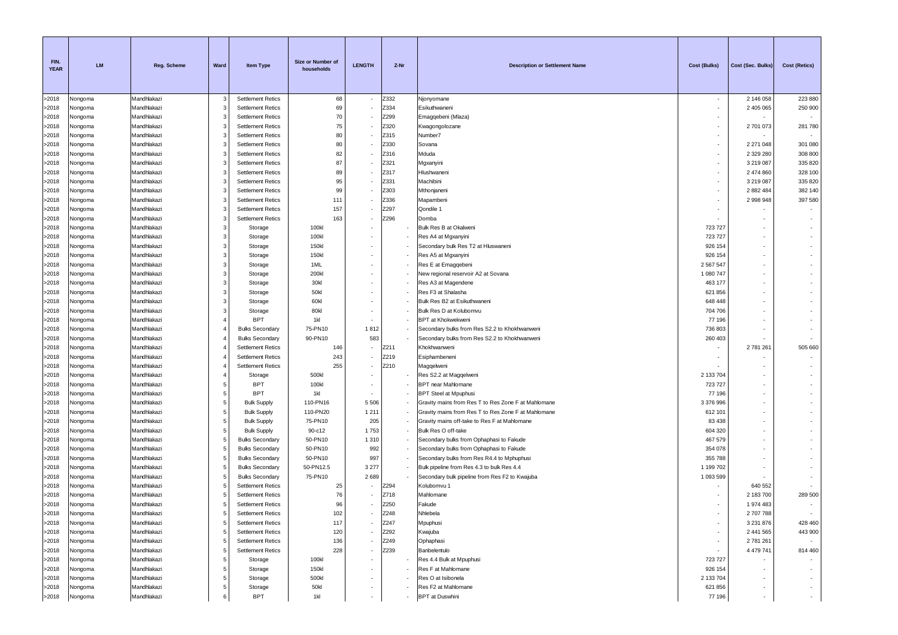| FIN.<br><b>YEAR</b> | <b>LM</b>          | Reg. Scheme                | Ward           | <b>Item Type</b>                                     | Size or Number of<br>households | <b>LENGTH</b>            | Z-Nr         | <b>Description or Settlement Name</b>                                                          | Cost (Bulks)         | Cost (Sec. Bulks)        | Cost (Retics)            |
|---------------------|--------------------|----------------------------|----------------|------------------------------------------------------|---------------------------------|--------------------------|--------------|------------------------------------------------------------------------------------------------|----------------------|--------------------------|--------------------------|
| >2018               | Nongoma            | Mandhlakazi                | 3              | <b>Settlement Retics</b>                             | 68                              | $\sim$                   | Z332         | Njonyomane                                                                                     | $\sim$               | 2 146 058                | 223 880                  |
| >2018               | Nongoma            | Mandhlakazi                | 3              | <b>Settlement Retics</b>                             | 69                              |                          | Z334         | Esikuthwaneni                                                                                  |                      | 2 405 065                | 250 900                  |
| >2018               | Nongoma            | Mandhlakazi                | 3              | <b>Settlement Retics</b>                             | 70                              |                          | Z299         | Emagqebeni (Mlaza)                                                                             |                      |                          | $\sim$                   |
| >2018               | Nongoma            | Mandhlakazi                | 3              | <b>Settlement Retics</b>                             | 75                              |                          | Z320         | Kwagongolozane                                                                                 |                      | 2701073                  | 281 780                  |
| >2018               | Nongoma            | Mandhlakazi                | 3              | <b>Settlement Retics</b>                             | 80                              |                          | Z315         | Number7                                                                                        |                      |                          |                          |
| >2018               | Nongoma            | Mandhlakazi                | 3              | <b>Settlement Retics</b>                             | 80                              |                          | Z330         | Sovana                                                                                         |                      | 2 271 048                | 301 080                  |
| >2018               | Nongoma            | Mandhlakazi                | 3              | <b>Settlement Retics</b>                             | 82                              |                          | Z316         | Mduda                                                                                          | ٠                    | 2 3 2 2 2 8 0            | 308 800                  |
| >2018<br>>2018      | Nongoma            | Mandhlakazi<br>Mandhlakazi | 3<br>3         | <b>Settlement Retics</b><br><b>Settlement Retics</b> | 87<br>89                        |                          | Z321<br>Z317 | Mgxanyini<br>Hlushwaneni                                                                       | ٠                    | 3 219 087<br>2 474 860   | 335 820<br>328 100       |
| >2018               | Vongoma<br>Nongoma | Mandhlakazi                | 3              | <b>Settlement Retics</b>                             | 95                              |                          | Z331         | Machibini                                                                                      |                      | 3 219 087                | 335 820                  |
| >2018               | Nongoma            | Mandhlakazi                | 3              | <b>Settlement Retics</b>                             | 99                              |                          | Z303         | Mthonjaneni                                                                                    |                      | 2 882 484                | 382 140                  |
| >2018               | Nongoma            | Mandhlakazi                | 3              | <b>Settlement Retics</b>                             | 111                             |                          | Z336         | Mapambeni                                                                                      |                      | 2 998 948                | 397 580                  |
| >2018               | Nongoma            | Mandhlakazi                | 3              | <b>Settlement Retics</b>                             | 157                             |                          | Z297         | Qondile 1                                                                                      |                      |                          |                          |
| >2018               | Nongoma            | Mandhlakazi                | 3              | <b>Settlement Retics</b>                             | 163                             |                          | Z296         | Domba                                                                                          |                      |                          |                          |
| >2018               | Nongoma            | Mandhlakazi                | 3              | Storage                                              | 100kl                           |                          |              | Bulk Res B at Okalweni                                                                         | 723 727              |                          |                          |
| >2018               | Nongoma            | Mandhlakazi                | 3              | Storage                                              | 100kl                           |                          |              | Res A4 at Mgxanyini                                                                            | 723 727              |                          |                          |
| >2018               | Vongoma            | Mandhlakazi                | 3              | Storage                                              | 150kl                           |                          |              | Secondary bulk Res T2 at Hluswaneni                                                            | 926 154              |                          |                          |
| >2018               | Nongoma            | Mandhlakazi                | 3              | Storage                                              | 150kl                           |                          |              | Res A5 at Mgxanyini                                                                            | 926 154              |                          |                          |
| >2018               | Nongoma            | Mandhlakazi                | 3              | Storage                                              | 1ML                             |                          |              | Res E at Emagqebeni                                                                            | 2 567 547            |                          |                          |
| >2018               | Nongoma            | Mandhlakazi                | 3              | Storage                                              | 200kl                           |                          |              | New regional reservoir A2 at Sovana                                                            | 1 080 747            |                          |                          |
| >2018               | Nongoma            | Mandhlakazi                | 3              | Storage                                              | 30kl                            |                          |              | Res A3 at Magendene                                                                            | 463 177              |                          |                          |
| >2018               | Nongoma            | Mandhlakazi                | 3              | Storage                                              | 50kl                            |                          |              | Res F3 at Shalasha                                                                             | 621 856              |                          |                          |
| >2018               | Vongoma            | Mandhlakazi                | 3              | Storage                                              | 60kl                            |                          |              | Bulk Res B2 at Esikuthwaneni                                                                   | 648 448              |                          |                          |
| >2018               | Nongoma            | Mandhlakazi                | 3              | Storage                                              | 80kl                            |                          |              | Bulk Res D at Kolubomvu                                                                        | 704 706              |                          |                          |
| >2018               | Nongoma            | Mandhlakazi                | $\overline{4}$ | <b>BPT</b>                                           | 1kl                             |                          |              | <b>BPT</b> at Khokwekweni                                                                      | 77 196               |                          |                          |
| >2018<br>>2018      | Nongoma<br>Nongoma | Mandhlakazi<br>Mandhlakazi |                | <b>Bulks Secondary</b><br><b>Bulks Secondary</b>     | 75-PN10<br>90-PN10              | 1812<br>583              |              | Secondary bulks from Res S2.2 to Khokhwanweni<br>Secondary bulks from Res S2.2 to Khokhwanweni | 736 803<br>260 403   |                          |                          |
| >2018               | Nongoma            | Mandhlakazi                |                | <b>Settlement Retics</b>                             | 146                             | ٠                        | Z211         | Khokhwanweni                                                                                   |                      | 2781261                  | 505 660                  |
| >2018               | Nongoma            | Mandhlakazi                |                | <b>Settlement Retics</b>                             | 243                             |                          | Z219         | Esiphambeneni                                                                                  |                      | $\sim$                   |                          |
| >2018               | Nongoma            | Mandhlakazi                |                | <b>Settlement Retics</b>                             | 255                             | $\overline{\phantom{a}}$ | Z210         | Magqelweni                                                                                     |                      |                          |                          |
| >2018               | Nongoma            | Mandhlakazi                |                | Storage                                              | 500kl                           |                          |              | Res S2.2 at Maggelweni                                                                         | 2 133 704            |                          |                          |
| >2018               | Nongoma            | Mandhlakazi                | 5              | <b>BPT</b>                                           | 100kl                           |                          |              | BPT near Mahlomane                                                                             | 723 727              |                          |                          |
| >2018               | Nongoma            | Mandhlakazi                | 5              | <b>BPT</b>                                           | 1kl                             |                          |              | <b>BPT Steel at Mpuphusi</b>                                                                   | 77 196               |                          |                          |
| >2018               | Vongoma            | Mandhlakazi                | 5              | <b>Bulk Supply</b>                                   | 110-PN16                        | 5 5 0 6                  |              | Gravity mains from Res T to Res Zone F at Mahlomane                                            | 3 376 996            |                          |                          |
| >2018               | Nongoma            | Mandhlakazi                | 5              | <b>Bulk Supply</b>                                   | 110-PN20                        | 1 2 1 1                  |              | Gravity mains from Res T to Res Zone F at Mahlomane                                            | 612 101              |                          |                          |
| >2018               | Nongoma            | Mandhlakazi                | 5              | <b>Bulk Supply</b>                                   | 75-PN10                         | 205                      |              | Gravity mains off-take to Res F at Mahlomane                                                   | 83 4 38              |                          |                          |
| >2018               | Nongoma            | Mandhlakazi                | 5              | <b>Bulk Supply</b>                                   | 90-c12                          | 1753                     |              | Bulk Res O off-take                                                                            | 604 320              |                          |                          |
| >2018               | Nongoma            | Mandhlakazi                | 5              | <b>Bulks Secondary</b>                               | 50-PN10                         | 1 3 1 0                  |              | Secondary bulks from Ophaphasi to Fakude                                                       | 467 579              |                          |                          |
| >2018               | Nongoma            | Mandhlakazi                | 5              | <b>Bulks Secondary</b>                               | 50-PN10                         | 992                      |              | Secondary bulks from Ophaphasi to Fakude                                                       | 354 078              |                          |                          |
| >2018<br>>2018      | Nongoma            | Mandhlakazi<br>Mandhlakazi | 5<br>5         | <b>Bulks Secondary</b><br><b>Bulks Secondary</b>     | 50-PN10<br>50-PN12.5            | 997<br>3 2 7 7           |              | Secondary bulks from Res R4.4 to Mphuphusi<br>Bulk pipeline from Res 4.3 to bulk Res 4.4       | 355 788<br>1 199 702 |                          |                          |
| >2018               | Nongoma<br>Nongoma | Mandhlakazi                | 5              | <b>Bulks Secondary</b>                               | 75-PN10                         | 2689                     |              | Secondary bulk pipeline from Res F2 to Kwajuba                                                 | 1 093 599            |                          |                          |
| >2018               | Nongoma            | Mandhlakazi                | 5              | <b>Settlement Retics</b>                             | 25                              |                          | Z294         | Kolubomvu 1                                                                                    |                      | 640 552                  |                          |
| >2018               | Nongoma            | Mandhlakazi                |                | <b>Settlement Retics</b>                             | 76                              |                          | Z718         | Mahlomane                                                                                      |                      | 2 183 700                | 289 500                  |
| >2018               | Nongoma            | Mandhlakazi                | 5              | <b>Settlement Retics</b>                             | 96                              |                          | Z250         | Fakude                                                                                         |                      | 1 974 483                | $\sim$                   |
| >2018               | Nongoma            | Mandhlakazi                | 5              | Settlement Retics                                    | 102                             |                          | Z248         | Nhlebela                                                                                       |                      | 2707788                  |                          |
| >2018               | Nongoma            | Mandhlakazi                | 5              | <b>Settlement Retics</b>                             | 117                             |                          | Z247         | Mpuphusi                                                                                       |                      | 3 2 3 1 8 7 6            | 428 460                  |
| >2018               | Nongoma            | Mandhlakazi                | 5              | <b>Settlement Retics</b>                             | 120                             | ٠                        | Z292         | Kwajuba                                                                                        | ٠                    | 2 441 565                | 443 900                  |
| >2018               | Nongoma            | Mandhlakazi                | 5              | <b>Settlement Retics</b>                             | 136                             |                          | Z249         | Ophaphasi                                                                                      | ٠                    | 2 781 261                |                          |
| >2018               | Nongoma            | Mandhlakazi                | 5              | <b>Settlement Retics</b>                             | 228                             |                          | Z239         | Banbelentulo                                                                                   | $\sim$               | 4 479 741                | 814 460                  |
| >2018               | Nongoma            | Mandhlakazi                | 5              | Storage                                              | 100kl                           |                          |              | Res 4.4 Bulk at Mpuphusi                                                                       | 723 727              |                          |                          |
| >2018               | Nongoma            | Mandhlakazi                | 5              | Storage                                              | 150kl                           |                          |              | Res F at Mahlomane                                                                             | 926 154              |                          | $\overline{\phantom{a}}$ |
| >2018               | Nongoma            | Mandhlakazi                | 5              | Storage                                              | 500kl                           |                          |              | Res O at Isibonela                                                                             | 2 133 704            |                          | $\overline{\phantom{a}}$ |
| >2018               | Nongoma            | Mandhlakazi                | 5              | Storage                                              | <b>50kl</b>                     |                          |              | Res F2 at Mahlomane                                                                            | 621 856              | $\overline{\phantom{a}}$ | $\sim$                   |
| >2018               | Nongoma            | Mandhlakazi                |                | <b>BPT</b>                                           | 1kl                             | $\overline{\phantom{a}}$ |              | <b>BPT</b> at Duswhini                                                                         | 77 196               | $\sim$                   | $\sim$                   |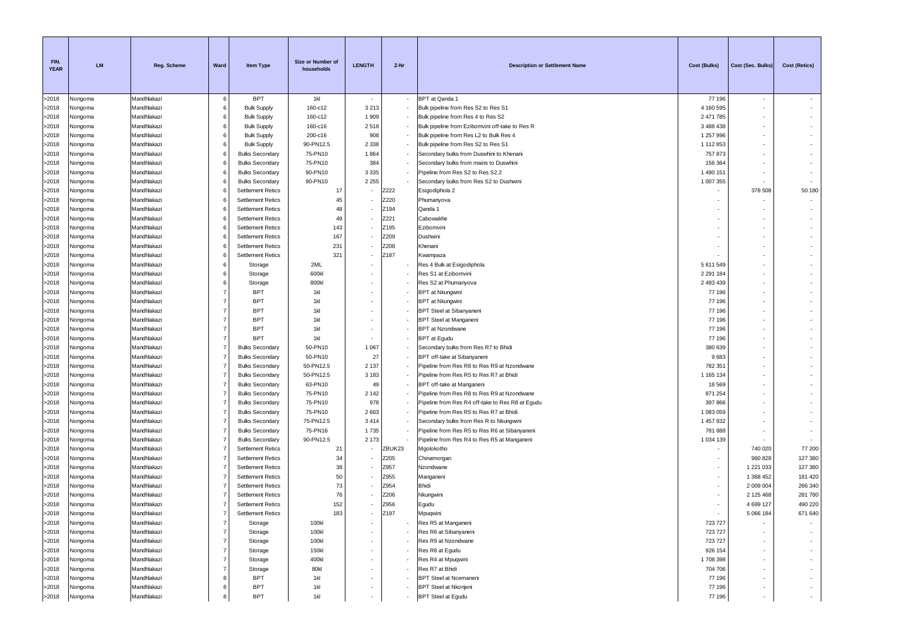| FIN.<br><b>YEAR</b> | <b>LM</b>          | <b>Reg. Scheme</b>         | Ward           | <b>Item Type</b>         | Size or Number of<br>households | <b>LENGTH</b>            | Z-Nr   | <b>Description or Settlement Name</b>            | Cost (Bulks)               | Cost (Sec. Bulks)        | <b>Cost (Retics)</b>     |
|---------------------|--------------------|----------------------------|----------------|--------------------------|---------------------------------|--------------------------|--------|--------------------------------------------------|----------------------------|--------------------------|--------------------------|
| >2018               | Nongoma            | Mandhlakazi                | 6              | <b>BPT</b>               | 1kl                             |                          |        | BPT at Qanda 1                                   | 77 196                     | $\sim$                   |                          |
| >2018               | Nongoma            | Mandhlakazi                | 6              | <b>Bulk Supply</b>       | 160-c12                         | 3 2 1 3                  |        | Bulk pipeline from Res S2 to Res S1              | 4 160 595                  | $\sim$                   | $\sim$                   |
| >2018               | Nongoma            | Mandhlakazi                | 6              | <b>Bulk Supply</b>       | 160-c12                         | 1 9 0 9                  |        | Bulk pipeline from Res 4 to Res S2               | 2 471 785                  |                          | $\overline{\phantom{a}}$ |
| >2018               | Nongoma            | Mandhlakazi                | 6              | <b>Bulk Supply</b>       | 160-c16                         | 2518                     |        | Bulk pipeline from Ezibomvini off-take to Res R  | 3 488 438                  |                          | $\sim$                   |
| >2018               | Nongoma            | Mandhlakazi                | 6              | <b>Bulk Supply</b>       | 200-c16                         | 908                      |        | Bulk pipeline from Res L2 to Bulk Res 4          | 1 257 996                  |                          | ٠                        |
| >2018               | Nongoma            | Mandhlakazi                | 6              | <b>Bulk Supply</b>       | 90-PN12.5                       | 2 3 3 8                  |        | Bulk pipeline from Res S2 to Res S1              | 1 112 853                  | ٠                        | ٠                        |
| >2018               | Nongoma            | Mandhlakazi                | 6              | <b>Bulks Secondary</b>   | 75-PN10                         | 1864                     |        | Secondary bulks from Duswhini to Khenani         | 757873                     | $\sim$                   | $\overline{\phantom{a}}$ |
| >2018               | Nongoma            | Mandhlakazi                | 6              | <b>Bulks Secondary</b>   | 75-PN10                         | 384                      |        | Secondary bulks from mains to Duswhini           | 156 364                    |                          |                          |
| >2018               | Vongoma            | Mandhlakazi                | 6              | <b>Bulks Secondary</b>   | 90-PN10                         | 3 3 3 5                  |        | Pipeline from Res S2 to Res S2.2                 | 1 490 151                  |                          |                          |
| >2018               | Nongoma            | Mandhlakazi                | 6              | <b>Bulks Secondary</b>   | 90-PN10                         | 2 2 5 5                  |        | Secondary bulks from Res S2 to Dushwini          | 1 007 355                  |                          |                          |
| >2018               | Nongoma            | Mandhlakazi                | 6              | <b>Settlement Retics</b> | 17                              |                          | Z222   | Esigodiphola 2                                   |                            | 378 508                  | 50 180                   |
| >2018               | Nongoma            | Mandhlakazi                | -6             | <b>Settlement Retics</b> | 45                              |                          | Z220   | Phumanyova                                       |                            | ۰                        | $\sim$                   |
| >2018               | Nongoma            | Mandhlakazi                |                | <b>Settlement Retics</b> | 48                              |                          | Z194   | Qanda 1                                          |                            |                          | $\sim$                   |
| >2018               | Vongoma            | Mandhlakazi                |                | <b>Settlement Retics</b> | 49                              |                          | Z221   | Cabowakhe                                        |                            |                          | $\sim$                   |
| >2018               | Nongoma            | Mandhlakazi                | 6              | <b>Settlement Retics</b> | 143                             |                          | Z195   | Ezibomvini                                       |                            |                          | $\sim$                   |
| >2018               | Nongoma            | Mandhlakazi                | 6              | <b>Settlement Retics</b> | 167                             |                          | Z209   | Dushwini                                         |                            |                          |                          |
| >2018               | Nongoma            | Mandhlakazi                | 6              | <b>Settlement Retics</b> | 231                             |                          | Z208   | Khenani                                          |                            |                          |                          |
| >2018               | Nongoma            | Mandhlakazi                | 6              | <b>Settlement Retics</b> | 321                             |                          | Z187   | Kwampaza                                         |                            |                          | $\overline{\phantom{a}}$ |
| >2018               | Nongoma            | Mandhlakazi<br>Mandhlakazi | 6<br>6         | Storage                  | 2ML<br>600kl                    |                          |        | Res 4 Bulk at Esigodiphola                       | 5 611 549<br>2 2 9 1 1 8 4 | ٠                        | $\sim$                   |
| >2018<br>>2018      | Nongoma            | Mandhlakazi                | 6              | Storage                  | 800kl                           |                          |        | Res S1 at Ezibomvini<br>Res S2 at Phumanyova     | 2 493 439                  |                          | ٠                        |
|                     | Nongoma            | Mandhlakazi                | $\overline{7}$ | Storage<br><b>BPT</b>    | 1kl                             |                          |        |                                                  | 77 196                     |                          |                          |
| >2018<br>>2018      | Nongoma            | Mandhlakazi                | $\overline{7}$ | <b>BPT</b>               | 1kl                             |                          |        | <b>BPT</b> at Nkungwini<br>BPT at Nkungwini      | 77 196                     | ٠                        | ٠                        |
| >2018               | Nongoma            | Mandhlakazi                | $\overline{7}$ | <b>BPT</b>               | 1kl                             |                          |        | <b>BPT Steel at Sibanyaneni</b>                  | 77 196                     | $\sim$                   | ٠                        |
| >2018               | Nongoma<br>Nongoma | Mandhlakazi                | $\overline{7}$ | <b>BPT</b>               | 1kl                             |                          |        | <b>BPT Steel at Manganeni</b>                    | 77 196                     | $\sim$                   |                          |
| >2018               | Nongoma            | Mandhlakazi                | $\overline{7}$ | <b>BPT</b>               | 1kl                             |                          |        | <b>BPT</b> at Nzondwane                          | 77 196                     |                          |                          |
| >2018               | Nongoma            | Mandhlakazi                | $\overline{7}$ | <b>BPT</b>               | 1kl                             |                          |        | BPT at Egudu                                     | 77 196                     | $\mathbf{r}$             |                          |
| >2018               | Nongoma            | Mandhlakazi                | 7              | <b>Bulks Secondary</b>   | 50-PN10                         | 1 0 6 7                  |        | Secondary bulks from Res R7 to Bhidi             | 380 639                    |                          |                          |
| >2018               | Nongoma            | Mandhlakazi                | $\overline{7}$ | <b>Bulks Secondary</b>   | 50-PN10                         | 27                       |        | BPT off-take at Sibanyaneni                      | 9683                       | ٠                        | ٠                        |
| >2018               | Nongoma            | Mandhlakazi                | $\overline{7}$ | <b>Bulks Secondary</b>   | 50-PN12.5                       | 2 1 3 7                  |        | Pipeline from Res R8 to Res R9 at Nzondwane      | 782 351                    |                          | ٠                        |
| >2018               | Nongoma            | Mandhlakazi                | $\overline{7}$ | <b>Bulks Secondary</b>   | 50-PN12.5                       | 3 1 8 3                  |        | Pipeline from Res R5 to Res R7 at Bhidi          | 1 165 134                  |                          | ٠                        |
| >2018               | Nongoma            | Mandhlakazi                | $\overline{7}$ | <b>Bulks Secondary</b>   | 63-PN10                         | 49                       |        | BPT off-take at Manganeni                        | 18 5 69                    | $\sim$                   | $\sim$                   |
| >2018               | Nongoma            | Mandhlakazi                | $\overline{7}$ | <b>Bulks Secondary</b>   | 75-PN10                         | 2 1 4 2                  |        | Pipeline from Res R8 to Res R9 at Nzondwane      | 871 254                    |                          |                          |
| >2018               | Vongoma            | Mandhlakazi                | $\overline{7}$ | <b>Bulks Secondary</b>   | 75-PN10                         | 978                      |        | Pipeline from Res R4 off-take to Res R8 at Egudu | 397 866                    |                          |                          |
| >2018               | Nongoma            | Mandhlakazi                | $\overline{7}$ | <b>Bulks Secondary</b>   | 75-PN10                         | 2663                     |        | Pipeline from Res R5 to Res R7 at Bhidi          | 1 083 059                  |                          | ÷.                       |
| >2018               | Nongoma            | Mandhlakazi                | $\overline{7}$ | <b>Bulks Secondary</b>   | 75-PN12.5                       | 3414                     |        | Secondary bulks from Res R to Nkungwini          | 1 457 832                  |                          | $\overline{\phantom{a}}$ |
| >2018               | Nongoma            | Mandhlakazi                | $\overline{7}$ | <b>Bulks Secondary</b>   | 75-PN16                         | 1735                     |        | Pipeline from Res R5 to Res R6 at Sibanyaneni    | 781888                     |                          | $\sim$                   |
| >2018               | Nongoma            | Mandhlakazi                | $\overline{7}$ | <b>Bulks Secondary</b>   | 90-PN12.5                       | 2 1 7 3                  |        | Pipeline from Res R4 to Res R5 at Manganeni      | 1 0 34 1 39                |                          | $\sim$                   |
| >2018               | Nongoma            | Mandhlakazi                | 7              | <b>Settlement Retics</b> | 21                              |                          | ZBUK23 | Mgolokotho                                       |                            | 740 020                  | 77 200                   |
| >2018               | Nongoma            | Mandhlakazi                |                | <b>Settlement Retics</b> | 34                              |                          | Z205   | Chinamorgan                                      |                            | 960 828                  | 127 380                  |
| >2018               | Vongoma            | Mandhlakazi                |                | <b>Settlement Retics</b> | 38                              |                          | Z957   | Nzondwane                                        | ٠                          | 1 221 033                | 127 380                  |
| >2018               | Nongoma            | Mandhlakazi                |                | <b>Settlement Retics</b> | 50                              |                          | Z955   | Manganeni                                        |                            | 1 368 452                | 181 420                  |
| >2018               | Nongoma            | Mandhlakazi                | 7              | <b>Settlement Retics</b> | 73                              |                          | Z954   | Bhidi                                            |                            | 2 009 004                | 266 340                  |
| >2018               | Nongoma            | Mandhlakazi                |                | <b>Settlement Retics</b> | 76                              |                          | Z206   | Nkungwini                                        |                            | 2 125 468                | 281 780                  |
| >2018               | Nongoma            | Mandhlakazi                | $\overline{7}$ | <b>Settlement Retics</b> | 152                             |                          | Z956   | Egudu                                            |                            | 4 699 127                | 490 220                  |
| >2018               | Nongoma            | Mandhlakazi                |                | Settlement Retics        | 183                             |                          | Z197   | Mpuqwini                                         |                            | 5 066 184                | 671 640                  |
| >2018               | Nongoma            | Mandhlakazi                | $\overline{7}$ | Storage                  | 100kl                           |                          |        | Res R5 at Manganeni                              | 723 727                    |                          | ٠                        |
| >2018               | Nongoma            | Mandhlakazi                | $\overline{7}$ | Storage                  | 100kl                           |                          |        | Res R6 at Sibanyaneni                            | 723 727                    | $\overline{\phantom{a}}$ | ٠                        |
| >2018               | Nongoma            | Mandhlakazi                | $\overline{7}$ | Storage                  | 100kl                           |                          |        | Res R9 at Nzondwane                              | 723 727                    | $\sim$                   | $\sim$                   |
| >2018               | Nongoma            | Mandhlakazi                | $\overline{7}$ | Storage                  | 150kl                           |                          |        | Res R8 at Egudu                                  | 926 154                    | $\overline{\phantom{a}}$ | $\sim$                   |
| >2018               | Nongoma            | Mandhlakazi                | $\overline{7}$ | Storage                  | 400kl                           |                          |        | Res R4 at Mpuqwini                               | 1708398                    |                          | $\overline{\phantom{a}}$ |
| >2018               | Nongoma            | Mandhlakazi                | $\overline{7}$ | Storage                  | 80kl                            |                          |        | Res R7 at Bhidi                                  | 704 706                    | $\sim$                   | $\sim$                   |
| >2018               | Nongoma            | Mandhlakazi                | 8              | <b>BPT</b>               | 1kl                             |                          |        | <b>BPT Steel at Ncemaneni</b>                    | 77 196                     |                          | $\sim$                   |
| >2018               | Nongoma            | Mandhlakazi                | 8              | <b>BPT</b>               | 1kl                             |                          |        | <b>BPT Steel at Nkonjeni</b>                     | 77 196                     | ٠                        | $\sim$                   |
| >2018               | Nongoma            | Mandhlakazi                |                | <b>BPT</b>               | 1kl                             | $\overline{\phantom{a}}$ |        | <b>BPT Steel at Egudu</b>                        | 77 196                     | $\sim$                   | $\sim$                   |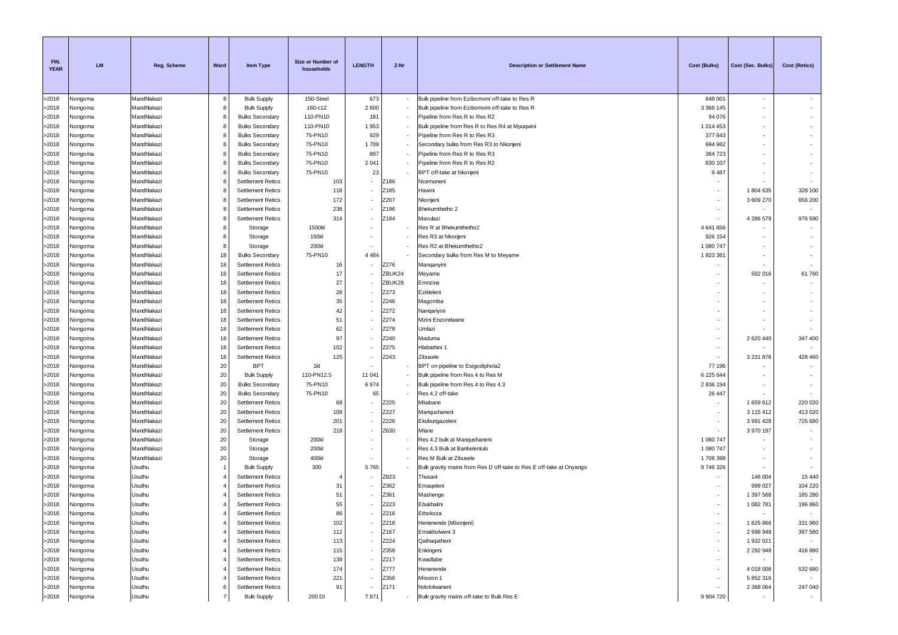| FIN.<br><b>YEAR</b> | <b>LM</b>          | <b>Reg. Scheme</b>         | Ward           | <b>Item Type</b>                                   | Size or Number of<br>households | <b>LENGTH</b>            | Z-Nr   | <b>Description or Settlement Name</b>                               | Cost (Bulks)        | Cost (Sec. Bulks) | Cost (Retics) |
|---------------------|--------------------|----------------------------|----------------|----------------------------------------------------|---------------------------------|--------------------------|--------|---------------------------------------------------------------------|---------------------|-------------------|---------------|
| >2018               | Nongoma            | Mandhlakazi                | 8              | <b>Bulk Supply</b>                                 | 150-Steel                       | 673                      |        | Bulk pipeline from Ezibomvini off-take to Res R                     | 648 001             | $\sim$            |               |
| >2018               | Nongoma            | Mandhlakazi                | 8              | <b>Bulk Supply</b>                                 | 160-c12                         | 2600                     |        | Bulk pipeline from Ezibomvini off-take to Res R                     | 3 3 6 1 4 5         | $\sim$            |               |
| >2018               | Nongoma            | Mandhlakazi                | 8              | <b>Bulks Secondary</b>                             | 110-PN10                        | 181                      |        | Pipeline from Res R to Res R2                                       | 94 076              |                   |               |
| >2018               | Nongoma            | Mandhlakazi                | 8              | <b>Bulks Secondary</b>                             | 110-PN10                        | 1953                     |        | Bulk pipeline from Res R to Res R4 at Mpuqwini                      | 1014453             |                   |               |
| >2018               | Nongoma            | Mandhlakazi                | 8              | <b>Bulks Secondary</b>                             | 75-PN10                         | 929                      |        | Pipeline from Res R to Res R3                                       | 377843              |                   |               |
| >2018               | Nongoma            | Mandhlakazi                | 8              | <b>Bulks Secondary</b>                             | 75-PN10                         | 1709                     |        | Secondary bulks from Res R3 to Nkonjeni                             | 694 982             |                   |               |
| >2018               | Nongoma            | Mandhlakazi                | 8              | <b>Bulks Secondary</b>                             | 75-PN10                         | 897                      |        | Pipeline from Res R to Res R3                                       | 364 723             |                   |               |
| >2018               | Nongoma            | Mandhlakazi                | 8              | <b>Bulks Secondary</b>                             | 75-PN10                         | 2 0 4 1                  |        | Pipeline from Res R to Res R2                                       | 830 107             |                   |               |
| >2018               | Nongoma            | Mandhlakazi                | 8              | <b>Bulks Secondary</b>                             | 75-PN10                         | 23                       |        | BPT off-take at Nkonjeni                                            | 9487                |                   |               |
| >2018               | Vongoma            | Mandhlakazi                | 8              | <b>Settlement Retics</b>                           | 103                             |                          | Z186   | Ncemaneni                                                           |                     |                   |               |
| >2018               | Nongoma            | Mandhlakazi                | 8              | <b>Settlement Retics</b>                           | 118                             |                          | Z185   | Hawini                                                              |                     | 1804635           | 328 100       |
| >2018               | Nongoma            | Mandhlakazi                | 8              | <b>Settlement Retics</b>                           | 172                             |                          | Z207   | Nkonjeni                                                            |                     | 3 609 270         | 656 200       |
| >2018               | Nongoma            | Mandhlakazi                | 8              | <b>Settlement Retics</b>                           | 238                             |                          | Z196   | Bhekumthetho 2                                                      |                     |                   |               |
| >2018               | Nongoma            | Mandhlakazi                | 8              | <b>Settlement Retics</b>                           | 314                             |                          | Z184   | Mavulazi                                                            |                     | 4 286 579         | 976 580       |
| >2018               | Nongoma            | Mandhlakazi                | 8              | Storage                                            | 1500kl                          |                          |        | Res R at Bhekumthetho2                                              | 4 641 656           |                   |               |
| >2018               | Nongoma            | Mandhlakazi                | 8              | Storage                                            | 150kl                           |                          |        | Res R3 at Nkonjeni                                                  | 926 154             |                   |               |
| >2018               | Nongoma            | Mandhlakazi                | 8              | Storage                                            | 200kl                           |                          |        | Res R2 at Bhekumthetho2                                             | 1 080 747           |                   |               |
| >2018               | Vongoma            | Mandhlakazi                | 18             | <b>Bulks Secondary</b>                             | 75-PN10                         | 4 4 8 4                  |        | Secondary bulks from Res M to Meyame                                | 1823381             |                   |               |
| >2018               | Nongoma            | Mandhlakazi                | 18             | <b>Settlement Retics</b>                           | 16                              |                          | Z276   | Manqanyini                                                          |                     |                   |               |
| >2018               | Nongoma            | Mandhlakazi                | 18             | <b>Settlement Retics</b>                           | 17                              |                          | ZBUK24 | Meyame                                                              |                     | 592 016           | 61760         |
| >2018               | Nongoma            | Mandhlakazi                | 18             | <b>Settlement Retics</b>                           | 27                              |                          | ZBUK28 | Emnzine                                                             |                     | $\sim$            |               |
| >2018               | Nongoma            | Mandhlakazi                | 18             | <b>Settlement Retics</b>                           | 28                              |                          | Z273   | Ezikleleni                                                          |                     |                   |               |
| >2018               | Nongoma            | Mandhlakazi                | 18             | <b>Settlement Retics</b>                           | 35                              |                          | Z246   | Magomba                                                             |                     |                   |               |
| >2018               | Nongoma            | Mandhlakazi                | 18             | <b>Settlement Retics</b>                           | 42                              |                          | Z272   | Nanganyini                                                          |                     |                   |               |
| >2018               | Nongoma            | Mandhlakazi                | 18             | <b>Settlement Retics</b>                           | 51                              |                          | Z274   | Mzini Enzondwane                                                    |                     |                   |               |
| >2018               | Nongoma            | Mandhlakazi                | 18             | <b>Settlement Retics</b>                           | 62                              |                          | Z278   | Umlazi                                                              |                     |                   |               |
| >2018               | Vongoma            | Mandhlakazi                | 18             | <b>Settlement Retics</b>                           | 97                              |                          | Z240   | Maduma                                                              |                     | 2620440           | 347 400       |
| >2018               | Nongoma            | Mandhlakazi                | 18             | <b>Settlement Retics</b>                           | 102                             |                          | Z275   | Hlabathini 1                                                        |                     |                   |               |
| >2018               | Nongoma            | Mandhlakazi                | 18             | <b>Settlement Retics</b>                           | 125                             |                          | Z243   | Zibusele                                                            |                     | 3 2 3 1 8 7 6     | 428 460       |
| >2018               | Nongoma            | Mandhlakazi<br>Mandhlakazi | 20             | <b>BPT</b>                                         | 1kl<br>110-PN12.5               | 11 041                   |        | BPT on pipeline to Esigodiphola2                                    | 77 196<br>6 225 644 |                   |               |
| >2018               | Nongoma            |                            | 20             | <b>Bulk Supply</b>                                 | 75-PN10                         | 6974                     |        | Bulk pipeline from Res 4 to Res M                                   |                     |                   |               |
| >2018<br>>2018      | Nongoma            | Mandhlakazi                | 20             | <b>Bulks Secondary</b>                             | 75-PN10                         | 65                       |        | Bulk pipeline from Res 4 to Res 4.3                                 | 2 836 194<br>26 447 |                   |               |
|                     | Nongoma            | Mandhlakazi<br>Mandhlakazi | 20<br>20       | <b>Bulks Secondary</b><br><b>Settlement Retics</b> | 68                              |                          | Z225   | Res 4.2 off-take<br>Mkabane                                         |                     | 1659612           | 220 020       |
| >2018<br>>2018      | Nongoma<br>Vongoma | Mandhlakazi                | 20             | <b>Settlement Retics</b>                           | 108                             |                          | Z227   | Manqushaneni                                                        |                     | 3 115 412         | 413 020       |
| >2018               | Nongoma            | Mandhlakazi                | 20             | <b>Settlement Retics</b>                           | 201                             |                          | Z226   | Ekubungazeleni                                                      |                     | 3 991 428         | 725 680       |
| >2018               | Nongoma            | Mandhlakazi                | 20             | <b>Settlement Retics</b>                           | 218                             | ٠                        | Z630   | Mlane                                                               |                     | 3 970 197         |               |
| >2018               | Nongoma            | Mandhlakazi                | 20             | Storage                                            | 200kl                           |                          |        | Res 4.2 bulk at Manqushaneni                                        | 1 080 747           |                   |               |
| >2018               | Nongoma            | Mandhlakazi                | 20             | Storage                                            | 200kl                           |                          |        | Res 4.3 Bulk at Banbelentulo                                        | 1 080 747           |                   |               |
| >2018               | Nongoma            | Mandhlakazi                | 20             | Storage                                            | 400kl                           |                          |        | Res M Bulk at Zibusele                                              | 1708398             |                   |               |
| >2018               | Nongoma            | Usuthu                     | $\overline{1}$ | <b>Bulk Supply</b>                                 | 300                             | 5765                     |        | Bulk gravity mains from Res D off-take to Res E off-take at Onyango | 9746326             |                   |               |
| >2018               | Nongoma            | Usuthu                     |                | <b>Settlement Retics</b>                           |                                 |                          | Z823   | Thusani                                                             |                     | 148 004           | 15 440        |
| >2018               | Vongoma            | Usuthu                     |                | <b>Settlement Retics</b>                           | 31                              |                          | Z362   | Emageleni                                                           |                     | 999 027           | 104 220       |
| >2018               | Vongoma            | Usuthu                     |                | <b>Settlement Retics</b>                           | 51                              |                          | Z361   | Mashenge                                                            |                     | 1 397 568         | 185 280       |
| >2018               | Nongoma            | Usuthu                     |                | <b>Settlement Retics</b>                           | 55                              |                          | Z223   | Ebukhalini                                                          |                     | 1 082 781         | 196 860       |
| >2018               | Nongoma            | Usuthu                     |                | <b>Settlement Retics</b>                           | 86                              |                          | Z216   | Ethokoza                                                            |                     |                   |               |
| >2018               | Nongoma            | Usuthu                     |                | <b>Settlement Retics</b>                           | 102                             |                          | Z218   | Henenende (Mbonjeni)                                                |                     | 1825866           | 331 960       |
| >2018               | Nongoma            | Usuthu                     |                | <b>Settlement Retics</b>                           | 112                             | $\overline{\phantom{a}}$ | Z167   | Emakholweni 3                                                       | ٠                   | 2 998 948         | 397 580       |
| >2018               | Nongoma            | Usuthu                     |                | <b>Settlement Retics</b>                           | 113                             |                          | Z224   | Qathaqatheni                                                        |                     | 1 932 021         |               |
| >2018               | Nongoma            | Usuthu                     |                | <b>Settlement Retics</b>                           | 115                             | ٠                        | Z358   | Enkingeni                                                           | $\sim$              | 2 2 9 2 9 4 8     | 416 880       |
| >2018               | Nongoma            | Usuthu                     |                | <b>Settlement Retics</b>                           | 138                             |                          | Z217   | Kwadlabe                                                            |                     | $\sim$            |               |
| >2018               | Nongoma            | Usuthu                     |                | <b>Settlement Retics</b>                           | 174                             |                          | Z777   | Henenende                                                           |                     | 4 018 008         | 532 680       |
| >2018               | Nongoma            | Usuthu                     |                | <b>Settlement Retics</b>                           | 221                             |                          | Z356   | Mission 1                                                           |                     | 5 852 316         |               |
| >2018               | Nongoma            | Usuthu                     | 6              | <b>Settlement Retics</b>                           | 91                              |                          | Z171   | Ndololwaneni                                                        |                     | 2 368 064         | 247 040       |
| >2018               | Nongoma            | Usuthu                     | 7              | <b>Bulk Supply</b>                                 | 200 DI                          | 7871                     |        | Bulk gravity mains off-take to Bulk Res E                           | 9 904 720           | $\sim$            | $\sim$        |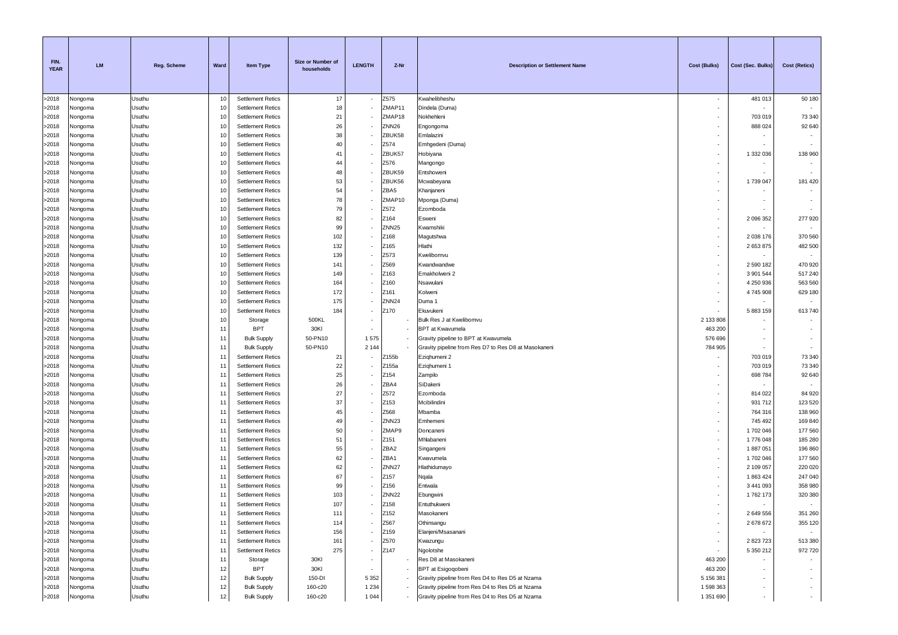| FIN.<br><b>YEAR</b> | <b>LM</b>          | <b>Reg. Scheme</b> | Ward        | <b>Item Type</b>                                     | Size or Number of<br>households | <b>LENGTH</b> | Z-Nr              | <b>Description or Settlement Name</b>                | <b>Cost (Bulks)</b> | Cost (Sec. Bulks)      | <b>Cost (Retics)</b> |
|---------------------|--------------------|--------------------|-------------|------------------------------------------------------|---------------------------------|---------------|-------------------|------------------------------------------------------|---------------------|------------------------|----------------------|
| >2018               | Nongoma            | Usuthu             | 10          | <b>Settlement Retics</b>                             | 17                              | $\sim$        | Z575              | Kwahelibheshu                                        | $\sim$              | 481 013                | 50 180               |
| >2018               | Nongoma            | Usuthu             | 10          | <b>Settlement Retics</b>                             | 18                              |               | ZMAP11            | Dindela (Duma)                                       |                     |                        |                      |
| >2018               | Nongoma            | Usuthu             | 10          | <b>Settlement Retics</b>                             | 21                              |               | ZMAP18            | Nokhehleni                                           |                     | 703 019                | 73 340               |
| >2018               | Nongoma            | Usuthu             | 10          | <b>Settlement Retics</b>                             | 26                              |               | ZNN <sub>26</sub> | Engongoma                                            |                     | 888 024                | 92 640               |
| >2018               | Nongoma            | Usuthu             | 10          | <b>Settlement Retics</b>                             | 38                              |               | ZBUK58            | Emlalazini                                           | $\sim$              |                        |                      |
| >2018<br>>2018      | Vongoma            | Usuthu<br>Usuthu   | 10<br>10    | <b>Settlement Retics</b><br><b>Settlement Retics</b> | 40<br>41                        |               | Z574<br>ZBUK57    | Emhgedeni (Duma)                                     | $\sim$<br>$\sim$    | 1 332 036              | 138 960              |
| >2018               | Nongoma<br>Nongoma | Usuthu             | 10          | <b>Settlement Retics</b>                             | 44                              | $\sim$        | Z576              | Hobiyana<br>Mangongo                                 | $\sim$              |                        |                      |
| >2018               | Nongoma            | Usuthu             | 10          | <b>Settlement Retics</b>                             | 48                              |               | ZBUK59            | Entshoweni                                           |                     |                        |                      |
| >2018               | Nongoma            | Usuthu             | 10          | <b>Settlement Retics</b>                             | 53                              |               | ZBUK56            | Mcwabeyana                                           |                     | 1739 047               | 181 420              |
| >2018               | Nongoma            | Usuthu             | 10          | <b>Settlement Retics</b>                             | 54                              |               | ZBA5              | Khanjaneni                                           |                     |                        |                      |
| >2018               | Nongoma            | Usuthu             | 10          | <b>Settlement Retics</b>                             | 78                              |               | ZMAP10            | Mponga (Duma)                                        | $\sim$              |                        | ٠                    |
| >2018               | Nongoma            | Usuthu             | 10          | <b>Settlement Retics</b>                             | 79                              |               | Z572              | Ezomboda                                             |                     |                        |                      |
| >2018               | Nongoma            | Usuthu             | 10          | <b>Settlement Retics</b>                             | 82                              |               | Z164              | Esweni                                               | $\sim$              | 2 096 352              | 277 920              |
| >2018               | Nongoma            | Usuthu             | 10          | <b>Settlement Retics</b>                             | 99                              |               | ZNN <sub>25</sub> | Kwamshiki                                            |                     |                        |                      |
| >2018               | Nongoma            | Usuthu             | 10          | <b>Settlement Retics</b>                             | 102                             | $\sim$        | Z168              | Magutshwa                                            | ۰.                  | 2 0 38 1 76            | 370 560              |
| >2018               | Nongoma            | Usuthu             | 10          | <b>Settlement Retics</b>                             | 132                             |               | Z165              | Hlathi                                               | $\sim$              | 2653875                | 482 500              |
| >2018               | Nongoma            | Usuthu             | 10<br>10    | <b>Settlement Retics</b><br><b>Settlement Retics</b> | 139<br>141                      |               | Z573<br>Z569      | Kwelibomvu                                           | $\sim$              |                        |                      |
| >2018<br>>2018      | Nongoma            | Usuthu<br>Usuthu   | 10          | <b>Settlement Retics</b>                             | 149                             |               | Z163              | Kwandwandwe<br>Emakholweni 2                         | $\sim$              | 2 590 182<br>3 901 544 | 470 920<br>517 240   |
| >2018               | Nongoma<br>Nongoma | Usuthu             | 10          | <b>Settlement Retics</b>                             | 164                             |               | Z160              | Nsawulani                                            | $\sim$              | 4 250 936              | 563 560              |
| >2018               | Nongoma            | Usuthu             | 10          | <b>Settlement Retics</b>                             | 172                             |               | Z161              | Kolweni                                              | $\sim$              | 4745908                | 629 180              |
| >2018               | Nongoma            | Usuthu             | 10          | <b>Settlement Retics</b>                             | 175                             | $\sim$        | ZNN <sub>24</sub> | Duma 1                                               |                     |                        |                      |
| >2018               | Nongoma            | Usuthu             | 10          | <b>Settlement Retics</b>                             | 184                             |               | Z170              | Ekuvukeni                                            |                     | 5 883 159              | 613740               |
| >2018               | Nongoma            | Usuthu             | 10          | Storage                                              | 500KL                           |               |                   | Bulk Res J at Kwelibomvu                             | 2 133 808           |                        |                      |
| >2018               | Vongoma            | Usuthu             | 11          | <b>BPT</b>                                           | 30KI                            |               |                   | <b>BPT</b> at Kwavumela                              | 463 200             |                        |                      |
| >2018               | Nongoma            | Usuthu             | 11          | <b>Bulk Supply</b>                                   | 50-PN10                         | 1575          |                   | Gravity pipeline to BPT at Kwavumela                 | 576 696             |                        |                      |
| >2018               | Nongoma            | Usuthu             | 11          | <b>Bulk Supply</b>                                   | 50-PN10                         | 2 1 4 4       |                   | Gravity pipeline from Res D7 to Res D8 at Masokaneni | 784 905             |                        |                      |
| >2018               | Nongoma            | Usuthu             | 11          | <b>Settlement Retics</b>                             | 21                              |               | Z155b             | Ezighumeni 2                                         |                     | 703 019                | 73 340               |
| >2018               | Nongoma            | Usuthu             | 11          | <b>Settlement Retics</b>                             | 22                              |               | Z155a             | Ezighumeni 1                                         | $\sim$              | 703 019                | 73 340               |
| >2018               | Nongoma            | Usuthu             | 11          | <b>Settlement Retics</b>                             | 25                              |               | Z154              | Zampilo                                              | $\sim$              | 698784                 | 92 640               |
| >2018<br>>2018      | Nongoma            | Usuthu             | 11          | <b>Settlement Retics</b>                             | 26<br>27                        |               | ZBA4<br>Z572      | SiDakeni                                             | $\sim$              | 814 022                | 84 920               |
| >2018               | Nongoma<br>Nongoma | Usuthu<br>Usuthu   | 11<br>11    | <b>Settlement Retics</b><br><b>Settlement Retics</b> | 37                              |               | Z153              | Ezomboda<br>Mcibilindini                             |                     | 931 712                | 123 520              |
| >2018               | Nongoma            | Usuthu             | 11          | <b>Settlement Retics</b>                             | 45                              |               | Z568              | Mbamba                                               |                     | 764 316                | 138 960              |
| >2018               | Nongoma            | Usuthu             | 11          | <b>Settlement Retics</b>                             | 49                              |               | ZNN <sub>23</sub> | Emhemeni                                             |                     | 745 492                | 169 840              |
| >2018               | Nongoma            | Usuthu             | 11          | <b>Settlement Retics</b>                             | 50                              |               | ZMAP9             | Doncaneni                                            | $\sim$              | 1702046                | 177 560              |
| >2018               | Nongoma            | Usuthu             | 11          | <b>Settlement Retics</b>                             | 51                              |               | Z151              | Mhlabaneni                                           | $\sim$              | 1776 048               | 185 280              |
| >2018               | Nongoma            | Usuthu             | 11          | <b>Settlement Retics</b>                             | 55                              |               | ZBA2              | Singangeni                                           | $\sim$              | 1887051                | 196 860              |
| >2018               | Nongoma            | Usuthu             | 11          | <b>Settlement Retics</b>                             | 62                              |               | ZBA1              | Kwavumela                                            |                     | 1702046                | 177 560              |
| >2018               | Nongoma            | Usuthu             | $1^{\circ}$ | <b>Settlement Retics</b>                             | 62                              |               | ZNN <sub>27</sub> | Hlathidumayo                                         | ۰.                  | 2 109 057              | 220 020              |
| >2018               | Nongoma            | Usuthu             | 11          | <b>Settlement Retics</b>                             | 67                              |               | Z157              | Nqala                                                | $\sim$              | 1863424                | 247 040              |
| >2018               | Nongoma            | Usuthu             | 11          | <b>Settlement Retics</b>                             | 99                              |               | Z156              | Entwala                                              |                     | 3 441 093              | 358 980              |
| >2018               | Nongoma            | Usuthu             | 11          | <b>Settlement Retics</b>                             | 103                             |               | ZNN <sub>22</sub> | Ebungwini                                            |                     | 1762173                | 320 380              |
| >2018<br>>2018      | Nongoma            | Usuthu<br>Usuthu   | 11<br>11    | <b>Settlement Retics</b><br><b>Settlement Retics</b> | 107<br>111                      |               | Z158<br>Z152      | Entuthukweni<br>Masokaneni                           |                     | 2 649 556              | 351 260              |
| >2018               | Nongoma<br>Nongoma | Usuthu             | 11          | <b>Settlement Retics</b>                             | 114                             |               | Z567              | Othinsangu                                           |                     | 2 678 672              | 355 120              |
| >2018               | Nongoma            | Usuthu             | 11          | <b>Settlement Retics</b>                             | 156                             |               | Z159              | Elanjeni/Msasanani                                   | $\sim$              |                        | $\sim$               |
| >2018               | Nongoma            | Usuthu             | 11          | <b>Settlement Retics</b>                             | 161                             |               | Z570              | Kwazungu                                             | $\sim$              | 2 823 723              | 513 380              |
| >2018               | Nongoma            | Usuthu             | 11          | <b>Settlement Retics</b>                             | 275                             |               | Z147              | Ngolotshe                                            | $\sim$              | 5 350 212              | 972 720              |
| >2018               | Nongoma            | Usuthu             | 11          | Storage                                              | 30KI                            |               |                   | Res D8 at Masokaneni                                 | 463 200             |                        |                      |
| >2018               | Nongoma            | Usuthu             | 12          | <b>BPT</b>                                           | 30KI                            |               |                   | BPT at Esigoqobeni                                   | 463 200             |                        |                      |
| >2018               | Nongoma            | Usuthu             | 12          | <b>Bulk Supply</b>                                   | 150-DI                          | 5 3 5 2       |                   | Gravity pipeline from Res D4 to Res D5 at Nzama      | 5 156 381           |                        | $\sim$               |
| >2018               | Nongoma            | Usuthu             | 12          | <b>Bulk Supply</b>                                   | 160-c20                         | 1 2 3 4       |                   | Gravity pipeline from Res D4 to Res D5 at Nzama      | 1 598 363           |                        | $\sim$               |
| >2018               | Nongoma            | Usuthu             | 12          | <b>Bulk Supply</b>                                   | 160-c20                         | 1 0 4 4       | $\sim$            | Gravity pipeline from Res D4 to Res D5 at Nzama      | 1 351 690           |                        | . .                  |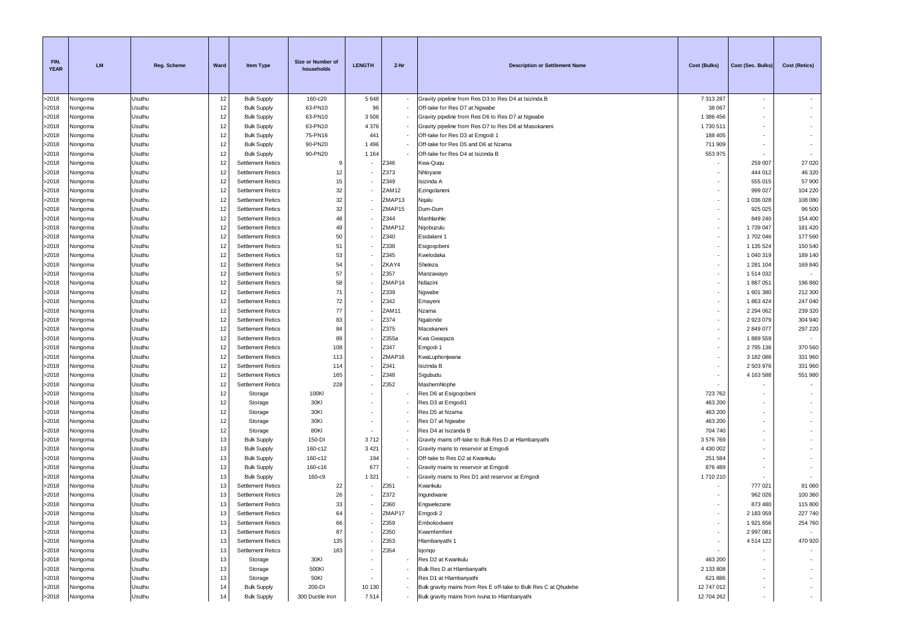| FIN.<br><b>YEAR</b> | <b>LM</b>          | Reg. Scheme      | Ward     | <b>Item Type</b>         | Size or Number of<br>households | <b>LENGTH</b>            | Z-Nr   | <b>Description or Settlement Name</b>                           | Cost (Bulks)             | Cost (Sec. Bulks) | Cost (Retics) |
|---------------------|--------------------|------------------|----------|--------------------------|---------------------------------|--------------------------|--------|-----------------------------------------------------------------|--------------------------|-------------------|---------------|
| >2018               | Nongoma            | Usuthu           | 12       | <b>Bulk Supply</b>       | 160-c20                         | 5 6 4 8                  | $\sim$ | Gravity pipeline from Res D3 to Res D4 at Isizinda B            | 7 313 287                | $\sim$            |               |
| >2018               | Nongoma            | Usuthu           | 12       | <b>Bulk Supply</b>       | 63-PN10                         | 96                       |        | Off-take for Res D7 at Ngwabe                                   | 38 067                   | $\sim$            |               |
| >2018               | Nongoma            | Usuthu           | 12       | <b>Bulk Supply</b>       | 63-PN10                         | 3 5 0 6                  | $\sim$ | Gravity pipeline from Res D6 to Res D7 at Ngwabe                | 1 386 456                |                   |               |
| >2018               | Nongoma            | Usuthu           | 12       | <b>Bulk Supply</b>       | 63-PN10                         | 4 3 7 6                  |        | Gravity pipeline from Res D7 to Res D8 at Masokaneni            | 1730511                  |                   |               |
| >2018               | Nongoma            | Usuthu           | 12       | <b>Bulk Supply</b>       | 75-PN16                         | 441                      |        | Off-take for Res D3 at Emgodi 1                                 | 188 405                  |                   |               |
| >2018               | Nongoma            | Usuthu           | 12       | <b>Bulk Supply</b>       | 90-PN20                         | 1 4 9 6                  |        | Off-take for Res D5 and D6 at Nzama                             | 711 909                  |                   |               |
| >2018               | Nongoma            | Usuthu           | 12       | <b>Bulk Supply</b>       | 90-PN20                         | 1 1 6 4                  |        | Off-take for Res D4 at Isizinda B                               | 553 975                  |                   |               |
| >2018               | Nongoma            | Usuthu           | 12       | <b>Settlement Retics</b> | -9                              |                          | Z346   | Kwa-Ququ                                                        |                          | 259 007           | 27 0 20       |
| >2018               | Vongoma            | Usuthu           | 12       | <b>Settlement Retics</b> | 12                              |                          | Z373   | Nhloyane                                                        |                          | 444 012           | 46 320        |
| >2018               | Nongoma            | Usuthu           | 12       | <b>Settlement Retics</b> | 15                              |                          | Z349   | Isizinda A                                                      |                          | 555 015           | 57 900        |
| >2018               | Nongoma            | Usuthu           | 12       | <b>Settlement Retics</b> | 32                              |                          | ZAM12  | Ezingolaneni                                                    | ٠                        | 999 027           | 104 220       |
| >2018               | Nongoma            | Usuthu           | 12       | <b>Settlement Retics</b> | 32                              |                          | ZMAP13 | Nqalu                                                           | ٠                        | 1 036 028         | 108 080       |
| >2018               | Nongoma            | Usuthu           | 12       | <b>Settlement Retics</b> | 32                              |                          | ZMAP15 | Dum-Dum                                                         | $\sim$                   | 925 025           | 96 500        |
| >2018               | Vongoma            | Usuthu           | 12       | <b>Settlement Retics</b> | 48                              |                          | Z344   | Manhlanhle                                                      | $\sim$                   | 849 240           | 154 400       |
| >2018               | Nongoma            | Usuthu           | 12       | <b>Settlement Retics</b> | 49                              |                          | ZMAP12 | Ngobuzulu                                                       | $\sim$                   | 1739 047          | 181 420       |
| >2018               | Nongoma            | Usuthu           | 12       | <b>Settlement Retics</b> | 50                              |                          | Z340   | Esidakeni 1                                                     | $\sim$                   | 1702 046          | 177 560       |
| >2018               | Nongoma            | Usuthu           | 12       | <b>Settlement Retics</b> | 51                              |                          | Z338   | Esigoqobeni                                                     |                          | 1 135 524         | 150 540       |
| >2018               | Nongoma            | Usuthu           | 12       | <b>Settlement Retics</b> | 53                              |                          | Z345   | Kwelodaka                                                       | ۰.                       | 1 040 319         | 189 140       |
| >2018               | Nongoma            | Usuthu           | 12       | <b>Settlement Retics</b> | 54                              |                          | ZKAY4  | Sheleza                                                         | $\sim$                   | 1 281 104         | 169 840       |
| >2018               | Nongoma            | Usuthu           | 12       | <b>Settlement Retics</b> | 57                              |                          | Z357   | Manzawayo                                                       | $\sim$                   | 1514032           |               |
| >2018               | Nongoma            | Usuthu           | 12       | <b>Settlement Retics</b> | 58                              |                          | ZMAP14 | Ndlazini                                                        | $\sim$                   | 1887051           | 196 860       |
| >2018               | Nongoma            | Usuthu           | 12       | <b>Settlement Retics</b> | 71                              |                          | Z339   | Ngwabe                                                          | $\sim$                   | 1601380           | 212 300       |
| >2018               | Nongoma            | Usuthu           | 12       | <b>Settlement Retics</b> | 72                              |                          | Z342   | Emayeni                                                         | $\overline{\phantom{a}}$ | 1863424           | 247 040       |
| >2018               | Nongoma            | Usuthu           | 12       | <b>Settlement Retics</b> | 77                              |                          | ZAM11  | Nzama                                                           | $\sim$                   | 2 2 9 4 0 6 2     | 239 320       |
| >2018               | Nongoma            | Usuthu           | 12       | <b>Settlement Retics</b> | 83                              |                          | Z374   | Ngalonde                                                        | $\sim$                   | 2923079           | 304 940       |
| >2018               | Nongoma            | Usuthu           | 12       | <b>Settlement Retics</b> | 84                              |                          | Z375   | Macekaneni                                                      |                          | 2849077           | 297 220       |
| >2018               | Nongoma            | Usuthu           | 12       | <b>Settlement Retics</b> | 89                              |                          | Z355a  | Kwa Gwaqaza                                                     | ٠                        | 1889559           |               |
| >2018               | Nongoma            | Usuthu           | 12       | <b>Settlement Retics</b> | 108                             |                          | Z347   | Emgodi 1                                                        | ۰.                       | 2795136           | 370 560       |
| >2018               | Nongoma            | Usuthu           | 12       | <b>Settlement Retics</b> | 113                             |                          | ZMAP16 | KwaLuphonjwana                                                  | ۰.                       | 3 182 086         | 331 960       |
| >2018               | Nongoma            | Usuthu           | 12       | <b>Settlement Retics</b> | 114                             |                          | Z341   | Isizinda B                                                      |                          | 2 503 976         | 331 960       |
| >2018               | Nongoma            | Usuthu           | 12       | <b>Settlement Retics</b> | 165                             |                          | Z348   | Sigubudu                                                        | $\sim$<br>$\sim$         | 4 163 588         | 551 980       |
| >2018               | Nongoma            | Usuthu           | 12<br>12 | <b>Settlement Retics</b> | 228                             |                          | Z352   | Mashemhlophe                                                    |                          |                   |               |
| >2018               | Nongoma            | Usuthu           | 12       | Storage                  | 100KI<br>30KI                   |                          |        | Res D6 at Esigogobeni                                           | 723 762                  |                   |               |
| >2018<br>>2018      | Nongoma<br>Nongoma | Usuthu<br>Usuthu | 12       | Storage<br>Storage       | 30KI                            |                          |        | Res D3 at Emgodi1<br>Res D5 at Nzama                            | 463 200<br>463 200       |                   |               |
| >2018               | Nongoma            | Usuthu           | 12       | Storage                  | 30KI                            |                          |        | Res D7 at Ngwabe                                                | 463 200                  |                   |               |
| >2018               | Nongoma            | Usuthu           | 12       | Storage                  | 80KI                            |                          |        | Res D4 at Isizanda B                                            | 704 740                  |                   |               |
| >2018               | Nongoma            | Usuthu           | 13       | <b>Bulk Supply</b>       | 150-DI                          | 3712                     |        | Gravity mains off-take to Bulk Res D at Hlambanyathi            | 3576769                  |                   |               |
| >2018               | Vongoma            | Usuthu           | 13       | <b>Bulk Supply</b>       | 160-c12                         | 3 4 21                   |        | Gravity mains to reservoir at Emgodi                            | 4 430 002                |                   |               |
| >2018               | Nongoma            | Usuthu           | 13       | <b>Bulk Supply</b>       | 160-c12                         | 194                      | $\sim$ | Off-take to Res D2 at Kwankulu                                  | 251 584                  |                   |               |
| >2018               | Nongoma            | Usuthu           | 13       | <b>Bulk Supply</b>       | 160-c16                         | 677                      |        | Gravity mains to reservoir at Emgodi                            | 876 489                  |                   |               |
| >2018               | Nongoma            | Usuthu           | 13       | <b>Bulk Supply</b>       | 160-c9                          | 1 3 2 1                  |        | Gravity mains to Res D1 and reservoir at Emgodi                 | 1710210                  |                   |               |
| >2018               | Nongoma            | Usuthu           | 13       | <b>Settlement Retics</b> | 22                              |                          | Z351   | Kwankulu                                                        |                          | 777 021           | 81 060        |
| >2018               | Nongoma            | Usuthu           | 13       | <b>Settlement Retics</b> | 26                              |                          | Z372   | Ingundwane                                                      |                          | 962 026           | 100 360       |
| >2018               | Nongoma            | Usuthu           | 13       | <b>Settlement Retics</b> | 33                              |                          | Z360   | Engwelezane                                                     |                          | 873 480           | 115 800       |
| >2018               | Nongoma            | Usuthu           | 13       | Settlement Retics        | 64                              |                          | ZMAP17 | Emgodi 2                                                        |                          | 2 183 059         | 227 740       |
| >2018               | Nongoma            | Usuthu           | 13       | <b>Settlement Retics</b> | 66                              |                          | Z359   | Embokodweni                                                     |                          | 1 921 656         | 254 760       |
| >2018               | Nongoma            | Usuthu           | 13       | <b>Settlement Retics</b> | 87                              | $\overline{\phantom{a}}$ | Z350   | Kwamfemfeni                                                     | $\sim$                   | 2 997 081         |               |
| >2018               | Nongoma            | Usuthu           | 13       | <b>Settlement Retics</b> | 135                             |                          | Z353   | Hlambanyathi 1                                                  | $\sim$                   | 4 5 1 4 1 2 2     | 470 920       |
| >2018               | Nongoma            | Usuthu           | 13       | <b>Settlement Retics</b> | 183                             |                          | Z354   | lqonqo                                                          |                          |                   |               |
| >2018               | Nongoma            | Usuthu           | 13       | Storage                  | 30KI                            |                          |        | Res D2 at Kwankulu                                              | 463 200                  |                   |               |
| >2018               | Nongoma            | Usuthu           | 13       | Storage                  | 500KI                           |                          |        | Bulk Res D at Hlambanyathi                                      | 2 133 808                |                   |               |
| >2018               | Nongoma            | Usuthu           | 13       | Storage                  | 50KI                            |                          |        | Res D1 at Hlambanyathi                                          | 621 886                  |                   | $\sim$        |
| >2018               | Nongoma            | Usuthu           | 14       | <b>Bulk Supply</b>       | 200-DI                          | 10 130                   |        | Bulk gravity mains from Res E off-take to Bulk Res C at Qhudebe | 12 747 012               |                   | $\sim$        |
| >2018               | Nongoma            | Usuthu           | 14       | <b>Bulk Supply</b>       | 300 Ductile Iron                | 7514                     |        | Bulk gravity mains from Ivuna to Hlambanyathi                   | 12 704 262               |                   | $\sim$        |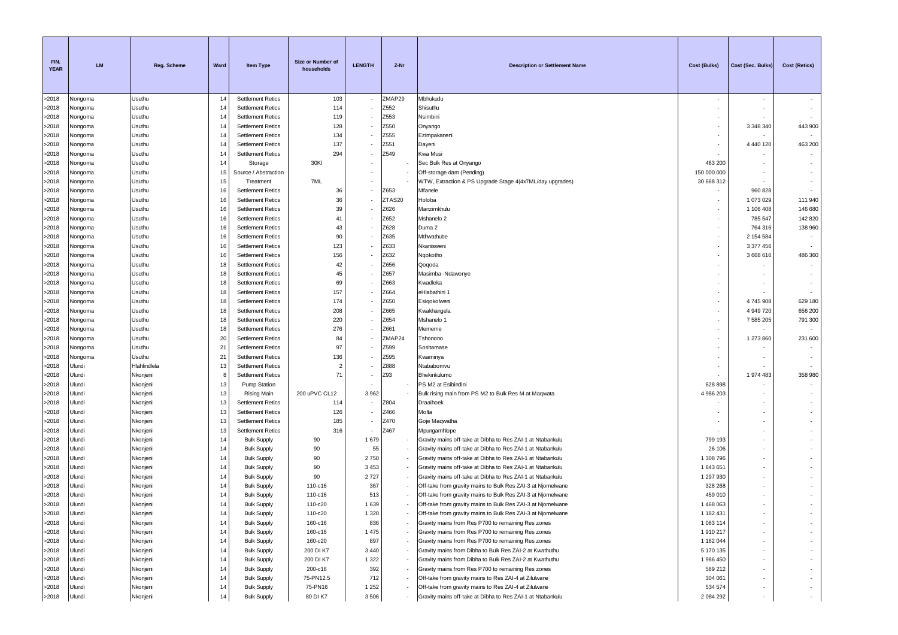| ZMAP29<br>>2018<br>Usuthu<br>103<br>Mbhukudu<br>Nongoma<br>14<br><b>Settlement Retics</b><br>Usuthu<br>14<br>114<br>Z552<br>Shisuthu<br>Nongoma<br><b>Settlement Retics</b><br>Z553<br>119<br>Nsimbini<br>Nongoma<br>Usuthu<br>14<br><b>Settlement Retics</b><br>128<br>Z550<br>3 348 340<br>443 900<br>Usuthu<br>14<br><b>Settlement Retics</b><br>Nongoma<br>Onyango<br>Z555<br>>2018<br>Usuthu<br><b>Settlement Retics</b><br>134<br>Ezimpakaneni<br>Nongoma<br>14<br>Z551<br>137<br>>2018<br>Usuthu<br><b>Settlement Retics</b><br>4 440 120<br>463 200<br>Nongoma<br>14<br>Dayeni<br>294<br>Z549<br>>2018<br>Kwa Musi<br>Vongoma<br>Usuthu<br>14<br><b>Settlement Retics</b><br>30KI<br>>2018<br>Usuthu<br>Sec Bulk Res at Onyango<br>463 200<br>Nongoma<br>14<br>Storage<br>>2018<br>Usuthu<br>Off-storage dam (Pending)<br>150 000 000<br>Nongoma<br>15<br>Source / Abstraction<br>>2018<br>Usuthu<br>7ML<br>WTW, Extraction & PS Upgrade Stage 4(4x7ML/day upgrades)<br>30 668 312<br>Nongoma<br>15<br>Treatment<br>>2018<br>Nongoma<br>Usuthu<br>16<br><b>Settlement Retics</b><br>36<br>Z653<br>Mfanele<br>960 828<br>>2018<br>Usuthu<br>36<br>ZTAS20<br>Holoba<br>1 073 029<br>111 940<br>Nongoma<br>16<br><b>Settlement Retics</b><br>Z626<br>146 680<br>>2018<br>Usuthu<br><b>Settlement Retics</b><br>39<br>Manzimkhulu<br>1 106 408<br>Nongoma<br>16<br>Z652<br>>2018<br>Usuthu<br>41<br>Mshanelo 2<br>785 547<br>142 820<br>Nongoma<br>16<br><b>Settlement Retics</b><br>43<br>Z628<br>138 960<br>>2018<br>764 316<br>Vongoma<br>Usuthu<br>16<br><b>Settlement Retics</b><br>Duma 2<br>90<br>Z635<br>>2018<br>Usuthu<br>Mthwathube<br>2 154 584<br>16<br><b>Settlement Retics</b><br>Nongoma<br>۰.<br>123<br>>2018<br>Usuthu<br>Z633<br>Nkanisweni<br>3 377 456<br>Nongoma<br>16<br><b>Settlement Retics</b><br>Usuthu<br>156<br>Z632<br>Ngokotho<br>3 668 616<br>486 360<br>Vongoma<br>16<br><b>Settlement Retics</b><br>42<br>Z656<br>Nongoma<br>Usuthu<br>18<br><b>Settlement Retics</b><br>Qoqoda<br>45<br>Z657<br>Usuthu<br>18<br><b>Settlement Retics</b><br>Masimba -Ndawonye<br>Nongoma<br>69<br>Z663<br>Usuthu<br><b>Settlement Retics</b><br>Kwadleka<br>Nongoma<br>18<br>157<br>Z664<br>>2018<br>Usuthu<br><b>Settlement Retics</b><br>eHlabathini 1<br>Nongoma<br>18<br>174<br>Z650<br>Usuthu<br><b>Settlement Retics</b><br>Esigokolweni<br>4745908<br>629 180<br>Nongoma<br>18<br>$\sim$<br>208<br>Z665<br>>2018<br>4 949 720<br>656 200<br>Vongoma<br>Usuthu<br>18<br><b>Settlement Retics</b><br>Kwakhangela<br>220<br>Z654<br>791 300<br>Usuthu<br>7 585 205<br>18<br><b>Settlement Retics</b><br>Mshanelo 1<br>Nongoma<br>$\sim$<br>276<br>>2018<br>Usuthu<br>Z661<br>Nongoma<br>18<br><b>Settlement Retics</b><br>Mememe<br>>2018<br>Usuthu<br>84<br>ZMAP24<br>1 273 860<br>231 600<br>Vongoma<br>20<br><b>Settlement Retics</b><br>Tshonono<br>97<br>Usuthu<br>Z599<br>>2018<br>Nongoma<br>21<br><b>Settlement Retics</b><br>Soshamase<br>136<br>>2018<br>21<br>Z595<br>Nongoma<br>Usuthu<br><b>Settlement Retics</b><br>Kwaminya<br>>2018<br>Ulundi<br>Hlahlindlela<br>13<br><b>Settlement Retics</b><br>Z888<br>Ntababomvu<br>$\overline{2}$<br>71<br>Z93<br>>2018<br>Ulundi<br>Nkonjeni<br><b>Settlement Retics</b><br>Bhekinkulumo<br>1974 483<br>358 980<br>8<br>>2018<br>Ulundi<br>13<br>PS M2 at Esibindini<br>628 898<br>Nkonjeni<br><b>Pump Station</b><br>>2018<br>200 uPVC CL12<br>Ulundi<br>Nkonjeni<br>13<br>3 9 6 2<br>Bulk rising main from PS M2 to Bulk Res M at Maqwata<br>4 986 203<br>Rising Main<br>>2018<br>Ulundi<br>Nkonjeni<br>13<br>Z804<br><b>Settlement Retics</b><br>114<br>Draaihoek<br>>2018<br>Ulundi<br>Nkonjeni<br>13<br>126<br>Z466<br>Molta<br><b>Settlement Retics</b><br>Z470<br>185<br>>2018<br>Ulundi<br>Nkonjeni<br>13<br><b>Settlement Retics</b><br>Goje Maqwatha<br>316<br>Z467<br>>2018<br>Ulundi<br>Nkonjeni<br>13<br><b>Settlement Retics</b><br>Mpungamhlope<br>>2018<br>Ulundi<br>Nkonjeni<br><b>Bulk Supply</b><br>90<br>1679<br>Gravity mains off-take at Dibha to Res ZAI-1 at Ntabankulu<br>799 193<br>14<br>Ulundi<br>Nkonjeni<br>14<br>90<br>55<br>Gravity mains off-take at Dibha to Res ZAI-1 at Ntabankulu<br>26 106<br><b>Bulk Supply</b><br>2750<br>>2018<br>Ulundi<br>90<br>1 308 796<br>Nkonjeni<br>14<br><b>Bulk Supply</b><br>Gravity mains off-take at Dibha to Res ZAI-1 at Ntabankulu<br>3 4 5 3<br>>2018<br>Ulundi<br>90<br>1 643 651<br>Nkonjeni<br>14<br><b>Bulk Supply</b><br>Gravity mains off-take at Dibha to Res ZAI-1 at Ntabankulu<br>>2018<br>Ulundi<br>Nkonjeni<br>90<br>2727<br>Gravity mains off-take at Dibha to Res ZAI-1 at Ntabankulu<br>1 297 930<br>14<br><b>Bulk Supply</b><br>Ulundi<br>14<br>367<br>Nkonjeni<br><b>Bulk Supply</b><br>110-c16<br>Off-take from gravity mains to Bulk Res ZAI-3 at Njomelwane<br>328 268<br>Ulundi<br>Nkonjeni<br>14<br>110-c16<br>513<br>Off-take from gravity mains to Bulk Res ZAI-3 at Njomelwane<br>459 010<br><b>Bulk Supply</b><br>14<br>110-c20<br>1 6 3 9<br>1 468 063<br>Ulundi<br>Nkonjeni<br><b>Bulk Supply</b><br>Off-take from gravity mains to Bulk Res ZAI-3 at Njomelwane<br>1 3 2 0<br>1 182 431<br>Ulundi<br>Nkonjeni<br>14<br><b>Bulk Supply</b><br>110-c20<br>Off-take from gravity mains to Bulk Res ZAI-3 at Njomelwane<br>Ulundi<br>Nkonjeni<br><b>Bulk Supply</b><br>160-c16<br>836<br>Gravity mains from Res P700 to remaining Res zones<br>1 083 114<br>14<br>1 4 7 5<br>>2018<br>Ulundi<br>14<br>Gravity mains from Res P700 to remaining Res zones<br>Nkonjeni<br><b>Bulk Supply</b><br>160-c16<br>1910217<br>$\overline{\phantom{a}}$<br>>2018<br>897<br>Gravity mains from Res P700 to remaining Res zones<br>Ulundi<br>Nkonjeni<br>14<br><b>Bulk Supply</b><br>160-c20<br>1 162 044<br>>2018<br>3 4 4 0<br>Ulundi<br>Nkonjeni<br>14<br><b>Bulk Supply</b><br>200 DI K7<br>Gravity mains from Dibha to Bulk Res ZAI-2 at Kwathuthu<br>5 170 135<br>$\overline{\phantom{a}}$<br>>2018<br>Ulundi<br>1 3 2 2<br>Nkonjeni<br>14<br><b>Bulk Supply</b><br>200 DI K7<br>Gravity mains from Dibha to Bulk Res ZAI-2 at Kwathuthu<br>1 986 450<br>>2018<br>Ulundi<br>Nkonjeni<br>14<br><b>Bulk Supply</b><br>200-c16<br>392<br>Gravity mains from Res P700 to remaining Res zones<br>589 212<br>Ulundi<br>Nkonjeni<br>712<br>>2018<br>14<br><b>Bulk Supply</b><br>75-PN12.5<br>Off-take from gravity mains to Res ZAI-4 at Zilulwane<br>304 061<br>$\overline{\phantom{a}}$<br>>2018<br>75-PN16<br>1 2 5 2<br>534 574<br>Ulundi<br>Nkonjeni<br>14<br><b>Bulk Supply</b><br>Off-take from gravity mains to Res ZAI-4 at Zilulwane<br>٠ | FIN.<br><b>YEAR</b> | <b>LM</b> | Reg. Scheme | Ward | <b>Item Type</b>   | Size or Number of<br>households | <b>LENGTH</b> | Z-Nr | <b>Description or Settlement Name</b>                      | Cost (Bulks) | Cost (Sec. Bulks) | <b>Cost (Retics)</b> |
|---------------------------------------------------------------------------------------------------------------------------------------------------------------------------------------------------------------------------------------------------------------------------------------------------------------------------------------------------------------------------------------------------------------------------------------------------------------------------------------------------------------------------------------------------------------------------------------------------------------------------------------------------------------------------------------------------------------------------------------------------------------------------------------------------------------------------------------------------------------------------------------------------------------------------------------------------------------------------------------------------------------------------------------------------------------------------------------------------------------------------------------------------------------------------------------------------------------------------------------------------------------------------------------------------------------------------------------------------------------------------------------------------------------------------------------------------------------------------------------------------------------------------------------------------------------------------------------------------------------------------------------------------------------------------------------------------------------------------------------------------------------------------------------------------------------------------------------------------------------------------------------------------------------------------------------------------------------------------------------------------------------------------------------------------------------------------------------------------------------------------------------------------------------------------------------------------------------------------------------------------------------------------------------------------------------------------------------------------------------------------------------------------------------------------------------------------------------------------------------------------------------------------------------------------------------------------------------------------------------------------------------------------------------------------------------------------------------------------------------------------------------------------------------------------------------------------------------------------------------------------------------------------------------------------------------------------------------------------------------------------------------------------------------------------------------------------------------------------------------------------------------------------------------------------------------------------------------------------------------------------------------------------------------------------------------------------------------------------------------------------------------------------------------------------------------------------------------------------------------------------------------------------------------------------------------------------------------------------------------------------------------------------------------------------------------------------------------------------------------------------------------------------------------------------------------------------------------------------------------------------------------------------------------------------------------------------------------------------------------------------------------------------------------------------------------------------------------------------------------------------------------------------------------------------------------------------------------------------------------------------------------------------------------------------------------------------------------------------------------------------------------------------------------------------------------------------------------------------------------------------------------------------------------------------------------------------------------------------------------------------------------------------------------------------------------------------------------------------------------------------------------------------------------------------------------------------------------------------------------------------------------------------------------------------------------------------------------------------------------------------------------------------------------------------------------------------------------------------------------------------------------------------------------------------------------------------------------------------------------------------------------------------------------------------------------------------------------------------------------------------------------------------------------------------------------------------------------------------------------------------------------------------------------------------------------------------------------------------------------------------------------------------------------------------------------------------------------------------------------------------------------------------------------------------------------------------------------------------------------------------------------------------------------------------------------------------------------------------------------------------------------------------------------------------------------------------------------------------------------------------------------------------------------------------------------------------------------------------------------------------------------------------------------------------------------------------------------------------------------------------------------------------------------------------------------------------------------------------------------------------------------------------------------------------------------------------------------------------------------------------|---------------------|-----------|-------------|------|--------------------|---------------------------------|---------------|------|------------------------------------------------------------|--------------|-------------------|----------------------|
|                                                                                                                                                                                                                                                                                                                                                                                                                                                                                                                                                                                                                                                                                                                                                                                                                                                                                                                                                                                                                                                                                                                                                                                                                                                                                                                                                                                                                                                                                                                                                                                                                                                                                                                                                                                                                                                                                                                                                                                                                                                                                                                                                                                                                                                                                                                                                                                                                                                                                                                                                                                                                                                                                                                                                                                                                                                                                                                                                                                                                                                                                                                                                                                                                                                                                                                                                                                                                                                                                                                                                                                                                                                                                                                                                                                                                                                                                                                                                                                                                                                                                                                                                                                                                                                                                                                                                                                                                                                                                                                                                                                                                                                                                                                                                                                                                                                                                                                                                                                                                                                                                                                                                                                                                                                                                                                                                                                                                                                                                                                                                                                                                                                                                                                                                                                                                                                                                                                                                                                                                                                                                                                                                                                                                                                                                                                                                                                                                                                                                                                                                                                                                           |                     |           |             |      |                    |                                 |               |      |                                                            |              |                   |                      |
|                                                                                                                                                                                                                                                                                                                                                                                                                                                                                                                                                                                                                                                                                                                                                                                                                                                                                                                                                                                                                                                                                                                                                                                                                                                                                                                                                                                                                                                                                                                                                                                                                                                                                                                                                                                                                                                                                                                                                                                                                                                                                                                                                                                                                                                                                                                                                                                                                                                                                                                                                                                                                                                                                                                                                                                                                                                                                                                                                                                                                                                                                                                                                                                                                                                                                                                                                                                                                                                                                                                                                                                                                                                                                                                                                                                                                                                                                                                                                                                                                                                                                                                                                                                                                                                                                                                                                                                                                                                                                                                                                                                                                                                                                                                                                                                                                                                                                                                                                                                                                                                                                                                                                                                                                                                                                                                                                                                                                                                                                                                                                                                                                                                                                                                                                                                                                                                                                                                                                                                                                                                                                                                                                                                                                                                                                                                                                                                                                                                                                                                                                                                                                           | >2018               |           |             |      |                    |                                 |               |      |                                                            |              |                   |                      |
|                                                                                                                                                                                                                                                                                                                                                                                                                                                                                                                                                                                                                                                                                                                                                                                                                                                                                                                                                                                                                                                                                                                                                                                                                                                                                                                                                                                                                                                                                                                                                                                                                                                                                                                                                                                                                                                                                                                                                                                                                                                                                                                                                                                                                                                                                                                                                                                                                                                                                                                                                                                                                                                                                                                                                                                                                                                                                                                                                                                                                                                                                                                                                                                                                                                                                                                                                                                                                                                                                                                                                                                                                                                                                                                                                                                                                                                                                                                                                                                                                                                                                                                                                                                                                                                                                                                                                                                                                                                                                                                                                                                                                                                                                                                                                                                                                                                                                                                                                                                                                                                                                                                                                                                                                                                                                                                                                                                                                                                                                                                                                                                                                                                                                                                                                                                                                                                                                                                                                                                                                                                                                                                                                                                                                                                                                                                                                                                                                                                                                                                                                                                                                           | >2018               |           |             |      |                    |                                 |               |      |                                                            |              |                   |                      |
|                                                                                                                                                                                                                                                                                                                                                                                                                                                                                                                                                                                                                                                                                                                                                                                                                                                                                                                                                                                                                                                                                                                                                                                                                                                                                                                                                                                                                                                                                                                                                                                                                                                                                                                                                                                                                                                                                                                                                                                                                                                                                                                                                                                                                                                                                                                                                                                                                                                                                                                                                                                                                                                                                                                                                                                                                                                                                                                                                                                                                                                                                                                                                                                                                                                                                                                                                                                                                                                                                                                                                                                                                                                                                                                                                                                                                                                                                                                                                                                                                                                                                                                                                                                                                                                                                                                                                                                                                                                                                                                                                                                                                                                                                                                                                                                                                                                                                                                                                                                                                                                                                                                                                                                                                                                                                                                                                                                                                                                                                                                                                                                                                                                                                                                                                                                                                                                                                                                                                                                                                                                                                                                                                                                                                                                                                                                                                                                                                                                                                                                                                                                                                           | >2018               |           |             |      |                    |                                 |               |      |                                                            |              |                   |                      |
|                                                                                                                                                                                                                                                                                                                                                                                                                                                                                                                                                                                                                                                                                                                                                                                                                                                                                                                                                                                                                                                                                                                                                                                                                                                                                                                                                                                                                                                                                                                                                                                                                                                                                                                                                                                                                                                                                                                                                                                                                                                                                                                                                                                                                                                                                                                                                                                                                                                                                                                                                                                                                                                                                                                                                                                                                                                                                                                                                                                                                                                                                                                                                                                                                                                                                                                                                                                                                                                                                                                                                                                                                                                                                                                                                                                                                                                                                                                                                                                                                                                                                                                                                                                                                                                                                                                                                                                                                                                                                                                                                                                                                                                                                                                                                                                                                                                                                                                                                                                                                                                                                                                                                                                                                                                                                                                                                                                                                                                                                                                                                                                                                                                                                                                                                                                                                                                                                                                                                                                                                                                                                                                                                                                                                                                                                                                                                                                                                                                                                                                                                                                                                           |                     |           |             |      |                    |                                 |               |      |                                                            |              |                   |                      |
|                                                                                                                                                                                                                                                                                                                                                                                                                                                                                                                                                                                                                                                                                                                                                                                                                                                                                                                                                                                                                                                                                                                                                                                                                                                                                                                                                                                                                                                                                                                                                                                                                                                                                                                                                                                                                                                                                                                                                                                                                                                                                                                                                                                                                                                                                                                                                                                                                                                                                                                                                                                                                                                                                                                                                                                                                                                                                                                                                                                                                                                                                                                                                                                                                                                                                                                                                                                                                                                                                                                                                                                                                                                                                                                                                                                                                                                                                                                                                                                                                                                                                                                                                                                                                                                                                                                                                                                                                                                                                                                                                                                                                                                                                                                                                                                                                                                                                                                                                                                                                                                                                                                                                                                                                                                                                                                                                                                                                                                                                                                                                                                                                                                                                                                                                                                                                                                                                                                                                                                                                                                                                                                                                                                                                                                                                                                                                                                                                                                                                                                                                                                                                           |                     |           |             |      |                    |                                 |               |      |                                                            |              |                   |                      |
|                                                                                                                                                                                                                                                                                                                                                                                                                                                                                                                                                                                                                                                                                                                                                                                                                                                                                                                                                                                                                                                                                                                                                                                                                                                                                                                                                                                                                                                                                                                                                                                                                                                                                                                                                                                                                                                                                                                                                                                                                                                                                                                                                                                                                                                                                                                                                                                                                                                                                                                                                                                                                                                                                                                                                                                                                                                                                                                                                                                                                                                                                                                                                                                                                                                                                                                                                                                                                                                                                                                                                                                                                                                                                                                                                                                                                                                                                                                                                                                                                                                                                                                                                                                                                                                                                                                                                                                                                                                                                                                                                                                                                                                                                                                                                                                                                                                                                                                                                                                                                                                                                                                                                                                                                                                                                                                                                                                                                                                                                                                                                                                                                                                                                                                                                                                                                                                                                                                                                                                                                                                                                                                                                                                                                                                                                                                                                                                                                                                                                                                                                                                                                           |                     |           |             |      |                    |                                 |               |      |                                                            |              |                   |                      |
|                                                                                                                                                                                                                                                                                                                                                                                                                                                                                                                                                                                                                                                                                                                                                                                                                                                                                                                                                                                                                                                                                                                                                                                                                                                                                                                                                                                                                                                                                                                                                                                                                                                                                                                                                                                                                                                                                                                                                                                                                                                                                                                                                                                                                                                                                                                                                                                                                                                                                                                                                                                                                                                                                                                                                                                                                                                                                                                                                                                                                                                                                                                                                                                                                                                                                                                                                                                                                                                                                                                                                                                                                                                                                                                                                                                                                                                                                                                                                                                                                                                                                                                                                                                                                                                                                                                                                                                                                                                                                                                                                                                                                                                                                                                                                                                                                                                                                                                                                                                                                                                                                                                                                                                                                                                                                                                                                                                                                                                                                                                                                                                                                                                                                                                                                                                                                                                                                                                                                                                                                                                                                                                                                                                                                                                                                                                                                                                                                                                                                                                                                                                                                           |                     |           |             |      |                    |                                 |               |      |                                                            |              |                   |                      |
|                                                                                                                                                                                                                                                                                                                                                                                                                                                                                                                                                                                                                                                                                                                                                                                                                                                                                                                                                                                                                                                                                                                                                                                                                                                                                                                                                                                                                                                                                                                                                                                                                                                                                                                                                                                                                                                                                                                                                                                                                                                                                                                                                                                                                                                                                                                                                                                                                                                                                                                                                                                                                                                                                                                                                                                                                                                                                                                                                                                                                                                                                                                                                                                                                                                                                                                                                                                                                                                                                                                                                                                                                                                                                                                                                                                                                                                                                                                                                                                                                                                                                                                                                                                                                                                                                                                                                                                                                                                                                                                                                                                                                                                                                                                                                                                                                                                                                                                                                                                                                                                                                                                                                                                                                                                                                                                                                                                                                                                                                                                                                                                                                                                                                                                                                                                                                                                                                                                                                                                                                                                                                                                                                                                                                                                                                                                                                                                                                                                                                                                                                                                                                           |                     |           |             |      |                    |                                 |               |      |                                                            |              |                   |                      |
|                                                                                                                                                                                                                                                                                                                                                                                                                                                                                                                                                                                                                                                                                                                                                                                                                                                                                                                                                                                                                                                                                                                                                                                                                                                                                                                                                                                                                                                                                                                                                                                                                                                                                                                                                                                                                                                                                                                                                                                                                                                                                                                                                                                                                                                                                                                                                                                                                                                                                                                                                                                                                                                                                                                                                                                                                                                                                                                                                                                                                                                                                                                                                                                                                                                                                                                                                                                                                                                                                                                                                                                                                                                                                                                                                                                                                                                                                                                                                                                                                                                                                                                                                                                                                                                                                                                                                                                                                                                                                                                                                                                                                                                                                                                                                                                                                                                                                                                                                                                                                                                                                                                                                                                                                                                                                                                                                                                                                                                                                                                                                                                                                                                                                                                                                                                                                                                                                                                                                                                                                                                                                                                                                                                                                                                                                                                                                                                                                                                                                                                                                                                                                           |                     |           |             |      |                    |                                 |               |      |                                                            |              |                   |                      |
|                                                                                                                                                                                                                                                                                                                                                                                                                                                                                                                                                                                                                                                                                                                                                                                                                                                                                                                                                                                                                                                                                                                                                                                                                                                                                                                                                                                                                                                                                                                                                                                                                                                                                                                                                                                                                                                                                                                                                                                                                                                                                                                                                                                                                                                                                                                                                                                                                                                                                                                                                                                                                                                                                                                                                                                                                                                                                                                                                                                                                                                                                                                                                                                                                                                                                                                                                                                                                                                                                                                                                                                                                                                                                                                                                                                                                                                                                                                                                                                                                                                                                                                                                                                                                                                                                                                                                                                                                                                                                                                                                                                                                                                                                                                                                                                                                                                                                                                                                                                                                                                                                                                                                                                                                                                                                                                                                                                                                                                                                                                                                                                                                                                                                                                                                                                                                                                                                                                                                                                                                                                                                                                                                                                                                                                                                                                                                                                                                                                                                                                                                                                                                           |                     |           |             |      |                    |                                 |               |      |                                                            |              |                   |                      |
|                                                                                                                                                                                                                                                                                                                                                                                                                                                                                                                                                                                                                                                                                                                                                                                                                                                                                                                                                                                                                                                                                                                                                                                                                                                                                                                                                                                                                                                                                                                                                                                                                                                                                                                                                                                                                                                                                                                                                                                                                                                                                                                                                                                                                                                                                                                                                                                                                                                                                                                                                                                                                                                                                                                                                                                                                                                                                                                                                                                                                                                                                                                                                                                                                                                                                                                                                                                                                                                                                                                                                                                                                                                                                                                                                                                                                                                                                                                                                                                                                                                                                                                                                                                                                                                                                                                                                                                                                                                                                                                                                                                                                                                                                                                                                                                                                                                                                                                                                                                                                                                                                                                                                                                                                                                                                                                                                                                                                                                                                                                                                                                                                                                                                                                                                                                                                                                                                                                                                                                                                                                                                                                                                                                                                                                                                                                                                                                                                                                                                                                                                                                                                           |                     |           |             |      |                    |                                 |               |      |                                                            |              |                   |                      |
|                                                                                                                                                                                                                                                                                                                                                                                                                                                                                                                                                                                                                                                                                                                                                                                                                                                                                                                                                                                                                                                                                                                                                                                                                                                                                                                                                                                                                                                                                                                                                                                                                                                                                                                                                                                                                                                                                                                                                                                                                                                                                                                                                                                                                                                                                                                                                                                                                                                                                                                                                                                                                                                                                                                                                                                                                                                                                                                                                                                                                                                                                                                                                                                                                                                                                                                                                                                                                                                                                                                                                                                                                                                                                                                                                                                                                                                                                                                                                                                                                                                                                                                                                                                                                                                                                                                                                                                                                                                                                                                                                                                                                                                                                                                                                                                                                                                                                                                                                                                                                                                                                                                                                                                                                                                                                                                                                                                                                                                                                                                                                                                                                                                                                                                                                                                                                                                                                                                                                                                                                                                                                                                                                                                                                                                                                                                                                                                                                                                                                                                                                                                                                           |                     |           |             |      |                    |                                 |               |      |                                                            |              |                   |                      |
|                                                                                                                                                                                                                                                                                                                                                                                                                                                                                                                                                                                                                                                                                                                                                                                                                                                                                                                                                                                                                                                                                                                                                                                                                                                                                                                                                                                                                                                                                                                                                                                                                                                                                                                                                                                                                                                                                                                                                                                                                                                                                                                                                                                                                                                                                                                                                                                                                                                                                                                                                                                                                                                                                                                                                                                                                                                                                                                                                                                                                                                                                                                                                                                                                                                                                                                                                                                                                                                                                                                                                                                                                                                                                                                                                                                                                                                                                                                                                                                                                                                                                                                                                                                                                                                                                                                                                                                                                                                                                                                                                                                                                                                                                                                                                                                                                                                                                                                                                                                                                                                                                                                                                                                                                                                                                                                                                                                                                                                                                                                                                                                                                                                                                                                                                                                                                                                                                                                                                                                                                                                                                                                                                                                                                                                                                                                                                                                                                                                                                                                                                                                                                           |                     |           |             |      |                    |                                 |               |      |                                                            |              |                   |                      |
|                                                                                                                                                                                                                                                                                                                                                                                                                                                                                                                                                                                                                                                                                                                                                                                                                                                                                                                                                                                                                                                                                                                                                                                                                                                                                                                                                                                                                                                                                                                                                                                                                                                                                                                                                                                                                                                                                                                                                                                                                                                                                                                                                                                                                                                                                                                                                                                                                                                                                                                                                                                                                                                                                                                                                                                                                                                                                                                                                                                                                                                                                                                                                                                                                                                                                                                                                                                                                                                                                                                                                                                                                                                                                                                                                                                                                                                                                                                                                                                                                                                                                                                                                                                                                                                                                                                                                                                                                                                                                                                                                                                                                                                                                                                                                                                                                                                                                                                                                                                                                                                                                                                                                                                                                                                                                                                                                                                                                                                                                                                                                                                                                                                                                                                                                                                                                                                                                                                                                                                                                                                                                                                                                                                                                                                                                                                                                                                                                                                                                                                                                                                                                           |                     |           |             |      |                    |                                 |               |      |                                                            |              |                   |                      |
|                                                                                                                                                                                                                                                                                                                                                                                                                                                                                                                                                                                                                                                                                                                                                                                                                                                                                                                                                                                                                                                                                                                                                                                                                                                                                                                                                                                                                                                                                                                                                                                                                                                                                                                                                                                                                                                                                                                                                                                                                                                                                                                                                                                                                                                                                                                                                                                                                                                                                                                                                                                                                                                                                                                                                                                                                                                                                                                                                                                                                                                                                                                                                                                                                                                                                                                                                                                                                                                                                                                                                                                                                                                                                                                                                                                                                                                                                                                                                                                                                                                                                                                                                                                                                                                                                                                                                                                                                                                                                                                                                                                                                                                                                                                                                                                                                                                                                                                                                                                                                                                                                                                                                                                                                                                                                                                                                                                                                                                                                                                                                                                                                                                                                                                                                                                                                                                                                                                                                                                                                                                                                                                                                                                                                                                                                                                                                                                                                                                                                                                                                                                                                           |                     |           |             |      |                    |                                 |               |      |                                                            |              |                   |                      |
|                                                                                                                                                                                                                                                                                                                                                                                                                                                                                                                                                                                                                                                                                                                                                                                                                                                                                                                                                                                                                                                                                                                                                                                                                                                                                                                                                                                                                                                                                                                                                                                                                                                                                                                                                                                                                                                                                                                                                                                                                                                                                                                                                                                                                                                                                                                                                                                                                                                                                                                                                                                                                                                                                                                                                                                                                                                                                                                                                                                                                                                                                                                                                                                                                                                                                                                                                                                                                                                                                                                                                                                                                                                                                                                                                                                                                                                                                                                                                                                                                                                                                                                                                                                                                                                                                                                                                                                                                                                                                                                                                                                                                                                                                                                                                                                                                                                                                                                                                                                                                                                                                                                                                                                                                                                                                                                                                                                                                                                                                                                                                                                                                                                                                                                                                                                                                                                                                                                                                                                                                                                                                                                                                                                                                                                                                                                                                                                                                                                                                                                                                                                                                           | >2018               |           |             |      |                    |                                 |               |      |                                                            |              |                   |                      |
|                                                                                                                                                                                                                                                                                                                                                                                                                                                                                                                                                                                                                                                                                                                                                                                                                                                                                                                                                                                                                                                                                                                                                                                                                                                                                                                                                                                                                                                                                                                                                                                                                                                                                                                                                                                                                                                                                                                                                                                                                                                                                                                                                                                                                                                                                                                                                                                                                                                                                                                                                                                                                                                                                                                                                                                                                                                                                                                                                                                                                                                                                                                                                                                                                                                                                                                                                                                                                                                                                                                                                                                                                                                                                                                                                                                                                                                                                                                                                                                                                                                                                                                                                                                                                                                                                                                                                                                                                                                                                                                                                                                                                                                                                                                                                                                                                                                                                                                                                                                                                                                                                                                                                                                                                                                                                                                                                                                                                                                                                                                                                                                                                                                                                                                                                                                                                                                                                                                                                                                                                                                                                                                                                                                                                                                                                                                                                                                                                                                                                                                                                                                                                           | >2018               |           |             |      |                    |                                 |               |      |                                                            |              |                   |                      |
|                                                                                                                                                                                                                                                                                                                                                                                                                                                                                                                                                                                                                                                                                                                                                                                                                                                                                                                                                                                                                                                                                                                                                                                                                                                                                                                                                                                                                                                                                                                                                                                                                                                                                                                                                                                                                                                                                                                                                                                                                                                                                                                                                                                                                                                                                                                                                                                                                                                                                                                                                                                                                                                                                                                                                                                                                                                                                                                                                                                                                                                                                                                                                                                                                                                                                                                                                                                                                                                                                                                                                                                                                                                                                                                                                                                                                                                                                                                                                                                                                                                                                                                                                                                                                                                                                                                                                                                                                                                                                                                                                                                                                                                                                                                                                                                                                                                                                                                                                                                                                                                                                                                                                                                                                                                                                                                                                                                                                                                                                                                                                                                                                                                                                                                                                                                                                                                                                                                                                                                                                                                                                                                                                                                                                                                                                                                                                                                                                                                                                                                                                                                                                           | >2018               |           |             |      |                    |                                 |               |      |                                                            |              |                   |                      |
|                                                                                                                                                                                                                                                                                                                                                                                                                                                                                                                                                                                                                                                                                                                                                                                                                                                                                                                                                                                                                                                                                                                                                                                                                                                                                                                                                                                                                                                                                                                                                                                                                                                                                                                                                                                                                                                                                                                                                                                                                                                                                                                                                                                                                                                                                                                                                                                                                                                                                                                                                                                                                                                                                                                                                                                                                                                                                                                                                                                                                                                                                                                                                                                                                                                                                                                                                                                                                                                                                                                                                                                                                                                                                                                                                                                                                                                                                                                                                                                                                                                                                                                                                                                                                                                                                                                                                                                                                                                                                                                                                                                                                                                                                                                                                                                                                                                                                                                                                                                                                                                                                                                                                                                                                                                                                                                                                                                                                                                                                                                                                                                                                                                                                                                                                                                                                                                                                                                                                                                                                                                                                                                                                                                                                                                                                                                                                                                                                                                                                                                                                                                                                           | >2018               |           |             |      |                    |                                 |               |      |                                                            |              |                   |                      |
|                                                                                                                                                                                                                                                                                                                                                                                                                                                                                                                                                                                                                                                                                                                                                                                                                                                                                                                                                                                                                                                                                                                                                                                                                                                                                                                                                                                                                                                                                                                                                                                                                                                                                                                                                                                                                                                                                                                                                                                                                                                                                                                                                                                                                                                                                                                                                                                                                                                                                                                                                                                                                                                                                                                                                                                                                                                                                                                                                                                                                                                                                                                                                                                                                                                                                                                                                                                                                                                                                                                                                                                                                                                                                                                                                                                                                                                                                                                                                                                                                                                                                                                                                                                                                                                                                                                                                                                                                                                                                                                                                                                                                                                                                                                                                                                                                                                                                                                                                                                                                                                                                                                                                                                                                                                                                                                                                                                                                                                                                                                                                                                                                                                                                                                                                                                                                                                                                                                                                                                                                                                                                                                                                                                                                                                                                                                                                                                                                                                                                                                                                                                                                           |                     |           |             |      |                    |                                 |               |      |                                                            |              |                   |                      |
|                                                                                                                                                                                                                                                                                                                                                                                                                                                                                                                                                                                                                                                                                                                                                                                                                                                                                                                                                                                                                                                                                                                                                                                                                                                                                                                                                                                                                                                                                                                                                                                                                                                                                                                                                                                                                                                                                                                                                                                                                                                                                                                                                                                                                                                                                                                                                                                                                                                                                                                                                                                                                                                                                                                                                                                                                                                                                                                                                                                                                                                                                                                                                                                                                                                                                                                                                                                                                                                                                                                                                                                                                                                                                                                                                                                                                                                                                                                                                                                                                                                                                                                                                                                                                                                                                                                                                                                                                                                                                                                                                                                                                                                                                                                                                                                                                                                                                                                                                                                                                                                                                                                                                                                                                                                                                                                                                                                                                                                                                                                                                                                                                                                                                                                                                                                                                                                                                                                                                                                                                                                                                                                                                                                                                                                                                                                                                                                                                                                                                                                                                                                                                           | >2018               |           |             |      |                    |                                 |               |      |                                                            |              |                   |                      |
|                                                                                                                                                                                                                                                                                                                                                                                                                                                                                                                                                                                                                                                                                                                                                                                                                                                                                                                                                                                                                                                                                                                                                                                                                                                                                                                                                                                                                                                                                                                                                                                                                                                                                                                                                                                                                                                                                                                                                                                                                                                                                                                                                                                                                                                                                                                                                                                                                                                                                                                                                                                                                                                                                                                                                                                                                                                                                                                                                                                                                                                                                                                                                                                                                                                                                                                                                                                                                                                                                                                                                                                                                                                                                                                                                                                                                                                                                                                                                                                                                                                                                                                                                                                                                                                                                                                                                                                                                                                                                                                                                                                                                                                                                                                                                                                                                                                                                                                                                                                                                                                                                                                                                                                                                                                                                                                                                                                                                                                                                                                                                                                                                                                                                                                                                                                                                                                                                                                                                                                                                                                                                                                                                                                                                                                                                                                                                                                                                                                                                                                                                                                                                           |                     |           |             |      |                    |                                 |               |      |                                                            |              |                   |                      |
|                                                                                                                                                                                                                                                                                                                                                                                                                                                                                                                                                                                                                                                                                                                                                                                                                                                                                                                                                                                                                                                                                                                                                                                                                                                                                                                                                                                                                                                                                                                                                                                                                                                                                                                                                                                                                                                                                                                                                                                                                                                                                                                                                                                                                                                                                                                                                                                                                                                                                                                                                                                                                                                                                                                                                                                                                                                                                                                                                                                                                                                                                                                                                                                                                                                                                                                                                                                                                                                                                                                                                                                                                                                                                                                                                                                                                                                                                                                                                                                                                                                                                                                                                                                                                                                                                                                                                                                                                                                                                                                                                                                                                                                                                                                                                                                                                                                                                                                                                                                                                                                                                                                                                                                                                                                                                                                                                                                                                                                                                                                                                                                                                                                                                                                                                                                                                                                                                                                                                                                                                                                                                                                                                                                                                                                                                                                                                                                                                                                                                                                                                                                                                           | >2018               |           |             |      |                    |                                 |               |      |                                                            |              |                   |                      |
|                                                                                                                                                                                                                                                                                                                                                                                                                                                                                                                                                                                                                                                                                                                                                                                                                                                                                                                                                                                                                                                                                                                                                                                                                                                                                                                                                                                                                                                                                                                                                                                                                                                                                                                                                                                                                                                                                                                                                                                                                                                                                                                                                                                                                                                                                                                                                                                                                                                                                                                                                                                                                                                                                                                                                                                                                                                                                                                                                                                                                                                                                                                                                                                                                                                                                                                                                                                                                                                                                                                                                                                                                                                                                                                                                                                                                                                                                                                                                                                                                                                                                                                                                                                                                                                                                                                                                                                                                                                                                                                                                                                                                                                                                                                                                                                                                                                                                                                                                                                                                                                                                                                                                                                                                                                                                                                                                                                                                                                                                                                                                                                                                                                                                                                                                                                                                                                                                                                                                                                                                                                                                                                                                                                                                                                                                                                                                                                                                                                                                                                                                                                                                           |                     |           |             |      |                    |                                 |               |      |                                                            |              |                   |                      |
|                                                                                                                                                                                                                                                                                                                                                                                                                                                                                                                                                                                                                                                                                                                                                                                                                                                                                                                                                                                                                                                                                                                                                                                                                                                                                                                                                                                                                                                                                                                                                                                                                                                                                                                                                                                                                                                                                                                                                                                                                                                                                                                                                                                                                                                                                                                                                                                                                                                                                                                                                                                                                                                                                                                                                                                                                                                                                                                                                                                                                                                                                                                                                                                                                                                                                                                                                                                                                                                                                                                                                                                                                                                                                                                                                                                                                                                                                                                                                                                                                                                                                                                                                                                                                                                                                                                                                                                                                                                                                                                                                                                                                                                                                                                                                                                                                                                                                                                                                                                                                                                                                                                                                                                                                                                                                                                                                                                                                                                                                                                                                                                                                                                                                                                                                                                                                                                                                                                                                                                                                                                                                                                                                                                                                                                                                                                                                                                                                                                                                                                                                                                                                           |                     |           |             |      |                    |                                 |               |      |                                                            |              |                   |                      |
|                                                                                                                                                                                                                                                                                                                                                                                                                                                                                                                                                                                                                                                                                                                                                                                                                                                                                                                                                                                                                                                                                                                                                                                                                                                                                                                                                                                                                                                                                                                                                                                                                                                                                                                                                                                                                                                                                                                                                                                                                                                                                                                                                                                                                                                                                                                                                                                                                                                                                                                                                                                                                                                                                                                                                                                                                                                                                                                                                                                                                                                                                                                                                                                                                                                                                                                                                                                                                                                                                                                                                                                                                                                                                                                                                                                                                                                                                                                                                                                                                                                                                                                                                                                                                                                                                                                                                                                                                                                                                                                                                                                                                                                                                                                                                                                                                                                                                                                                                                                                                                                                                                                                                                                                                                                                                                                                                                                                                                                                                                                                                                                                                                                                                                                                                                                                                                                                                                                                                                                                                                                                                                                                                                                                                                                                                                                                                                                                                                                                                                                                                                                                                           |                     |           |             |      |                    |                                 |               |      |                                                            |              |                   |                      |
|                                                                                                                                                                                                                                                                                                                                                                                                                                                                                                                                                                                                                                                                                                                                                                                                                                                                                                                                                                                                                                                                                                                                                                                                                                                                                                                                                                                                                                                                                                                                                                                                                                                                                                                                                                                                                                                                                                                                                                                                                                                                                                                                                                                                                                                                                                                                                                                                                                                                                                                                                                                                                                                                                                                                                                                                                                                                                                                                                                                                                                                                                                                                                                                                                                                                                                                                                                                                                                                                                                                                                                                                                                                                                                                                                                                                                                                                                                                                                                                                                                                                                                                                                                                                                                                                                                                                                                                                                                                                                                                                                                                                                                                                                                                                                                                                                                                                                                                                                                                                                                                                                                                                                                                                                                                                                                                                                                                                                                                                                                                                                                                                                                                                                                                                                                                                                                                                                                                                                                                                                                                                                                                                                                                                                                                                                                                                                                                                                                                                                                                                                                                                                           |                     |           |             |      |                    |                                 |               |      |                                                            |              |                   |                      |
|                                                                                                                                                                                                                                                                                                                                                                                                                                                                                                                                                                                                                                                                                                                                                                                                                                                                                                                                                                                                                                                                                                                                                                                                                                                                                                                                                                                                                                                                                                                                                                                                                                                                                                                                                                                                                                                                                                                                                                                                                                                                                                                                                                                                                                                                                                                                                                                                                                                                                                                                                                                                                                                                                                                                                                                                                                                                                                                                                                                                                                                                                                                                                                                                                                                                                                                                                                                                                                                                                                                                                                                                                                                                                                                                                                                                                                                                                                                                                                                                                                                                                                                                                                                                                                                                                                                                                                                                                                                                                                                                                                                                                                                                                                                                                                                                                                                                                                                                                                                                                                                                                                                                                                                                                                                                                                                                                                                                                                                                                                                                                                                                                                                                                                                                                                                                                                                                                                                                                                                                                                                                                                                                                                                                                                                                                                                                                                                                                                                                                                                                                                                                                           |                     |           |             |      |                    |                                 |               |      |                                                            |              |                   |                      |
|                                                                                                                                                                                                                                                                                                                                                                                                                                                                                                                                                                                                                                                                                                                                                                                                                                                                                                                                                                                                                                                                                                                                                                                                                                                                                                                                                                                                                                                                                                                                                                                                                                                                                                                                                                                                                                                                                                                                                                                                                                                                                                                                                                                                                                                                                                                                                                                                                                                                                                                                                                                                                                                                                                                                                                                                                                                                                                                                                                                                                                                                                                                                                                                                                                                                                                                                                                                                                                                                                                                                                                                                                                                                                                                                                                                                                                                                                                                                                                                                                                                                                                                                                                                                                                                                                                                                                                                                                                                                                                                                                                                                                                                                                                                                                                                                                                                                                                                                                                                                                                                                                                                                                                                                                                                                                                                                                                                                                                                                                                                                                                                                                                                                                                                                                                                                                                                                                                                                                                                                                                                                                                                                                                                                                                                                                                                                                                                                                                                                                                                                                                                                                           |                     |           |             |      |                    |                                 |               |      |                                                            |              |                   |                      |
|                                                                                                                                                                                                                                                                                                                                                                                                                                                                                                                                                                                                                                                                                                                                                                                                                                                                                                                                                                                                                                                                                                                                                                                                                                                                                                                                                                                                                                                                                                                                                                                                                                                                                                                                                                                                                                                                                                                                                                                                                                                                                                                                                                                                                                                                                                                                                                                                                                                                                                                                                                                                                                                                                                                                                                                                                                                                                                                                                                                                                                                                                                                                                                                                                                                                                                                                                                                                                                                                                                                                                                                                                                                                                                                                                                                                                                                                                                                                                                                                                                                                                                                                                                                                                                                                                                                                                                                                                                                                                                                                                                                                                                                                                                                                                                                                                                                                                                                                                                                                                                                                                                                                                                                                                                                                                                                                                                                                                                                                                                                                                                                                                                                                                                                                                                                                                                                                                                                                                                                                                                                                                                                                                                                                                                                                                                                                                                                                                                                                                                                                                                                                                           |                     |           |             |      |                    |                                 |               |      |                                                            |              |                   |                      |
|                                                                                                                                                                                                                                                                                                                                                                                                                                                                                                                                                                                                                                                                                                                                                                                                                                                                                                                                                                                                                                                                                                                                                                                                                                                                                                                                                                                                                                                                                                                                                                                                                                                                                                                                                                                                                                                                                                                                                                                                                                                                                                                                                                                                                                                                                                                                                                                                                                                                                                                                                                                                                                                                                                                                                                                                                                                                                                                                                                                                                                                                                                                                                                                                                                                                                                                                                                                                                                                                                                                                                                                                                                                                                                                                                                                                                                                                                                                                                                                                                                                                                                                                                                                                                                                                                                                                                                                                                                                                                                                                                                                                                                                                                                                                                                                                                                                                                                                                                                                                                                                                                                                                                                                                                                                                                                                                                                                                                                                                                                                                                                                                                                                                                                                                                                                                                                                                                                                                                                                                                                                                                                                                                                                                                                                                                                                                                                                                                                                                                                                                                                                                                           |                     |           |             |      |                    |                                 |               |      |                                                            |              |                   |                      |
|                                                                                                                                                                                                                                                                                                                                                                                                                                                                                                                                                                                                                                                                                                                                                                                                                                                                                                                                                                                                                                                                                                                                                                                                                                                                                                                                                                                                                                                                                                                                                                                                                                                                                                                                                                                                                                                                                                                                                                                                                                                                                                                                                                                                                                                                                                                                                                                                                                                                                                                                                                                                                                                                                                                                                                                                                                                                                                                                                                                                                                                                                                                                                                                                                                                                                                                                                                                                                                                                                                                                                                                                                                                                                                                                                                                                                                                                                                                                                                                                                                                                                                                                                                                                                                                                                                                                                                                                                                                                                                                                                                                                                                                                                                                                                                                                                                                                                                                                                                                                                                                                                                                                                                                                                                                                                                                                                                                                                                                                                                                                                                                                                                                                                                                                                                                                                                                                                                                                                                                                                                                                                                                                                                                                                                                                                                                                                                                                                                                                                                                                                                                                                           |                     |           |             |      |                    |                                 |               |      |                                                            |              |                   |                      |
|                                                                                                                                                                                                                                                                                                                                                                                                                                                                                                                                                                                                                                                                                                                                                                                                                                                                                                                                                                                                                                                                                                                                                                                                                                                                                                                                                                                                                                                                                                                                                                                                                                                                                                                                                                                                                                                                                                                                                                                                                                                                                                                                                                                                                                                                                                                                                                                                                                                                                                                                                                                                                                                                                                                                                                                                                                                                                                                                                                                                                                                                                                                                                                                                                                                                                                                                                                                                                                                                                                                                                                                                                                                                                                                                                                                                                                                                                                                                                                                                                                                                                                                                                                                                                                                                                                                                                                                                                                                                                                                                                                                                                                                                                                                                                                                                                                                                                                                                                                                                                                                                                                                                                                                                                                                                                                                                                                                                                                                                                                                                                                                                                                                                                                                                                                                                                                                                                                                                                                                                                                                                                                                                                                                                                                                                                                                                                                                                                                                                                                                                                                                                                           |                     |           |             |      |                    |                                 |               |      |                                                            |              |                   |                      |
|                                                                                                                                                                                                                                                                                                                                                                                                                                                                                                                                                                                                                                                                                                                                                                                                                                                                                                                                                                                                                                                                                                                                                                                                                                                                                                                                                                                                                                                                                                                                                                                                                                                                                                                                                                                                                                                                                                                                                                                                                                                                                                                                                                                                                                                                                                                                                                                                                                                                                                                                                                                                                                                                                                                                                                                                                                                                                                                                                                                                                                                                                                                                                                                                                                                                                                                                                                                                                                                                                                                                                                                                                                                                                                                                                                                                                                                                                                                                                                                                                                                                                                                                                                                                                                                                                                                                                                                                                                                                                                                                                                                                                                                                                                                                                                                                                                                                                                                                                                                                                                                                                                                                                                                                                                                                                                                                                                                                                                                                                                                                                                                                                                                                                                                                                                                                                                                                                                                                                                                                                                                                                                                                                                                                                                                                                                                                                                                                                                                                                                                                                                                                                           |                     |           |             |      |                    |                                 |               |      |                                                            |              |                   |                      |
|                                                                                                                                                                                                                                                                                                                                                                                                                                                                                                                                                                                                                                                                                                                                                                                                                                                                                                                                                                                                                                                                                                                                                                                                                                                                                                                                                                                                                                                                                                                                                                                                                                                                                                                                                                                                                                                                                                                                                                                                                                                                                                                                                                                                                                                                                                                                                                                                                                                                                                                                                                                                                                                                                                                                                                                                                                                                                                                                                                                                                                                                                                                                                                                                                                                                                                                                                                                                                                                                                                                                                                                                                                                                                                                                                                                                                                                                                                                                                                                                                                                                                                                                                                                                                                                                                                                                                                                                                                                                                                                                                                                                                                                                                                                                                                                                                                                                                                                                                                                                                                                                                                                                                                                                                                                                                                                                                                                                                                                                                                                                                                                                                                                                                                                                                                                                                                                                                                                                                                                                                                                                                                                                                                                                                                                                                                                                                                                                                                                                                                                                                                                                                           |                     |           |             |      |                    |                                 |               |      |                                                            |              |                   |                      |
|                                                                                                                                                                                                                                                                                                                                                                                                                                                                                                                                                                                                                                                                                                                                                                                                                                                                                                                                                                                                                                                                                                                                                                                                                                                                                                                                                                                                                                                                                                                                                                                                                                                                                                                                                                                                                                                                                                                                                                                                                                                                                                                                                                                                                                                                                                                                                                                                                                                                                                                                                                                                                                                                                                                                                                                                                                                                                                                                                                                                                                                                                                                                                                                                                                                                                                                                                                                                                                                                                                                                                                                                                                                                                                                                                                                                                                                                                                                                                                                                                                                                                                                                                                                                                                                                                                                                                                                                                                                                                                                                                                                                                                                                                                                                                                                                                                                                                                                                                                                                                                                                                                                                                                                                                                                                                                                                                                                                                                                                                                                                                                                                                                                                                                                                                                                                                                                                                                                                                                                                                                                                                                                                                                                                                                                                                                                                                                                                                                                                                                                                                                                                                           | >2018               |           |             |      |                    |                                 |               |      |                                                            |              |                   |                      |
|                                                                                                                                                                                                                                                                                                                                                                                                                                                                                                                                                                                                                                                                                                                                                                                                                                                                                                                                                                                                                                                                                                                                                                                                                                                                                                                                                                                                                                                                                                                                                                                                                                                                                                                                                                                                                                                                                                                                                                                                                                                                                                                                                                                                                                                                                                                                                                                                                                                                                                                                                                                                                                                                                                                                                                                                                                                                                                                                                                                                                                                                                                                                                                                                                                                                                                                                                                                                                                                                                                                                                                                                                                                                                                                                                                                                                                                                                                                                                                                                                                                                                                                                                                                                                                                                                                                                                                                                                                                                                                                                                                                                                                                                                                                                                                                                                                                                                                                                                                                                                                                                                                                                                                                                                                                                                                                                                                                                                                                                                                                                                                                                                                                                                                                                                                                                                                                                                                                                                                                                                                                                                                                                                                                                                                                                                                                                                                                                                                                                                                                                                                                                                           |                     |           |             |      |                    |                                 |               |      |                                                            |              |                   |                      |
|                                                                                                                                                                                                                                                                                                                                                                                                                                                                                                                                                                                                                                                                                                                                                                                                                                                                                                                                                                                                                                                                                                                                                                                                                                                                                                                                                                                                                                                                                                                                                                                                                                                                                                                                                                                                                                                                                                                                                                                                                                                                                                                                                                                                                                                                                                                                                                                                                                                                                                                                                                                                                                                                                                                                                                                                                                                                                                                                                                                                                                                                                                                                                                                                                                                                                                                                                                                                                                                                                                                                                                                                                                                                                                                                                                                                                                                                                                                                                                                                                                                                                                                                                                                                                                                                                                                                                                                                                                                                                                                                                                                                                                                                                                                                                                                                                                                                                                                                                                                                                                                                                                                                                                                                                                                                                                                                                                                                                                                                                                                                                                                                                                                                                                                                                                                                                                                                                                                                                                                                                                                                                                                                                                                                                                                                                                                                                                                                                                                                                                                                                                                                                           |                     |           |             |      |                    |                                 |               |      |                                                            |              |                   |                      |
|                                                                                                                                                                                                                                                                                                                                                                                                                                                                                                                                                                                                                                                                                                                                                                                                                                                                                                                                                                                                                                                                                                                                                                                                                                                                                                                                                                                                                                                                                                                                                                                                                                                                                                                                                                                                                                                                                                                                                                                                                                                                                                                                                                                                                                                                                                                                                                                                                                                                                                                                                                                                                                                                                                                                                                                                                                                                                                                                                                                                                                                                                                                                                                                                                                                                                                                                                                                                                                                                                                                                                                                                                                                                                                                                                                                                                                                                                                                                                                                                                                                                                                                                                                                                                                                                                                                                                                                                                                                                                                                                                                                                                                                                                                                                                                                                                                                                                                                                                                                                                                                                                                                                                                                                                                                                                                                                                                                                                                                                                                                                                                                                                                                                                                                                                                                                                                                                                                                                                                                                                                                                                                                                                                                                                                                                                                                                                                                                                                                                                                                                                                                                                           |                     |           |             |      |                    |                                 |               |      |                                                            |              |                   |                      |
|                                                                                                                                                                                                                                                                                                                                                                                                                                                                                                                                                                                                                                                                                                                                                                                                                                                                                                                                                                                                                                                                                                                                                                                                                                                                                                                                                                                                                                                                                                                                                                                                                                                                                                                                                                                                                                                                                                                                                                                                                                                                                                                                                                                                                                                                                                                                                                                                                                                                                                                                                                                                                                                                                                                                                                                                                                                                                                                                                                                                                                                                                                                                                                                                                                                                                                                                                                                                                                                                                                                                                                                                                                                                                                                                                                                                                                                                                                                                                                                                                                                                                                                                                                                                                                                                                                                                                                                                                                                                                                                                                                                                                                                                                                                                                                                                                                                                                                                                                                                                                                                                                                                                                                                                                                                                                                                                                                                                                                                                                                                                                                                                                                                                                                                                                                                                                                                                                                                                                                                                                                                                                                                                                                                                                                                                                                                                                                                                                                                                                                                                                                                                                           | >2018               |           |             |      |                    |                                 |               |      |                                                            |              |                   |                      |
|                                                                                                                                                                                                                                                                                                                                                                                                                                                                                                                                                                                                                                                                                                                                                                                                                                                                                                                                                                                                                                                                                                                                                                                                                                                                                                                                                                                                                                                                                                                                                                                                                                                                                                                                                                                                                                                                                                                                                                                                                                                                                                                                                                                                                                                                                                                                                                                                                                                                                                                                                                                                                                                                                                                                                                                                                                                                                                                                                                                                                                                                                                                                                                                                                                                                                                                                                                                                                                                                                                                                                                                                                                                                                                                                                                                                                                                                                                                                                                                                                                                                                                                                                                                                                                                                                                                                                                                                                                                                                                                                                                                                                                                                                                                                                                                                                                                                                                                                                                                                                                                                                                                                                                                                                                                                                                                                                                                                                                                                                                                                                                                                                                                                                                                                                                                                                                                                                                                                                                                                                                                                                                                                                                                                                                                                                                                                                                                                                                                                                                                                                                                                                           | >2018               |           |             |      |                    |                                 |               |      |                                                            |              |                   |                      |
|                                                                                                                                                                                                                                                                                                                                                                                                                                                                                                                                                                                                                                                                                                                                                                                                                                                                                                                                                                                                                                                                                                                                                                                                                                                                                                                                                                                                                                                                                                                                                                                                                                                                                                                                                                                                                                                                                                                                                                                                                                                                                                                                                                                                                                                                                                                                                                                                                                                                                                                                                                                                                                                                                                                                                                                                                                                                                                                                                                                                                                                                                                                                                                                                                                                                                                                                                                                                                                                                                                                                                                                                                                                                                                                                                                                                                                                                                                                                                                                                                                                                                                                                                                                                                                                                                                                                                                                                                                                                                                                                                                                                                                                                                                                                                                                                                                                                                                                                                                                                                                                                                                                                                                                                                                                                                                                                                                                                                                                                                                                                                                                                                                                                                                                                                                                                                                                                                                                                                                                                                                                                                                                                                                                                                                                                                                                                                                                                                                                                                                                                                                                                                           | >2018               |           |             |      |                    |                                 |               |      |                                                            |              |                   |                      |
|                                                                                                                                                                                                                                                                                                                                                                                                                                                                                                                                                                                                                                                                                                                                                                                                                                                                                                                                                                                                                                                                                                                                                                                                                                                                                                                                                                                                                                                                                                                                                                                                                                                                                                                                                                                                                                                                                                                                                                                                                                                                                                                                                                                                                                                                                                                                                                                                                                                                                                                                                                                                                                                                                                                                                                                                                                                                                                                                                                                                                                                                                                                                                                                                                                                                                                                                                                                                                                                                                                                                                                                                                                                                                                                                                                                                                                                                                                                                                                                                                                                                                                                                                                                                                                                                                                                                                                                                                                                                                                                                                                                                                                                                                                                                                                                                                                                                                                                                                                                                                                                                                                                                                                                                                                                                                                                                                                                                                                                                                                                                                                                                                                                                                                                                                                                                                                                                                                                                                                                                                                                                                                                                                                                                                                                                                                                                                                                                                                                                                                                                                                                                                           | >2018               |           |             |      |                    |                                 |               |      |                                                            |              |                   |                      |
|                                                                                                                                                                                                                                                                                                                                                                                                                                                                                                                                                                                                                                                                                                                                                                                                                                                                                                                                                                                                                                                                                                                                                                                                                                                                                                                                                                                                                                                                                                                                                                                                                                                                                                                                                                                                                                                                                                                                                                                                                                                                                                                                                                                                                                                                                                                                                                                                                                                                                                                                                                                                                                                                                                                                                                                                                                                                                                                                                                                                                                                                                                                                                                                                                                                                                                                                                                                                                                                                                                                                                                                                                                                                                                                                                                                                                                                                                                                                                                                                                                                                                                                                                                                                                                                                                                                                                                                                                                                                                                                                                                                                                                                                                                                                                                                                                                                                                                                                                                                                                                                                                                                                                                                                                                                                                                                                                                                                                                                                                                                                                                                                                                                                                                                                                                                                                                                                                                                                                                                                                                                                                                                                                                                                                                                                                                                                                                                                                                                                                                                                                                                                                           | >2018               |           |             |      |                    |                                 |               |      |                                                            |              |                   |                      |
|                                                                                                                                                                                                                                                                                                                                                                                                                                                                                                                                                                                                                                                                                                                                                                                                                                                                                                                                                                                                                                                                                                                                                                                                                                                                                                                                                                                                                                                                                                                                                                                                                                                                                                                                                                                                                                                                                                                                                                                                                                                                                                                                                                                                                                                                                                                                                                                                                                                                                                                                                                                                                                                                                                                                                                                                                                                                                                                                                                                                                                                                                                                                                                                                                                                                                                                                                                                                                                                                                                                                                                                                                                                                                                                                                                                                                                                                                                                                                                                                                                                                                                                                                                                                                                                                                                                                                                                                                                                                                                                                                                                                                                                                                                                                                                                                                                                                                                                                                                                                                                                                                                                                                                                                                                                                                                                                                                                                                                                                                                                                                                                                                                                                                                                                                                                                                                                                                                                                                                                                                                                                                                                                                                                                                                                                                                                                                                                                                                                                                                                                                                                                                           |                     |           |             |      |                    |                                 |               |      |                                                            |              |                   |                      |
|                                                                                                                                                                                                                                                                                                                                                                                                                                                                                                                                                                                                                                                                                                                                                                                                                                                                                                                                                                                                                                                                                                                                                                                                                                                                                                                                                                                                                                                                                                                                                                                                                                                                                                                                                                                                                                                                                                                                                                                                                                                                                                                                                                                                                                                                                                                                                                                                                                                                                                                                                                                                                                                                                                                                                                                                                                                                                                                                                                                                                                                                                                                                                                                                                                                                                                                                                                                                                                                                                                                                                                                                                                                                                                                                                                                                                                                                                                                                                                                                                                                                                                                                                                                                                                                                                                                                                                                                                                                                                                                                                                                                                                                                                                                                                                                                                                                                                                                                                                                                                                                                                                                                                                                                                                                                                                                                                                                                                                                                                                                                                                                                                                                                                                                                                                                                                                                                                                                                                                                                                                                                                                                                                                                                                                                                                                                                                                                                                                                                                                                                                                                                                           |                     |           |             |      |                    |                                 |               |      |                                                            |              |                   |                      |
|                                                                                                                                                                                                                                                                                                                                                                                                                                                                                                                                                                                                                                                                                                                                                                                                                                                                                                                                                                                                                                                                                                                                                                                                                                                                                                                                                                                                                                                                                                                                                                                                                                                                                                                                                                                                                                                                                                                                                                                                                                                                                                                                                                                                                                                                                                                                                                                                                                                                                                                                                                                                                                                                                                                                                                                                                                                                                                                                                                                                                                                                                                                                                                                                                                                                                                                                                                                                                                                                                                                                                                                                                                                                                                                                                                                                                                                                                                                                                                                                                                                                                                                                                                                                                                                                                                                                                                                                                                                                                                                                                                                                                                                                                                                                                                                                                                                                                                                                                                                                                                                                                                                                                                                                                                                                                                                                                                                                                                                                                                                                                                                                                                                                                                                                                                                                                                                                                                                                                                                                                                                                                                                                                                                                                                                                                                                                                                                                                                                                                                                                                                                                                           |                     |           |             |      |                    |                                 |               |      |                                                            |              |                   |                      |
|                                                                                                                                                                                                                                                                                                                                                                                                                                                                                                                                                                                                                                                                                                                                                                                                                                                                                                                                                                                                                                                                                                                                                                                                                                                                                                                                                                                                                                                                                                                                                                                                                                                                                                                                                                                                                                                                                                                                                                                                                                                                                                                                                                                                                                                                                                                                                                                                                                                                                                                                                                                                                                                                                                                                                                                                                                                                                                                                                                                                                                                                                                                                                                                                                                                                                                                                                                                                                                                                                                                                                                                                                                                                                                                                                                                                                                                                                                                                                                                                                                                                                                                                                                                                                                                                                                                                                                                                                                                                                                                                                                                                                                                                                                                                                                                                                                                                                                                                                                                                                                                                                                                                                                                                                                                                                                                                                                                                                                                                                                                                                                                                                                                                                                                                                                                                                                                                                                                                                                                                                                                                                                                                                                                                                                                                                                                                                                                                                                                                                                                                                                                                                           |                     |           |             |      |                    |                                 |               |      |                                                            |              |                   |                      |
|                                                                                                                                                                                                                                                                                                                                                                                                                                                                                                                                                                                                                                                                                                                                                                                                                                                                                                                                                                                                                                                                                                                                                                                                                                                                                                                                                                                                                                                                                                                                                                                                                                                                                                                                                                                                                                                                                                                                                                                                                                                                                                                                                                                                                                                                                                                                                                                                                                                                                                                                                                                                                                                                                                                                                                                                                                                                                                                                                                                                                                                                                                                                                                                                                                                                                                                                                                                                                                                                                                                                                                                                                                                                                                                                                                                                                                                                                                                                                                                                                                                                                                                                                                                                                                                                                                                                                                                                                                                                                                                                                                                                                                                                                                                                                                                                                                                                                                                                                                                                                                                                                                                                                                                                                                                                                                                                                                                                                                                                                                                                                                                                                                                                                                                                                                                                                                                                                                                                                                                                                                                                                                                                                                                                                                                                                                                                                                                                                                                                                                                                                                                                                           |                     |           |             |      |                    |                                 |               |      |                                                            |              |                   |                      |
|                                                                                                                                                                                                                                                                                                                                                                                                                                                                                                                                                                                                                                                                                                                                                                                                                                                                                                                                                                                                                                                                                                                                                                                                                                                                                                                                                                                                                                                                                                                                                                                                                                                                                                                                                                                                                                                                                                                                                                                                                                                                                                                                                                                                                                                                                                                                                                                                                                                                                                                                                                                                                                                                                                                                                                                                                                                                                                                                                                                                                                                                                                                                                                                                                                                                                                                                                                                                                                                                                                                                                                                                                                                                                                                                                                                                                                                                                                                                                                                                                                                                                                                                                                                                                                                                                                                                                                                                                                                                                                                                                                                                                                                                                                                                                                                                                                                                                                                                                                                                                                                                                                                                                                                                                                                                                                                                                                                                                                                                                                                                                                                                                                                                                                                                                                                                                                                                                                                                                                                                                                                                                                                                                                                                                                                                                                                                                                                                                                                                                                                                                                                                                           |                     |           |             |      |                    |                                 |               |      |                                                            |              |                   |                      |
|                                                                                                                                                                                                                                                                                                                                                                                                                                                                                                                                                                                                                                                                                                                                                                                                                                                                                                                                                                                                                                                                                                                                                                                                                                                                                                                                                                                                                                                                                                                                                                                                                                                                                                                                                                                                                                                                                                                                                                                                                                                                                                                                                                                                                                                                                                                                                                                                                                                                                                                                                                                                                                                                                                                                                                                                                                                                                                                                                                                                                                                                                                                                                                                                                                                                                                                                                                                                                                                                                                                                                                                                                                                                                                                                                                                                                                                                                                                                                                                                                                                                                                                                                                                                                                                                                                                                                                                                                                                                                                                                                                                                                                                                                                                                                                                                                                                                                                                                                                                                                                                                                                                                                                                                                                                                                                                                                                                                                                                                                                                                                                                                                                                                                                                                                                                                                                                                                                                                                                                                                                                                                                                                                                                                                                                                                                                                                                                                                                                                                                                                                                                                                           | >2018               | Ulundi    | Nkonjeni    | 14   | <b>Bulk Supply</b> | 80 DI K7                        | 3506          |      | Gravity mains off-take at Dibha to Res ZAI-1 at Ntabankulu | 2 084 292    |                   | . .                  |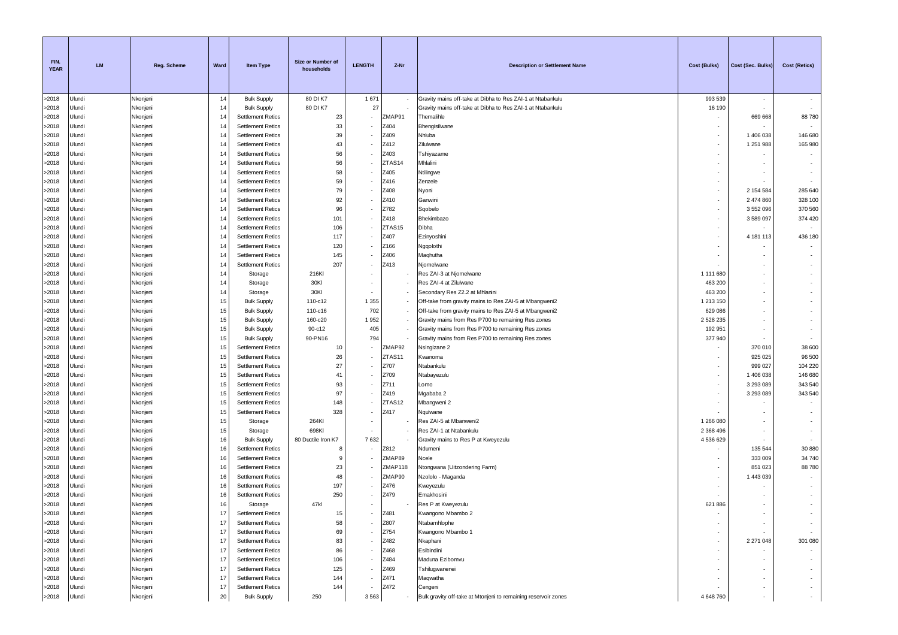| FIN.<br><b>YEAR</b> | <b>LM</b>        | <b>Reg. Scheme</b>   | Ward     | Item Type                                            | Size or Number of<br>households | <b>LENGTH</b> | Z-Nr             | <b>Description or Settlement Name</b>                          | <b>Cost (Bulks)</b> | Cost (Sec. Bulks)  | <b>Cost (Retics)</b> |
|---------------------|------------------|----------------------|----------|------------------------------------------------------|---------------------------------|---------------|------------------|----------------------------------------------------------------|---------------------|--------------------|----------------------|
| >2018               | Jlundi           | Nkonjeni             | 14       | <b>Bulk Supply</b>                                   | 80 DI K7                        | 1 671         |                  | Gravity mains off-take at Dibha to Res ZAI-1 at Ntabankulu     | 993 539             | $\sim$             |                      |
| >2018               | Jlundi           | Nkonjeni             | 14       | <b>Bulk Supply</b>                                   | 80 DI K7                        | 27            |                  | Gravity mains off-take at Dibha to Res ZAI-1 at Ntabankulu     | 16 190              |                    |                      |
| >2018               | Jlundi           | Nkonjeni             | 14       | <b>Settlement Retics</b>                             | 23                              |               | ZMAP91           | Themalihle                                                     |                     | 669 668            | 88780                |
| >2018               | Jlundi           | Nkonjeni             | 14       | <b>Settlement Retics</b>                             | 33                              |               | Z404             | Bhengisilwane                                                  |                     |                    |                      |
| >2018               | Jlundi           | Nkonjeni             | 14       | <b>Settlement Retics</b>                             | 39                              |               | Z409             | Nhluba                                                         | ٠                   | 1 406 038          | 146 680              |
| >2018               | Jlundi           | Nkonjeni             | 14       | <b>Settlement Retics</b>                             | 43                              |               | Z412             | Zilulwane                                                      | ٠                   | 1 251 988          | 165 980              |
| >2018               | Jlundi           | Nkonjeni             | 14       | <b>Settlement Retics</b>                             | 56                              |               | Z403             | Tshiyazame                                                     | ٠                   |                    | $\sim$               |
| >2018               | Jlundi           | Nkonjeni             | 14       | <b>Settlement Retics</b>                             | 56                              |               | ZTAS14           | Mhlalini                                                       |                     |                    | $\sim$               |
| >2018<br>>2018      | Jlundi<br>Jlundi | Nkonjeni<br>Nkonjeni | 14<br>14 | <b>Settlement Retics</b><br><b>Settlement Retics</b> | 58<br>59                        |               | Z405<br>Z416     | Ntilingwe<br>Zenzele                                           |                     |                    | $\sim$               |
| >2018               | Jlundi           | Nkonjeni             | 14       | <b>Settlement Retics</b>                             | 79                              |               | Z408             | Nyoni                                                          |                     | 2 154 584          | 285 640              |
| >2018               | Jlundi           | Nkonjeni             | 14       | <b>Settlement Retics</b>                             | 92                              |               | Z410             | Ganwini                                                        | ٠                   | 2 474 860          | 328 100              |
| >2018               | Jlundi           | Nkonjeni             | 14       | <b>Settlement Retics</b>                             | 96                              |               | Z782             | Sqobelo                                                        | ٠                   | 3 552 096          | 370 560              |
| >2018               | Jlundi           | Nkonjeni             | 14       | <b>Settlement Retics</b>                             | 101                             |               | Z418             | Bhekimbazo                                                     | ٠                   | 3589097            | 374 420              |
| >2018               | Jlundi           | Nkonjeni             | 14       | <b>Settlement Retics</b>                             | 106                             |               | ZTAS15           | Dibha                                                          | ٠                   | $\sim$             |                      |
| >2018               | Jlundi           | Nkonjeni             | 14       | <b>Settlement Retics</b>                             | 117                             |               | Z407             | Ezinyoshini                                                    |                     | 4 181 113          | 436 180              |
| >2018               | Jlundi           | Nkonjeni             | 14       | <b>Settlement Retics</b>                             | 120                             |               | Z166             | Ngqolothi                                                      |                     |                    |                      |
| >2018               | Jlundi           | Nkonjeni             | 14       | <b>Settlement Retics</b>                             | 145                             |               | Z406             | Maqhutha                                                       |                     |                    |                      |
| >2018               | Jlundi           | Nkonjeni             | 14       | <b>Settlement Retics</b>                             | 207                             |               | Z413             | Njomelwane                                                     |                     |                    |                      |
| >2018               | Jlundi           | Nkonjeni             | 14       | Storage                                              | 216KI                           |               |                  | Res ZAI-3 at Njomelwane                                        | 1 111 680           | $\sim$             |                      |
| >2018               | Jlundi           | Nkonjeni             | 14       | Storage                                              | 30KI                            |               |                  | Res ZAI-4 at Zilulwane                                         | 463 200             |                    |                      |
| >2018               | Jlundi           | Nkonjeni             | 14       | Storage                                              | 30KI                            |               |                  | Secondary Res Z2.2 at Mhlanini                                 | 463 200             |                    |                      |
| >2018               | Jlundi           | Nkonjeni             | 15       | <b>Bulk Supply</b>                                   | 110-c12                         | 1 3 5 5       |                  | Off-take from gravity mains to Res ZAI-5 at Mbangweni2         | 1 213 150           |                    |                      |
| >2018               | Jlundi           | Nkonjeni             | 15       | <b>Bulk Supply</b>                                   | 110-c16                         | 702           |                  | Off-take from gravity mains to Res ZAI-5 at Mbangweni2         | 629 086             |                    |                      |
| >2018               | Jlundi           | Nkonjeni             | 15       | <b>Bulk Supply</b>                                   | 160-c20                         | 1952          |                  | Gravity mains from Res P700 to remaining Res zones             | 2 528 235           |                    |                      |
| >2018               | Jlundi           | Nkonjeni             | 15       | <b>Bulk Supply</b>                                   | 90-c12                          | 405           |                  | Gravity mains from Res P700 to remaining Res zones             | 192 951             |                    |                      |
| >2018               | Jlundi           | Nkonjeni             | 15       | <b>Bulk Supply</b>                                   | 90-PN16                         | 794           |                  | Gravity mains from Res P700 to remaining Res zones             | 377 940             |                    |                      |
| >2018               | Jlundi           | Nkonjeni             | 15       | <b>Settlement Retics</b>                             | 10                              |               | ZMAP92<br>ZTAS11 | Nsingizane 2                                                   |                     | 370 010            | 38 600               |
| >2018<br>>2018      | Jlundi<br>Jlundi | Nkonjeni<br>Nkonjeni | 15<br>15 | <b>Settlement Retics</b><br><b>Settlement Retics</b> | 26<br>27                        |               | Z707             | Kwanoma<br>Ntabankulu                                          | ٠                   | 925 025<br>999 027 | 96 500<br>104 220    |
| >2018               | Jlundi           | Nkonjeni             | 15       | <b>Settlement Retics</b>                             | 41                              |               | Z709             | Ntabayezulu                                                    | ٠                   | 1 406 038          | 146 680              |
| >2018               | Jlundi           | Nkonjeni             | 15       | <b>Settlement Retics</b>                             | 93                              |               | Z711             | Lomo                                                           | ٠                   | 3 293 089          | 343 540              |
| >2018               | Jlundi           | Nkonjeni             | 15       | <b>Settlement Retics</b>                             | 97                              |               | Z419             | Mgababa 2                                                      | ٠                   | 3 293 089          | 343 540              |
| >2018               | Jlundi           | Nkonjeni             | 15       | <b>Settlement Retics</b>                             | 148                             |               | ZTAS12           | Mbangweni 2                                                    |                     |                    |                      |
| >2018               | Jlundi           | Nkonjeni             | 15       | <b>Settlement Retics</b>                             | 328                             |               | Z417             | Nqulwane                                                       |                     |                    | $\sim$               |
| >2018               | Jlundi           | Nkonjeni             | 15       | Storage                                              | 264KI                           |               |                  | Res ZAI-5 at Mbanweni2                                         | 1 266 080           |                    | $\sim$               |
| >2018               | Jlundi           | Nkonjeni             | 15       | Storage                                              | 698KI                           |               |                  | Res ZAI-1 at Ntabankulu                                        | 2 3 68 4 96         |                    | $\sim$               |
| >2018               | Jlundi           | Nkonjeni             | 16       | <b>Bulk Supply</b>                                   | 80 Ductile Iron K7              | 7632          |                  | Gravity mains to Res P at Kweyezulu                            | 4 536 629           |                    |                      |
| >2018               | Jlundi           | Nkonjeni             | 16       | <b>Settlement Retics</b>                             | -8                              |               | Z812             | Ndumeni                                                        |                     | 135 544            | 30 880               |
| >2018               | Jlundi           | Nkonjeni             | 16       | <b>Settlement Retics</b>                             | 9                               |               | ZMAP89           | Ncele                                                          |                     | 333 009            | 34 740               |
| >2018               | Jlundi           | Nkonjeni             | 16       | <b>Settlement Retics</b>                             | 23                              |               | ZMAP118          | Ntongwana (Uitzondering Farm)                                  |                     | 851 023            | 88 780               |
| >2018               | Jlundi           | Nkonjeni             | 16       | <b>Settlement Retics</b>                             | 48                              |               | ZMAP90           | Nzololo - Maganda                                              |                     | 1 443 039          |                      |
| >2018               | Jlundi           | Nkonjeni             | 16       | <b>Settlement Retics</b>                             | 197                             |               | Z476             | Kweyezulu                                                      |                     |                    |                      |
| >2018               | Jlundi           | Nkonjeni             | 16       | <b>Settlement Retics</b>                             | 250                             |               | Z479             | Emakhosini                                                     |                     |                    | $\sim$               |
| >2018               | Ulundi           | Nkonjeni             | 16       | Storage                                              | 47kl                            |               |                  | Res P at Kweyezulu                                             | 621 886             | $\sim$             |                      |
| >2018               | Ulundi           | Nkonjeni             | 17       | <b>Settlement Retics</b>                             | 15                              |               | Z481             | Kwangono Mbambo 2                                              |                     |                    |                      |
| >2018               | Ulundi           | Nkonjeni             | 17<br>17 | <b>Settlement Retics</b><br><b>Settlement Retics</b> | 58<br>69                        |               | Z807<br>Z754     | Ntabamhlophe                                                   | ٠                   |                    | $\sim$               |
| >2018<br>>2018      | Ulundi<br>Ulundi | Nkonjeni<br>Nkonjeni | 17       |                                                      | 83                              |               | Z482             | Kwangono Mbambo 1<br>Nkaphani                                  | ٠                   | 2 271 048          | 301 080              |
| >2018               | Ulundi           | Nkonjeni             | 17       | <b>Settlement Retics</b><br><b>Settlement Retics</b> | 86                              |               | Z468             | Esibindini                                                     |                     |                    |                      |
| >2018               | Ulundi           | Nkonjeni             | 17       | <b>Settlement Retics</b>                             | 106                             |               | Z484             | Maduna Ezibomvu                                                |                     |                    |                      |
| >2018               | Ulundi           | Nkonjeni             | 17       | <b>Settlement Retics</b>                             | 125                             |               | Z469             | Tshilugwanenei                                                 |                     |                    | $\sim$               |
| >2018               | Ulundi           | Nkonjeni             | 17       | <b>Settlement Retics</b>                             | 144                             |               | Z471             | Maqwatha                                                       |                     |                    | $\sim$               |
| >2018               | Ulundi           | Nkonjeni             | 17       | <b>Settlement Retics</b>                             | 144                             |               | Z472             | Cengeni                                                        |                     |                    | $\sim$               |
| >2018               | Ulundi           | Nkonjeni             | 20       | <b>Bulk Supply</b>                                   | 250                             | 3 5 6 3       |                  | Bulk gravity off-take at Mtonjeni to remaining reservoir zones | 4 648 760           |                    | $\sim$               |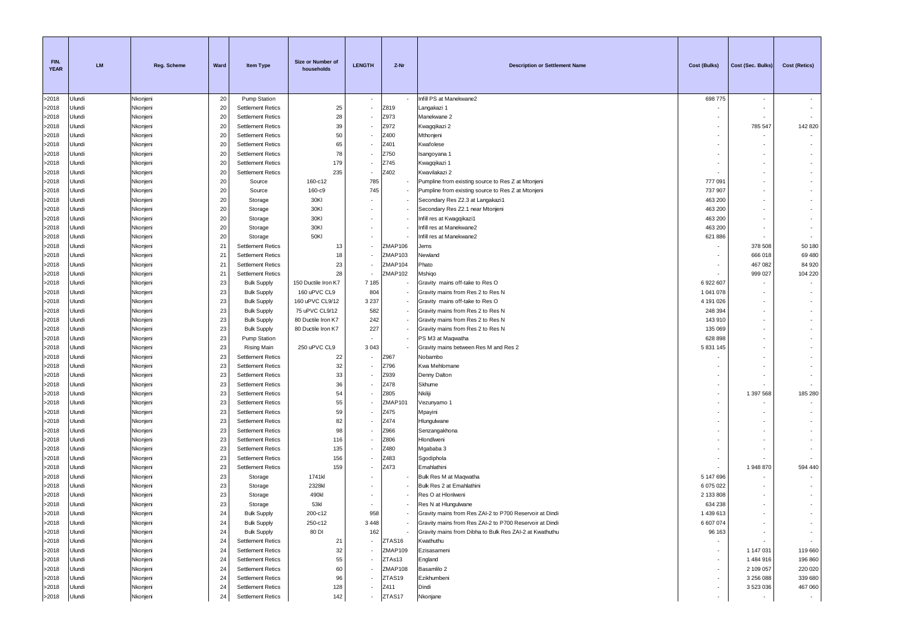| FIN.<br><b>YEAR</b> | <b>LM</b>        | Reg. Scheme          | Ward     | Item Type                                            | Size or Number of<br>households | <b>LENGTH</b>            | Z-Nr               | <b>Description or Settlement Name</b>                                                                              | <b>Cost (Bulks)</b>    | Cost (Sec. Bulks)        | <b>Cost (Retics)</b> |
|---------------------|------------------|----------------------|----------|------------------------------------------------------|---------------------------------|--------------------------|--------------------|--------------------------------------------------------------------------------------------------------------------|------------------------|--------------------------|----------------------|
| >2018               | Ulundi           | Nkonjeni             | 20       | Pump Station                                         |                                 | $\sim$                   |                    | Infill PS at Manekwane2                                                                                            | 698775                 | $\overline{\phantom{a}}$ |                      |
| >2018               | Ulundi           | Nkonjeni             | 20       | <b>Settlement Retics</b>                             | 25                              |                          | Z819               | Langakazi 1                                                                                                        |                        |                          |                      |
| >2018               | Ulundi           | Nkonjeni             | 20       | <b>Settlement Retics</b>                             | 28                              |                          | Z973               | Manekwane 2                                                                                                        |                        |                          |                      |
| >2018               | Ulundi           | Nkonjeni             | 20       | <b>Settlement Retics</b>                             | 39                              |                          | Z972               | Kwagqikazi 2                                                                                                       |                        | 785 547                  | 142 820              |
| >2018               | Ulundi           | Nkonjeni             | 20       | <b>Settlement Retics</b>                             | 50                              |                          | Z400               | Mthonjeni                                                                                                          |                        | $\sim$                   |                      |
| >2018               | Ulundi           | Nkonjeni             | 20       | <b>Settlement Retics</b>                             | 65                              |                          | Z401               | Kwafolese                                                                                                          |                        |                          |                      |
| >2018               | Ulundi           | Nkonjeni             | 20       | <b>Settlement Retics</b>                             | 78                              |                          | Z750               | Isangoyana 1                                                                                                       |                        |                          |                      |
| >2018               | Ulundi           | Nkonjeni             | 20       | <b>Settlement Retics</b>                             | 179                             |                          | Z745               | Kwagqikazi 1                                                                                                       |                        |                          |                      |
| >2018               | Ulundi           | Nkonjeni             | 20       | <b>Settlement Retics</b>                             | 235                             |                          | Z402               | Kwavilakazi 2                                                                                                      |                        |                          |                      |
| >2018               | Ulundi           | Nkonjeni             | 20       | Source                                               | 160-c12                         | 785                      |                    | Pumpline from existing source to Res Z at Mtonjeni                                                                 | 777 091                |                          |                      |
| >2018               | Ulundi           | Nkonjeni             | 20       | Source                                               | 160-c9                          | 745                      |                    | Pumpline from existing source to Res Z at Mtonjeni                                                                 | 737 907                |                          |                      |
| >2018               | Ulundi           | Nkonjeni             | 20       | Storage                                              | 30KI                            |                          |                    | Secondary Res Z2.3 at Langakazi1                                                                                   | 463 200                |                          |                      |
| >2018               | Ulundi           | Nkonjeni             | 20       | Storage                                              | 30KI                            |                          |                    | Secondary Res Z2.1 near Mtonjeni                                                                                   | 463 200                |                          |                      |
| >2018               | Ulundi           | Nkonjeni             | 20       | Storage                                              | 30KI                            |                          |                    | Infill res at Kwagqikazi1                                                                                          | 463 200                |                          |                      |
| >2018               | Ulundi           | Nkonjeni             | 20       | Storage                                              | 30KI                            |                          |                    | Infill res at Manekwane2                                                                                           | 463 200                |                          |                      |
| >2018               | Ulundi<br>Ulundi | Nkonjeni             | 20       | Storage                                              | 50KI<br>13                      |                          |                    | Infill res at Manekwane2                                                                                           | 621 886                |                          |                      |
| >2018<br>>2018      | Ulundi           | Nkonjeni<br>Nkonjeni | 21<br>21 | <b>Settlement Retics</b><br><b>Settlement Retics</b> | 18                              |                          | ZMAP106<br>ZMAP103 | Jems<br>Vewland                                                                                                    |                        | 378 508<br>666 018       | 50 180               |
| >2018               | Ulundi           | Nkonjeni             | 21       | <b>Settlement Retics</b>                             | 23                              |                          | ZMAP104            | Phato                                                                                                              |                        | 467 082                  | 69 480<br>84 920     |
| >2018               | Ulundi           | Nkonjeni             | 21       | <b>Settlement Retics</b>                             | 28                              |                          | ZMAP102            | Mshiqo                                                                                                             |                        | 999 027                  | 104 220              |
| >2018               | Ulundi           | Nkonjeni             | 23       | <b>Bulk Supply</b>                                   | 150 Ductile Iron K7             | 7 1 8 5                  |                    | Gravity mains off-take to Res O                                                                                    | 6 922 607              | $\sim$                   | $\sim$               |
| >2018               | Ulundi           | Nkonjeni             | 23       | <b>Bulk Supply</b>                                   | 160 uPVC CL9                    | 804                      |                    | Gravity mains from Res 2 to Res N                                                                                  | 1 041 078              |                          |                      |
| >2018               | Ulundi           | Nkonjeni             | 23       | <b>Bulk Supply</b>                                   | 160 uPVC CL9/12                 | 3 2 3 7                  |                    | Gravity mains off-take to Res O                                                                                    | 4 191 026              |                          |                      |
| >2018               | Ulundi           | Nkonjeni             | 23       | <b>Bulk Supply</b>                                   | 75 uPVC CL9/12                  | 582                      |                    | Gravity mains from Res 2 to Res N                                                                                  | 248 394                |                          |                      |
| >2018               | Ulundi           | Nkonjeni             | 23       | <b>Bulk Supply</b>                                   | 80 Ductile Iron K7              | 242                      |                    | Gravity mains from Res 2 to Res N                                                                                  | 143 910                |                          |                      |
| >2018               | Ulundi           | Nkonjeni             | 23       | <b>Bulk Supply</b>                                   | 80 Ductile Iron K7              | 227                      |                    | Gravity mains from Res 2 to Res N                                                                                  | 135 069                |                          |                      |
| >2018               | Ulundi           | Nkonjeni             | 23       | <b>Pump Station</b>                                  |                                 |                          |                    | PS M3 at Maqwatha                                                                                                  | 628 898                |                          |                      |
| >2018               | Ulundi           | Nkonjeni             | 23       | Rising Main                                          | 250 uPVC CL9                    | 3 0 4 3                  |                    | Gravity mains between Res M and Res 2                                                                              | 5 831 145              |                          |                      |
| >2018               | Ulundi           | Nkonjeni             | 23       | <b>Settlement Retics</b>                             | 22                              |                          | Z967               | Nobambo                                                                                                            |                        |                          |                      |
| >2018               | Ulundi           | Nkonjeni             | 23       | <b>Settlement Retics</b>                             | 32                              |                          | Z796               | Kwa Mehlomane                                                                                                      |                        |                          |                      |
| >2018               | Ulundi           | Nkonjeni             | 23       | <b>Settlement Retics</b>                             | 33                              |                          | Z939               | Denny Dalton                                                                                                       |                        |                          |                      |
| >2018               | Ulundi           | Nkonjeni             | 23       | <b>Settlement Retics</b>                             | 36                              |                          | Z478               | Skhume                                                                                                             |                        |                          |                      |
| >2018               | Ulundi           | Nkonjeni             | 23       | <b>Settlement Retics</b>                             | 54                              |                          | Z805               | Nkiliji                                                                                                            |                        | 1 397 568                | 185 280              |
| >2018               | Ulundi           | Nkonjeni             | 23       | <b>Settlement Retics</b>                             | 55                              |                          | ZMAP101            | Vezunyamo 1                                                                                                        |                        |                          |                      |
| >2018               | Ulundi           | Nkonjeni             | 23       | <b>Settlement Retics</b>                             | 59                              |                          | Z475               | Mpayini                                                                                                            |                        |                          |                      |
| >2018               | Ulundi           | Nkonjeni             | 23       | <b>Settlement Retics</b>                             | 82                              |                          | Z474               | Hlungulwane                                                                                                        |                        |                          |                      |
| >2018               | Ulundi           | Nkonjeni             | 23       | <b>Settlement Retics</b>                             | 98                              |                          | Z966               | Senzangakhona                                                                                                      |                        |                          |                      |
| >2018               | Ulundi           | Nkonjeni             | 23       | <b>Settlement Retics</b>                             | 116                             |                          | Z806               | Hlondlweni                                                                                                         |                        |                          |                      |
| >2018               | Ulundi           | Nkonjeni             | 23       | <b>Settlement Retics</b>                             | 135                             |                          | Z480               | Mgababa 3                                                                                                          |                        |                          |                      |
| >2018               | Ulundi           | Nkonjeni             | 23       | <b>Settlement Retics</b>                             | 156                             |                          | Z483               | Sgodiphola                                                                                                         |                        |                          |                      |
| >2018               | Ulundi           | Nkonjeni             | 23       | <b>Settlement Retics</b>                             | 159                             |                          | Z473               | Emahlathini                                                                                                        |                        | 1 948 870                | 594 440              |
| >2018               | Ulundi           | Nkonjeni             | 23       | Storage                                              | 1741kl                          |                          |                    | Bulk Res M at Maqwatha                                                                                             | 5 147 696              |                          |                      |
| >2018               | Ulundi           | Nkonjeni             | 23       | Storage                                              | 2328kl                          |                          |                    | Bulk Res 2 at Emahlathini                                                                                          | 6 075 022              |                          |                      |
| >2018               | Jlundi           | Nkonjeni             | 23       | Storage                                              | 490kl                           |                          |                    | Res O at Hlonlweni                                                                                                 | 2 133 808              |                          |                      |
| >2018               | Ulundi           | Nkonjeni             | 23       | Storage                                              | 53kl                            |                          |                    | Res N at Hlungulwane                                                                                               | 634 238                |                          |                      |
| >2018               | Ulundi<br>Ulundi | Nkonjeni             | 24<br>24 | <b>Bulk Supply</b>                                   | 200-c12<br>250-c12              | 958<br>3 4 4 8           |                    | Gravity mains from Res ZAI-2 to P700 Reservoir at Dindi                                                            | 1 439 613<br>6 607 074 |                          |                      |
| >2018<br>>2018      | Ulundi           | Nkonjeni<br>Nkonjeni | 24       | <b>Bulk Supply</b><br><b>Bulk Supply</b>             | 80 DI                           | 162                      |                    | Gravity mains from Res ZAI-2 to P700 Reservoir at Dindi<br>Gravity mains from Dibha to Bulk Res ZAI-2 at Kwathuthu | 96 163                 | $\sim$                   | $\sim$<br>$\sim$     |
| >2018               | Ulundi           | Nkonjeni             | 24       | <b>Settlement Retics</b>                             | 21                              |                          | ZTAS16             | Kwathuthu                                                                                                          |                        | $\sim$                   | $\sim$               |
| >2018               | Ulundi           | Nkonjeni             | 24       | <b>Settlement Retics</b>                             | 32                              | ٠                        | ZMAP109            | Ezisasameni                                                                                                        | ٠                      | 1 147 031                | 119 660              |
| >2018               | Ulundi           | Nkonjeni             | 24       | <b>Settlement Retics</b>                             | 55                              |                          | ZTAs13             | England                                                                                                            |                        | 1 484 916                | 196 860              |
| >2018               | Ulundi           | Nkonjeni             | 24       | <b>Settlement Retics</b>                             | 60                              |                          | ZMAP108            | Basamlilo 2                                                                                                        |                        | 2 109 057                | 220 020              |
| >2018               | Ulundi           | Nkonjeni             | 24       | <b>Settlement Retics</b>                             | 96                              |                          | ZTAS19             | Ezikhumbeni                                                                                                        |                        | 3 256 088                | 339 680              |
| >2018               | Ulundi           | Nkonjeni             | 24       | <b>Settlement Retics</b>                             | 128                             |                          | Z411               | Dindi                                                                                                              |                        | 3 523 036                | 467 060              |
| >2018               | Ulundi           | Nkonjeni             | 24       | <b>Settlement Retics</b>                             | 142                             | $\overline{\phantom{a}}$ | ZTAS17             | Nkonjane                                                                                                           |                        | $\sim$                   | $\sim$               |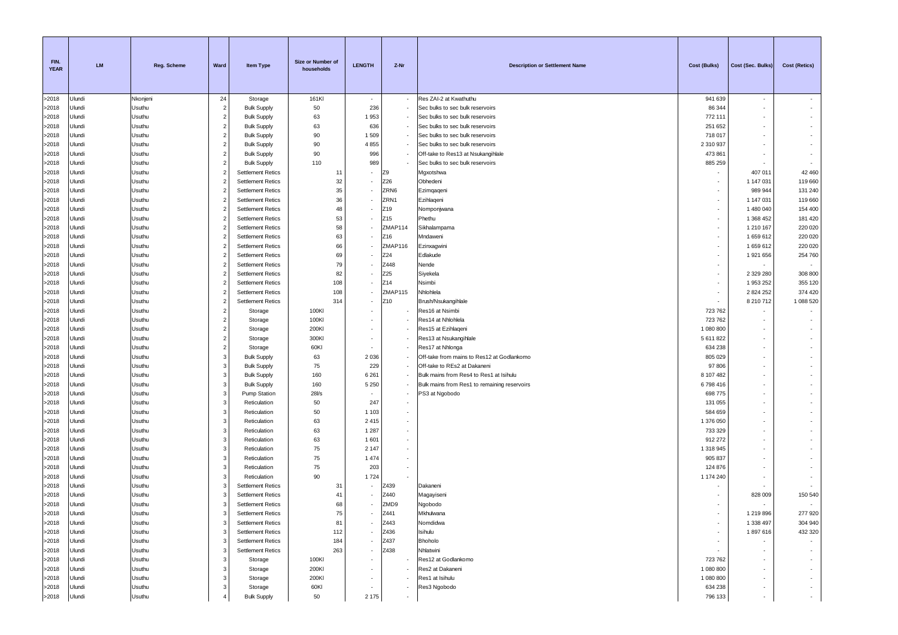| FIN.<br><b>YEAR</b> | <b>LM</b>        | Reg. Scheme      | Ward                             | Item Type                                            | Size or Number of<br>households | <b>LENGTH</b>  | Z-Nr                     | <b>Description or Settlement Name</b>        | <b>Cost (Bulks)</b>  | Cost (Sec. Bulks)      | <b>Cost (Retics)</b> |
|---------------------|------------------|------------------|----------------------------------|------------------------------------------------------|---------------------------------|----------------|--------------------------|----------------------------------------------|----------------------|------------------------|----------------------|
| >2018               | Ulundi           | Nkonjeni         | 24                               | Storage                                              | 161KI                           | <b>.</b>       |                          | Res ZAI-2 at Kwathuthu                       | 941 639              | $\sim$                 |                      |
| >2018               | Ulundi           | Usuthu           | $\overline{2}$                   | <b>Bulk Supply</b>                                   | 50                              | 236            |                          | Sec bulks to sec bulk reservoirs             | 86 344               |                        |                      |
| >2018               | Ulundi           | Usuthu           | $\overline{2}$                   | <b>Bulk Supply</b>                                   | 63                              | 1953           |                          | Sec bulks to sec bulk reservoirs             | 772 111              |                        |                      |
| >2018               | Ulundi           | Usuthu           | $\overline{2}$                   | <b>Bulk Supply</b>                                   | 63                              | 636            |                          | Sec bulks to sec bulk reservoirs             | 251 652              |                        |                      |
| >2018               | Ulundi           | Usuthu           | $\overline{2}$                   | <b>Bulk Supply</b>                                   | 90                              | 1509           |                          | Sec bulks to sec bulk reservoirs             | 718 017              |                        |                      |
| >2018               | Ulundi           | Usuthu           | $\overline{2}$                   | <b>Bulk Supply</b>                                   | 90                              | 4 8 5 5        |                          | Sec bulks to sec bulk reservoirs             | 2 310 937            |                        |                      |
| >2018               | Ulundi           | Usuthu           | $\overline{2}$                   | <b>Bulk Supply</b>                                   | 90                              | 996            |                          | Off-take to Res13 at Nsukangihlale           | 473 861              |                        |                      |
| >2018               | Ulundi           | Usuthu           | $\overline{2}$                   | <b>Bulk Supply</b>                                   | 110                             | 989            |                          | Sec bulks to sec bulk reservoirs             | 885 259              |                        |                      |
| >2018               | Ulundi           | Usuthu           | $\overline{2}$                   | <b>Settlement Retics</b>                             | 11                              |                | Z9                       | Mgxotshwa                                    |                      | 407 011                | 42 460               |
| >2018               | Ulundi           | Usuthu           | $\overline{2}$                   | <b>Settlement Retics</b>                             | 32                              |                | Z26                      | Obhedeni                                     |                      | 1 147 031              | 119 660              |
| >2018               | Ulundi           | Usuthu           | $\overline{2}$                   | <b>Settlement Retics</b>                             | 35                              |                | ZRN6                     | Ezimqaqeni                                   |                      | 989 944                | 131 240              |
| >2018<br>>2018      | Ulundi<br>Ulundi | Usuthu           | $\overline{2}$<br>$\overline{2}$ | <b>Settlement Retics</b><br><b>Settlement Retics</b> | 36<br>48                        |                | ZRN1                     | Ezihlaqeni                                   | $\sim$               | 1 147 031              | 119 660<br>154 400   |
| >2018               | Ulundi           | Usuthu<br>Usuthu | $\overline{2}$                   | <b>Settlement Retics</b>                             | 53                              |                | Z19<br>Z15               | Nomponjwana<br>Phethu                        | $\sim$<br>$\sim$     | 1 480 040<br>1 368 452 | 181 420              |
| >2018               | Ulundi           | Usuthu           | $\overline{2}$                   | <b>Settlement Retics</b>                             | 58                              |                | ZMAP114                  | Sikhalampama                                 | $\sim$               | 1 210 167              | 220 020              |
| >2018               | Ulundi           | Usuthu           | $\overline{2}$                   | <b>Settlement Retics</b>                             | 63                              |                | Z16                      | Mndaweni                                     | $\sim$               | 1659612                | 220 020              |
| >2018               | Ulundi           | Usuthu           | $\overline{2}$                   | <b>Settlement Retics</b>                             | 66                              |                | ZMAP116                  | Ezinxagwini                                  | ۰.                   | 1659612                | 220 020              |
| >2018               | Ulundi           | Usuthu           | $\overline{2}$                   | <b>Settlement Retics</b>                             | 69                              |                | Z24                      | Edlakude                                     |                      | 1921656                | 254 760              |
| >2018               | Ulundi           | Usuthu           | $\overline{2}$                   | <b>Settlement Retics</b>                             | 79                              |                | Z448                     | Nende                                        |                      |                        |                      |
| >2018               | Ulundi           | Usuthu           | $\overline{2}$                   | <b>Settlement Retics</b>                             | 82                              |                | Z25                      | Siyekela                                     | $\sim$               | 2 3 2 9 2 8 0          | 308 800              |
| >2018               | Ulundi           | Usuthu           | $\overline{2}$                   | <b>Settlement Retics</b>                             | 108                             |                | Z14                      | Nsimbi                                       | $\sim$               | 1953252                | 355 120              |
| >2018               | Ulundi           | Usuthu           | $\overline{2}$                   | <b>Settlement Retics</b>                             | 108                             |                | ZMAP115                  | Nhlohlela                                    | ۰.                   | 2 824 252              | 374 420              |
| >2018               | Ulundi           | Usuthu           | $\overline{2}$                   | <b>Settlement Retics</b>                             | 314                             |                | Z10                      | Brush/Nsukangihlale                          | $\sim$               | 8 210 712              | 1 088 520            |
| >2018               | Ulundi           | Usuthu           | $\overline{2}$                   | Storage                                              | 100KI                           |                |                          | Res16 at Nsimbi                              | 723 762              |                        |                      |
| >2018               | Ulundi           | Usuthu           | $\overline{2}$                   | Storage                                              | 100KI                           |                |                          | Res14 at Nhlohlela                           | 723 762              |                        |                      |
| >2018               | Ulundi           | Usuthu           | $\overline{2}$                   | Storage                                              | 200KI                           |                |                          | Res15 at Ezihlaqeni                          | 1 080 800            |                        |                      |
| >2018               | Ulundi           | Usuthu           | $\overline{2}$                   | Storage                                              | 300KI                           |                |                          | Res13 at Nsukangihlale                       | 5 611 822            |                        |                      |
| >2018               | Ulundi           | Usuthu           | $\overline{2}$                   | Storage                                              | 60KI                            |                |                          | Res17 at Nhlonga                             | 634 238              |                        |                      |
| >2018               | Ulundi           | Usuthu           | 3                                | <b>Bulk Supply</b>                                   | 63                              | 2 0 3 6        |                          | Off-take from mains to Res12 at Godlankomo   | 805 029              |                        |                      |
| >2018               | Ulundi           | Usuthu           | 3                                | <b>Bulk Supply</b>                                   | 75                              | 229            |                          | Off-take to REs2 at Dakaneni                 | 97 806               |                        |                      |
| >2018               | Ulundi           | Usuthu           | 3                                | <b>Bulk Supply</b>                                   | 160                             | 6 2 6 1        |                          | Bulk mains from Res4 to Res1 at Isihulu      | 8 107 482            |                        |                      |
| >2018               | Ulundi           | Usuthu           | 3                                | <b>Bulk Supply</b>                                   | 160                             | 5 2 5 0        | $\overline{\phantom{a}}$ | Bulk mains from Res1 to remaining reservoirs | 6798416              | ٠                      |                      |
| >2018               | Ulundi           | Usuthu           | 3<br>3                           | <b>Pump Station</b>                                  | $28$ l/s                        |                | $\overline{\phantom{a}}$ | PS3 at Ngobodo                               | 698 775              |                        |                      |
| >2018<br>>2018      | Ulundi<br>Ulundi | Usuthu<br>Usuthu | 3                                | Reticulation<br>Reticulation                         | 50<br>50                        | 247<br>1 1 0 3 | $\overline{\phantom{a}}$ |                                              | 131 055<br>584 659   |                        |                      |
| >2018               | Ulundi           | Usuthu           | 3                                | Reticulation                                         | 63                              | 2415           | $\overline{\phantom{a}}$ |                                              | 1 376 050            |                        |                      |
| >2018               | Ulundi           | Usuthu           | 3                                | Reticulation                                         | 63                              | 1 2 8 7        | $\sim$                   |                                              | 733 329              |                        |                      |
| >2018               | Ulundi           | Usuthu           | 3                                | Reticulation                                         | 63                              | 1 601          |                          |                                              | 912 272              |                        |                      |
| >2018               | Ulundi           | Usuthu           | 3                                | Reticulation                                         | 75                              | 2 1 4 7        |                          |                                              | 1 318 945            |                        |                      |
| >2018               | Ulundi           | Usuthu           | 3                                | Reticulation                                         | 75                              | 1474           |                          |                                              | 905 837              |                        |                      |
| >2018               | Ulundi           | Usuthu           | 3                                | Reticulation                                         | 75                              | 203            | $\sim$                   |                                              | 124 876              |                        |                      |
| >2018               | Ulundi           | Usuthu           | 3                                | Reticulation                                         | 90                              | 1724           |                          |                                              | 1 174 240            |                        |                      |
| >2018               | Ulundi           | Usuthu           | 3                                | <b>Settlement Retics</b>                             | 31                              |                | Z439                     | Dakaneni                                     |                      |                        |                      |
| >2018               | Ulundi           | Usuthu           | 3                                | <b>Settlement Retics</b>                             | 41                              |                | Z440                     | Magayiseni                                   |                      | 828 009                | 150 540              |
| >2018               | Ulundi           | Usuthu           | 3                                | <b>Settlement Retics</b>                             | 68                              |                | ZMD9                     | Ngobodo                                      |                      |                        |                      |
| >2018               | Ulundi           | Usuthu           | $\mathcal{R}$                    | <b>Settlement Retics</b>                             | 75                              |                | Z441                     | Mkhulwana                                    |                      | 1 219 896              | 277 920              |
| >2018               | Ulundi           | Usuthu           | 3                                | <b>Settlement Retics</b>                             | 81                              |                | Z443                     | Nomdidwa                                     | $\sim$               | 1 338 497              | 304 940              |
| >2018               | Ulundi           | Usuthu           | 3                                | <b>Settlement Retics</b>                             | 112                             |                | Z436                     | Isihulu                                      | $\sim$               | 1897616                | 432 320              |
| >2018               | Ulundi           | Usuthu           | 3                                | <b>Settlement Retics</b>                             | 184                             |                | Z437                     | <b>Bhoholo</b>                               | $\sim$               |                        |                      |
| >2018               | Ulundi           | Usuthu           | 3                                | <b>Settlement Retics</b>                             | 263                             |                | Z438                     | Nhlatwini                                    | . н.                 |                        | ٠                    |
| >2018               | Ulundi           | Usuthu           | 3                                | Storage                                              | 100KI                           |                |                          | Res12 at Godlankomo                          | 723 762              |                        |                      |
| >2018               | Ulundi           | Usuthu           | 3                                | Storage                                              | 200KI                           |                |                          | Res2 at Dakaneni                             | 1 080 800            |                        | $\cdot$              |
| >2018<br>>2018      | Ulundi<br>Ulundi | Usuthu<br>Usuthu | 3<br>3                           | Storage<br>Storage                                   | 200KI<br>60KI                   |                |                          | Res1 at Isihulu<br>Res3 Ngobodo              | 1 080 800<br>634 238 |                        | $\sim$               |
| >2018               | Ulundi           | Usuthu           |                                  | <b>Bulk Supply</b>                                   | 50                              | 2 1 7 5        | $\sim$                   |                                              | 796 133              |                        | $\sim$               |
|                     |                  |                  |                                  |                                                      |                                 |                |                          |                                              |                      |                        |                      |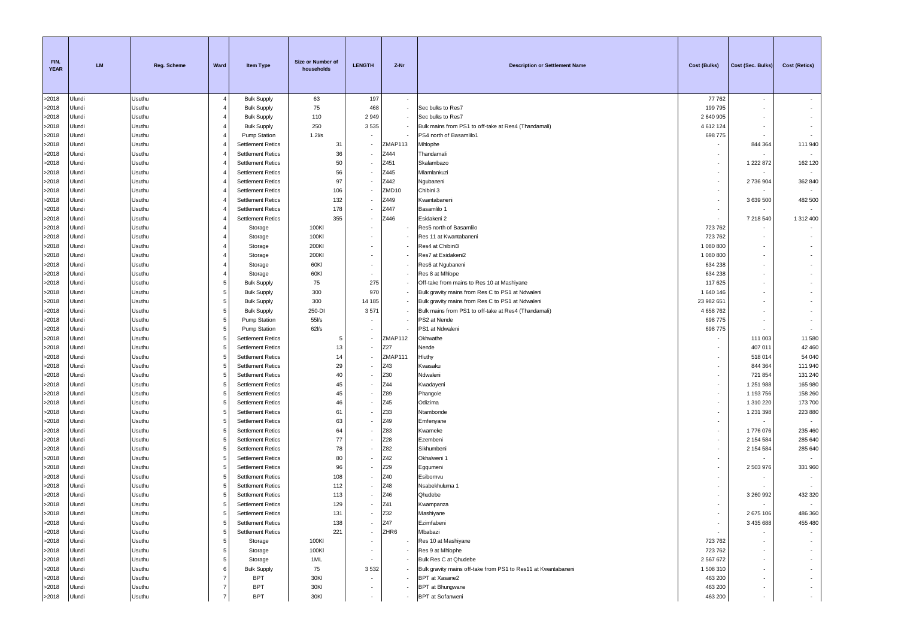| FIN.<br><b>YEAR</b> | <b>LM</b>        | Reg. Scheme      | Ward                | Item Type                                            | Size or Number of<br>households | <b>LENGTH</b>            | Z-Nr                     | <b>Description or Settlement Name</b>                         | <b>Cost (Bulks)</b> | Cost (Sec. Bulks)    | <b>Cost (Retics)</b>     |
|---------------------|------------------|------------------|---------------------|------------------------------------------------------|---------------------------------|--------------------------|--------------------------|---------------------------------------------------------------|---------------------|----------------------|--------------------------|
| >2018               | Ulundi           | Usuthu           | $\overline{4}$      | <b>Bulk Supply</b>                                   | 63                              | 197                      | $\overline{\phantom{a}}$ |                                                               | 77762               | $\sim$               |                          |
| >2018               | Jlundi           | Usuthu           | $\overline{4}$      | <b>Bulk Supply</b>                                   | 75                              | 468                      |                          | Sec bulks to Res7                                             | 199795              | $\sim$               |                          |
| >2018               | Jlundi           | Usuthu           | $\overline{4}$      | <b>Bulk Supply</b>                                   | 110                             | 2949                     | $\sim$                   | Sec bulks to Res7                                             | 2 640 905           |                      |                          |
| >2018               | Jlundi           | Usuthu           | $\overline{4}$      | <b>Bulk Supply</b>                                   | 250                             | 3535                     |                          | Bulk mains from PS1 to off-take at Res4 (Thandamali)          | 4 612 124           | $\sim$               |                          |
| >2018               | Jlundi           | Usuthu           | $\overline{4}$      | Pump Station                                         | $1.2$ l/s                       |                          |                          | PS4 north of Basamlilo1                                       | 698 775             |                      |                          |
| >2018               | Jlundi           | Usuthu           | $\overline{4}$      | <b>Settlement Retics</b>                             | 31                              |                          | ZMAP113                  | Mhlophe                                                       |                     | 844 364              | 111 940                  |
| >2018               | Jlundi           | Usuthu           | 4                   | <b>Settlement Retics</b>                             | 36                              |                          | 2444                     | Thandamali                                                    |                     |                      |                          |
| >2018               | Jlundi           | Usuthu           | 4                   | <b>Settlement Retics</b>                             | 50                              |                          | Z451                     | Skalambazo                                                    | ٠                   | 1 222 872            | 162 120                  |
| >2018               | Jlundi           | Usuthu           | 4<br>$\overline{4}$ | <b>Settlement Retics</b>                             | 56                              |                          | Z445                     | Mlamlankuzi                                                   |                     |                      |                          |
| >2018<br>>2018      | Jlundi<br>Jlundi | Usuthu<br>Usuthu | $\overline{4}$      | <b>Settlement Retics</b><br><b>Settlement Retics</b> | 97<br>106                       |                          | Z442<br>ZMD10            | Ngubaneni<br>Chibini 3                                        |                     | 2736904              | 362 840                  |
| >2018               | Jlundi           | Usuthu           |                     | <b>Settlement Retics</b>                             | 132                             |                          | Z449                     | Kwantabaneni                                                  | ٠                   | 3 639 500            | 482 500                  |
| >2018               | Jlundi           | Usuthu           | 4                   | <b>Settlement Retics</b>                             | 178                             |                          | Z447                     | Basamlilo 1                                                   |                     |                      |                          |
| >2018               | Jlundi           | Usuthu           | $\overline{4}$      | <b>Settlement Retics</b>                             | 355                             |                          | Z446                     | Esidakeni 2                                                   |                     | 7 218 540            | 1 312 400                |
| >2018               | Jlundi           | Usuthu           | $\overline{4}$      | Storage                                              | 100KI                           |                          |                          | Res5 north of Basamlilo                                       | 723762              | $\sim$               |                          |
| >2018               | Jlundi           | Usuthu           | $\overline{4}$      | Storage                                              | 100KI                           |                          |                          | Res 11 at Kwantabaneni                                        | 723762              | $\sim$               |                          |
| >2018               | Jlundi           | Usuthu           | $\overline{4}$      | Storage                                              | 200KI                           |                          |                          | Res4 at Chibini3                                              | 1 080 800           |                      |                          |
| >2018               | Jlundi           | Usuthu           | $\overline{4}$      | Storage                                              | 200KI                           |                          |                          | Res7 at Esidakeni2                                            | 1 080 800           |                      |                          |
| >2018               | Jlundi           | Usuthu           | $\overline{4}$      | Storage                                              | 60KI                            |                          |                          | Res6 at Ngubaneni                                             | 634 238             |                      |                          |
| >2018               | Jlundi           | Usuthu           | $\overline{4}$      | Storage                                              | 60KI                            |                          |                          | Res 8 at Mhlope                                               | 634 238             | $\sim$               |                          |
| >2018               | Jlundi           | Usuthu           | 5                   | <b>Bulk Supply</b>                                   | 75                              | 275                      | $\overline{\phantom{a}}$ | Off-take from mains to Res 10 at Mashiyane                    | 117 625             |                      |                          |
| >2018               | Jlundi           | Usuthu           | 5                   | <b>Bulk Supply</b>                                   | 300                             | 970                      |                          | Bulk gravity mains from Res C to PS1 at Ndwaleni              | 1 640 146           |                      |                          |
| >2018               | Jlundi           | Usuthu           | 5                   | <b>Bulk Supply</b>                                   | 300                             | 14 185                   | $\sim$                   | Bulk gravity mains from Res C to PS1 at Ndwaleni              | 23 982 65           |                      |                          |
| >2018               | Jlundi           | Usuthu           | 5                   | <b>Bulk Supply</b>                                   | 250-DI                          | 3571                     |                          | Bulk mains from PS1 to off-take at Res4 (Thandamali)          | 4 658 762           |                      |                          |
| >2018               | Jlundi           | Usuthu           | 5                   | <b>Pump Station</b>                                  | $55\%$                          |                          | $\sim$                   | PS2 at Nende                                                  | 698 775             |                      | $\overline{\phantom{a}}$ |
| >2018               | Jlundi           | Usuthu           | 5                   | <b>Pump Station</b>                                  | 62Vs                            |                          |                          | PS1 at Ndwaleni                                               | 698 775             |                      |                          |
| >2018               | Jlundi           | Usuthu           | 5                   | <b>Settlement Retics</b>                             | -5                              |                          | ZMAP112                  | Okhwathe                                                      |                     | 111 003              | 11 580                   |
| >2018               | Jlundi           | Usuthu           | 5                   | <b>Settlement Retics</b>                             | 13                              |                          | Z27                      | Nende                                                         |                     | 407 011              | 42 460                   |
| >2018               | Jlundi           | Usuthu           | 5                   | <b>Settlement Retics</b>                             | 14                              |                          | ZMAP111                  | Hluthy                                                        |                     | 518 014              | 54 040                   |
| >2018               | Jlundi<br>Jlundi | Usuthu           | $\sqrt{5}$<br>5     | <b>Settlement Retics</b><br><b>Settlement Retics</b> | 29<br>40                        |                          | Z43<br>Z30               | Kwasaku                                                       |                     | 844 364              | 111 940                  |
| >2018<br>>2018      | Jlundi           | Usuthu<br>Usuthu | 5                   | <b>Settlement Retics</b>                             | 45                              |                          | Z44                      | Ndwaleni<br>Kwadayeni                                         | ÷                   | 721 854<br>1 251 988 | 131 240<br>165 980       |
| >2018               | Jlundi           | Usuthu           | 5                   | <b>Settlement Retics</b>                             | 45                              |                          | Z89                      | Phangole                                                      | $\sim$              | 1 193 756            | 158 260                  |
| >2018               | Jlundi           | Usuthu           | 5                   | <b>Settlement Retics</b>                             | 46                              |                          | Z45                      | Odizima                                                       | ٠.                  | 1 310 220            | 173 700                  |
| >2018               | Jlundi           | Usuthu           | 5                   | <b>Settlement Retics</b>                             | 61                              |                          | Z33                      | Ntambonde                                                     |                     | 1 231 398            | 223 880                  |
| >2018               | Jlundi           | Usuthu           | 5                   | <b>Settlement Retics</b>                             | 63                              |                          | Z49                      | Emfenyane                                                     |                     |                      | $\overline{\phantom{a}}$ |
| >2018               | Jlundi           | Usuthu           | 5                   | <b>Settlement Retics</b>                             | 64                              |                          | Z83                      | Kwameke                                                       | ٠                   | 1776076              | 235 460                  |
| >2018               | Jlundi           | Usuthu           | 5                   | <b>Settlement Retics</b>                             | 77                              |                          | Z28                      | Ezembeni                                                      |                     | 2 154 584            | 285 640                  |
| >2018               | Jlundi           | Usuthu           | 5                   | <b>Settlement Retics</b>                             | 78                              |                          | Z82                      | Sikhumbeni                                                    |                     | 2 154 584            | 285 640                  |
| >2018               | Jlundi           | Usuthu           | 5                   | <b>Settlement Retics</b>                             | 80                              |                          | Z42                      | Okhalweni 1                                                   |                     |                      |                          |
| >2018               | Jlundi           | Usuthu           | 5                   | <b>Settlement Retics</b>                             | 96                              |                          | Z29                      | Egqumeni                                                      | ٠                   | 2 503 976            | 331 960                  |
| >2018               | Jlundi           | Usuthu           | 5                   | <b>Settlement Retics</b>                             | 108                             |                          | Z40                      | Esibomvu                                                      |                     |                      |                          |
| >2018               | Jlundi           | Usuthu           | 5                   | <b>Settlement Retics</b>                             | 112                             |                          | Z48                      | Nsabekhuluma 1                                                |                     |                      |                          |
| >2018               | Jlundi           | Usuthu           | 5                   | <b>Settlement Retics</b>                             | 113                             |                          | Z46                      | Qhudebe                                                       |                     | 3 260 992            | 432 320                  |
| >2018               | Jlundi           | Usuthu           | 5                   | <b>Settlement Retics</b>                             | 129                             |                          | Z41                      | Kwampanza                                                     |                     |                      |                          |
| >2018               | Ulundi           | Usuthu           | 5                   | <b>Settlement Retics</b>                             | 131                             |                          | 732                      | Mashiyane                                                     |                     | 2 675 106            | 486 360                  |
| >2018               | Ulundi           | Usuthu           | 5                   | <b>Settlement Retics</b>                             | 138                             | ٠                        | Z47                      | Ezimfabeni                                                    |                     | 3 435 688            | 455 480                  |
| >2018               | Ulundi           | Usuthu           | 5                   | <b>Settlement Retics</b>                             | 221                             | $\overline{\phantom{a}}$ | ZHR6                     | Mbabazi                                                       |                     |                      |                          |
| >2018<br>>2018      | Ulundi<br>Ulundi | Usuthu<br>Usuthu | 5<br>5              | Storage<br>Storage                                   | 100KI<br>100KI                  | $\overline{\phantom{a}}$ |                          | Res 10 at Mashiyane<br>Res 9 at Mhlophe                       | 723 762<br>723 762  |                      | $\sim$<br>$\sim$         |
| >2018               | Ulundi           | Usuthu           | 5                   | Storage                                              | 1ML                             |                          |                          | Bulk Res C at Qhudebe                                         | 2 567 672           |                      | $\sim$                   |
| >2018               | Ulundi           | Usuthu           | 6                   | <b>Bulk Supply</b>                                   | 75                              | 3532                     |                          | Bulk gravity mains off-take from PS1 to Res11 at Kwantabaneni | 1508310             |                      | $\sim$                   |
| >2018               | Ulundi           | Usuthu           | 7                   | <b>BPT</b>                                           | 30KI                            | $\sim$                   | $\sim$                   | BPT at Xasane2                                                | 463 200             |                      | $\overline{\phantom{a}}$ |
| >2018               | Ulundi           | Usuthu           | $\overline{7}$      | <b>BPT</b>                                           | 30KI                            |                          |                          | <b>BPT</b> at Bhungwane                                       | 463 200             | $\sim$               | $\sim$                   |
| >2018               | Ulundi           | Usuthu           | $\overline{7}$      | <b>BPT</b>                                           | 30KI                            | $\sim$                   |                          | <b>BPT</b> at Sofanweni                                       | 463 200             | $\sim$               | $\sim$                   |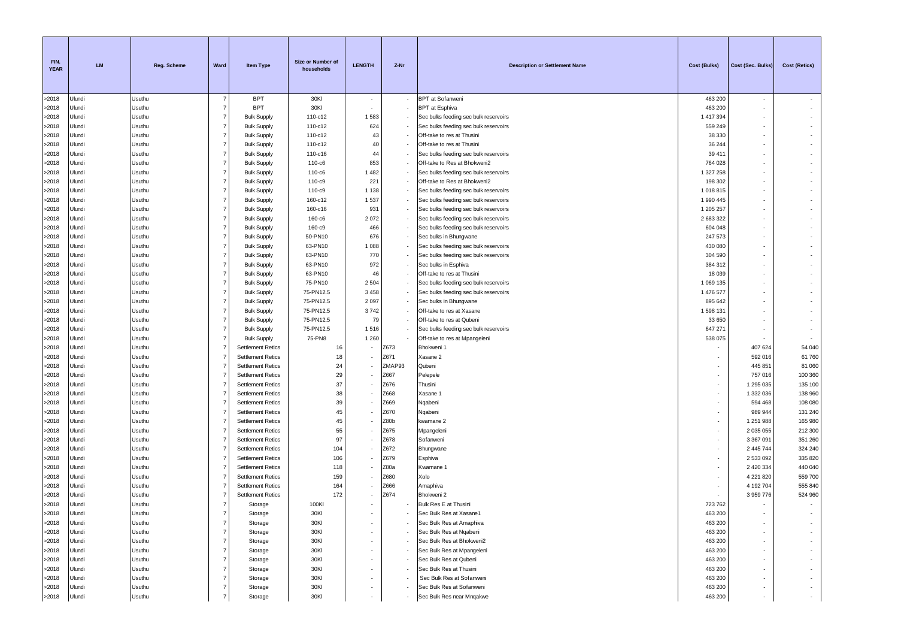| FIN.<br><b>YEAR</b> | <b>LM</b>        | Reg. Scheme      | Ward                             | <b>Item Type</b>                                     | Size or Number of<br>households | <b>LENGTH</b>            | Z-Nr         | <b>Description or Settlement Name</b>                                          | <b>Cost (Bulks)</b>  | Cost (Sec. Bulks)      | Cost (Retics)            |
|---------------------|------------------|------------------|----------------------------------|------------------------------------------------------|---------------------------------|--------------------------|--------------|--------------------------------------------------------------------------------|----------------------|------------------------|--------------------------|
| >2018               | Jlundi           | Usuthu           | 7                                | <b>BPT</b>                                           | 30KI                            | $\sim$                   |              | <b>BPT</b> at Sofanweni                                                        | 463 200              | $\sim$                 |                          |
| >2018               | Jlundi           | Usuthu           | $\overline{7}$                   | <b>BPT</b>                                           | 30KI                            |                          |              | <b>BPT</b> at Esphiva                                                          | 463 200              | $\sim$                 |                          |
| >2018               | Jlundi           | Usuthu           | $\overline{7}$                   | <b>Bulk Supply</b>                                   | 110-c12                         | 1583                     |              | Sec bulks feeding sec bulk reservoirs                                          | 1 417 394            | $\sim$                 | $\sim$                   |
| >2018               | Jlundi           | Usuthu           | $\overline{7}$                   | <b>Bulk Supply</b>                                   | 110-c12                         | 624                      |              | Sec bulks feeding sec bulk reservoirs                                          | 559 249              | $\sim$                 |                          |
| >2018               | Jlundi           | Usuthu           | $\overline{7}$                   | <b>Bulk Supply</b>                                   | 110-c12                         | 43                       |              | Off-take to res at Thusini                                                     | 38 330               |                        |                          |
| >2018               | Jlundi           | Usuthu           | $\overline{7}$                   | <b>Bulk Supply</b>                                   | 110-c12                         | 40                       |              | Off-take to res at Thusini                                                     | 36 244               | $\sim$                 |                          |
| >2018               | Jlundi           | Usuthu           | $\overline{7}$                   | <b>Bulk Supply</b>                                   | 110-c16                         | 44                       |              | Sec bulks feeding sec bulk reservoirs                                          | 39 411               |                        |                          |
| >2018               | Jlundi           | Usuthu           | $\overline{7}$                   | <b>Bulk Supply</b>                                   | 110-c6                          | 853                      |              | Off-take to Res at Bhokweni2                                                   | 764 028              |                        |                          |
| >2018<br>>2018      | Jlundi<br>Jlundi | Usuthu           | $\overline{7}$<br>$\overline{7}$ | <b>Bulk Supply</b>                                   | 110-c6                          | 1 4 8 2<br>221           |              | Sec bulks feeding sec bulk reservoirs                                          | 1 327 258            |                        |                          |
| >2018               | Jlundi           | Usuthu<br>Usuthu | $\overline{7}$                   | <b>Bulk Supply</b><br><b>Bulk Supply</b>             | 110-c9<br>110-c9                | 1 1 3 8                  |              | Off-take to Res at Bhokweni2                                                   | 198 302<br>1 018 815 | $\sim$                 |                          |
| >2018               | Jlundi           | Usuthu           | $\overline{7}$                   | <b>Bulk Supply</b>                                   | 160-c12                         | 1537                     |              | Sec bulks feeding sec bulk reservoirs<br>Sec bulks feeding sec bulk reservoirs | 1 990 445            |                        |                          |
| >2018               | Jlundi           | Usuthu           | $\overline{7}$                   | <b>Bulk Supply</b>                                   | 160-c16                         | 931                      |              | Sec bulks feeding sec bulk reservoirs                                          | 1 205 257            |                        |                          |
| >2018               | Jlundi           | Usuthu           | $\overline{7}$                   | <b>Bulk Supply</b>                                   | 160-c6                          | 2072                     |              | Sec bulks feeding sec bulk reservoirs                                          | 2 683 322            | $\sim$                 |                          |
| >2018               | Jlundi           | Usuthu           | $\overline{7}$                   | <b>Bulk Supply</b>                                   | 160-c9                          | 466                      |              | Sec bulks feeding sec bulk reservoirs                                          | 604 048              | $\sim$                 |                          |
| >2018               | Jlundi           | Usuthu           | $\overline{7}$                   | <b>Bulk Supply</b>                                   | 50-PN10                         | 676                      |              | Sec bulks in Bhungwane                                                         | 247 573              | $\sim$                 |                          |
| >2018               | Jlundi           | Usuthu           | $\overline{7}$                   | <b>Bulk Supply</b>                                   | 63-PN10                         | 1 0 8 8                  |              | Sec bulks feeding sec bulk reservoirs                                          | 430 080              |                        |                          |
| >2018               | Jlundi           | Usuthu           | $\overline{7}$                   | <b>Bulk Supply</b>                                   | 63-PN10                         | 770                      |              | Sec bulks feeding sec bulk reservoirs                                          | 304 590              | $\sim$                 |                          |
| >2018               | Jlundi           | Usuthu           | $\overline{7}$                   | <b>Bulk Supply</b>                                   | 63-PN10                         | 972                      |              | Sec bulks in Esphiva                                                           | 384 312              |                        |                          |
| >2018               | Jlundi           | Usuthu           | $\overline{7}$                   | <b>Bulk Supply</b>                                   | 63-PN10                         | 46                       |              | Off-take to res at Thusini                                                     | 18 0 39              | $\sim$                 |                          |
| >2018               | Jlundi           | Usuthu           | $\overline{7}$                   | <b>Bulk Supply</b>                                   | 75-PN10                         | 2 5 0 4                  |              | Sec bulks feeding sec bulk reservoirs                                          | 1 069 135            | $\sim$                 |                          |
| >2018               | Jlundi           | Usuthu           | $\overline{7}$                   | <b>Bulk Supply</b>                                   | 75-PN12.5                       | 3 4 5 8                  |              | Sec bulks feeding sec bulk reservoirs                                          | 1 476 577            |                        |                          |
| >2018               | Jlundi           | Usuthu           | $\overline{7}$                   | <b>Bulk Supply</b>                                   | 75-PN12.5                       | 2 0 9 7                  |              | Sec bulks in Bhungwane                                                         | 895 642              |                        |                          |
| >2018               | Jlundi           | Usuthu           | $\overline{7}$                   | <b>Bulk Supply</b>                                   | 75-PN12.5                       | 3742                     |              | Off-take to res at Xasane                                                      | 1 598 131            |                        |                          |
| >2018               | Jlundi           | Usuthu           | $\overline{7}$                   | <b>Bulk Supply</b>                                   | 75-PN12.5                       | 79                       |              | Off-take to res at Qubeni                                                      | 33 650               |                        |                          |
| >2018               | Jlundi           | Usuthu           | $\overline{7}$                   | <b>Bulk Supply</b>                                   | 75-PN12.5                       | 1516                     |              | Sec bulks feeding sec bulk reservoirs                                          | 647 271              |                        |                          |
| >2018               | Jlundi           | Usuthu           | $\overline{7}$                   | <b>Bulk Supply</b>                                   | 75-PN8                          | 1 2 6 0                  |              | Off-take to res at Mpangeleni                                                  | 538 075              |                        |                          |
| >2018               | Jlundi           | Usuthu           | $\overline{7}$                   | <b>Settlement Retics</b>                             | 16                              |                          | Z673         | Bhokweni 1                                                                     |                      | 407 624                | 54 040                   |
| >2018               | Jlundi           | Usuthu           | $\overline{7}$                   | <b>Settlement Retics</b>                             | 18                              |                          | Z671         | Xasane 2                                                                       |                      | 592 016                | 61 760                   |
| >2018               | Jlundi           | Usuthu           | $\overline{7}$                   | <b>Settlement Retics</b>                             | 24                              |                          | ZMAP93       | Qubeni                                                                         |                      | 445 851                | 81 060                   |
| >2018               | Jlundi           | Usuthu           | $\overline{7}$<br>$\overline{7}$ | <b>Settlement Retics</b>                             | 29<br>37                        |                          | Z667         | Pelepele                                                                       | ٠<br>$\sim$          | 757 016                | 100 360                  |
| >2018<br>>2018      | Jlundi<br>Jlundi | Usuthu<br>Usuthu | $\overline{7}$                   | <b>Settlement Retics</b><br><b>Settlement Retics</b> | 38                              |                          | Z676<br>Z668 | Thusini<br>Xasane 1                                                            |                      | 1 295 035<br>1 332 036 | 135 100<br>138 960       |
| >2018               | Jlundi           | Usuthu           | $\overline{7}$                   | <b>Settlement Retics</b>                             | 39                              |                          | Z669         | Nqabeni                                                                        |                      | 594 468                | 108 080                  |
| >2018               | Jlundi           | Usuthu           | 7                                | <b>Settlement Retics</b>                             | 45                              |                          | Z670         | Nqabeni                                                                        |                      | 989 944                | 131 240                  |
| >2018               | Jlundi           | Usuthu           | $\overline{7}$                   | <b>Settlement Retics</b>                             | 45                              |                          | Z80b         | kwamane 2                                                                      |                      | 1 251 988              | 165 980                  |
| >2018               | Jlundi           | Usuthu           | $\overline{7}$                   | <b>Settlement Retics</b>                             | 55                              |                          | Z675         | Mpangeleni                                                                     | ٠.                   | 2 035 055              | 212 300                  |
| >2018               | Jlundi           | Usuthu           | $\overline{7}$                   | <b>Settlement Retics</b>                             | 97                              |                          | Z678         | Sofanweni                                                                      | ٠                    | 3 367 091              | 351 260                  |
| >2018               | Jlundi           | Usuthu           | $\overline{7}$                   | <b>Settlement Retics</b>                             | 104                             |                          | Z672         | Bhungwane                                                                      | ٠                    | 2 445 744              | 324 240                  |
| >2018               | Jlundi           | Usuthu           | $\overline{7}$                   | <b>Settlement Retics</b>                             | 106                             |                          | Z679         | Esphiva                                                                        | $\sim$               | 2 533 092              | 335 820                  |
| >2018               | Jlundi           | Usuthu           | $\overline{7}$                   | <b>Settlement Retics</b>                             | 118                             |                          | Z80a         | Kwamane 1                                                                      | $\sim$               | 2 420 334              | 440 040                  |
| >2018               | Jlundi           | Usuthu           | $\overline{7}$                   | <b>Settlement Retics</b>                             | 159                             |                          | Z680         | Xolo                                                                           |                      | 4 221 820              | 559 700                  |
| >2018               | Jlundi           | Usuthu           | 7                                | <b>Settlement Retics</b>                             | 164                             |                          | Z666         | Amaphiva                                                                       |                      | 4 192 704              | 555 840                  |
| >2018               | Jlundi           | Usuthu           | 7                                | <b>Settlement Retics</b>                             | 172                             |                          | Z674         | Bhokweni 2                                                                     |                      | 3 959 776              | 524 960                  |
| >2018               | Jlundi           | Usuthu           | $\overline{7}$                   | Storage                                              | 100KI                           |                          |              | Bulk Res E at Thusini                                                          | 723 762              | $\sim$                 | $\sim$                   |
| >2018               | Ulundi           | Usuthu           | $\overline{7}$                   | Storage                                              | 30KI                            |                          |              | Sec Bulk Res at Xasane1                                                        | 463 200              |                        |                          |
| >2018               | Ulundi           | Usuthu           | $\overline{7}$                   | Storage                                              | 30KI                            |                          |              | Sec Bulk Res at Amaphiva                                                       | 463 200              |                        |                          |
| >2018               | Ulundi           | Usuthu           | $\overline{7}$                   | Storage                                              | 30KI                            | ٠                        |              | Sec Bulk Res at Ngabeni                                                        | 463 200              | $\sim$                 | $\overline{\phantom{a}}$ |
| >2018               | Ulundi           | Usuthu           | $\overline{7}$                   | Storage                                              | 30KI                            |                          |              | Sec Bulk Res at Bhokweni2                                                      | 463 200              |                        | $\sim$                   |
| >2018               | Ulundi           | Usuthu           | $\overline{7}$                   | Storage                                              | 30KI                            |                          |              | Sec Bulk Res at Mpangeleni                                                     | 463 200              |                        |                          |
| >2018               | Ulundi           | Usuthu           | $\overline{7}$                   | Storage                                              | 30KI                            |                          |              | Sec Bulk Res at Qubeni                                                         | 463 200              |                        | $\cdot$                  |
| >2018               | Jlundi<br>Ulundi | Usuthu<br>Usuthu | $\overline{7}$<br>$\overline{7}$ | Storage                                              | 30KI                            |                          |              | Sec Bulk Res at Thusini<br>Sec Bulk Res at Sofanweni                           | 463 200<br>463 200   |                        | $\sim$<br>$\sim$         |
| >2018<br>>2018      | Ulundi           | Usuthu           | $\overline{7}$                   | Storage<br>Storage                                   | 30KI<br>30KI                    |                          |              | Sec Bulk Res at Sofanweni                                                      | 463 200              | $\sim$                 | $\sim$                   |
| >2018               | Ulundi           | Usuthu           |                                  | Storage                                              | 30KI                            | $\overline{\phantom{a}}$ |              | Sec Bulk Res near Mnqakwe                                                      | 463 200              | $\sim$                 | $\sim$                   |
|                     |                  |                  |                                  |                                                      |                                 |                          |              |                                                                                |                      |                        |                          |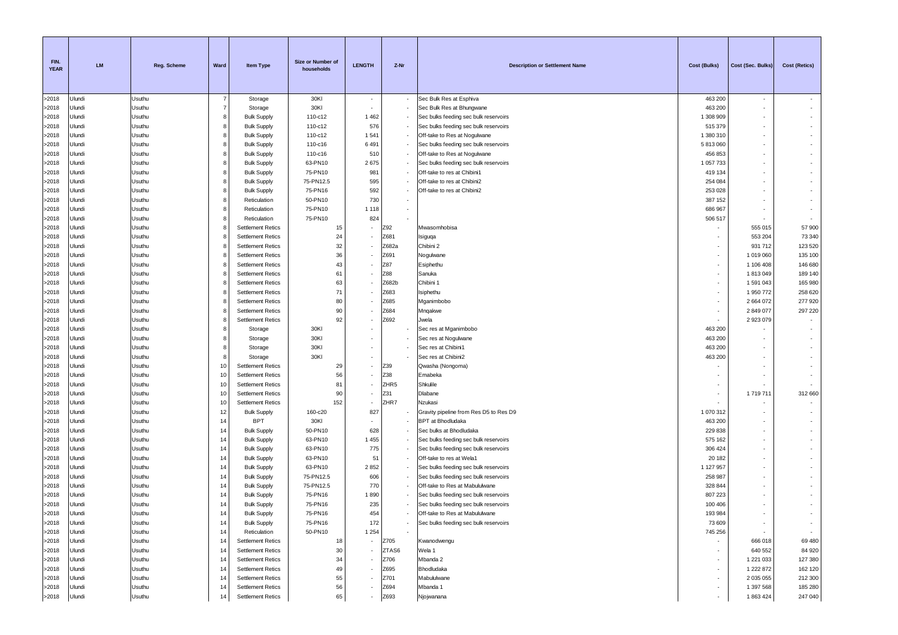| FIN.<br><b>YEAR</b> | <b>LM</b>        | <b>Reg. Scheme</b> | Ward           | <b>Item Type</b>                         | Size or Number of<br>households | <b>LENGTH</b>            | Z-Nr  | <b>Description or Settlement Name</b>                                | Cost (Bulks)         | Cost (Sec. Bulks) | Cost (Retics) |
|---------------------|------------------|--------------------|----------------|------------------------------------------|---------------------------------|--------------------------|-------|----------------------------------------------------------------------|----------------------|-------------------|---------------|
| >2018               | Ulundi           | Usuthu             | $\overline{7}$ | Storage                                  | 30KI                            | $\sim$                   |       | Sec Bulk Res at Esphiva                                              | 463 200              | $\sim$            |               |
| >2018               | Ulundi           | Usuthu             | $\overline{7}$ | Storage                                  | 30KI                            |                          |       | Sec Bulk Res at Bhungwane                                            | 463 200              | $\sim$            |               |
| >2018               | Ulundi           | Usuthu             | 8              | <b>Bulk Supply</b>                       | 110-c12                         | 1462                     |       | Sec bulks feeding sec bulk reservoirs                                | 1 308 909            |                   |               |
| >2018               | Ulundi           | Usuthu             | 8              | <b>Bulk Supply</b>                       | 110-c12                         | 576                      |       | Sec bulks feeding sec bulk reservoirs                                | 515 379              |                   |               |
| >2018               | Ulundi           | Usuthu             | 8              | <b>Bulk Supply</b>                       | 110-c12                         | 1 5 41                   |       | Off-take to Res at Nogulwane                                         | 1 380 310            |                   |               |
| >2018               | Ulundi           | Usuthu             | 8              | <b>Bulk Supply</b>                       | 110-c16                         | 6491                     |       | Sec bulks feeding sec bulk reservoirs                                | 5813060              |                   |               |
| >2018               | Ulundi           | Usuthu             | 8              | <b>Bulk Supply</b>                       | 110-c16                         | 510                      |       | Off-take to Res at Nogulwane                                         | 456 853              |                   |               |
| >2018<br>>2018      | Ulundi<br>Ulundi | Usuthu<br>Usuthu   | 8<br>8         | <b>Bulk Supply</b>                       | 63-PN10<br>75-PN10              | 2675                     |       | Sec bulks feeding sec bulk reservoirs<br>Off-take to res at Chibini1 | 1 057 733<br>419 134 |                   |               |
| >2018               | Ulundi           | Usuthu             | 8              | <b>Bulk Supply</b><br><b>Bulk Supply</b> | 75-PN12.5                       | 981<br>595               |       | Off-take to res at Chibini2                                          | 254 084              |                   |               |
| >2018               | Ulundi           | Usuthu             | 8              | <b>Bulk Supply</b>                       | 75-PN16                         | 592                      |       | Off-take to res at Chibini2                                          | 253 028              |                   |               |
| >2018               | Ulundi           | Usuthu             | 8              | Reticulation                             | 50-PN10                         | 730                      |       |                                                                      | 387 152              |                   | $\sim$        |
| >2018               | Ulundi           | Usuthu             | 8              | Reticulation                             | 75-PN10                         | 1 1 1 8                  |       |                                                                      | 686 967              |                   |               |
| >2018               | Ulundi           | Usuthu             | 8              | Reticulation                             | 75-PN10                         | 824                      |       |                                                                      | 506 517              |                   |               |
| >2018               | Ulundi           | Usuthu             | 8              | <b>Settlement Retics</b>                 | 15                              |                          | Z92   | Mwasomhobisa                                                         |                      | 555 015           | 57 900        |
| >2018               | Ulundi           | Usuthu             | 8              | <b>Settlement Retics</b>                 | 24                              |                          | Z681  | Isiguqa                                                              |                      | 553 204           | 73 340        |
| >2018               | Ulundi           | Usuthu             | 8              | <b>Settlement Retics</b>                 | 32                              |                          | Z682a | Chibini 2                                                            |                      | 931712            | 123 520       |
| >2018               | Ulundi           | Usuthu             |                | <b>Settlement Retics</b>                 | 36                              |                          | Z691  | Nogulwane                                                            |                      | 1019060           | 135 100       |
| >2018               | Ulundi           | Usuthu             | 8              | <b>Settlement Retics</b>                 | 43                              |                          | Z87   | Esiphethu                                                            | ٠                    | 1 106 408         | 146 680       |
| >2018               | Ulundi           | Usuthu             | 8              | <b>Settlement Retics</b>                 | 61                              |                          | Z88   | Sanuka                                                               |                      | 1813049           | 189 140       |
| >2018               | Ulundi           | Usuthu             | 8              | <b>Settlement Retics</b>                 | 63                              |                          | Z682b | Chibini 1                                                            |                      | 1591043           | 165 980       |
| >2018               | Ulundi           | Usuthu             | 8              | <b>Settlement Retics</b>                 | 71                              |                          | Z683  | Isiphethu                                                            |                      | 1950772           | 258 620       |
| >2018               | Ulundi           | Usuthu             | 8              | <b>Settlement Retics</b>                 | 80                              |                          | Z685  | Mganimbobo                                                           | ٠                    | 2664072           | 277920        |
| >2018               | Ulundi           | Usuthu             | 8              | <b>Settlement Retics</b>                 | 90                              |                          | Z684  | Mnqakwe                                                              |                      | 2849077           | 297 220       |
| >2018               | Ulundi           | Usuthu             | 8              | <b>Settlement Retics</b>                 | 92                              |                          | Z692  | Jwela                                                                |                      | 2923079           |               |
| >2018<br>>2018      | Ulundi<br>Ulundi | Usuthu<br>Usuthu   | 8<br>8         | Storage<br>Storage                       | 30KI<br>30KI                    |                          |       | Sec res at Mganimbobo<br>Sec res at Nogulwane                        | 463 200<br>463 200   |                   |               |
| >2018               | Ulundi           | Usuthu             | 8              | Storage                                  | 30KI                            |                          |       | Sec res at Chibini1                                                  | 463 200              |                   |               |
| >2018               | Ulundi           | Usuthu             | 8              | Storage                                  | 30KI                            |                          |       | Sec res at Chibini2                                                  | 463 200              |                   |               |
| >2018               | Ulundi           | Usuthu             | 10             | <b>Settlement Retics</b>                 | 29                              | $\overline{\phantom{a}}$ | Z39   | Qwasha (Nongoma)                                                     |                      |                   |               |
| >2018               | Ulundi           | Usuthu             | 10             | <b>Settlement Retics</b>                 | 56                              |                          | Z38   | Emabeka                                                              |                      |                   |               |
| >2018               | Ulundi           | Usuthu             | 10             | <b>Settlement Retics</b>                 | 81                              |                          | ZHR5  | Shkulile                                                             |                      |                   |               |
| >2018               | Ulundi           | Usuthu             | 10             | <b>Settlement Retics</b>                 | 90                              |                          | Z31   | Dlabane                                                              |                      | 1719711           | 312 660       |
| >2018               | Ulundi           | Usuthu             | 10             | <b>Settlement Retics</b>                 | 152                             |                          | ZHR7  | Nzukasi                                                              |                      |                   |               |
| >2018               | Ulundi           | Usuthu             | 12             | <b>Bulk Supply</b>                       | 160-c20                         | 827                      |       | Gravity pipeline from Res D5 to Res D9                               | 1 070 312            |                   |               |
| >2018               | Ulundi           | Usuthu             | 14             | <b>BPT</b>                               | 30KI                            |                          |       | <b>BPT</b> at Bhodludaka                                             | 463 200              | $\sim$            |               |
| >2018               | Ulundi           | Usuthu             | 14             | <b>Bulk Supply</b>                       | 50-PN10                         | 628                      |       | Sec bulks at Bhodludaka                                              | 229 838              |                   |               |
| >2018               | Ulundi           | Usuthu             | 14             | <b>Bulk Supply</b>                       | 63-PN10                         | 1 4 5 5                  |       | Sec bulks feeding sec bulk reservoirs                                | 575 162              |                   |               |
| >2018<br>>2018      | Ulundi<br>Ulundi | Usuthu<br>Usuthu   | 14<br>14       | <b>Bulk Supply</b>                       | 63-PN10<br>63-PN10              | 775<br>51                |       | Sec bulks feeding sec bulk reservoirs<br>Off-take to res at Wela1    | 306 424<br>20 182    |                   |               |
| >2018               | Ulundi           | Usuthu             | 14             | <b>Bulk Supply</b><br><b>Bulk Supply</b> | 63-PN10                         | 2852                     |       | Sec bulks feeding sec bulk reservoirs                                | 1 127 957            |                   |               |
| >2018               | Ulundi           | Usuthu             | 14             | <b>Bulk Supply</b>                       | 75-PN12.5                       | 606                      |       | Sec bulks feeding sec bulk reservoirs                                | 258 987              |                   |               |
| >2018               | Ulundi           | Usuthu             | 14             | <b>Bulk Supply</b>                       | 75-PN12.5                       | 770                      |       | Off-take to Res at Mabululwane                                       | 328 844              |                   |               |
| >2018               | Ulundi           | Usuthu             | 14             | <b>Bulk Supply</b>                       | 75-PN16                         | 1890                     |       | Sec bulks feeding sec bulk reservoirs                                | 807 223              |                   |               |
| >2018               | Ulundi           | Usuthu             | 14             | <b>Bulk Supply</b>                       | 75-PN16                         | 235                      |       | Sec bulks feeding sec bulk reservoirs                                | 100 406              | $\sim$            |               |
| >2018               | Ulundi           | Usuthu             | 14             | <b>Bulk Supply</b>                       | 75-PN16                         | 454                      |       | Off-take to Res at Mabululwane                                       | 193 984              |                   |               |
| >2018               | Ulundi           | Usuthu             | 14             | <b>Bulk Supply</b>                       | 75-PN16                         | 172                      |       | Sec bulks feeding sec bulk reservoirs                                | 73 609               | $\sim$            | $\sim$        |
| >2018               | Ulundi           | Usuthu             | 14             | Reticulation                             | 50-PN10                         | 1 2 5 4                  |       |                                                                      | 745 256              | $\sim$            | $\sim$        |
| >2018               | Ulundi           | Usuthu             | 14             | <b>Settlement Retics</b>                 | 18                              | $\sim$                   | Z705  | Kwanodwengu                                                          |                      | 666 018           | 69 480        |
| >2018               | Ulundi           | Usuthu             | 14             | <b>Settlement Retics</b>                 | 30                              | $\overline{\phantom{a}}$ | ZTAS6 | Wela 1                                                               | ٠.                   | 640 552           | 84 920        |
| >2018               | Ulundi           | Usuthu             | 14             | <b>Settlement Retics</b>                 | 34                              |                          | Z706  | Mbanda 2                                                             |                      | 1 221 033         | 127 380       |
| >2018               | Ulundi           | Usuthu             | 14             | <b>Settlement Retics</b>                 | 49                              |                          | Z695  | Bhodludaka                                                           | ٠                    | 1 222 872         | 162 120       |
| >2018               | Ulundi           | Usuthu             | 14             | <b>Settlement Retics</b>                 | 55                              |                          | Z701  | Mabululwane                                                          | ٠.                   | 2 0 3 5 0 5 5     | 212 300       |
| >2018               | Ulundi           | Usuthu             | 14             | <b>Settlement Retics</b>                 | 56<br>65                        |                          | Z694  | Mbanda 1                                                             | $\sim$               | 1 397 568         | 185 280       |
| >2018               | Ulundi           | Usuthu             | 14             | <b>Settlement Retics</b>                 |                                 | $\cdot$                  | Z693  | Njojwanana                                                           | $\sim$               | 1863424           | 247 040       |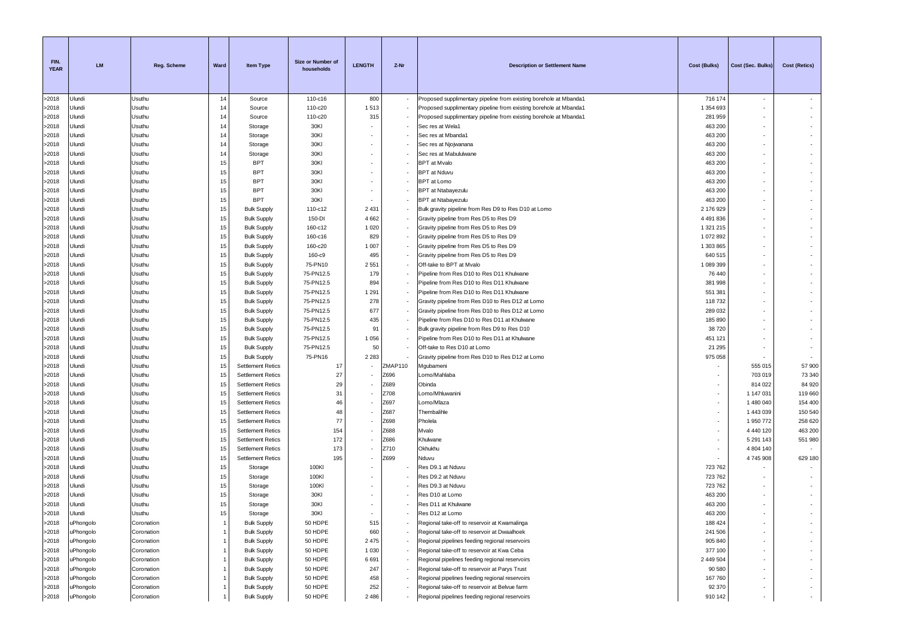| FIN.<br><b>YEAR</b> | <b>LM</b> | <b>Reg. Scheme</b> | Ward           | <b>Item Type</b>         | Size or Number of<br>households | <b>LENGTH</b> | Z-Nr    | <b>Description or Settlement Name</b>                             | Cost (Bulks) | Cost (Sec. Bulks)        | <b>Cost (Retics)</b>     |
|---------------------|-----------|--------------------|----------------|--------------------------|---------------------------------|---------------|---------|-------------------------------------------------------------------|--------------|--------------------------|--------------------------|
| >2018               | Ulundi    | Usuthu             | 14             | Source                   | 110-c16                         | 800           |         | Proposed supplimentary pipeline from existing borehole at Mbanda1 | 716 174      | $\sim$                   |                          |
| >2018               | Ulundi    | Usuthu             | 14             | Source                   | 110-c20                         | 1513          |         | Proposed supplimentary pipeline from existing borehole at Mbanda1 | 1 354 693    | $\sim$                   | $\sim$                   |
| >2018               | Ulundi    | Usuthu             | 14             | Source                   | 110-c20                         | 315           |         | Proposed supplimentary pipeline from existing borehole at Mbanda1 | 281 959      | $\sim$                   | $\sim$                   |
| >2018               | Ulundi    | Usuthu             | 14             | Storage                  | 30KI                            |               |         | Sec res at Wela1                                                  | 463 200      | $\sim$                   | $\sim$                   |
| >2018               | Ulundi    | Usuthu             | 14             | Storage                  | 30KI                            |               |         | Sec res at Mbanda1                                                | 463 200      |                          | ٠                        |
| >2018               | Ulundi    | Usuthu             | 14             | Storage                  | 30KI                            |               |         | Sec res at Njojwanana                                             | 463 200      | $\sim$                   | $\sim$                   |
| >2018               | Ulundi    | Usuthu             | 14             | Storage                  | 30KI                            |               |         | Sec res at Mabululwane                                            | 463 200      | $\sim$                   | $\overline{\phantom{a}}$ |
| >2018               | Ulundi    | Usuthu             | 15             | <b>BPT</b>               | 30KI                            |               |         | <b>BPT</b> at Mvalo                                               | 463 200      |                          |                          |
| >2018               | Ulundi    | Usuthu             | 15             | <b>BPT</b>               | 30KI                            |               |         | <b>BPT</b> at Nduvu                                               | 463 200      |                          |                          |
| >2018               | Ulundi    | Usuthu             | 15             | <b>BPT</b>               | 30KI                            |               |         | <b>BPT</b> at Lomo                                                | 463 200      | ÷.                       | $\overline{\phantom{a}}$ |
| >2018               | Ulundi    | Usuthu             | 15             | <b>BPT</b>               | 30KI                            |               |         | <b>BPT</b> at Ntabayezulu                                         | 463 200      | $\sim$                   | $\overline{\phantom{a}}$ |
| >2018               | Ulundi    | Usuthu             | 15             | <b>BPT</b>               | 30KI                            |               |         | <b>BPT</b> at Ntabayezulu                                         | 463 200      | ٠                        | $\sim$                   |
| >2018               | Ulundi    | Usuthu             | 15             | <b>Bulk Supply</b>       | 110-c12                         | 2 4 3 1       |         | Bulk gravity pipeline from Res D9 to Res D10 at Lomo              | 2 176 929    |                          | ٠                        |
| >2018               | Ulundi    | Usuthu             | 15             | <b>Bulk Supply</b>       | 150-DI                          | 4 6 6 2       |         | Gravity pipeline from Res D5 to Res D9                            | 4 491 836    | $\overline{\phantom{a}}$ | ٠                        |
| >2018               | Ulundi    | Usuthu             | 15             | <b>Bulk Supply</b>       | 160-c12                         | 1 0 2 0       |         | Gravity pipeline from Res D5 to Res D9                            | 1 321 215    | $\sim$                   | $\sim$                   |
| >2018               | Ulundi    | Usuthu             | 15             | <b>Bulk Supply</b>       | 160-c16                         | 829           |         | Gravity pipeline from Res D5 to Res D9                            | 1 072 892    | $\sim$                   |                          |
| >2018               | Ulundi    | Usuthu             | 15             | <b>Bulk Supply</b>       | 160-c20                         | 1 0 0 7       |         | Gravity pipeline from Res D5 to Res D9                            | 1 303 865    |                          |                          |
| >2018               | Ulundi    | Usuthu             | 15             | <b>Bulk Supply</b>       | 160-c9                          | 495           |         | Gravity pipeline from Res D5 to Res D9                            | 640 515      | $\sim$                   | ÷.                       |
| >2018               | Ulundi    | Usuthu             | 15             | <b>Bulk Supply</b>       | 75-PN10                         | 2 5 5 1       |         | Off-take to BPT at Mvalo                                          | 1 089 399    | $\sim$                   | $\sim$                   |
| >2018               | Ulundi    | Usuthu             | 15             | <b>Bulk Supply</b>       | 75-PN12.5                       | 179           |         | Pipeline from Res D10 to Res D11 Khulwane                         | 76 440       | ٠                        | $\sim$                   |
| >2018               | Ulundi    | Usuthu             | 15             | <b>Bulk Supply</b>       | 75-PN12.5                       | 894           |         | Pipeline from Res D10 to Res D11 Khulwane                         | 381 998      |                          | ٠                        |
| >2018               | Ulundi    | Usuthu             | 15             | <b>Bulk Supply</b>       | 75-PN12.5                       | 1 2 9 1       |         | Pipeline from Res D10 to Res D11 Khulwane                         | 551 381      |                          |                          |
| >2018               | Ulundi    | Usuthu             | 15             | <b>Bulk Supply</b>       | 75-PN12.5                       | 278           |         | Gravity pipeline from Res D10 to Res D12 at Lomo                  | 118732       | $\overline{\phantom{a}}$ | ٠                        |
| >2018               | Ulundi    | Usuthu             | 15             | <b>Bulk Supply</b>       | 75-PN12.5                       | 677           |         | Gravity pipeline from Res D10 to Res D12 at Lomo                  | 289 032      | $\sim$                   | $\sim$                   |
| >2018               | Ulundi    | Usuthu             | 15             | <b>Bulk Supply</b>       | 75-PN12.5                       | 435           |         | Pipeline from Res D10 to Res D11 at Khulwane                      | 185 890      | $\sim$                   |                          |
| >2018               | Ulundi    | Usuthu             | 15             | <b>Bulk Supply</b>       | 75-PN12.5                       | 91            |         | Bulk gravity pipeline from Res D9 to Res D10                      | 38720        |                          |                          |
| >2018               | Ulundi    | Usuthu             | 15             | <b>Bulk Supply</b>       | 75-PN12.5                       | 1 0 5 6       |         | Pipeline from Res D10 to Res D11 at Khulwane                      | 451 121      | $\mathbf{r}$             | $\sim$                   |
| >2018               | Ulundi    | Usuthu             | 15             | <b>Bulk Supply</b>       | 75-PN12.5                       | 50            |         | Off-take to Res D10 at Lomo                                       | 21 295       | $\sim$                   | $\sim$                   |
| >2018               | Ulundi    | Usuthu             | 15             | <b>Bulk Supply</b>       | 75-PN16                         | 2 2 8 3       |         | Gravity pipeline from Res D10 to Res D12 at Lomo                  | 975 058      |                          | $\overline{\phantom{a}}$ |
| >2018               | Ulundi    | Usuthu             | 15             | <b>Settlement Retics</b> | 17                              |               | ZMAP110 | Mgubameni                                                         |              | 555 015                  | 57 900                   |
| >2018               | Ulundi    | Usuthu             | 15             | <b>Settlement Retics</b> | 27                              |               | Z696    | Lomo/Mahlaba                                                      |              | 703 019                  | 73 340                   |
| >2018               | Ulundi    | Usuthu             | 15             | <b>Settlement Retics</b> | 29                              |               | Z689    | Obinda                                                            | ٠            | 814 022                  | 84 920                   |
| >2018               | Ulundi    | Usuthu             | 15             | <b>Settlement Retics</b> | 31                              |               | Z708    | Lomo/Mhluwanini                                                   | ٠            | 1 147 031                | 119 660                  |
| >2018               | Ulundi    | Usuthu             | 15             | <b>Settlement Retics</b> | 46                              |               | Z697    | Lomo/Mlaza                                                        | ٠            | 1 480 040                | 154 400                  |
| >2018               | Ulundi    | Usuthu             | 15             | <b>Settlement Retics</b> | 48                              |               | Z687    | Thembalihle                                                       |              | 1 443 039                | 150 540                  |
| >2018               | Ulundi    | Usuthu             | 15             | <b>Settlement Retics</b> | 77                              |               | Z698    | Pholela                                                           | ٠            | 1 950 772                | 258 620                  |
| >2018               | Ulundi    | Usuthu             | 15             | <b>Settlement Retics</b> | 154                             |               | Z688    | Mvalo                                                             | ٠            | 4 440 120                | 463 200                  |
| >2018               | Ulundi    | Usuthu             | 15             | <b>Settlement Retics</b> | 172                             |               | Z686    | Khulwane                                                          |              | 5 291 143                | 551 980                  |
| >2018               | Ulundi    | Usuthu             | 15             | <b>Settlement Retics</b> | 173                             |               | Z710    | Okhukhu                                                           | ٠            | 4 804 140                | $\sim$                   |
| >2018               | Ulundi    | Usuthu             | 15             | <b>Settlement Retics</b> | 195                             |               | Z699    | Nduvu                                                             | ٠            | 4745908                  | 629 180                  |
| >2018               | Ulundi    | Usuthu             | 15             | Storage                  | 100KI                           |               |         | Res D9.1 at Nduvu                                                 | 723762       |                          | $\sim$                   |
| >2018               | Ulundi    | Usuthu             | 15             | Storage                  | 100KI                           |               |         | Res D9.2 at Nduvu                                                 | 723762       |                          |                          |
| >2018               | Ulundi    | Usuthu             | 15             | Storage                  | 100KI                           |               |         | Res D9.3 at Nduvu                                                 | 723 762      |                          | $\sim$                   |
| >2018               | Ulundi    | Usuthu             | 15             | Storage                  | 30KI                            |               |         | Res D10 at Lomo                                                   | 463 200      |                          | $\sim$                   |
| >2018               | Ulundi    | Usuthu             | 15             | Storage                  | 30KI                            |               |         | Res D11 at Khulwane                                               | 463 200      | $\sim$                   | $\sim$                   |
| >2018               | Ulundi    | Usuthu             | 15             | Storage                  | 30KI                            |               |         | Res D12 at Lomo                                                   | 463 200      |                          |                          |
| >2018               | uPhongolo | Coronation         |                | <b>Bulk Supply</b>       | 50 HDPE                         | 515           |         | Regional take-off to reservoir at Kwamalinga                      | 188 424      |                          |                          |
| >2018               | uPhongolo | Coronation         | $\overline{1}$ | <b>Bulk Supply</b>       | 50 HDPE                         | 660           |         | Regional take-off to reservoir at Dwaalhoek                       | 241 506      |                          | $\overline{\phantom{a}}$ |
| >2018               | uPhongolo | Coronation         | $\overline{1}$ | <b>Bulk Supply</b>       | 50 HDPE                         | 2475          |         | Regional pipelines feeding regional reservoirs                    | 905 840      |                          | $\sim$                   |
| >2018               | uPhongolo | Coronation         | $\overline{1}$ | <b>Bulk Supply</b>       | 50 HDPE                         | 1 0 3 0       |         | Regional take-off to reservoir at Kwa Ceba                        | 377 100      |                          | $\sim$                   |
| >2018               | uPhongolo | Coronation         | -1             | <b>Bulk Supply</b>       | 50 HDPE                         | 6691          |         | Regional pipelines feeding regional reservoirs                    | 2 449 504    |                          |                          |
| >2018               | uPhongolo | Coronation         | $\overline{1}$ | <b>Bulk Supply</b>       | 50 HDPE                         | 247           |         | Regional take-off to reservoir at Parys Trust                     | 90 580       |                          | $\sim$                   |
| >2018               | uPhongolo | Coronation         | -1             | <b>Bulk Supply</b>       | 50 HDPE                         | 458           |         | Regional pipelines feeding regional reservoirs                    | 167 760      |                          | $\overline{\phantom{a}}$ |
| >2018               | uPhongolo | Coronation         | -1             | <b>Bulk Supply</b>       | 50 HDPE                         | 252           |         | Regional take-off to reservoir at Belvue farm                     | 92 370       |                          | $\sim$                   |
| >2018               | uPhongolo | Coronation         |                | <b>Bulk Supply</b>       | 50 HDPE                         | 2486          |         | Regional pipelines feeding regional reservoirs                    | 910 142      |                          | $\sim$                   |